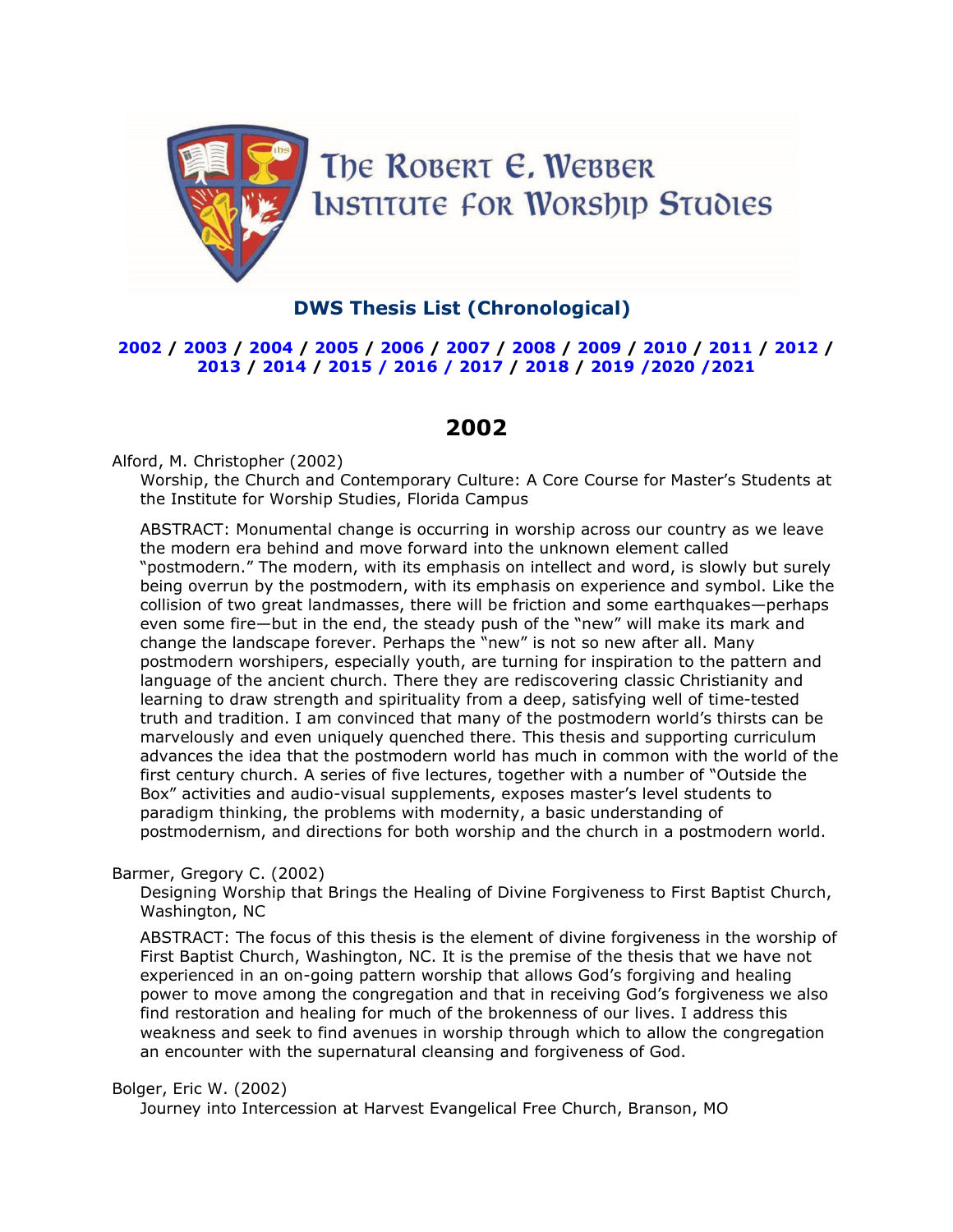

## **DWS Thesis List (Chronological)**

## [2002](#page-0-0) / [2003](#page-3-0) / [2004](#page-5-0) / [2005](#page-9-0) / [2006](#page-13-0) / [2007](#page-16-0) / [2008](#page-22-0) / [2009](#page-26-0) / [2010](#page-31-0) / [2011](#page-35-0) / [2012](#page-39-0) / **[2013](#page-44-0) / [2014](#page-50-0) / [2015](#page-56-0) / [2016](#page-61-0) / [2017](#page-68-0) / [2018](#page-73-0) / [2019](#page-79-0) [/2020](#page-84-0) [/2021](#page-88-0)**

# **2002**

## <span id="page-0-0"></span>Alford, M. Christopher (2002)

Worship, the Church and Contemporary Culture: A Core Course for Master's Students at the Institute for Worship Studies, Florida Campus

ABSTRACT: Monumental change is occurring in worship across our country as we leave the modern era behind and move forward into the unknown element called "postmodern." The modern, with its emphasis on intellect and word, is slowly but surely being overrun by the postmodern, with its emphasis on experience and symbol. Like the collision of two great landmasses, there will be friction and some earthquakes—perhaps even some fire—but in the end, the steady push of the "new" will make its mark and change the landscape forever. Perhaps the "new" is not so new after all. Many postmodern worshipers, especially youth, are turning for inspiration to the pattern and language of the ancient church. There they are rediscovering classic Christianity and learning to draw strength and spirituality from a deep, satisfying well of time-tested truth and tradition. I am convinced that many of the postmodern world's thirsts can be marvelously and even uniquely quenched there. This thesis and supporting curriculum advances the idea that the postmodern world has much in common with the world of the first century church. A series of five lectures, together with a number of "Outside the Box" activities and audio-visual supplements, exposes master's level students to paradigm thinking, the problems with modernity, a basic understanding of postmodernism, and directions for both worship and the church in a postmodern world.

## Barmer, Gregory C. (2002)

Designing Worship that Brings the Healing of Divine Forgiveness to First Baptist Church, Washington, NC

ABSTRACT: The focus of this thesis is the element of divine forgiveness in the worship of First Baptist Church, Washington, NC. It is the premise of the thesis that we have not experienced in an on-going pattern worship that allows God's forgiving and healing power to move among the congregation and that in receiving God's forgiveness we also find restoration and healing for much of the brokenness of our lives. I address this weakness and seek to find avenues in worship through which to allow the congregation an encounter with the supernatural cleansing and forgiveness of God.

#### Bolger, Eric W. (2002)

Journey into Intercession at Harvest Evangelical Free Church, Branson, MO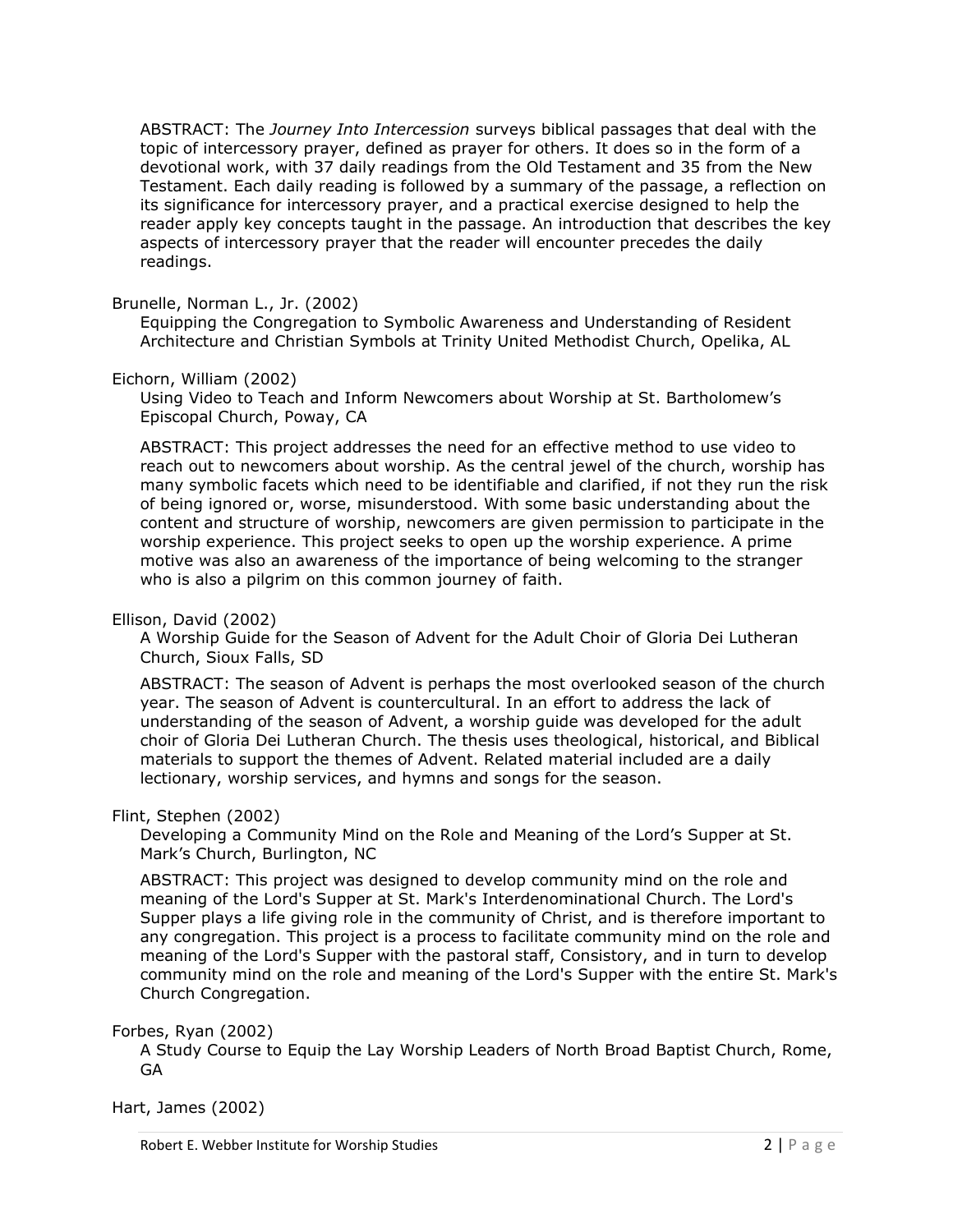ABSTRACT: The *Journey Into Intercession* surveys biblical passages that deal with the topic of intercessory prayer, defined as prayer for others. It does so in the form of a devotional work, with 37 daily readings from the Old Testament and 35 from the New Testament. Each daily reading is followed by a summary of the passage, a reflection on its significance for intercessory prayer, and a practical exercise designed to help the reader apply key concepts taught in the passage. An introduction that describes the key aspects of intercessory prayer that the reader will encounter precedes the daily readings.

## Brunelle, Norman L., Jr. (2002)

Equipping the Congregation to Symbolic Awareness and Understanding of Resident Architecture and Christian Symbols at Trinity United Methodist Church, Opelika, AL

#### Eichorn, William (2002)

Using Video to Teach and Inform Newcomers about Worship at St. Bartholomew's Episcopal Church, Poway, CA

ABSTRACT: This project addresses the need for an effective method to use video to reach out to newcomers about worship. As the central jewel of the church, worship has many symbolic facets which need to be identifiable and clarified, if not they run the risk of being ignored or, worse, misunderstood. With some basic understanding about the content and structure of worship, newcomers are given permission to participate in the worship experience. This project seeks to open up the worship experience. A prime motive was also an awareness of the importance of being welcoming to the stranger who is also a pilgrim on this common journey of faith.

#### Ellison, David (2002)

A Worship Guide for the Season of Advent for the Adult Choir of Gloria Dei Lutheran Church, Sioux Falls, SD

ABSTRACT: The season of Advent is perhaps the most overlooked season of the church year. The season of Advent is countercultural. In an effort to address the lack of understanding of the season of Advent, a worship guide was developed for the adult choir of Gloria Dei Lutheran Church. The thesis uses theological, historical, and Biblical materials to support the themes of Advent. Related material included are a daily lectionary, worship services, and hymns and songs for the season.

#### Flint, Stephen (2002)

Developing a Community Mind on the Role and Meaning of the Lord's Supper at St. Mark's Church, Burlington, NC

ABSTRACT: This project was designed to develop community mind on the role and meaning of the Lord's Supper at St. Mark's Interdenominational Church. The Lord's Supper plays a life giving role in the community of Christ, and is therefore important to any congregation. This project is a process to facilitate community mind on the role and meaning of the Lord's Supper with the pastoral staff, Consistory, and in turn to develop community mind on the role and meaning of the Lord's Supper with the entire St. Mark's Church Congregation.

Forbes, Ryan (2002)

A Study Course to Equip the Lay Worship Leaders of North Broad Baptist Church, Rome, GA

Hart, James (2002)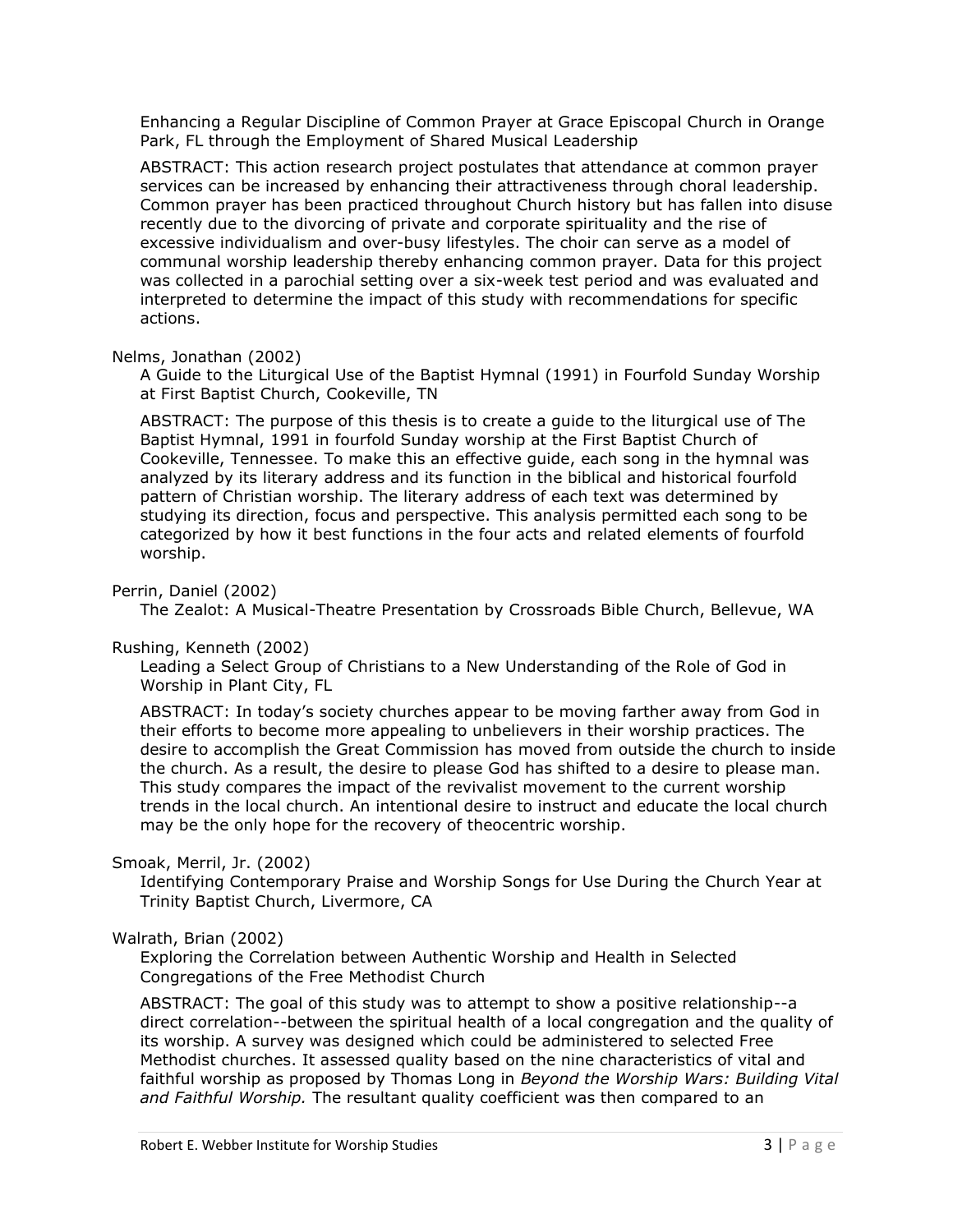Enhancing a Regular Discipline of Common Prayer at Grace Episcopal Church in Orange Park, FL through the Employment of Shared Musical Leadership

ABSTRACT: This action research project postulates that attendance at common prayer services can be increased by enhancing their attractiveness through choral leadership. Common prayer has been practiced throughout Church history but has fallen into disuse recently due to the divorcing of private and corporate spirituality and the rise of excessive individualism and over-busy lifestyles. The choir can serve as a model of communal worship leadership thereby enhancing common prayer. Data for this project was collected in a parochial setting over a six-week test period and was evaluated and interpreted to determine the impact of this study with recommendations for specific actions.

#### Nelms, Jonathan (2002)

A Guide to the Liturgical Use of the Baptist Hymnal (1991) in Fourfold Sunday Worship at First Baptist Church, Cookeville, TN

ABSTRACT: The purpose of this thesis is to create a guide to the liturgical use of The Baptist Hymnal, 1991 in fourfold Sunday worship at the First Baptist Church of Cookeville, Tennessee. To make this an effective guide, each song in the hymnal was analyzed by its literary address and its function in the biblical and historical fourfold pattern of Christian worship. The literary address of each text was determined by studying its direction, focus and perspective. This analysis permitted each song to be categorized by how it best functions in the four acts and related elements of fourfold worship.

## Perrin, Daniel (2002)

The Zealot: A Musical-Theatre Presentation by Crossroads Bible Church, Bellevue, WA

## Rushing, Kenneth (2002)

Leading a Select Group of Christians to a New Understanding of the Role of God in Worship in Plant City, FL

ABSTRACT: In today's society churches appear to be moving farther away from God in their efforts to become more appealing to unbelievers in their worship practices. The desire to accomplish the Great Commission has moved from outside the church to inside the church. As a result, the desire to please God has shifted to a desire to please man. This study compares the impact of the revivalist movement to the current worship trends in the local church. An intentional desire to instruct and educate the local church may be the only hope for the recovery of theocentric worship.

## Smoak, Merril, Jr. (2002)

Identifying Contemporary Praise and Worship Songs for Use During the Church Year at Trinity Baptist Church, Livermore, CA

## Walrath, Brian (2002)

Exploring the Correlation between Authentic Worship and Health in Selected Congregations of the Free Methodist Church

ABSTRACT: The goal of this study was to attempt to show a positive relationship--a direct correlation--between the spiritual health of a local congregation and the quality of its worship. A survey was designed which could be administered to selected Free Methodist churches. It assessed quality based on the nine characteristics of vital and faithful worship as proposed by Thomas Long in *Beyond the Worship Wars: Building Vital and Faithful Worship.* The resultant quality coefficient was then compared to an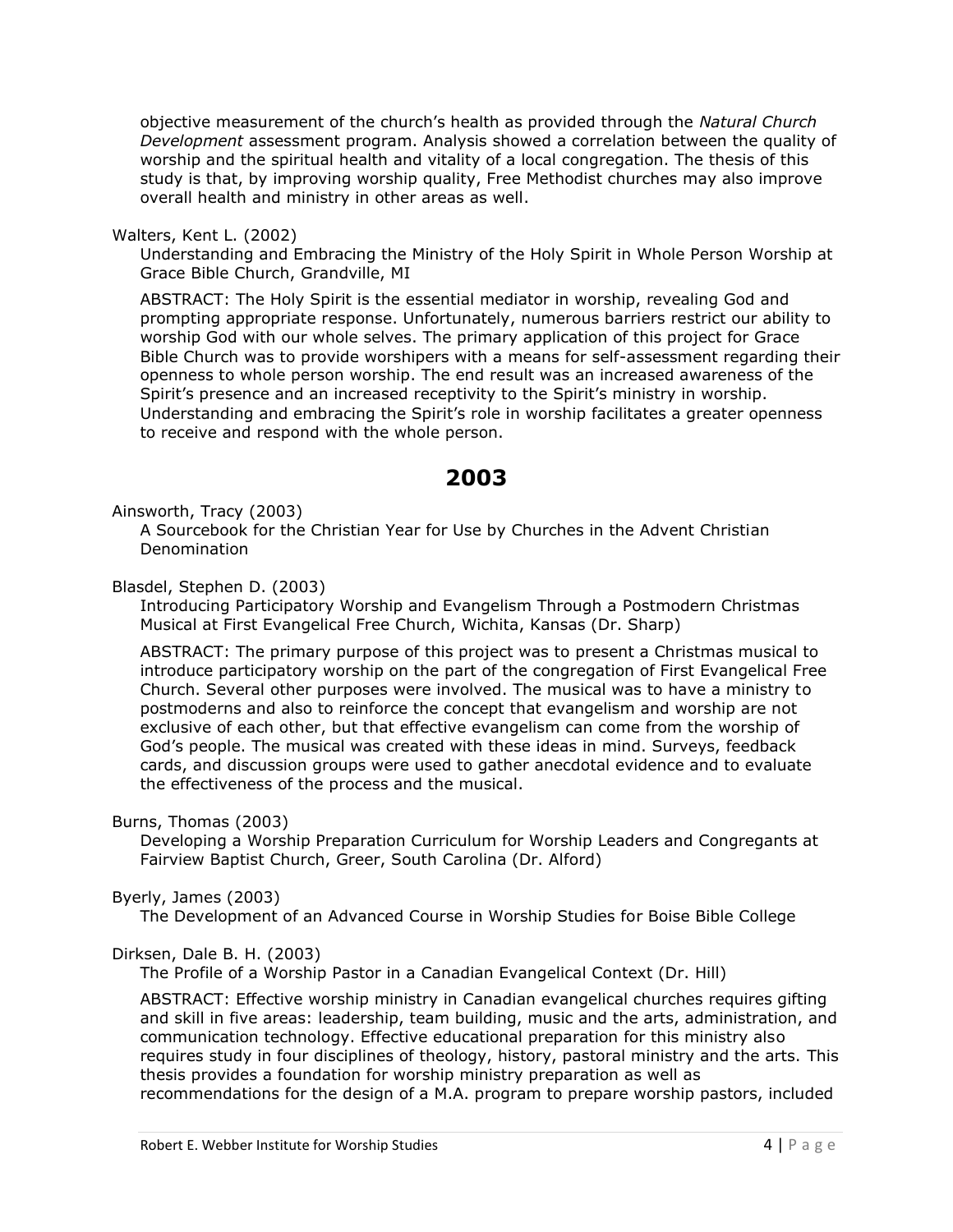objective measurement of the church's health as provided through the *Natural Church Development* assessment program. Analysis showed a correlation between the quality of worship and the spiritual health and vitality of a local congregation. The thesis of this study is that, by improving worship quality, Free Methodist churches may also improve overall health and ministry in other areas as well.

Walters, Kent L. (2002)

Understanding and Embracing the Ministry of the Holy Spirit in Whole Person Worship at Grace Bible Church, Grandville, MI

ABSTRACT: The Holy Spirit is the essential mediator in worship, revealing God and prompting appropriate response. Unfortunately, numerous barriers restrict our ability to worship God with our whole selves. The primary application of this project for Grace Bible Church was to provide worshipers with a means for self-assessment regarding their openness to whole person worship. The end result was an increased awareness of the Spirit's presence and an increased receptivity to the Spirit's ministry in worship. Understanding and embracing the Spirit's role in worship facilitates a greater openness to receive and respond with the whole person.

# **2003**

<span id="page-3-0"></span>Ainsworth, Tracy (2003)

A Sourcebook for the Christian Year for Use by Churches in the Advent Christian Denomination

Blasdel, Stephen D. (2003)

Introducing Participatory Worship and Evangelism Through a Postmodern Christmas Musical at First Evangelical Free Church, Wichita, Kansas (Dr. Sharp)

ABSTRACT: The primary purpose of this project was to present a Christmas musical to introduce participatory worship on the part of the congregation of First Evangelical Free Church. Several other purposes were involved. The musical was to have a ministry to postmoderns and also to reinforce the concept that evangelism and worship are not exclusive of each other, but that effective evangelism can come from the worship of God's people. The musical was created with these ideas in mind. Surveys, feedback cards, and discussion groups were used to gather anecdotal evidence and to evaluate the effectiveness of the process and the musical.

Burns, Thomas (2003)

Developing a Worship Preparation Curriculum for Worship Leaders and Congregants at Fairview Baptist Church, Greer, South Carolina (Dr. Alford)

Byerly, James (2003)

The Development of an Advanced Course in Worship Studies for Boise Bible College

## Dirksen, Dale B. H. (2003)

The Profile of a Worship Pastor in a Canadian Evangelical Context (Dr. Hill)

ABSTRACT: Effective worship ministry in Canadian evangelical churches requires gifting and skill in five areas: leadership, team building, music and the arts, administration, and communication technology. Effective educational preparation for this ministry also requires study in four disciplines of theology, history, pastoral ministry and the arts. This thesis provides a foundation for worship ministry preparation as well as recommendations for the design of a M.A. program to prepare worship pastors, included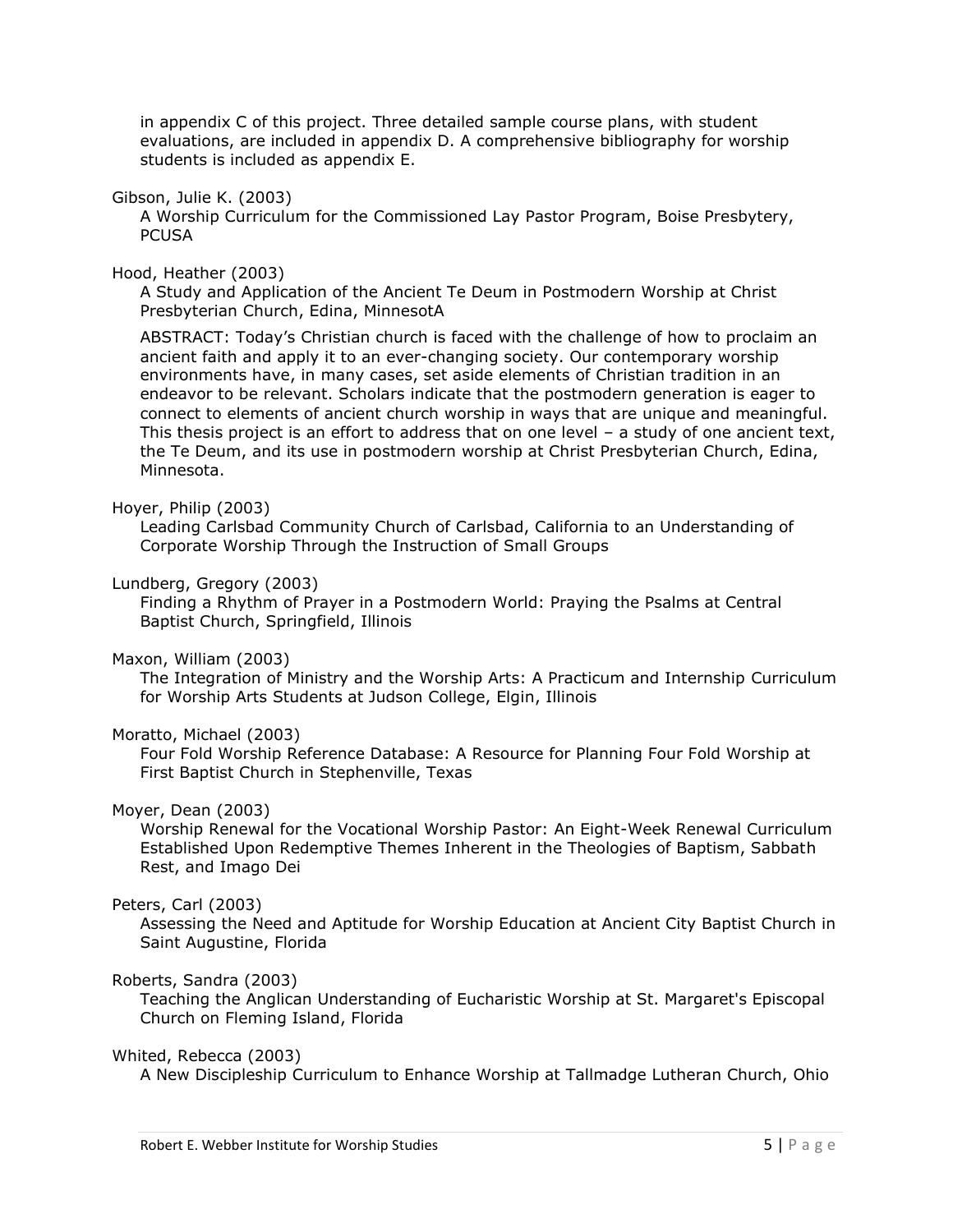in appendix C of this project. Three detailed sample course plans, with student evaluations, are included in appendix D. A comprehensive bibliography for worship students is included as appendix E.

#### Gibson, Julie K. (2003)

A Worship Curriculum for the Commissioned Lay Pastor Program, Boise Presbytery, **PCUSA** 

#### Hood, Heather (2003)

A Study and Application of the Ancient Te Deum in Postmodern Worship at Christ Presbyterian Church, Edina, MinnesotA

ABSTRACT: Today's Christian church is faced with the challenge of how to proclaim an ancient faith and apply it to an ever-changing society. Our contemporary worship environments have, in many cases, set aside elements of Christian tradition in an endeavor to be relevant. Scholars indicate that the postmodern generation is eager to connect to elements of ancient church worship in ways that are unique and meaningful. This thesis project is an effort to address that on one level – a study of one ancient text, the Te Deum, and its use in postmodern worship at Christ Presbyterian Church, Edina, Minnesota.

#### Hoyer, Philip (2003)

Leading Carlsbad Community Church of Carlsbad, California to an Understanding of Corporate Worship Through the Instruction of Small Groups

#### Lundberg, Gregory (2003)

Finding a Rhythm of Prayer in a Postmodern World: Praying the Psalms at Central Baptist Church, Springfield, Illinois

#### Maxon, William (2003)

The Integration of Ministry and the Worship Arts: A Practicum and Internship Curriculum for Worship Arts Students at Judson College, Elgin, Illinois

## Moratto, Michael (2003)

Four Fold Worship Reference Database: A Resource for Planning Four Fold Worship at First Baptist Church in Stephenville, Texas

#### Moyer, Dean (2003)

Worship Renewal for the Vocational Worship Pastor: An Eight-Week Renewal Curriculum Established Upon Redemptive Themes Inherent in the Theologies of Baptism, Sabbath Rest, and Imago Dei

#### Peters, Carl (2003)

Assessing the Need and Aptitude for Worship Education at Ancient City Baptist Church in Saint Augustine, Florida

## Roberts, Sandra (2003)

Teaching the Anglican Understanding of Eucharistic Worship at St. Margaret's Episcopal Church on Fleming Island, Florida

#### Whited, Rebecca (2003)

A New Discipleship Curriculum to Enhance Worship at Tallmadge Lutheran Church, Ohio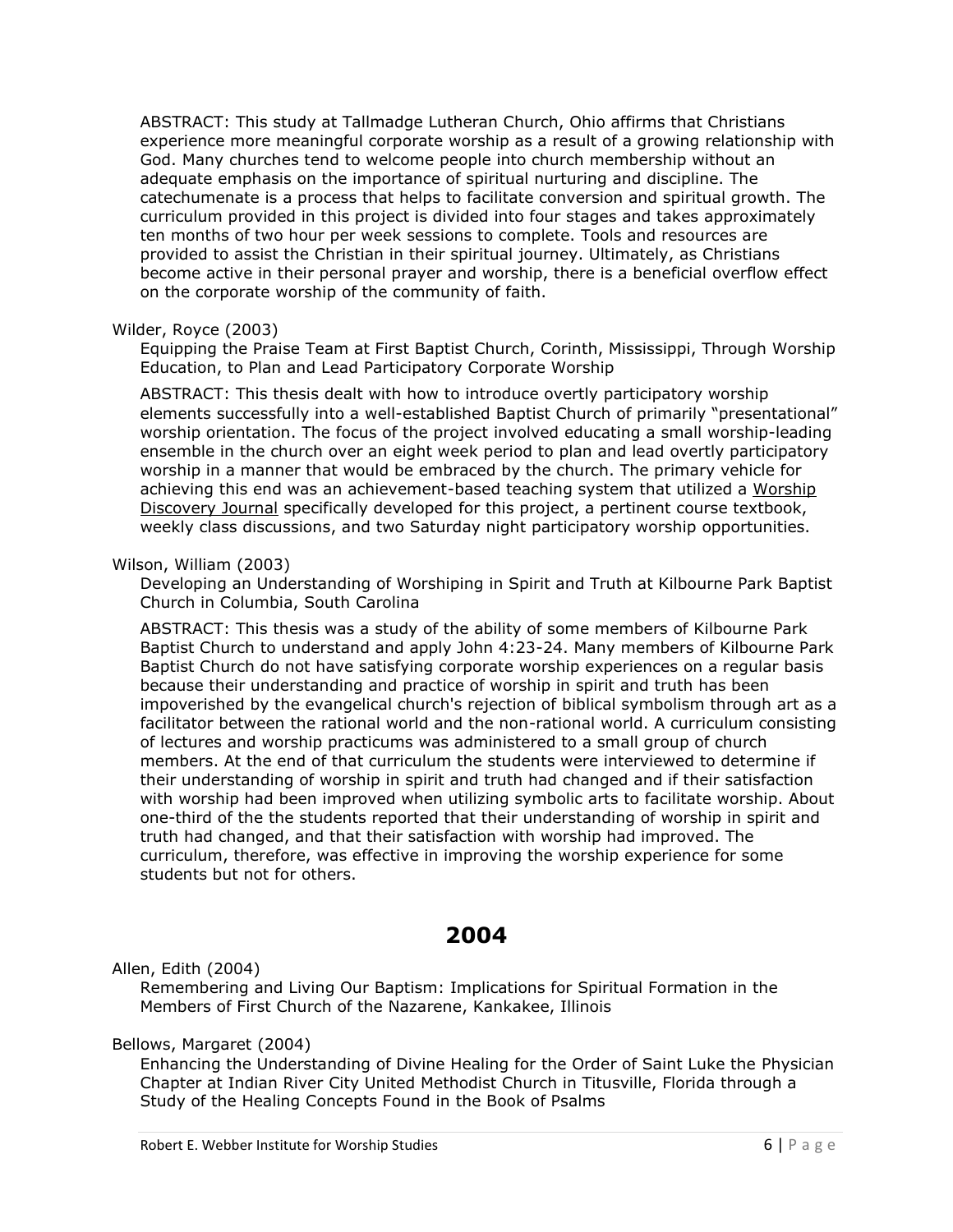ABSTRACT: This study at Tallmadge Lutheran Church, Ohio affirms that Christians experience more meaningful corporate worship as a result of a growing relationship with God. Many churches tend to welcome people into church membership without an adequate emphasis on the importance of spiritual nurturing and discipline. The catechumenate is a process that helps to facilitate conversion and spiritual growth. The curriculum provided in this project is divided into four stages and takes approximately ten months of two hour per week sessions to complete. Tools and resources are provided to assist the Christian in their spiritual journey. Ultimately, as Christians become active in their personal prayer and worship, there is a beneficial overflow effect on the corporate worship of the community of faith.

#### Wilder, Royce (2003)

Equipping the Praise Team at First Baptist Church, Corinth, Mississippi, Through Worship Education, to Plan and Lead Participatory Corporate Worship

ABSTRACT: This thesis dealt with how to introduce overtly participatory worship elements successfully into a well-established Baptist Church of primarily "presentational" worship orientation. The focus of the project involved educating a small worship-leading ensemble in the church over an eight week period to plan and lead overtly participatory worship in a manner that would be embraced by the church. The primary vehicle for achieving this end was an achievement-based teaching system that utilized a Worship Discovery Journal specifically developed for this project, a pertinent course textbook, weekly class discussions, and two Saturday night participatory worship opportunities.

#### Wilson, William (2003)

Developing an Understanding of Worshiping in Spirit and Truth at Kilbourne Park Baptist Church in Columbia, South Carolina

ABSTRACT: This thesis was a study of the ability of some members of Kilbourne Park Baptist Church to understand and apply John 4:23-24. Many members of Kilbourne Park Baptist Church do not have satisfying corporate worship experiences on a regular basis because their understanding and practice of worship in spirit and truth has been impoverished by the evangelical church's rejection of biblical symbolism through art as a facilitator between the rational world and the non-rational world. A curriculum consisting of lectures and worship practicums was administered to a small group of church members. At the end of that curriculum the students were interviewed to determine if their understanding of worship in spirit and truth had changed and if their satisfaction with worship had been improved when utilizing symbolic arts to facilitate worship. About one-third of the the students reported that their understanding of worship in spirit and truth had changed, and that their satisfaction with worship had improved. The curriculum, therefore, was effective in improving the worship experience for some students but not for others.

# **2004**

<span id="page-5-0"></span>Allen, Edith (2004)

Remembering and Living Our Baptism: Implications for Spiritual Formation in the Members of First Church of the Nazarene, Kankakee, Illinois

## Bellows, Margaret (2004)

Enhancing the Understanding of Divine Healing for the Order of Saint Luke the Physician Chapter at Indian River City United Methodist Church in Titusville, Florida through a Study of the Healing Concepts Found in the Book of Psalms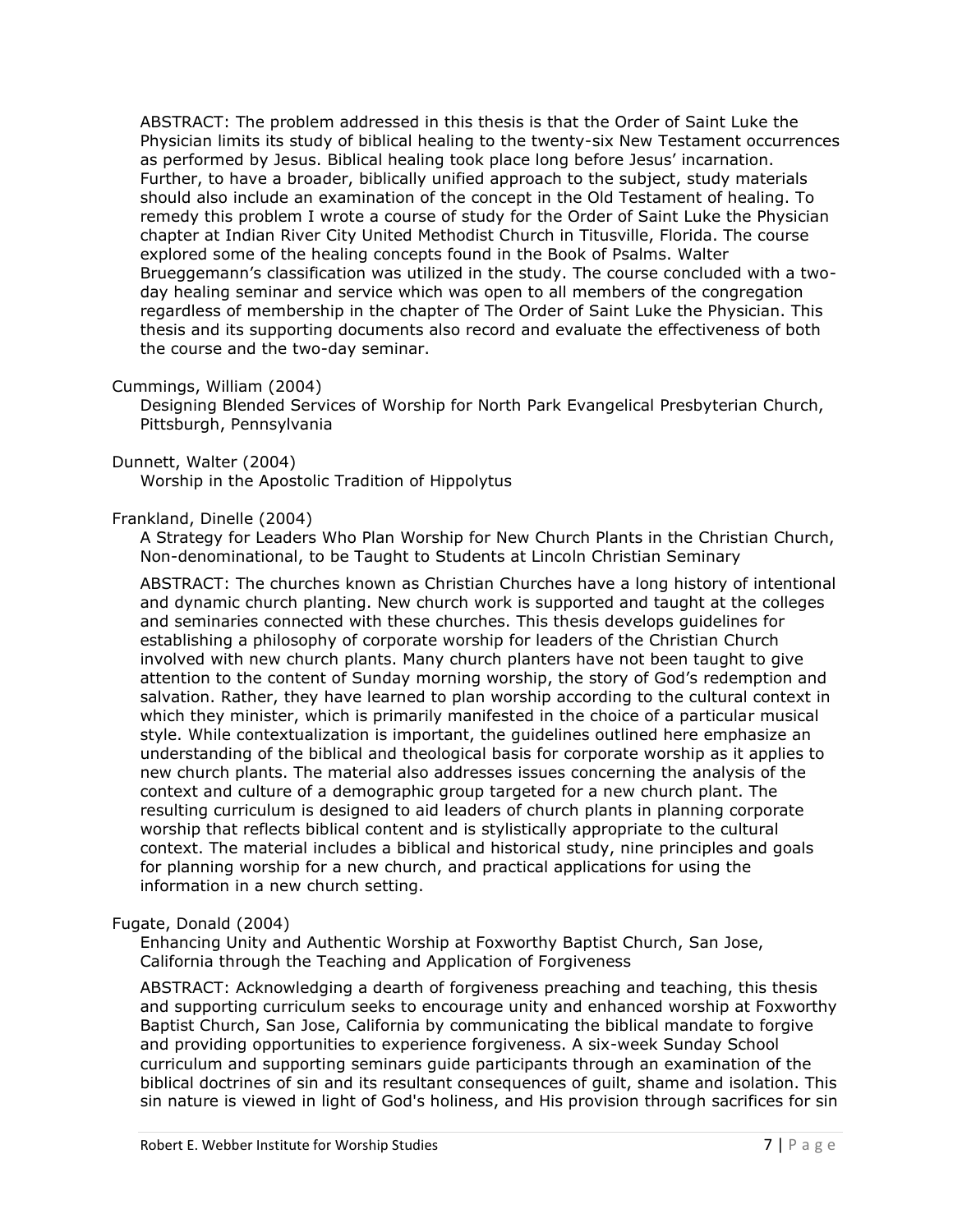ABSTRACT: The problem addressed in this thesis is that the Order of Saint Luke the Physician limits its study of biblical healing to the twenty-six New Testament occurrences as performed by Jesus. Biblical healing took place long before Jesus' incarnation. Further, to have a broader, biblically unified approach to the subject, study materials should also include an examination of the concept in the Old Testament of healing. To remedy this problem I wrote a course of study for the Order of Saint Luke the Physician chapter at Indian River City United Methodist Church in Titusville, Florida. The course explored some of the healing concepts found in the Book of Psalms. Walter Brueggemann's classification was utilized in the study. The course concluded with a twoday healing seminar and service which was open to all members of the congregation regardless of membership in the chapter of The Order of Saint Luke the Physician. This thesis and its supporting documents also record and evaluate the effectiveness of both the course and the two-day seminar.

#### Cummings, William (2004)

Designing Blended Services of Worship for North Park Evangelical Presbyterian Church, Pittsburgh, Pennsylvania

#### Dunnett, Walter (2004)

Worship in the Apostolic Tradition of Hippolytus

#### Frankland, Dinelle (2004)

A Strategy for Leaders Who Plan Worship for New Church Plants in the Christian Church, Non-denominational, to be Taught to Students at Lincoln Christian Seminary

ABSTRACT: The churches known as Christian Churches have a long history of intentional and dynamic church planting. New church work is supported and taught at the colleges and seminaries connected with these churches. This thesis develops guidelines for establishing a philosophy of corporate worship for leaders of the Christian Church involved with new church plants. Many church planters have not been taught to give attention to the content of Sunday morning worship, the story of God's redemption and salvation. Rather, they have learned to plan worship according to the cultural context in which they minister, which is primarily manifested in the choice of a particular musical style. While contextualization is important, the guidelines outlined here emphasize an understanding of the biblical and theological basis for corporate worship as it applies to new church plants. The material also addresses issues concerning the analysis of the context and culture of a demographic group targeted for a new church plant. The resulting curriculum is designed to aid leaders of church plants in planning corporate worship that reflects biblical content and is stylistically appropriate to the cultural context. The material includes a biblical and historical study, nine principles and goals for planning worship for a new church, and practical applications for using the information in a new church setting.

#### Fugate, Donald (2004)

Enhancing Unity and Authentic Worship at Foxworthy Baptist Church, San Jose, California through the Teaching and Application of Forgiveness

ABSTRACT: Acknowledging a dearth of forgiveness preaching and teaching, this thesis and supporting curriculum seeks to encourage unity and enhanced worship at Foxworthy Baptist Church, San Jose, California by communicating the biblical mandate to forgive and providing opportunities to experience forgiveness. A six-week Sunday School curriculum and supporting seminars guide participants through an examination of the biblical doctrines of sin and its resultant consequences of guilt, shame and isolation. This sin nature is viewed in light of God's holiness, and His provision through sacrifices for sin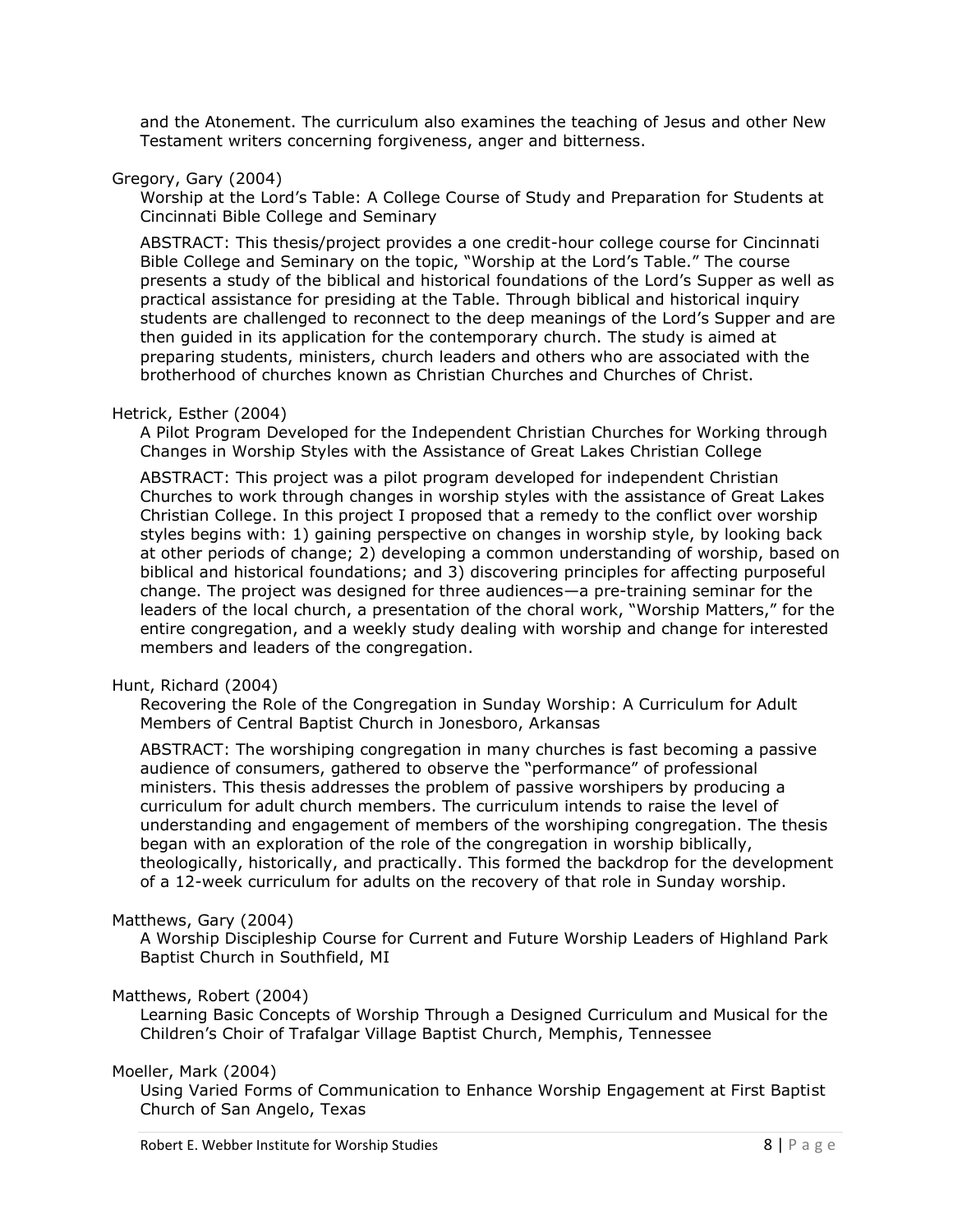and the Atonement. The curriculum also examines the teaching of Jesus and other New Testament writers concerning forgiveness, anger and bitterness.

## Gregory, Gary (2004)

Worship at the Lord's Table: A College Course of Study and Preparation for Students at Cincinnati Bible College and Seminary

ABSTRACT: This thesis/project provides a one credit-hour college course for Cincinnati Bible College and Seminary on the topic, "Worship at the Lord's Table." The course presents a study of the biblical and historical foundations of the Lord's Supper as well as practical assistance for presiding at the Table. Through biblical and historical inquiry students are challenged to reconnect to the deep meanings of the Lord's Supper and are then guided in its application for the contemporary church. The study is aimed at preparing students, ministers, church leaders and others who are associated with the brotherhood of churches known as Christian Churches and Churches of Christ.

## Hetrick, Esther (2004)

A Pilot Program Developed for the Independent Christian Churches for Working through Changes in Worship Styles with the Assistance of Great Lakes Christian College

ABSTRACT: This project was a pilot program developed for independent Christian Churches to work through changes in worship styles with the assistance of Great Lakes Christian College. In this project I proposed that a remedy to the conflict over worship styles begins with: 1) gaining perspective on changes in worship style, by looking back at other periods of change; 2) developing a common understanding of worship, based on biblical and historical foundations; and 3) discovering principles for affecting purposeful change. The project was designed for three audiences—a pre-training seminar for the leaders of the local church, a presentation of the choral work, "Worship Matters," for the entire congregation, and a weekly study dealing with worship and change for interested members and leaders of the congregation.

## Hunt, Richard (2004)

Recovering the Role of the Congregation in Sunday Worship: A Curriculum for Adult Members of Central Baptist Church in Jonesboro, Arkansas

ABSTRACT: The worshiping congregation in many churches is fast becoming a passive audience of consumers, gathered to observe the "performance" of professional ministers. This thesis addresses the problem of passive worshipers by producing a curriculum for adult church members. The curriculum intends to raise the level of understanding and engagement of members of the worshiping congregation. The thesis began with an exploration of the role of the congregation in worship biblically, theologically, historically, and practically. This formed the backdrop for the development of a 12-week curriculum for adults on the recovery of that role in Sunday worship.

## Matthews, Gary (2004)

A Worship Discipleship Course for Current and Future Worship Leaders of Highland Park Baptist Church in Southfield, MI

## Matthews, Robert (2004)

Learning Basic Concepts of Worship Through a Designed Curriculum and Musical for the Children's Choir of Trafalgar Village Baptist Church, Memphis, Tennessee

#### Moeller, Mark (2004)

Using Varied Forms of Communication to Enhance Worship Engagement at First Baptist Church of San Angelo, Texas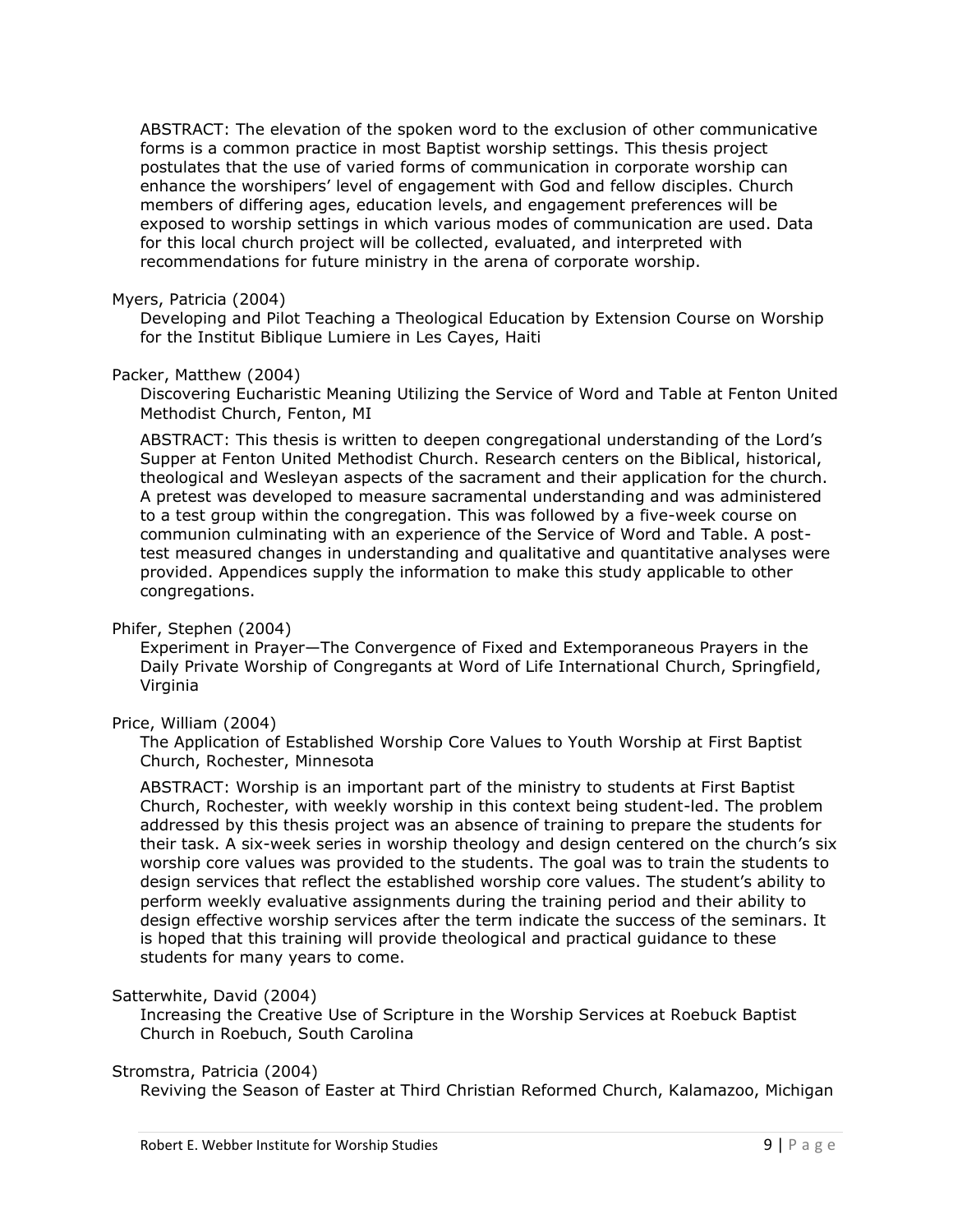ABSTRACT: The elevation of the spoken word to the exclusion of other communicative forms is a common practice in most Baptist worship settings. This thesis project postulates that the use of varied forms of communication in corporate worship can enhance the worshipers' level of engagement with God and fellow disciples. Church members of differing ages, education levels, and engagement preferences will be exposed to worship settings in which various modes of communication are used. Data for this local church project will be collected, evaluated, and interpreted with recommendations for future ministry in the arena of corporate worship.

#### Myers, Patricia (2004)

Developing and Pilot Teaching a Theological Education by Extension Course on Worship for the Institut Biblique Lumiere in Les Cayes, Haiti

#### Packer, Matthew (2004)

Discovering Eucharistic Meaning Utilizing the Service of Word and Table at Fenton United Methodist Church, Fenton, MI

ABSTRACT: This thesis is written to deepen congregational understanding of the Lord's Supper at Fenton United Methodist Church. Research centers on the Biblical, historical, theological and Wesleyan aspects of the sacrament and their application for the church. A pretest was developed to measure sacramental understanding and was administered to a test group within the congregation. This was followed by a five-week course on communion culminating with an experience of the Service of Word and Table. A posttest measured changes in understanding and qualitative and quantitative analyses were provided. Appendices supply the information to make this study applicable to other congregations.

## Phifer, Stephen (2004)

Experiment in Prayer—The Convergence of Fixed and Extemporaneous Prayers in the Daily Private Worship of Congregants at Word of Life International Church, Springfield, Virginia

## Price, William (2004)

The Application of Established Worship Core Values to Youth Worship at First Baptist Church, Rochester, Minnesota

ABSTRACT: Worship is an important part of the ministry to students at First Baptist Church, Rochester, with weekly worship in this context being student-led. The problem addressed by this thesis project was an absence of training to prepare the students for their task. A six-week series in worship theology and design centered on the church's six worship core values was provided to the students. The goal was to train the students to design services that reflect the established worship core values. The student's ability to perform weekly evaluative assignments during the training period and their ability to design effective worship services after the term indicate the success of the seminars. It is hoped that this training will provide theological and practical guidance to these students for many years to come.

## Satterwhite, David (2004)

Increasing the Creative Use of Scripture in the Worship Services at Roebuck Baptist Church in Roebuch, South Carolina

#### Stromstra, Patricia (2004)

Reviving the Season of Easter at Third Christian Reformed Church, Kalamazoo, Michigan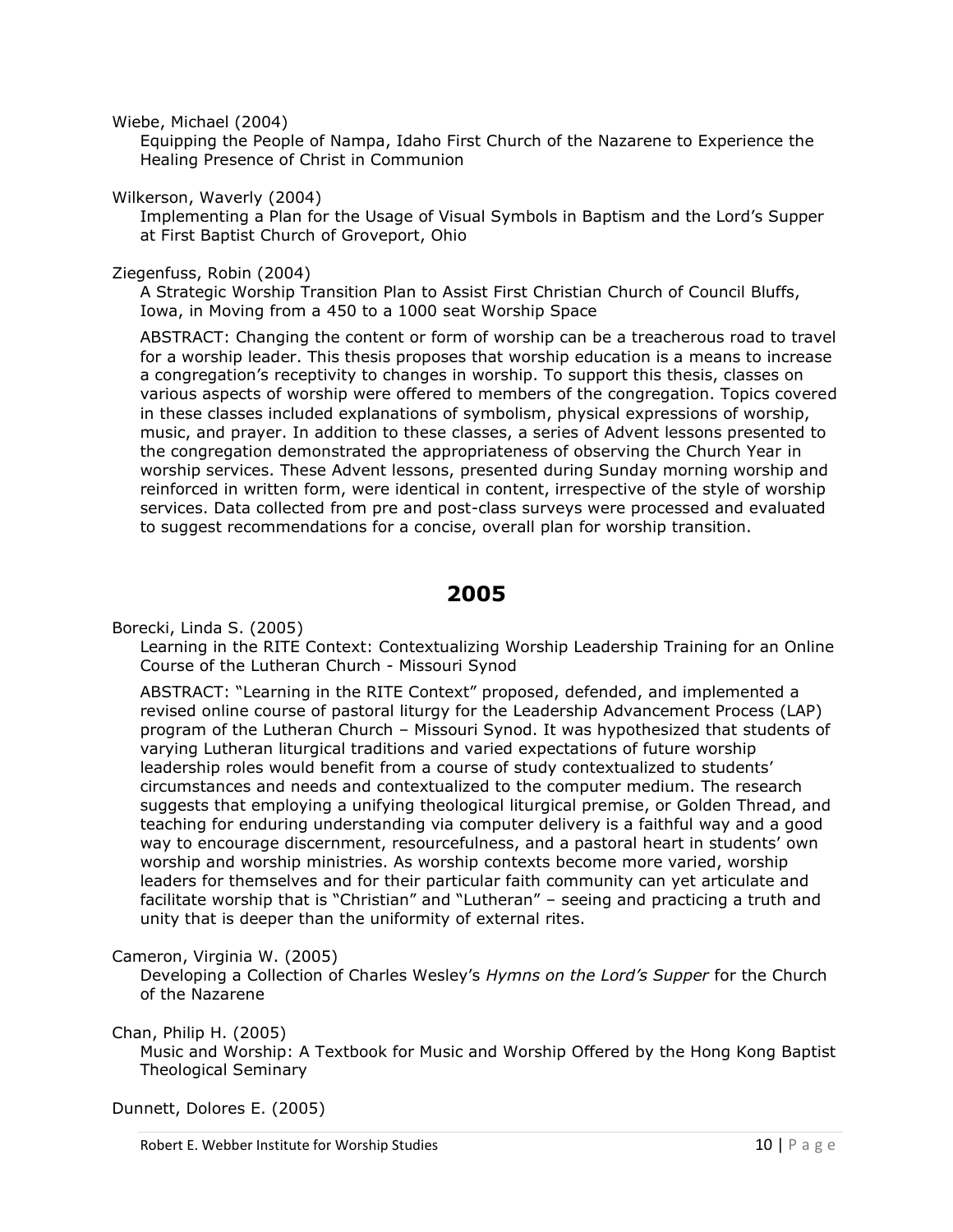Wiebe, Michael (2004)

Equipping the People of Nampa, Idaho First Church of the Nazarene to Experience the Healing Presence of Christ in Communion

Wilkerson, Waverly (2004)

Implementing a Plan for the Usage of Visual Symbols in Baptism and the Lord's Supper at First Baptist Church of Groveport, Ohio

## Ziegenfuss, Robin (2004)

A Strategic Worship Transition Plan to Assist First Christian Church of Council Bluffs, Iowa, in Moving from a 450 to a 1000 seat Worship Space

ABSTRACT: Changing the content or form of worship can be a treacherous road to travel for a worship leader. This thesis proposes that worship education is a means to increase a congregation's receptivity to changes in worship. To support this thesis, classes on various aspects of worship were offered to members of the congregation. Topics covered in these classes included explanations of symbolism, physical expressions of worship, music, and prayer. In addition to these classes, a series of Advent lessons presented to the congregation demonstrated the appropriateness of observing the Church Year in worship services. These Advent lessons, presented during Sunday morning worship and reinforced in written form, were identical in content, irrespective of the style of worship services. Data collected from pre and post-class surveys were processed and evaluated to suggest recommendations for a concise, overall plan for worship transition.

## **2005**

<span id="page-9-0"></span>Borecki, Linda S. (2005)

Learning in the RITE Context: Contextualizing Worship Leadership Training for an Online Course of the Lutheran Church - Missouri Synod

ABSTRACT: "Learning in the RITE Context" proposed, defended, and implemented a revised online course of pastoral liturgy for the Leadership Advancement Process (LAP) program of the Lutheran Church – Missouri Synod. It was hypothesized that students of varying Lutheran liturgical traditions and varied expectations of future worship leadership roles would benefit from a course of study contextualized to students' circumstances and needs and contextualized to the computer medium. The research suggests that employing a unifying theological liturgical premise, or Golden Thread, and teaching for enduring understanding via computer delivery is a faithful way and a good way to encourage discernment, resourcefulness, and a pastoral heart in students' own worship and worship ministries. As worship contexts become more varied, worship leaders for themselves and for their particular faith community can yet articulate and facilitate worship that is "Christian" and "Lutheran" – seeing and practicing a truth and unity that is deeper than the uniformity of external rites.

## Cameron, Virginia W. (2005)

Developing a Collection of Charles Wesley's *Hymns on the Lord's Supper* for the Church of the Nazarene

Chan, Philip H. (2005)

Music and Worship: A Textbook for Music and Worship Offered by the Hong Kong Baptist Theological Seminary

Dunnett, Dolores E. (2005)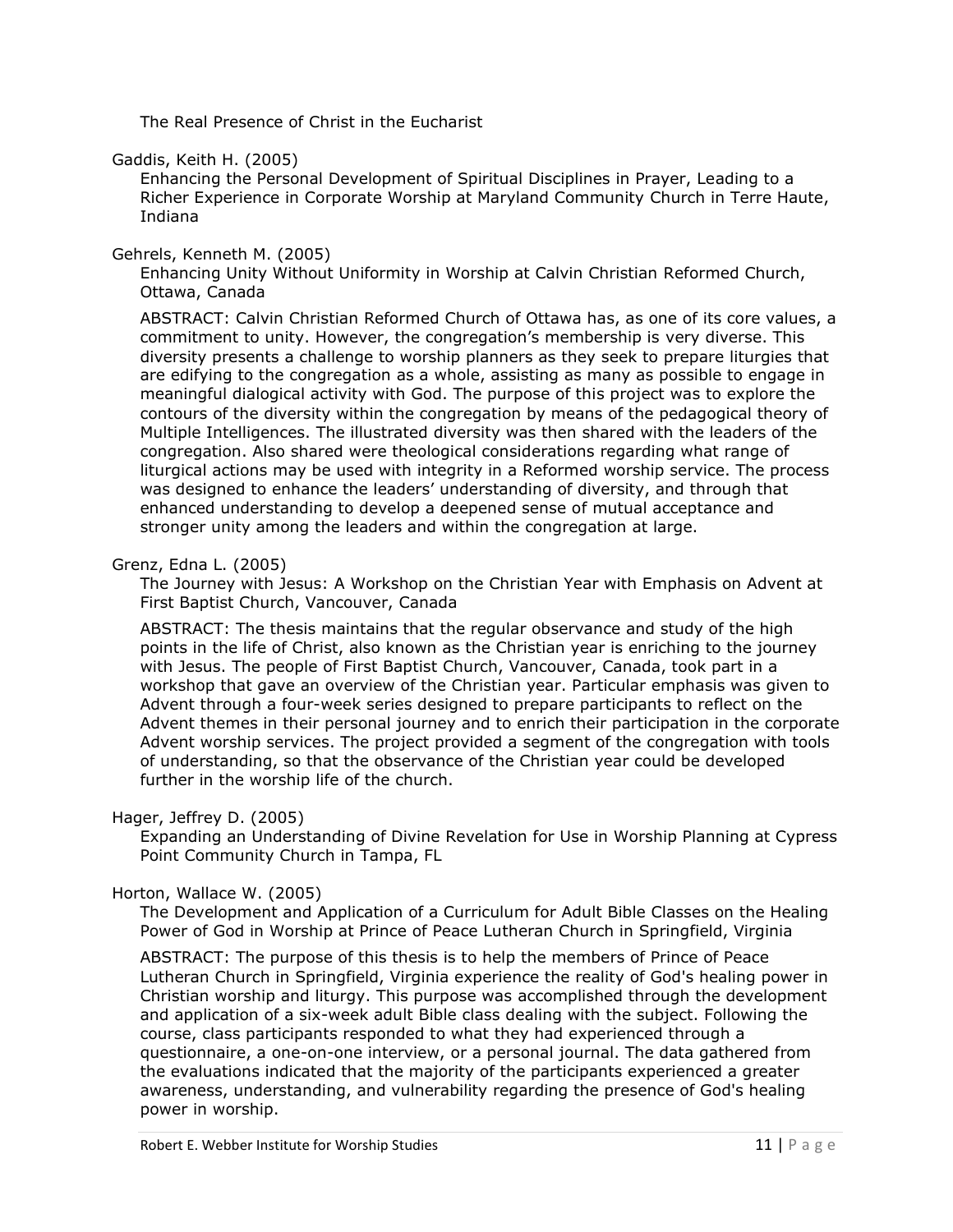The Real Presence of Christ in the Eucharist

## Gaddis, Keith H. (2005)

Enhancing the Personal Development of Spiritual Disciplines in Prayer, Leading to a Richer Experience in Corporate Worship at Maryland Community Church in Terre Haute, Indiana

## Gehrels, Kenneth M. (2005)

Enhancing Unity Without Uniformity in Worship at Calvin Christian Reformed Church, Ottawa, Canada

ABSTRACT: Calvin Christian Reformed Church of Ottawa has, as one of its core values, a commitment to unity. However, the congregation's membership is very diverse. This diversity presents a challenge to worship planners as they seek to prepare liturgies that are edifying to the congregation as a whole, assisting as many as possible to engage in meaningful dialogical activity with God. The purpose of this project was to explore the contours of the diversity within the congregation by means of the pedagogical theory of Multiple Intelligences. The illustrated diversity was then shared with the leaders of the congregation. Also shared were theological considerations regarding what range of liturgical actions may be used with integrity in a Reformed worship service. The process was designed to enhance the leaders' understanding of diversity, and through that enhanced understanding to develop a deepened sense of mutual acceptance and stronger unity among the leaders and within the congregation at large.

## Grenz, Edna L. (2005)

The Journey with Jesus: A Workshop on the Christian Year with Emphasis on Advent at First Baptist Church, Vancouver, Canada

ABSTRACT: The thesis maintains that the regular observance and study of the high points in the life of Christ, also known as the Christian year is enriching to the journey with Jesus. The people of First Baptist Church, Vancouver, Canada, took part in a workshop that gave an overview of the Christian year. Particular emphasis was given to Advent through a four-week series designed to prepare participants to reflect on the Advent themes in their personal journey and to enrich their participation in the corporate Advent worship services. The project provided a segment of the congregation with tools of understanding, so that the observance of the Christian year could be developed further in the worship life of the church.

## Hager, Jeffrey D. (2005)

Expanding an Understanding of Divine Revelation for Use in Worship Planning at Cypress Point Community Church in Tampa, FL

## Horton, Wallace W. (2005)

The Development and Application of a Curriculum for Adult Bible Classes on the Healing Power of God in Worship at Prince of Peace Lutheran Church in Springfield, Virginia

ABSTRACT: The purpose of this thesis is to help the members of Prince of Peace Lutheran Church in Springfield, Virginia experience the reality of God's healing power in Christian worship and liturgy. This purpose was accomplished through the development and application of a six-week adult Bible class dealing with the subject. Following the course, class participants responded to what they had experienced through a questionnaire, a one-on-one interview, or a personal journal. The data gathered from the evaluations indicated that the majority of the participants experienced a greater awareness, understanding, and vulnerability regarding the presence of God's healing power in worship.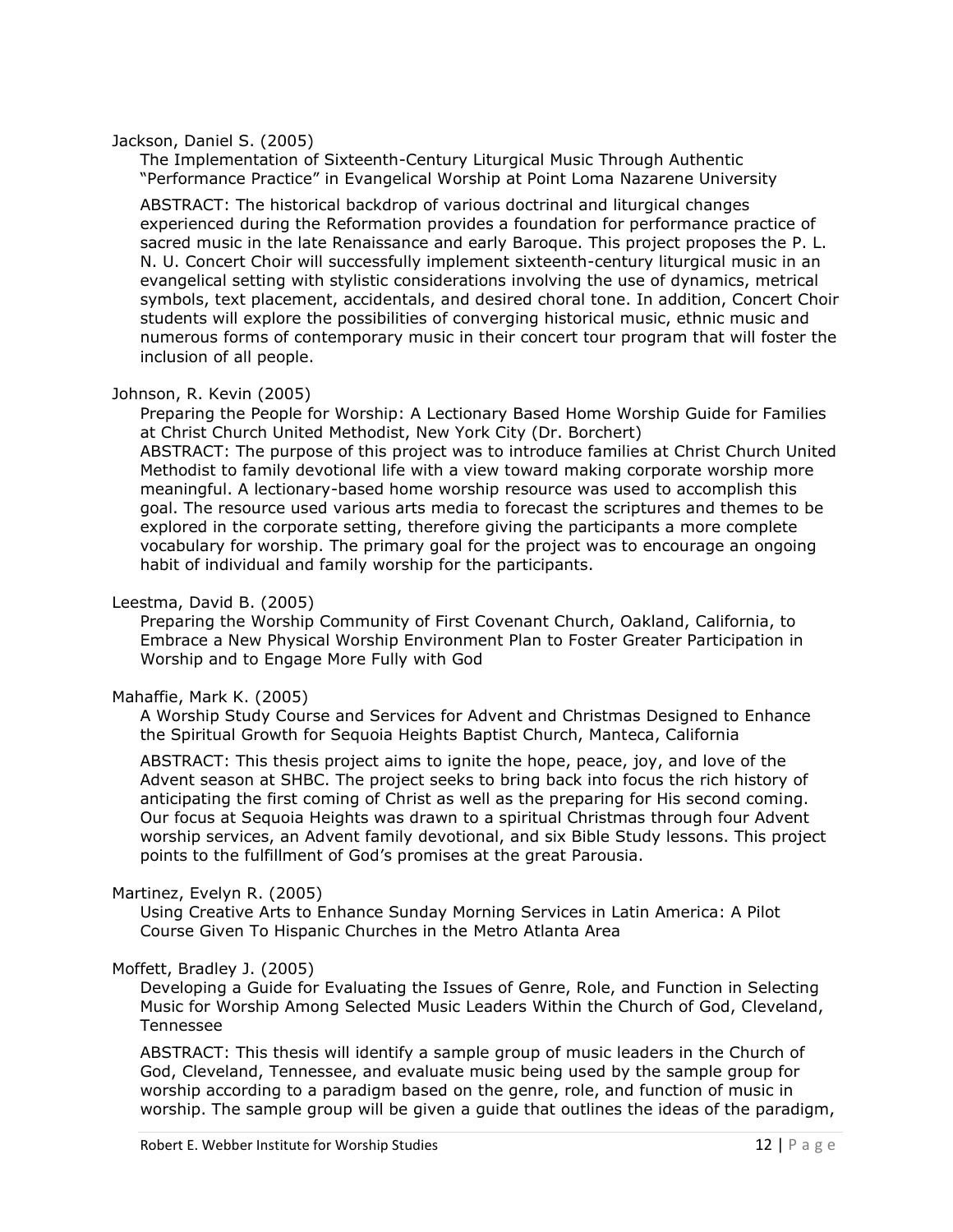#### Jackson, Daniel S. (2005)

The Implementation of Sixteenth-Century Liturgical Music Through Authentic "Performance Practice" in Evangelical Worship at Point Loma Nazarene University

ABSTRACT: The historical backdrop of various doctrinal and liturgical changes experienced during the Reformation provides a foundation for performance practice of sacred music in the late Renaissance and early Baroque. This project proposes the P. L. N. U. Concert Choir will successfully implement sixteenth-century liturgical music in an evangelical setting with stylistic considerations involving the use of dynamics, metrical symbols, text placement, accidentals, and desired choral tone. In addition, Concert Choir students will explore the possibilities of converging historical music, ethnic music and numerous forms of contemporary music in their concert tour program that will foster the inclusion of all people.

#### Johnson, R. Kevin (2005)

Preparing the People for Worship: A Lectionary Based Home Worship Guide for Families at Christ Church United Methodist, New York City (Dr. Borchert) ABSTRACT: The purpose of this project was to introduce families at Christ Church United Methodist to family devotional life with a view toward making corporate worship more meaningful. A lectionary-based home worship resource was used to accomplish this goal. The resource used various arts media to forecast the scriptures and themes to be explored in the corporate setting, therefore giving the participants a more complete vocabulary for worship. The primary goal for the project was to encourage an ongoing habit of individual and family worship for the participants.

## Leestma, David B. (2005)

Preparing the Worship Community of First Covenant Church, Oakland, California, to Embrace a New Physical Worship Environment Plan to Foster Greater Participation in Worship and to Engage More Fully with God

## Mahaffie, Mark K. (2005)

A Worship Study Course and Services for Advent and Christmas Designed to Enhance the Spiritual Growth for Sequoia Heights Baptist Church, Manteca, California

ABSTRACT: This thesis project aims to ignite the hope, peace, joy, and love of the Advent season at SHBC. The project seeks to bring back into focus the rich history of anticipating the first coming of Christ as well as the preparing for His second coming. Our focus at Sequoia Heights was drawn to a spiritual Christmas through four Advent worship services, an Advent family devotional, and six Bible Study lessons. This project points to the fulfillment of God's promises at the great Parousia.

## Martinez, Evelyn R. (2005)

Using Creative Arts to Enhance Sunday Morning Services in Latin America: A Pilot Course Given To Hispanic Churches in the Metro Atlanta Area

## Moffett, Bradley J. (2005)

Developing a Guide for Evaluating the Issues of Genre, Role, and Function in Selecting Music for Worship Among Selected Music Leaders Within the Church of God, Cleveland, Tennessee

ABSTRACT: This thesis will identify a sample group of music leaders in the Church of God, Cleveland, Tennessee, and evaluate music being used by the sample group for worship according to a paradigm based on the genre, role, and function of music in worship. The sample group will be given a guide that outlines the ideas of the paradigm,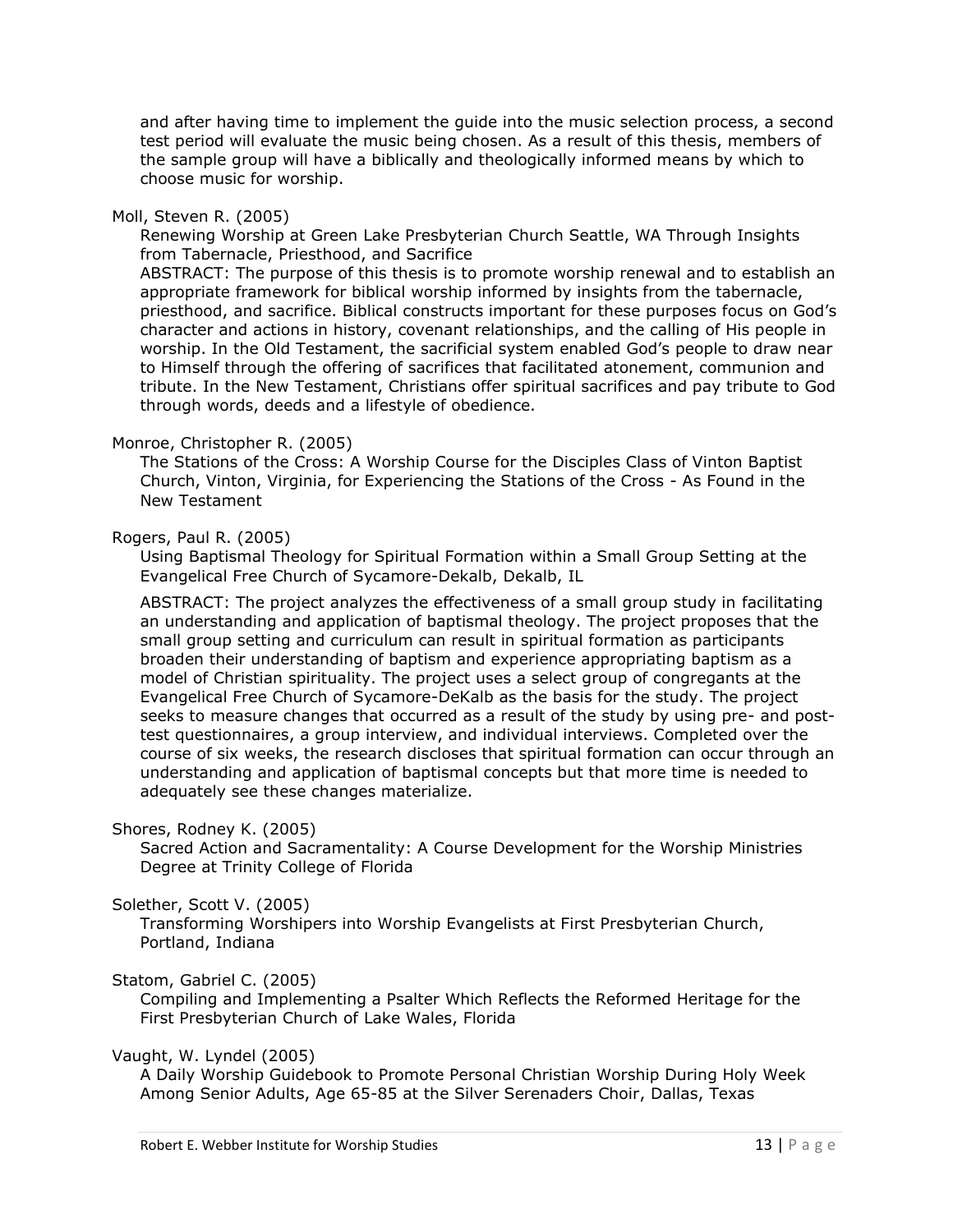and after having time to implement the guide into the music selection process, a second test period will evaluate the music being chosen. As a result of this thesis, members of the sample group will have a biblically and theologically informed means by which to choose music for worship.

#### Moll, Steven R. (2005)

Renewing Worship at Green Lake Presbyterian Church Seattle, WA Through Insights from Tabernacle, Priesthood, and Sacrifice

ABSTRACT: The purpose of this thesis is to promote worship renewal and to establish an appropriate framework for biblical worship informed by insights from the tabernacle, priesthood, and sacrifice. Biblical constructs important for these purposes focus on God's character and actions in history, covenant relationships, and the calling of His people in worship. In the Old Testament, the sacrificial system enabled God's people to draw near to Himself through the offering of sacrifices that facilitated atonement, communion and tribute. In the New Testament, Christians offer spiritual sacrifices and pay tribute to God through words, deeds and a lifestyle of obedience.

#### Monroe, Christopher R. (2005)

The Stations of the Cross: A Worship Course for the Disciples Class of Vinton Baptist Church, Vinton, Virginia, for Experiencing the Stations of the Cross - As Found in the New Testament

#### Rogers, Paul R. (2005)

Using Baptismal Theology for Spiritual Formation within a Small Group Setting at the Evangelical Free Church of Sycamore-Dekalb, Dekalb, IL

ABSTRACT: The project analyzes the effectiveness of a small group study in facilitating an understanding and application of baptismal theology. The project proposes that the small group setting and curriculum can result in spiritual formation as participants broaden their understanding of baptism and experience appropriating baptism as a model of Christian spirituality. The project uses a select group of congregants at the Evangelical Free Church of Sycamore-DeKalb as the basis for the study. The project seeks to measure changes that occurred as a result of the study by using pre- and posttest questionnaires, a group interview, and individual interviews. Completed over the course of six weeks, the research discloses that spiritual formation can occur through an understanding and application of baptismal concepts but that more time is needed to adequately see these changes materialize.

## Shores, Rodney K. (2005)

Sacred Action and Sacramentality: A Course Development for the Worship Ministries Degree at Trinity College of Florida

## Solether, Scott V. (2005)

Transforming Worshipers into Worship Evangelists at First Presbyterian Church, Portland, Indiana

## Statom, Gabriel C. (2005)

Compiling and Implementing a Psalter Which Reflects the Reformed Heritage for the First Presbyterian Church of Lake Wales, Florida

#### Vaught, W. Lyndel (2005)

A Daily Worship Guidebook to Promote Personal Christian Worship During Holy Week Among Senior Adults, Age 65-85 at the Silver Serenaders Choir, Dallas, Texas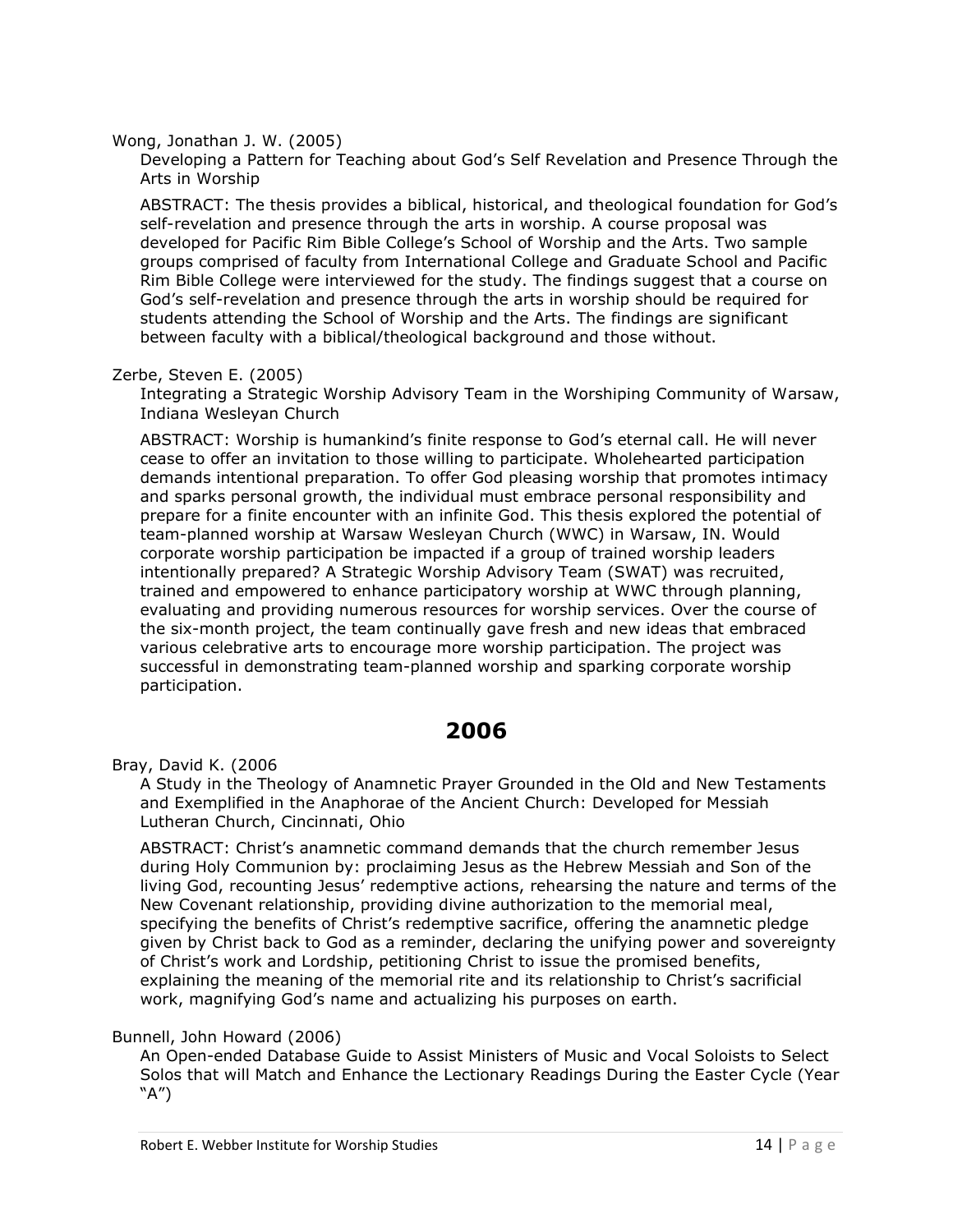Wong, Jonathan J. W. (2005)

Developing a Pattern for Teaching about God's Self Revelation and Presence Through the Arts in Worship

ABSTRACT: The thesis provides a biblical, historical, and theological foundation for God's self-revelation and presence through the arts in worship. A course proposal was developed for Pacific Rim Bible College's School of Worship and the Arts. Two sample groups comprised of faculty from International College and Graduate School and Pacific Rim Bible College were interviewed for the study. The findings suggest that a course on God's self-revelation and presence through the arts in worship should be required for students attending the School of Worship and the Arts. The findings are significant between faculty with a biblical/theological background and those without.

## Zerbe, Steven E. (2005)

Integrating a Strategic Worship Advisory Team in the Worshiping Community of Warsaw, Indiana Wesleyan Church

ABSTRACT: Worship is humankind's finite response to God's eternal call. He will never cease to offer an invitation to those willing to participate. Wholehearted participation demands intentional preparation. To offer God pleasing worship that promotes intimacy and sparks personal growth, the individual must embrace personal responsibility and prepare for a finite encounter with an infinite God. This thesis explored the potential of team-planned worship at Warsaw Wesleyan Church (WWC) in Warsaw, IN. Would corporate worship participation be impacted if a group of trained worship leaders intentionally prepared? A Strategic Worship Advisory Team (SWAT) was recruited, trained and empowered to enhance participatory worship at WWC through planning, evaluating and providing numerous resources for worship services. Over the course of the six-month project, the team continually gave fresh and new ideas that embraced various celebrative arts to encourage more worship participation. The project was successful in demonstrating team-planned worship and sparking corporate worship participation.

# **2006**

<span id="page-13-0"></span>Bray, David K. (2006

A Study in the Theology of Anamnetic Prayer Grounded in the Old and New Testaments and Exemplified in the Anaphorae of the Ancient Church: Developed for Messiah Lutheran Church, Cincinnati, Ohio

ABSTRACT: Christ's anamnetic command demands that the church remember Jesus during Holy Communion by: proclaiming Jesus as the Hebrew Messiah and Son of the living God, recounting Jesus' redemptive actions, rehearsing the nature and terms of the New Covenant relationship, providing divine authorization to the memorial meal, specifying the benefits of Christ's redemptive sacrifice, offering the anamnetic pledge given by Christ back to God as a reminder, declaring the unifying power and sovereignty of Christ's work and Lordship, petitioning Christ to issue the promised benefits, explaining the meaning of the memorial rite and its relationship to Christ's sacrificial work, magnifying God's name and actualizing his purposes on earth.

## Bunnell, John Howard (2006)

An Open-ended Database Guide to Assist Ministers of Music and Vocal Soloists to Select Solos that will Match and Enhance the Lectionary Readings During the Easter Cycle (Year "A")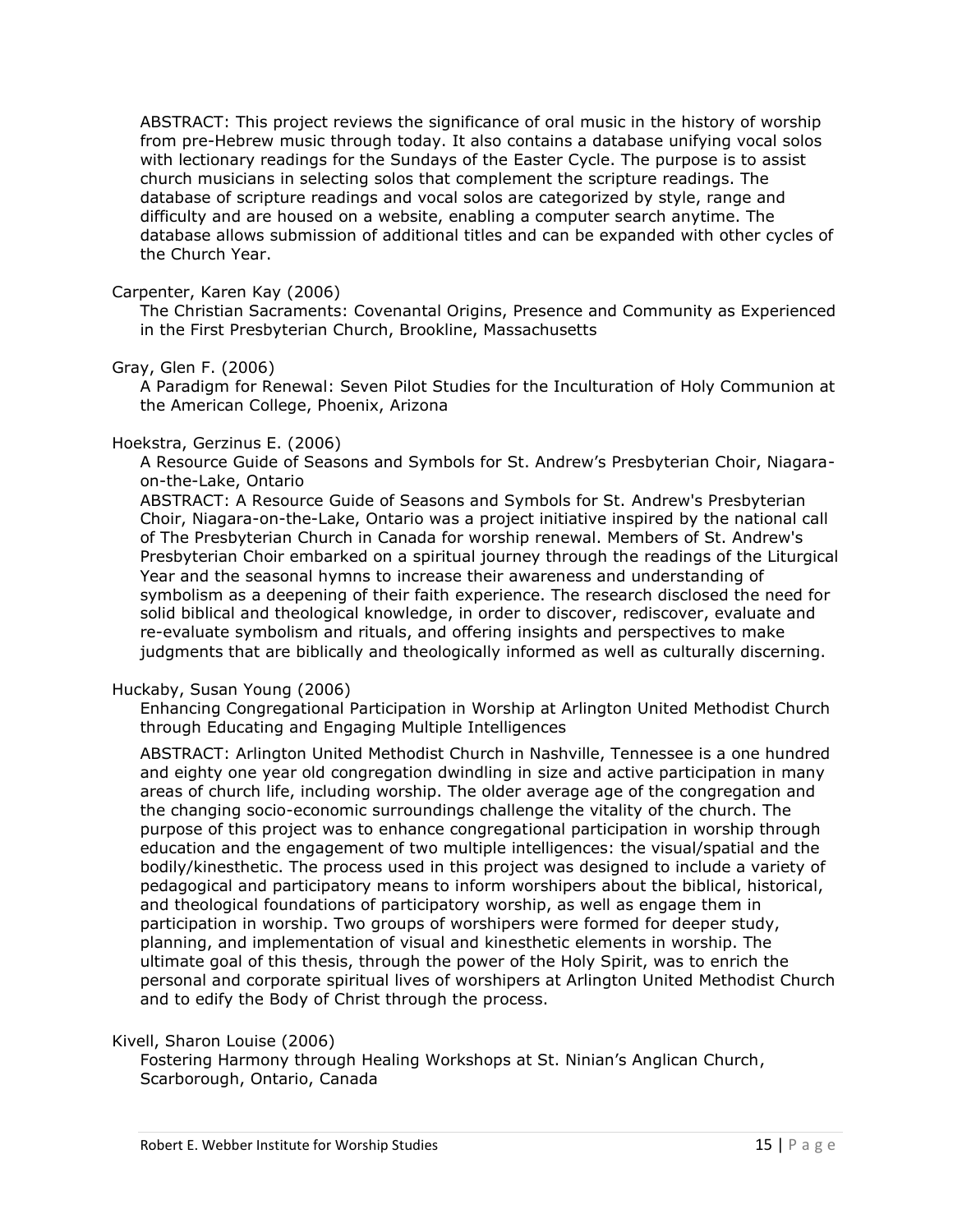ABSTRACT: This project reviews the significance of oral music in the history of worship from pre-Hebrew music through today. It also contains a database unifying vocal solos with lectionary readings for the Sundays of the Easter Cycle. The purpose is to assist church musicians in selecting solos that complement the scripture readings. The database of scripture readings and vocal solos are categorized by style, range and difficulty and are housed on a website, enabling a computer search anytime. The database allows submission of additional titles and can be expanded with other cycles of the Church Year.

## Carpenter, Karen Kay (2006)

The Christian Sacraments: Covenantal Origins, Presence and Community as Experienced in the First Presbyterian Church, Brookline, Massachusetts

#### Gray, Glen F. (2006)

A Paradigm for Renewal: Seven Pilot Studies for the Inculturation of Holy Communion at the American College, Phoenix, Arizona

#### Hoekstra, Gerzinus E. (2006)

A Resource Guide of Seasons and Symbols for St. Andrew's Presbyterian Choir, Niagaraon-the-Lake, Ontario

ABSTRACT: A Resource Guide of Seasons and Symbols for St. Andrew's Presbyterian Choir, Niagara-on-the-Lake, Ontario was a project initiative inspired by the national call of The Presbyterian Church in Canada for worship renewal. Members of St. Andrew's Presbyterian Choir embarked on a spiritual journey through the readings of the Liturgical Year and the seasonal hymns to increase their awareness and understanding of symbolism as a deepening of their faith experience. The research disclosed the need for solid biblical and theological knowledge, in order to discover, rediscover, evaluate and re-evaluate symbolism and rituals, and offering insights and perspectives to make judgments that are biblically and theologically informed as well as culturally discerning.

## Huckaby, Susan Young (2006)

Enhancing Congregational Participation in Worship at Arlington United Methodist Church through Educating and Engaging Multiple Intelligences

ABSTRACT: Arlington United Methodist Church in Nashville, Tennessee is a one hundred and eighty one year old congregation dwindling in size and active participation in many areas of church life, including worship. The older average age of the congregation and the changing socio-economic surroundings challenge the vitality of the church. The purpose of this project was to enhance congregational participation in worship through education and the engagement of two multiple intelligences: the visual/spatial and the bodily/kinesthetic. The process used in this project was designed to include a variety of pedagogical and participatory means to inform worshipers about the biblical, historical, and theological foundations of participatory worship, as well as engage them in participation in worship. Two groups of worshipers were formed for deeper study, planning, and implementation of visual and kinesthetic elements in worship. The ultimate goal of this thesis, through the power of the Holy Spirit, was to enrich the personal and corporate spiritual lives of worshipers at Arlington United Methodist Church and to edify the Body of Christ through the process.

#### Kivell, Sharon Louise (2006)

Fostering Harmony through Healing Workshops at St. Ninian's Anglican Church, Scarborough, Ontario, Canada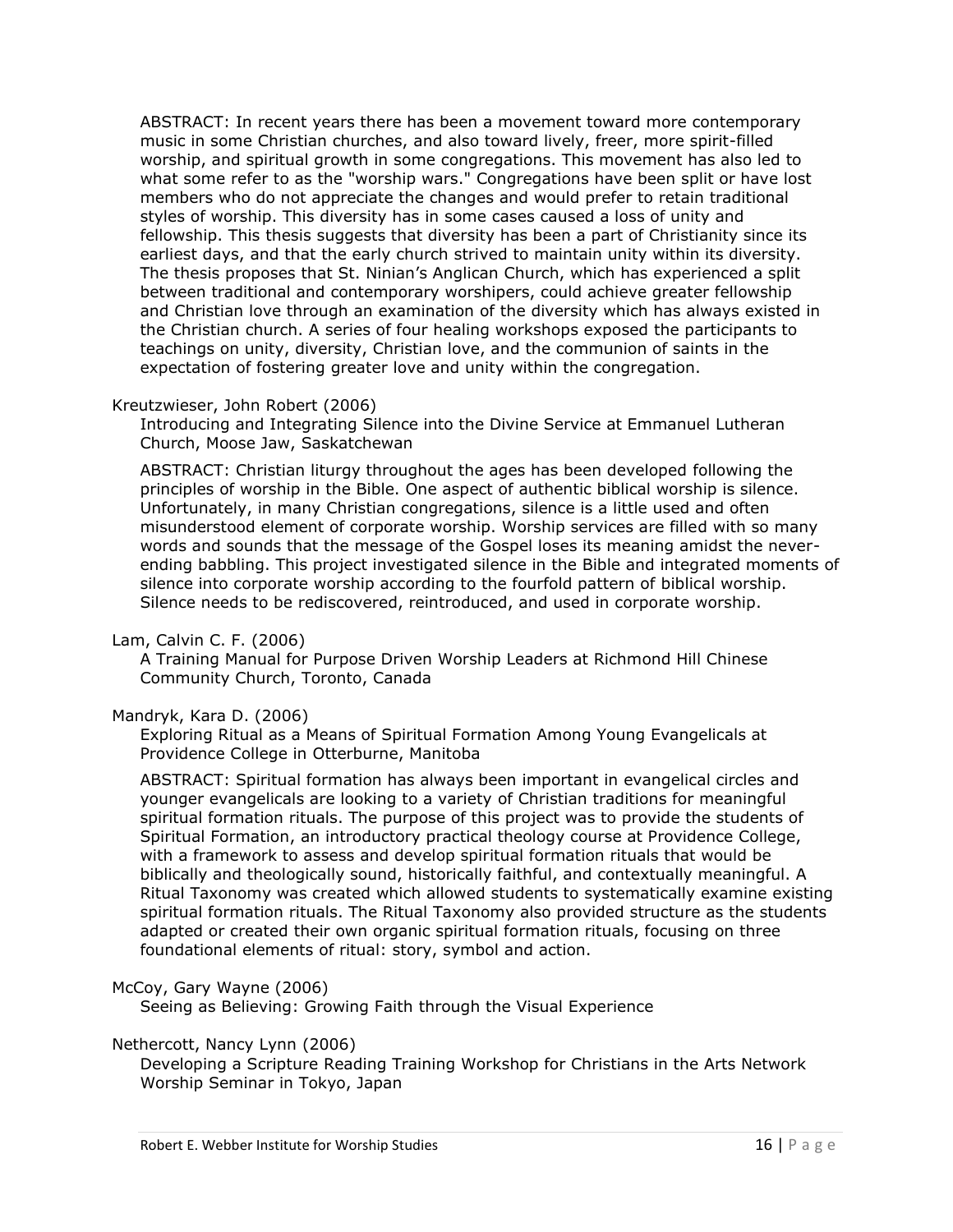ABSTRACT: In recent years there has been a movement toward more contemporary music in some Christian churches, and also toward lively, freer, more spirit-filled worship, and spiritual growth in some congregations. This movement has also led to what some refer to as the "worship wars." Congregations have been split or have lost members who do not appreciate the changes and would prefer to retain traditional styles of worship. This diversity has in some cases caused a loss of unity and fellowship. This thesis suggests that diversity has been a part of Christianity since its earliest days, and that the early church strived to maintain unity within its diversity. The thesis proposes that St. Ninian's Anglican Church, which has experienced a split between traditional and contemporary worshipers, could achieve greater fellowship and Christian love through an examination of the diversity which has always existed in the Christian church. A series of four healing workshops exposed the participants to teachings on unity, diversity, Christian love, and the communion of saints in the expectation of fostering greater love and unity within the congregation.

## Kreutzwieser, John Robert (2006)

Introducing and Integrating Silence into the Divine Service at Emmanuel Lutheran Church, Moose Jaw, Saskatchewan

ABSTRACT: Christian liturgy throughout the ages has been developed following the principles of worship in the Bible. One aspect of authentic biblical worship is silence. Unfortunately, in many Christian congregations, silence is a little used and often misunderstood element of corporate worship. Worship services are filled with so many words and sounds that the message of the Gospel loses its meaning amidst the neverending babbling. This project investigated silence in the Bible and integrated moments of silence into corporate worship according to the fourfold pattern of biblical worship. Silence needs to be rediscovered, reintroduced, and used in corporate worship.

## Lam, Calvin C. F. (2006)

A Training Manual for Purpose Driven Worship Leaders at Richmond Hill Chinese Community Church, Toronto, Canada

## Mandryk, Kara D. (2006)

Exploring Ritual as a Means of Spiritual Formation Among Young Evangelicals at Providence College in Otterburne, Manitoba

ABSTRACT: Spiritual formation has always been important in evangelical circles and younger evangelicals are looking to a variety of Christian traditions for meaningful spiritual formation rituals. The purpose of this project was to provide the students of Spiritual Formation, an introductory practical theology course at Providence College, with a framework to assess and develop spiritual formation rituals that would be biblically and theologically sound, historically faithful, and contextually meaningful. A Ritual Taxonomy was created which allowed students to systematically examine existing spiritual formation rituals. The Ritual Taxonomy also provided structure as the students adapted or created their own organic spiritual formation rituals, focusing on three foundational elements of ritual: story, symbol and action.

## McCoy, Gary Wayne (2006)

Seeing as Believing: Growing Faith through the Visual Experience

#### Nethercott, Nancy Lynn (2006)

Developing a Scripture Reading Training Workshop for Christians in the Arts Network Worship Seminar in Tokyo, Japan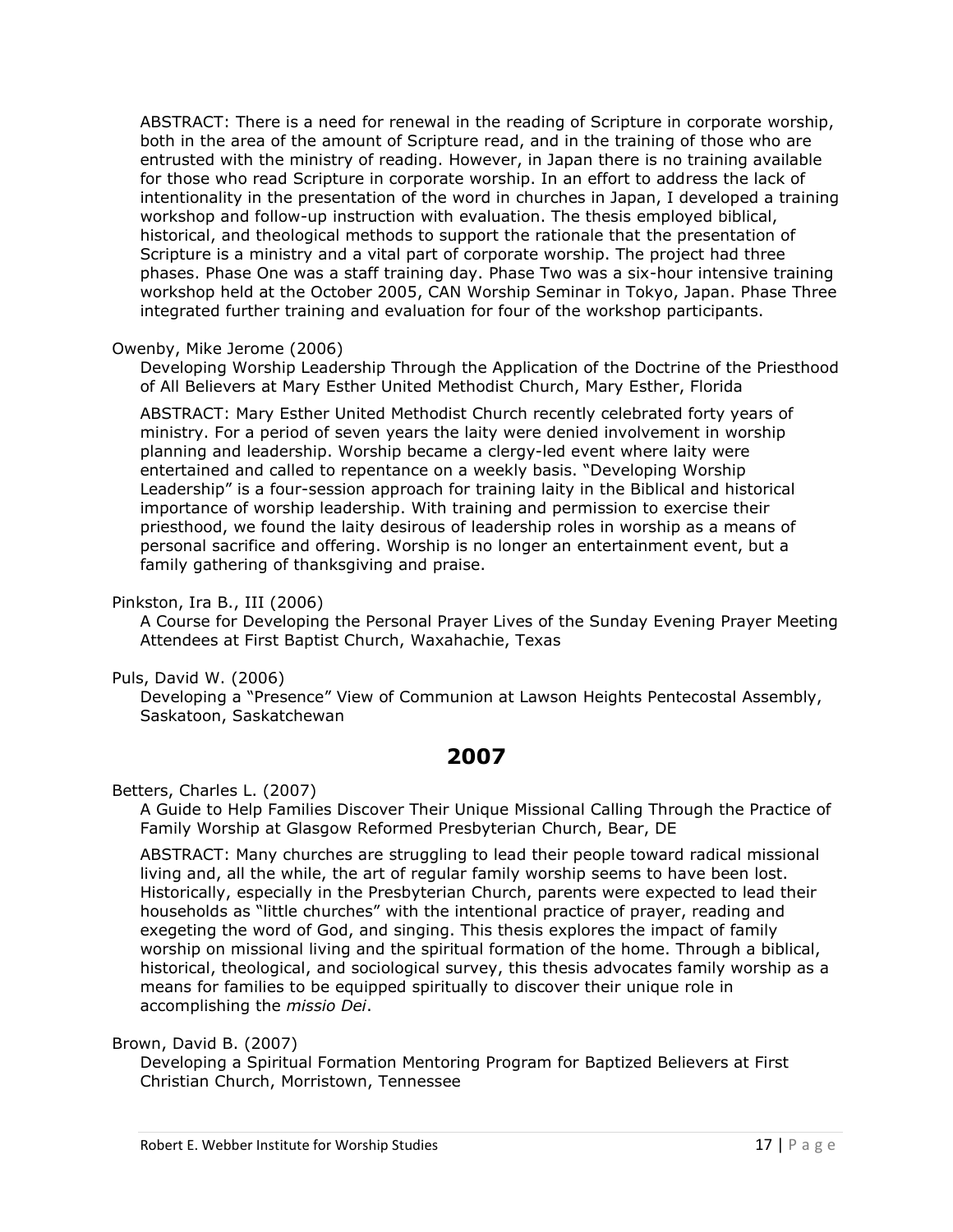ABSTRACT: There is a need for renewal in the reading of Scripture in corporate worship, both in the area of the amount of Scripture read, and in the training of those who are entrusted with the ministry of reading. However, in Japan there is no training available for those who read Scripture in corporate worship. In an effort to address the lack of intentionality in the presentation of the word in churches in Japan, I developed a training workshop and follow-up instruction with evaluation. The thesis employed biblical, historical, and theological methods to support the rationale that the presentation of Scripture is a ministry and a vital part of corporate worship. The project had three phases. Phase One was a staff training day. Phase Two was a six-hour intensive training workshop held at the October 2005, CAN Worship Seminar in Tokyo, Japan. Phase Three integrated further training and evaluation for four of the workshop participants.

## Owenby, Mike Jerome (2006)

Developing Worship Leadership Through the Application of the Doctrine of the Priesthood of All Believers at Mary Esther United Methodist Church, Mary Esther, Florida

ABSTRACT: Mary Esther United Methodist Church recently celebrated forty years of ministry. For a period of seven years the laity were denied involvement in worship planning and leadership. Worship became a clergy-led event where laity were entertained and called to repentance on a weekly basis. "Developing Worship Leadership" is a four-session approach for training laity in the Biblical and historical importance of worship leadership. With training and permission to exercise their priesthood, we found the laity desirous of leadership roles in worship as a means of personal sacrifice and offering. Worship is no longer an entertainment event, but a family gathering of thanksgiving and praise.

## Pinkston, Ira B., III (2006)

A Course for Developing the Personal Prayer Lives of the Sunday Evening Prayer Meeting Attendees at First Baptist Church, Waxahachie, Texas

## Puls, David W. (2006)

Developing a "Presence" View of Communion at Lawson Heights Pentecostal Assembly, Saskatoon, Saskatchewan

## **2007**

<span id="page-16-0"></span>Betters, Charles L. (2007)

A Guide to Help Families Discover Their Unique Missional Calling Through the Practice of Family Worship at Glasgow Reformed Presbyterian Church, Bear, DE

ABSTRACT: Many churches are struggling to lead their people toward radical missional living and, all the while, the art of regular family worship seems to have been lost. Historically, especially in the Presbyterian Church, parents were expected to lead their households as "little churches" with the intentional practice of prayer, reading and exegeting the word of God, and singing. This thesis explores the impact of family worship on missional living and the spiritual formation of the home. Through a biblical, historical, theological, and sociological survey, this thesis advocates family worship as a means for families to be equipped spiritually to discover their unique role in accomplishing the *missio Dei*.

Brown, David B. (2007)

Developing a Spiritual Formation Mentoring Program for Baptized Believers at First Christian Church, Morristown, Tennessee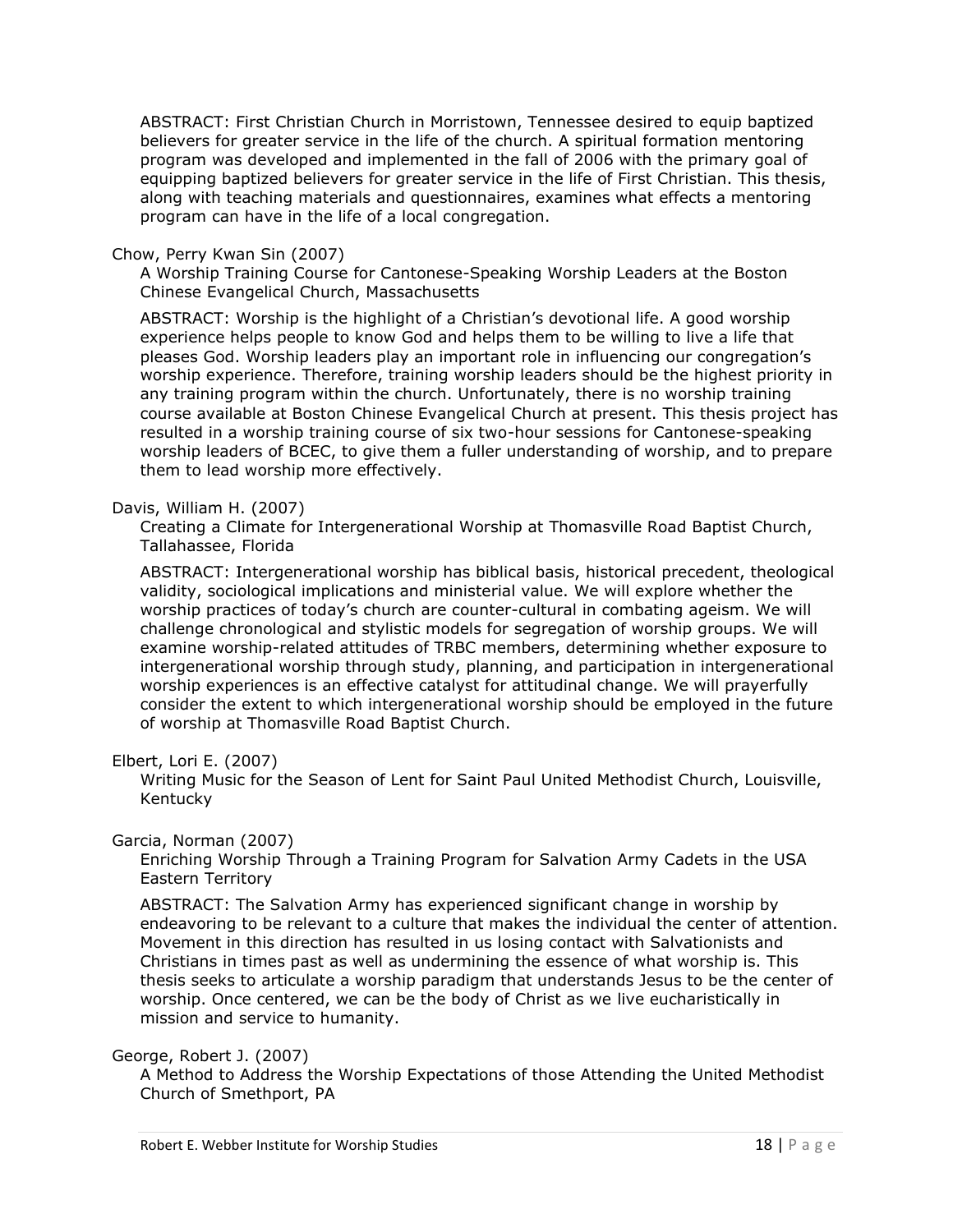ABSTRACT: First Christian Church in Morristown, Tennessee desired to equip baptized believers for greater service in the life of the church. A spiritual formation mentoring program was developed and implemented in the fall of 2006 with the primary goal of equipping baptized believers for greater service in the life of First Christian. This thesis, along with teaching materials and questionnaires, examines what effects a mentoring program can have in the life of a local congregation.

## Chow, Perry Kwan Sin (2007)

A Worship Training Course for Cantonese-Speaking Worship Leaders at the Boston Chinese Evangelical Church, Massachusetts

ABSTRACT: Worship is the highlight of a Christian's devotional life. A good worship experience helps people to know God and helps them to be willing to live a life that pleases God. Worship leaders play an important role in influencing our congregation's worship experience. Therefore, training worship leaders should be the highest priority in any training program within the church. Unfortunately, there is no worship training course available at Boston Chinese Evangelical Church at present. This thesis project has resulted in a worship training course of six two-hour sessions for Cantonese-speaking worship leaders of BCEC, to give them a fuller understanding of worship, and to prepare them to lead worship more effectively.

## Davis, William H. (2007)

Creating a Climate for Intergenerational Worship at Thomasville Road Baptist Church, Tallahassee, Florida

ABSTRACT: Intergenerational worship has biblical basis, historical precedent, theological validity, sociological implications and ministerial value. We will explore whether the worship practices of today's church are counter-cultural in combating ageism. We will challenge chronological and stylistic models for segregation of worship groups. We will examine worship-related attitudes of TRBC members, determining whether exposure to intergenerational worship through study, planning, and participation in intergenerational worship experiences is an effective catalyst for attitudinal change. We will prayerfully consider the extent to which intergenerational worship should be employed in the future of worship at Thomasville Road Baptist Church.

## Elbert, Lori E. (2007)

Writing Music for the Season of Lent for Saint Paul United Methodist Church, Louisville, Kentucky

## Garcia, Norman (2007)

Enriching Worship Through a Training Program for Salvation Army Cadets in the USA Eastern Territory

ABSTRACT: The Salvation Army has experienced significant change in worship by endeavoring to be relevant to a culture that makes the individual the center of attention. Movement in this direction has resulted in us losing contact with Salvationists and Christians in times past as well as undermining the essence of what worship is. This thesis seeks to articulate a worship paradigm that understands Jesus to be the center of worship. Once centered, we can be the body of Christ as we live eucharistically in mission and service to humanity.

## George, Robert J. (2007)

A Method to Address the Worship Expectations of those Attending the United Methodist Church of Smethport, PA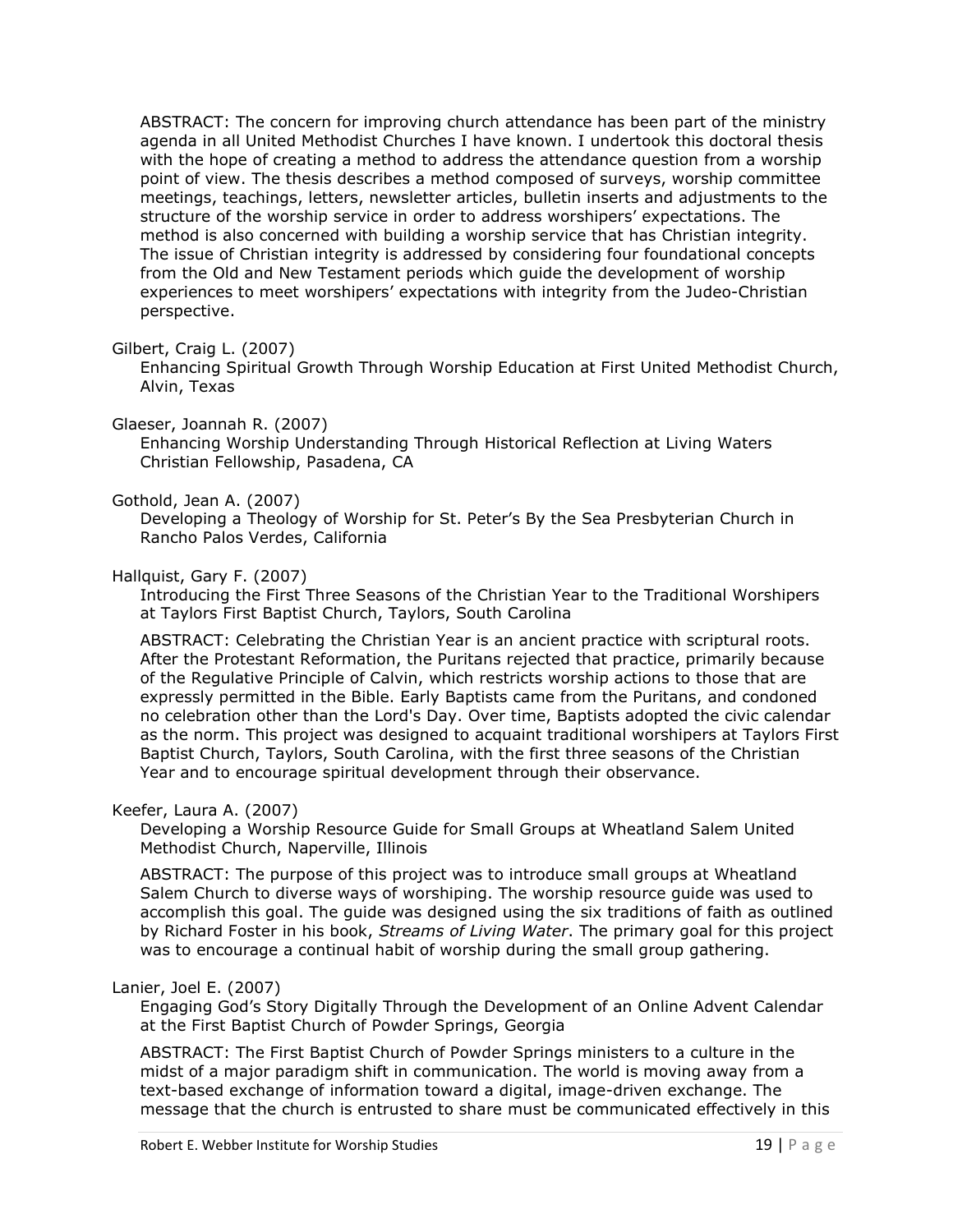ABSTRACT: The concern for improving church attendance has been part of the ministry agenda in all United Methodist Churches I have known. I undertook this doctoral thesis with the hope of creating a method to address the attendance question from a worship point of view. The thesis describes a method composed of surveys, worship committee meetings, teachings, letters, newsletter articles, bulletin inserts and adjustments to the structure of the worship service in order to address worshipers' expectations. The method is also concerned with building a worship service that has Christian integrity. The issue of Christian integrity is addressed by considering four foundational concepts from the Old and New Testament periods which guide the development of worship experiences to meet worshipers' expectations with integrity from the Judeo-Christian perspective.

## Gilbert, Craig L. (2007)

Enhancing Spiritual Growth Through Worship Education at First United Methodist Church, Alvin, Texas

## Glaeser, Joannah R. (2007)

Enhancing Worship Understanding Through Historical Reflection at Living Waters Christian Fellowship, Pasadena, CA

## Gothold, Jean A. (2007)

Developing a Theology of Worship for St. Peter's By the Sea Presbyterian Church in Rancho Palos Verdes, California

## Hallquist, Gary F. (2007)

Introducing the First Three Seasons of the Christian Year to the Traditional Worshipers at Taylors First Baptist Church, Taylors, South Carolina

ABSTRACT: Celebrating the Christian Year is an ancient practice with scriptural roots. After the Protestant Reformation, the Puritans rejected that practice, primarily because of the Regulative Principle of Calvin, which restricts worship actions to those that are expressly permitted in the Bible. Early Baptists came from the Puritans, and condoned no celebration other than the Lord's Day. Over time, Baptists adopted the civic calendar as the norm. This project was designed to acquaint traditional worshipers at Taylors First Baptist Church, Taylors, South Carolina, with the first three seasons of the Christian Year and to encourage spiritual development through their observance.

## Keefer, Laura A. (2007)

Developing a Worship Resource Guide for Small Groups at Wheatland Salem United Methodist Church, Naperville, Illinois

ABSTRACT: The purpose of this project was to introduce small groups at Wheatland Salem Church to diverse ways of worshiping. The worship resource guide was used to accomplish this goal. The guide was designed using the six traditions of faith as outlined by Richard Foster in his book, *Streams of Living Water*. The primary goal for this project was to encourage a continual habit of worship during the small group gathering.

## Lanier, Joel E. (2007)

Engaging God's Story Digitally Through the Development of an Online Advent Calendar at the First Baptist Church of Powder Springs, Georgia

ABSTRACT: The First Baptist Church of Powder Springs ministers to a culture in the midst of a major paradigm shift in communication. The world is moving away from a text-based exchange of information toward a digital, image-driven exchange. The message that the church is entrusted to share must be communicated effectively in this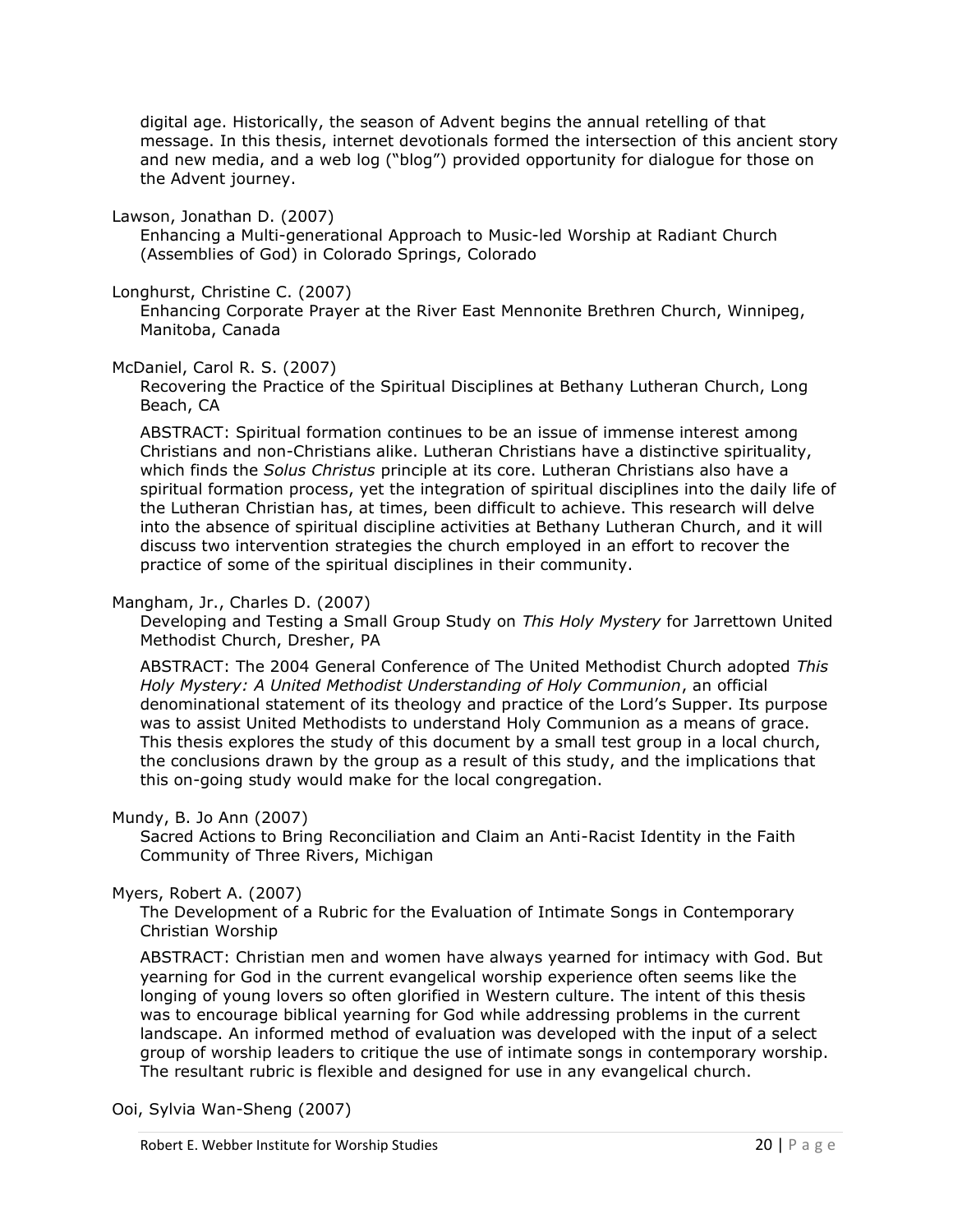digital age. Historically, the season of Advent begins the annual retelling of that message. In this thesis, internet devotionals formed the intersection of this ancient story and new media, and a web log ("blog") provided opportunity for dialogue for those on the Advent journey.

Lawson, Jonathan D. (2007)

Enhancing a Multi-generational Approach to Music-led Worship at Radiant Church (Assemblies of God) in Colorado Springs, Colorado

Longhurst, Christine C. (2007)

Enhancing Corporate Prayer at the River East Mennonite Brethren Church, Winnipeg, Manitoba, Canada

## McDaniel, Carol R. S. (2007)

Recovering the Practice of the Spiritual Disciplines at Bethany Lutheran Church, Long Beach, CA

ABSTRACT: Spiritual formation continues to be an issue of immense interest among Christians and non-Christians alike. Lutheran Christians have a distinctive spirituality, which finds the *Solus Christus* principle at its core. Lutheran Christians also have a spiritual formation process, yet the integration of spiritual disciplines into the daily life of the Lutheran Christian has, at times, been difficult to achieve. This research will delve into the absence of spiritual discipline activities at Bethany Lutheran Church, and it will discuss two intervention strategies the church employed in an effort to recover the practice of some of the spiritual disciplines in their community.

## Mangham, Jr., Charles D. (2007)

Developing and Testing a Small Group Study on *This Holy Mystery* for Jarrettown United Methodist Church, Dresher, PA

ABSTRACT: The 2004 General Conference of The United Methodist Church adopted *This Holy Mystery: A United Methodist Understanding of Holy Communion*, an official denominational statement of its theology and practice of the Lord's Supper. Its purpose was to assist United Methodists to understand Holy Communion as a means of grace. This thesis explores the study of this document by a small test group in a local church, the conclusions drawn by the group as a result of this study, and the implications that this on-going study would make for the local congregation.

## Mundy, B. Jo Ann (2007)

Sacred Actions to Bring Reconciliation and Claim an Anti-Racist Identity in the Faith Community of Three Rivers, Michigan

## Myers, Robert A. (2007)

The Development of a Rubric for the Evaluation of Intimate Songs in Contemporary Christian Worship

ABSTRACT: Christian men and women have always yearned for intimacy with God. But yearning for God in the current evangelical worship experience often seems like the longing of young lovers so often glorified in Western culture. The intent of this thesis was to encourage biblical yearning for God while addressing problems in the current landscape. An informed method of evaluation was developed with the input of a select group of worship leaders to critique the use of intimate songs in contemporary worship. The resultant rubric is flexible and designed for use in any evangelical church.

Ooi, Sylvia Wan-Sheng (2007)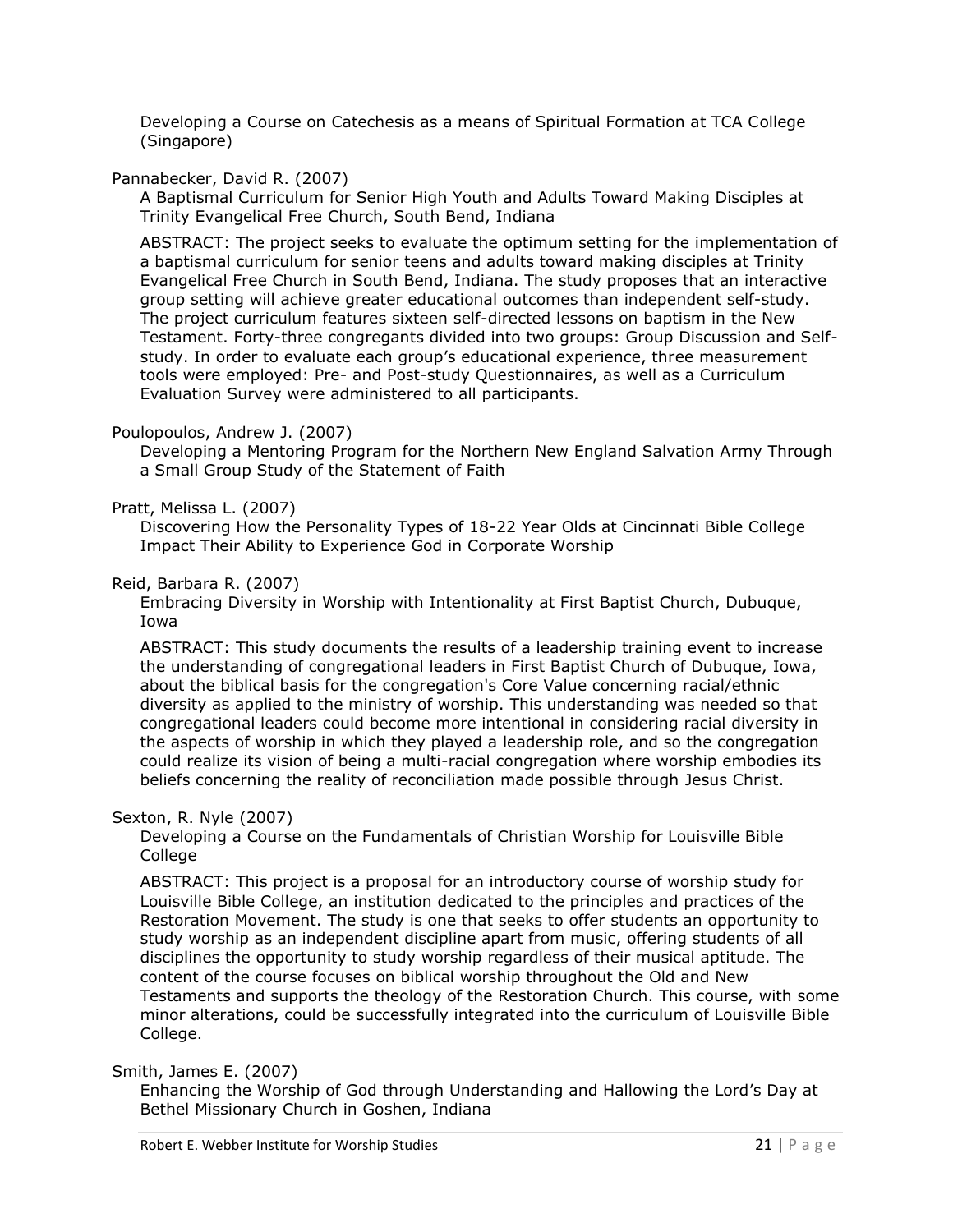Developing a Course on Catechesis as a means of Spiritual Formation at TCA College (Singapore)

## Pannabecker, David R. (2007)

A Baptismal Curriculum for Senior High Youth and Adults Toward Making Disciples at Trinity Evangelical Free Church, South Bend, Indiana

ABSTRACT: The project seeks to evaluate the optimum setting for the implementation of a baptismal curriculum for senior teens and adults toward making disciples at Trinity Evangelical Free Church in South Bend, Indiana. The study proposes that an interactive group setting will achieve greater educational outcomes than independent self-study. The project curriculum features sixteen self-directed lessons on baptism in the New Testament. Forty-three congregants divided into two groups: Group Discussion and Selfstudy. In order to evaluate each group's educational experience, three measurement tools were employed: Pre- and Post-study Questionnaires, as well as a Curriculum Evaluation Survey were administered to all participants.

## Poulopoulos, Andrew J. (2007)

Developing a Mentoring Program for the Northern New England Salvation Army Through a Small Group Study of the Statement of Faith

## Pratt, Melissa L. (2007)

Discovering How the Personality Types of 18-22 Year Olds at Cincinnati Bible College Impact Their Ability to Experience God in Corporate Worship

## Reid, Barbara R. (2007)

Embracing Diversity in Worship with Intentionality at First Baptist Church, Dubuque, Iowa

ABSTRACT: This study documents the results of a leadership training event to increase the understanding of congregational leaders in First Baptist Church of Dubuque, Iowa, about the biblical basis for the congregation's Core Value concerning racial/ethnic diversity as applied to the ministry of worship. This understanding was needed so that congregational leaders could become more intentional in considering racial diversity in the aspects of worship in which they played a leadership role, and so the congregation could realize its vision of being a multi-racial congregation where worship embodies its beliefs concerning the reality of reconciliation made possible through Jesus Christ.

## Sexton, R. Nyle (2007)

Developing a Course on the Fundamentals of Christian Worship for Louisville Bible College

ABSTRACT: This project is a proposal for an introductory course of worship study for Louisville Bible College, an institution dedicated to the principles and practices of the Restoration Movement. The study is one that seeks to offer students an opportunity to study worship as an independent discipline apart from music, offering students of all disciplines the opportunity to study worship regardless of their musical aptitude. The content of the course focuses on biblical worship throughout the Old and New Testaments and supports the theology of the Restoration Church. This course, with some minor alterations, could be successfully integrated into the curriculum of Louisville Bible College.

Smith, James E. (2007)

Enhancing the Worship of God through Understanding and Hallowing the Lord's Day at Bethel Missionary Church in Goshen, Indiana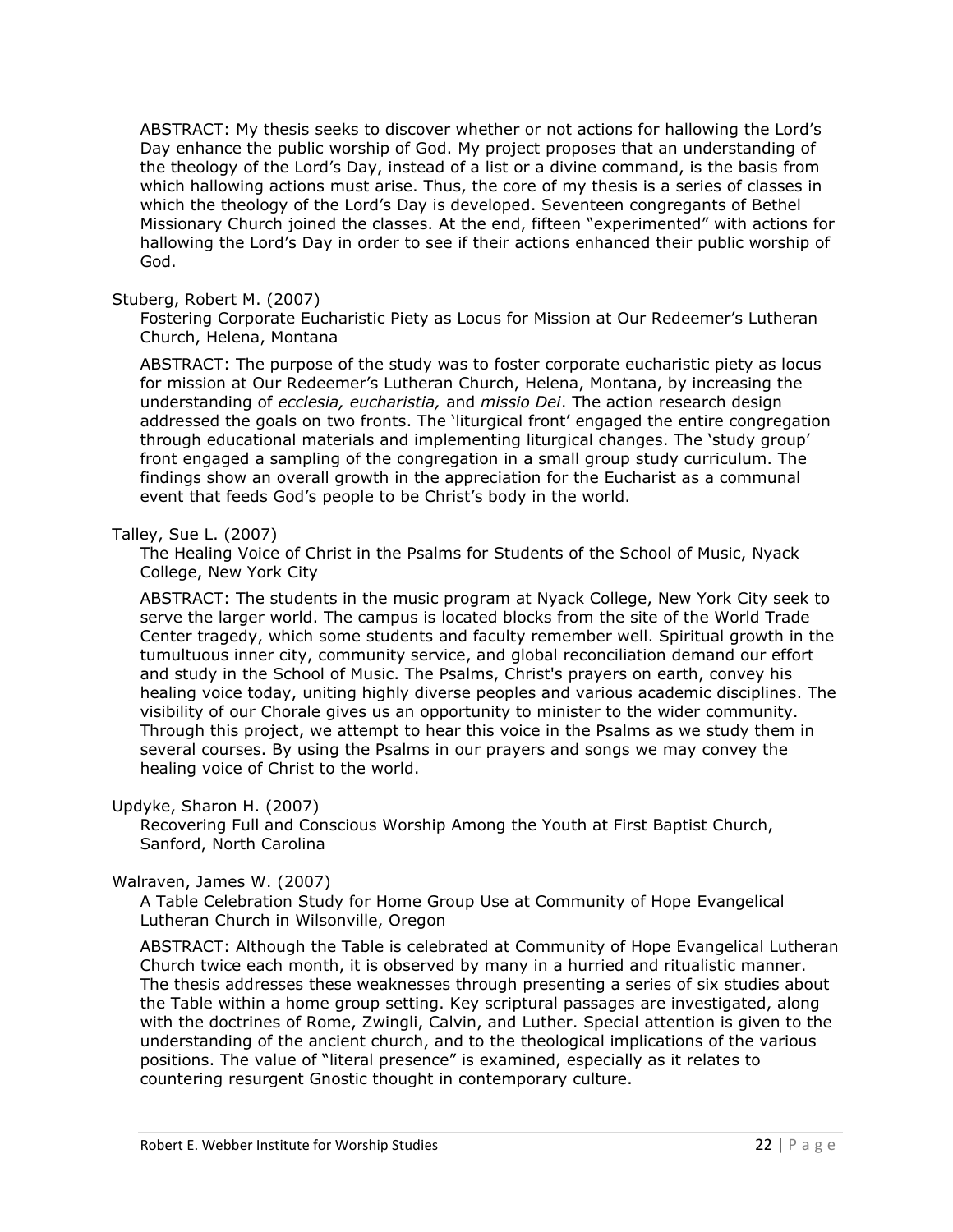ABSTRACT: My thesis seeks to discover whether or not actions for hallowing the Lord's Day enhance the public worship of God. My project proposes that an understanding of the theology of the Lord's Day, instead of a list or a divine command, is the basis from which hallowing actions must arise. Thus, the core of my thesis is a series of classes in which the theology of the Lord's Day is developed. Seventeen congregants of Bethel Missionary Church joined the classes. At the end, fifteen "experimented" with actions for hallowing the Lord's Day in order to see if their actions enhanced their public worship of God.

#### Stuberg, Robert M. (2007)

Fostering Corporate Eucharistic Piety as Locus for Mission at Our Redeemer's Lutheran Church, Helena, Montana

ABSTRACT: The purpose of the study was to foster corporate eucharistic piety as locus for mission at Our Redeemer's Lutheran Church, Helena, Montana, by increasing the understanding of *ecclesia, eucharistia,* and *missio Dei*. The action research design addressed the goals on two fronts. The 'liturgical front' engaged the entire congregation through educational materials and implementing liturgical changes. The 'study group' front engaged a sampling of the congregation in a small group study curriculum. The findings show an overall growth in the appreciation for the Eucharist as a communal event that feeds God's people to be Christ's body in the world.

#### Talley, Sue L. (2007)

The Healing Voice of Christ in the Psalms for Students of the School of Music, Nyack College, New York City

ABSTRACT: The students in the music program at Nyack College, New York City seek to serve the larger world. The campus is located blocks from the site of the World Trade Center tragedy, which some students and faculty remember well. Spiritual growth in the tumultuous inner city, community service, and global reconciliation demand our effort and study in the School of Music. The Psalms, Christ's prayers on earth, convey his healing voice today, uniting highly diverse peoples and various academic disciplines. The visibility of our Chorale gives us an opportunity to minister to the wider community. Through this project, we attempt to hear this voice in the Psalms as we study them in several courses. By using the Psalms in our prayers and songs we may convey the healing voice of Christ to the world.

## Updyke, Sharon H. (2007)

Recovering Full and Conscious Worship Among the Youth at First Baptist Church, Sanford, North Carolina

#### Walraven, James W. (2007)

A Table Celebration Study for Home Group Use at Community of Hope Evangelical Lutheran Church in Wilsonville, Oregon

ABSTRACT: Although the Table is celebrated at Community of Hope Evangelical Lutheran Church twice each month, it is observed by many in a hurried and ritualistic manner. The thesis addresses these weaknesses through presenting a series of six studies about the Table within a home group setting. Key scriptural passages are investigated, along with the doctrines of Rome, Zwingli, Calvin, and Luther. Special attention is given to the understanding of the ancient church, and to the theological implications of the various positions. The value of "literal presence" is examined, especially as it relates to countering resurgent Gnostic thought in contemporary culture.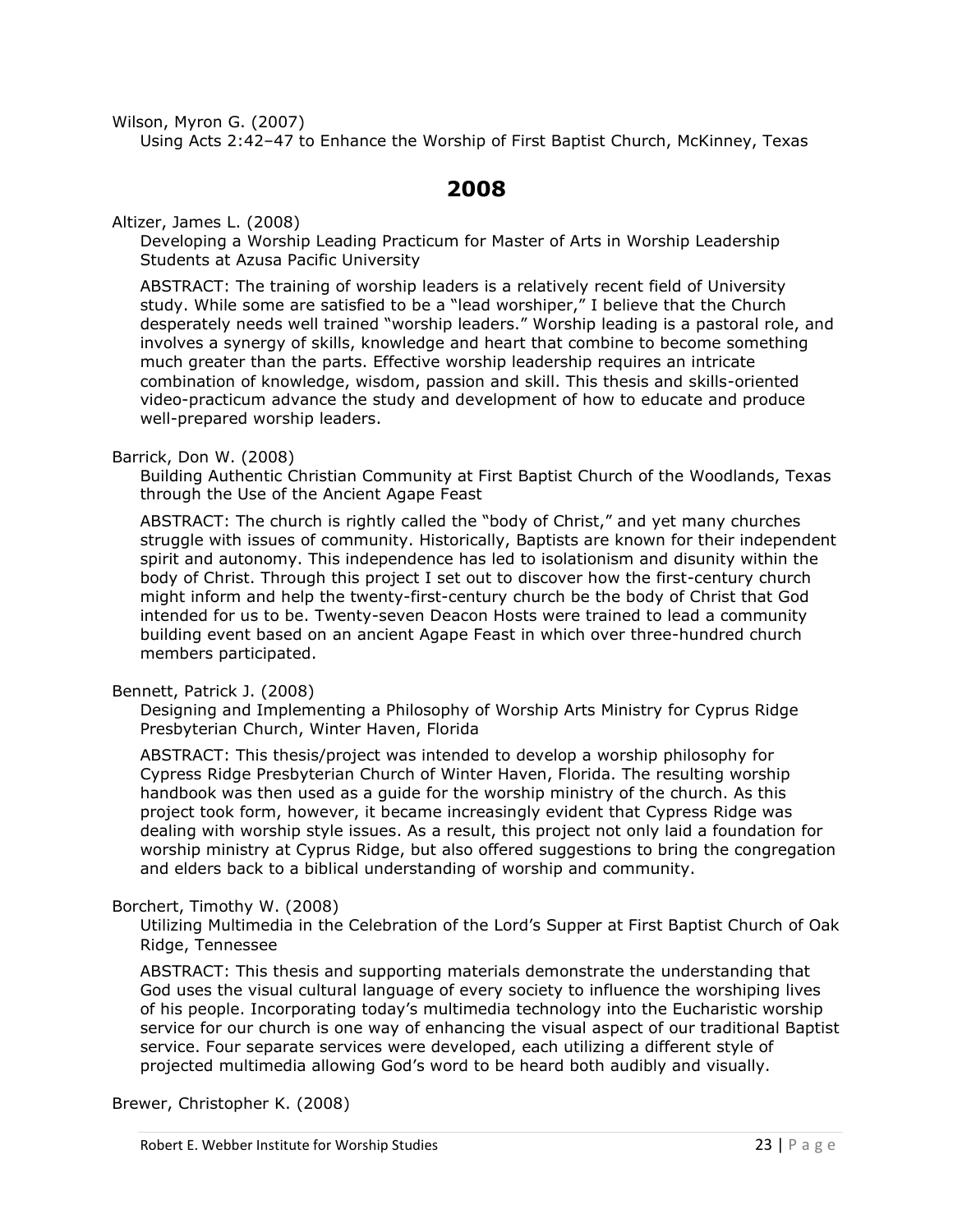Wilson, Myron G. (2007)

<span id="page-22-0"></span>Using Acts 2:42–47 to Enhance the Worship of First Baptist Church, McKinney, Texas

# **2008**

Altizer, James L. (2008)

Developing a Worship Leading Practicum for Master of Arts in Worship Leadership Students at Azusa Pacific University

ABSTRACT: The training of worship leaders is a relatively recent field of University study. While some are satisfied to be a "lead worshiper," I believe that the Church desperately needs well trained "worship leaders." Worship leading is a pastoral role, and involves a synergy of skills, knowledge and heart that combine to become something much greater than the parts. Effective worship leadership requires an intricate combination of knowledge, wisdom, passion and skill. This thesis and skills-oriented video-practicum advance the study and development of how to educate and produce well-prepared worship leaders.

## Barrick, Don W. (2008)

Building Authentic Christian Community at First Baptist Church of the Woodlands, Texas through the Use of the Ancient Agape Feast

ABSTRACT: The church is rightly called the "body of Christ," and yet many churches struggle with issues of community. Historically, Baptists are known for their independent spirit and autonomy. This independence has led to isolationism and disunity within the body of Christ. Through this project I set out to discover how the first-century church might inform and help the twenty-first-century church be the body of Christ that God intended for us to be. Twenty-seven Deacon Hosts were trained to lead a community building event based on an ancient Agape Feast in which over three-hundred church members participated.

## Bennett, Patrick J. (2008)

Designing and Implementing a Philosophy of Worship Arts Ministry for Cyprus Ridge Presbyterian Church, Winter Haven, Florida

ABSTRACT: This thesis/project was intended to develop a worship philosophy for Cypress Ridge Presbyterian Church of Winter Haven, Florida. The resulting worship handbook was then used as a guide for the worship ministry of the church. As this project took form, however, it became increasingly evident that Cypress Ridge was dealing with worship style issues. As a result, this project not only laid a foundation for worship ministry at Cyprus Ridge, but also offered suggestions to bring the congregation and elders back to a biblical understanding of worship and community.

## Borchert, Timothy W. (2008)

Utilizing Multimedia in the Celebration of the Lord's Supper at First Baptist Church of Oak Ridge, Tennessee

ABSTRACT: This thesis and supporting materials demonstrate the understanding that God uses the visual cultural language of every society to influence the worshiping lives of his people. Incorporating today's multimedia technology into the Eucharistic worship service for our church is one way of enhancing the visual aspect of our traditional Baptist service. Four separate services were developed, each utilizing a different style of projected multimedia allowing God's word to be heard both audibly and visually.

Brewer, Christopher K. (2008)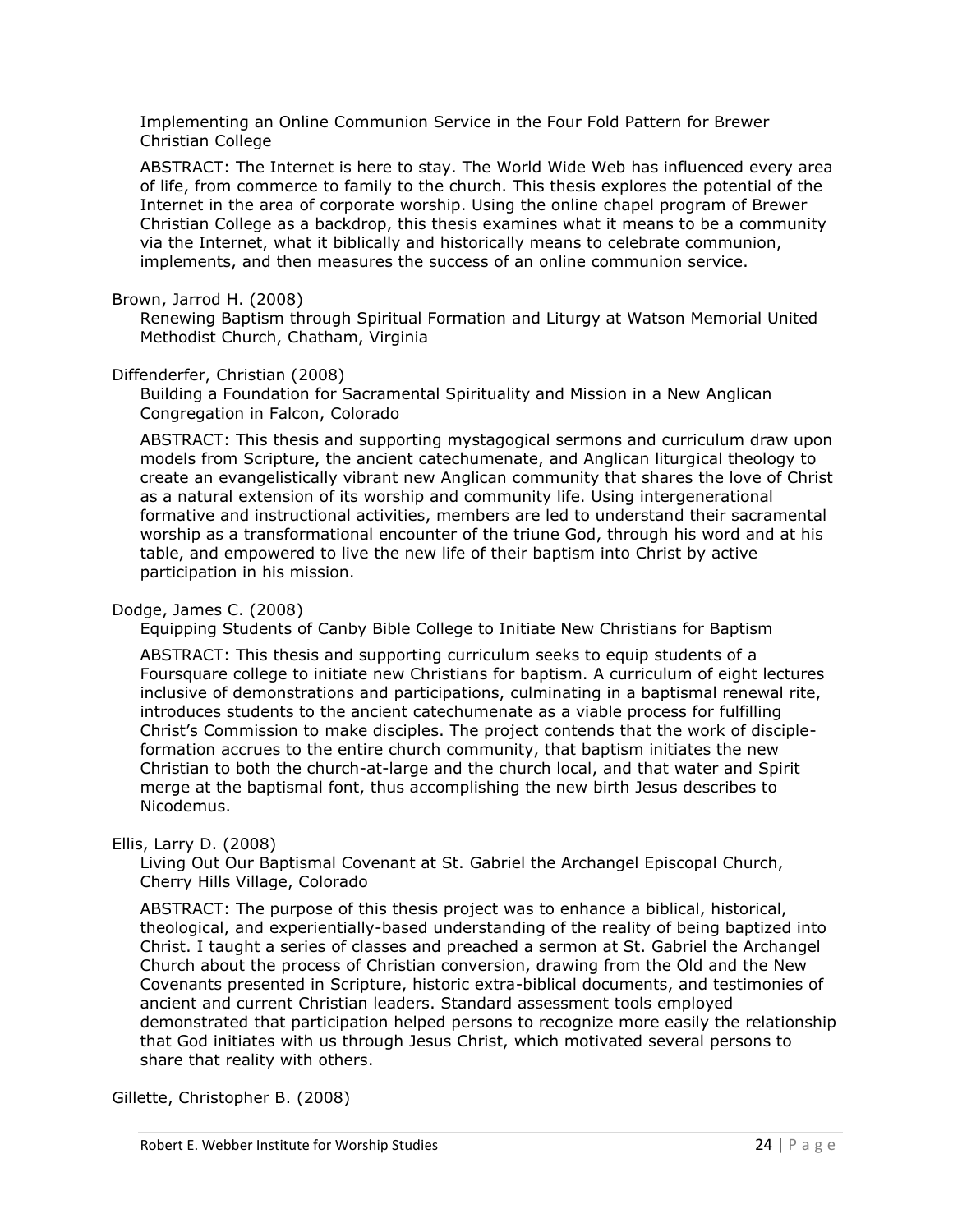Implementing an Online Communion Service in the Four Fold Pattern for Brewer Christian College

ABSTRACT: The Internet is here to stay. The World Wide Web has influenced every area of life, from commerce to family to the church. This thesis explores the potential of the Internet in the area of corporate worship. Using the online chapel program of Brewer Christian College as a backdrop, this thesis examines what it means to be a community via the Internet, what it biblically and historically means to celebrate communion, implements, and then measures the success of an online communion service.

## Brown, Jarrod H. (2008)

Renewing Baptism through Spiritual Formation and Liturgy at Watson Memorial United Methodist Church, Chatham, Virginia

#### Diffenderfer, Christian (2008)

Building a Foundation for Sacramental Spirituality and Mission in a New Anglican Congregation in Falcon, Colorado

ABSTRACT: This thesis and supporting mystagogical sermons and curriculum draw upon models from Scripture, the ancient catechumenate, and Anglican liturgical theology to create an evangelistically vibrant new Anglican community that shares the love of Christ as a natural extension of its worship and community life. Using intergenerational formative and instructional activities, members are led to understand their sacramental worship as a transformational encounter of the triune God, through his word and at his table, and empowered to live the new life of their baptism into Christ by active participation in his mission.

## Dodge, James C. (2008)

Equipping Students of Canby Bible College to Initiate New Christians for Baptism

ABSTRACT: This thesis and supporting curriculum seeks to equip students of a Foursquare college to initiate new Christians for baptism. A curriculum of eight lectures inclusive of demonstrations and participations, culminating in a baptismal renewal rite, introduces students to the ancient catechumenate as a viable process for fulfilling Christ's Commission to make disciples. The project contends that the work of discipleformation accrues to the entire church community, that baptism initiates the new Christian to both the church-at-large and the church local, and that water and Spirit merge at the baptismal font, thus accomplishing the new birth Jesus describes to Nicodemus.

## Ellis, Larry D. (2008)

Living Out Our Baptismal Covenant at St. Gabriel the Archangel Episcopal Church, Cherry Hills Village, Colorado

ABSTRACT: The purpose of this thesis project was to enhance a biblical, historical, theological, and experientially-based understanding of the reality of being baptized into Christ. I taught a series of classes and preached a sermon at St. Gabriel the Archangel Church about the process of Christian conversion, drawing from the Old and the New Covenants presented in Scripture, historic extra-biblical documents, and testimonies of ancient and current Christian leaders. Standard assessment tools employed demonstrated that participation helped persons to recognize more easily the relationship that God initiates with us through Jesus Christ, which motivated several persons to share that reality with others.

Gillette, Christopher B. (2008)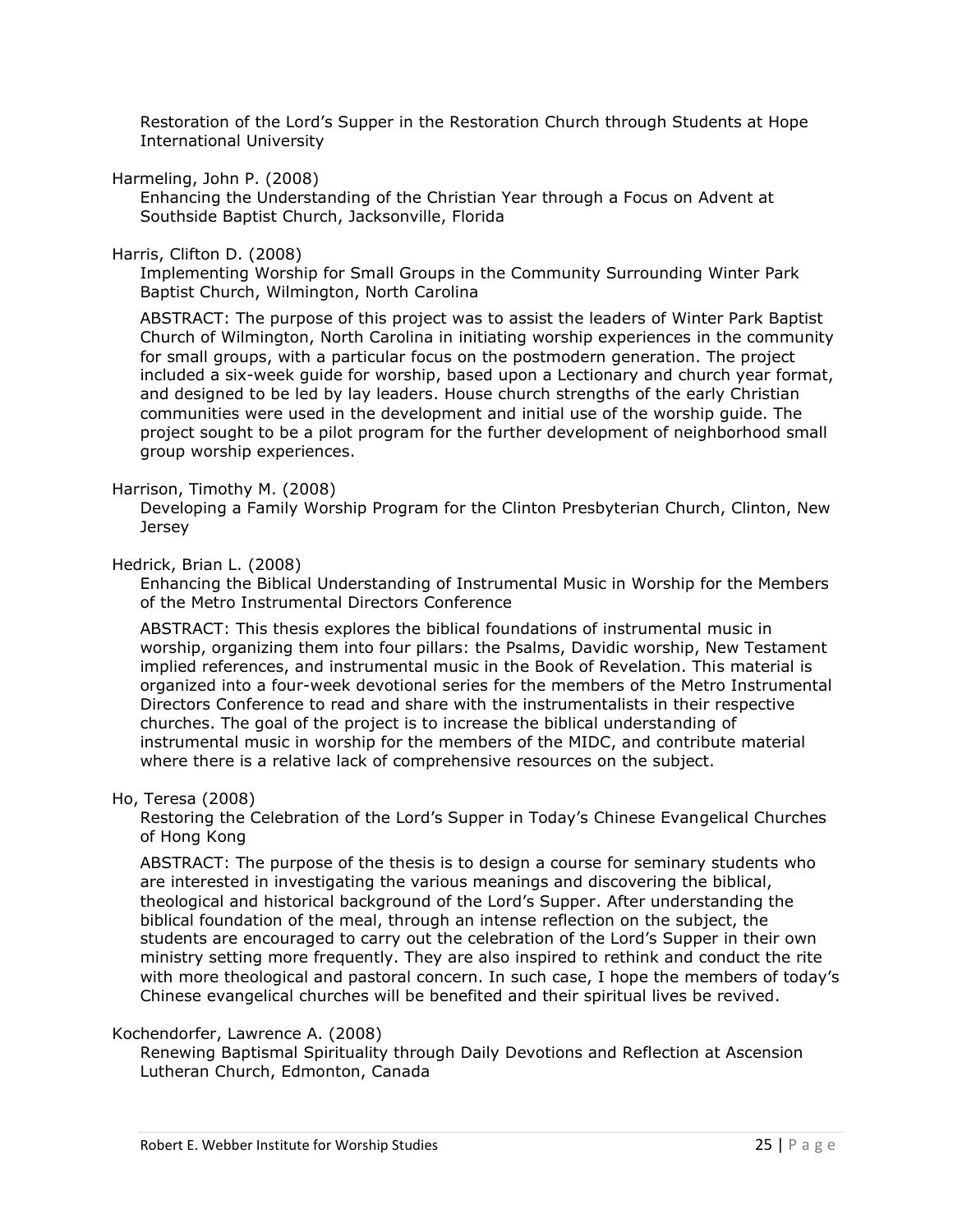Restoration of the Lord's Supper in the Restoration Church through Students at Hope International University

Harmeling, John P. (2008)

Enhancing the Understanding of the Christian Year through a Focus on Advent at Southside Baptist Church, Jacksonville, Florida

#### Harris, Clifton D. (2008)

Implementing Worship for Small Groups in the Community Surrounding Winter Park Baptist Church, Wilmington, North Carolina

ABSTRACT: The purpose of this project was to assist the leaders of Winter Park Baptist Church of Wilmington, North Carolina in initiating worship experiences in the community for small groups, with a particular focus on the postmodern generation. The project included a six-week guide for worship, based upon a Lectionary and church year format, and designed to be led by lay leaders. House church strengths of the early Christian communities were used in the development and initial use of the worship guide. The project sought to be a pilot program for the further development of neighborhood small group worship experiences.

#### Harrison, Timothy M. (2008)

Developing a Family Worship Program for the Clinton Presbyterian Church, Clinton, New **Jersey** 

#### Hedrick, Brian L. (2008)

Enhancing the Biblical Understanding of Instrumental Music in Worship for the Members of the Metro Instrumental Directors Conference

ABSTRACT: This thesis explores the biblical foundations of instrumental music in worship, organizing them into four pillars: the Psalms, Davidic worship, New Testament implied references, and instrumental music in the Book of Revelation. This material is organized into a four-week devotional series for the members of the Metro Instrumental Directors Conference to read and share with the instrumentalists in their respective churches. The goal of the project is to increase the biblical understanding of instrumental music in worship for the members of the MIDC, and contribute material where there is a relative lack of comprehensive resources on the subject.

#### Ho, Teresa (2008)

Restoring the Celebration of the Lord's Supper in Today's Chinese Evangelical Churches of Hong Kong

ABSTRACT: The purpose of the thesis is to design a course for seminary students who are interested in investigating the various meanings and discovering the biblical, theological and historical background of the Lord's Supper. After understanding the biblical foundation of the meal, through an intense reflection on the subject, the students are encouraged to carry out the celebration of the Lord's Supper in their own ministry setting more frequently. They are also inspired to rethink and conduct the rite with more theological and pastoral concern. In such case, I hope the members of today's Chinese evangelical churches will be benefited and their spiritual lives be revived.

## Kochendorfer, Lawrence A. (2008)

Renewing Baptismal Spirituality through Daily Devotions and Reflection at Ascension Lutheran Church, Edmonton, Canada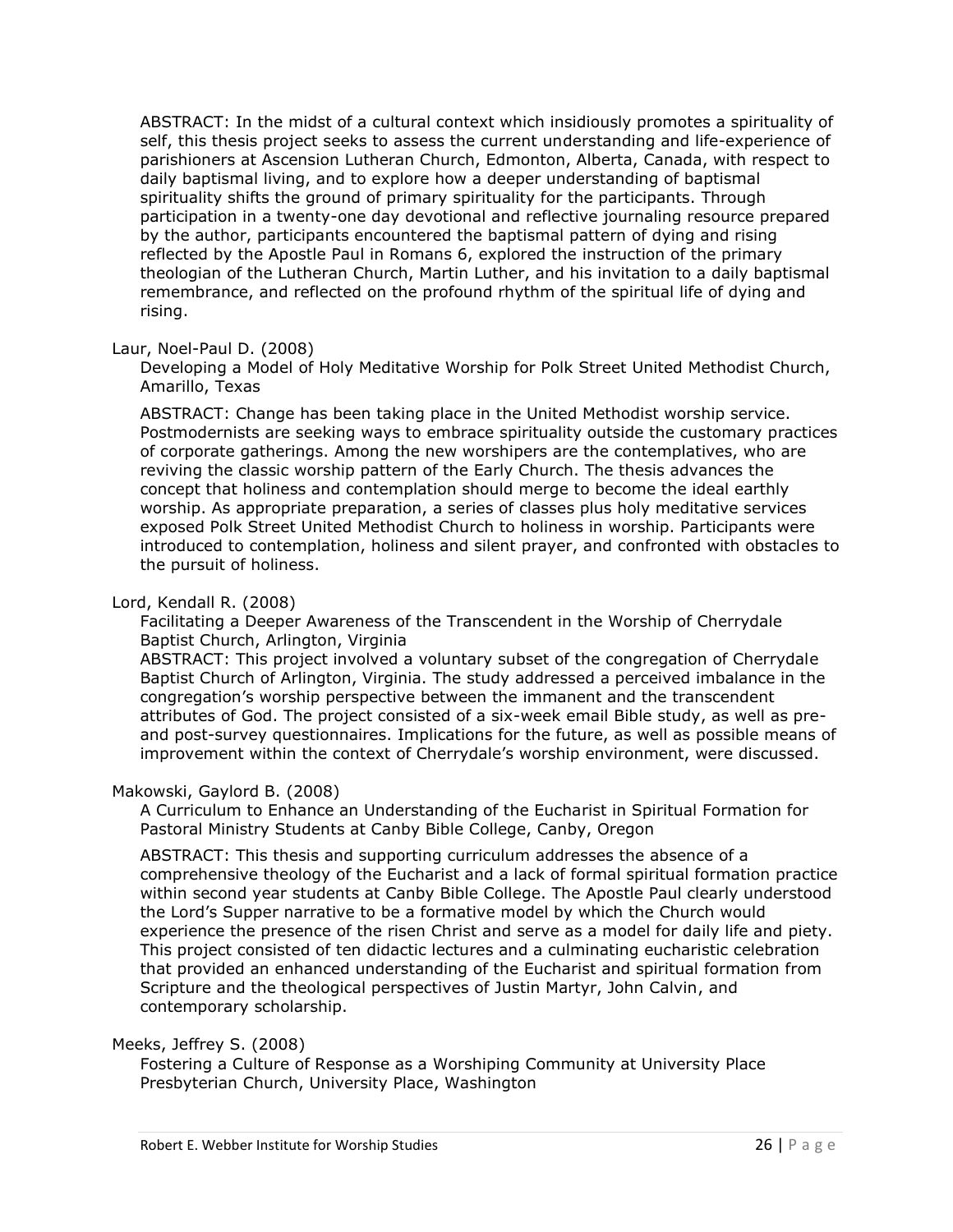ABSTRACT: In the midst of a cultural context which insidiously promotes a spirituality of self, this thesis project seeks to assess the current understanding and life-experience of parishioners at Ascension Lutheran Church, Edmonton, Alberta, Canada, with respect to daily baptismal living, and to explore how a deeper understanding of baptismal spirituality shifts the ground of primary spirituality for the participants. Through participation in a twenty-one day devotional and reflective journaling resource prepared by the author, participants encountered the baptismal pattern of dying and rising reflected by the Apostle Paul in Romans 6, explored the instruction of the primary theologian of the Lutheran Church, Martin Luther, and his invitation to a daily baptismal remembrance, and reflected on the profound rhythm of the spiritual life of dying and rising.

## Laur, Noel-Paul D. (2008)

Developing a Model of Holy Meditative Worship for Polk Street United Methodist Church, Amarillo, Texas

ABSTRACT: Change has been taking place in the United Methodist worship service. Postmodernists are seeking ways to embrace spirituality outside the customary practices of corporate gatherings. Among the new worshipers are the contemplatives, who are reviving the classic worship pattern of the Early Church. The thesis advances the concept that holiness and contemplation should merge to become the ideal earthly worship. As appropriate preparation, a series of classes plus holy meditative services exposed Polk Street United Methodist Church to holiness in worship. Participants were introduced to contemplation, holiness and silent prayer, and confronted with obstacles to the pursuit of holiness.

## Lord, Kendall R. (2008)

Facilitating a Deeper Awareness of the Transcendent in the Worship of Cherrydale Baptist Church, Arlington, Virginia

ABSTRACT: This project involved a voluntary subset of the congregation of Cherrydale Baptist Church of Arlington, Virginia. The study addressed a perceived imbalance in the congregation's worship perspective between the immanent and the transcendent attributes of God. The project consisted of a six-week email Bible study, as well as preand post-survey questionnaires. Implications for the future, as well as possible means of improvement within the context of Cherrydale's worship environment, were discussed.

## Makowski, Gaylord B. (2008)

A Curriculum to Enhance an Understanding of the Eucharist in Spiritual Formation for Pastoral Ministry Students at Canby Bible College, Canby, Oregon

ABSTRACT: This thesis and supporting curriculum addresses the absence of a comprehensive theology of the Eucharist and a lack of formal spiritual formation practice within second year students at Canby Bible College. The Apostle Paul clearly understood the Lord's Supper narrative to be a formative model by which the Church would experience the presence of the risen Christ and serve as a model for daily life and piety. This project consisted of ten didactic lectures and a culminating eucharistic celebration that provided an enhanced understanding of the Eucharist and spiritual formation from Scripture and the theological perspectives of Justin Martyr, John Calvin, and contemporary scholarship.

## Meeks, Jeffrey S. (2008)

Fostering a Culture of Response as a Worshiping Community at University Place Presbyterian Church, University Place, Washington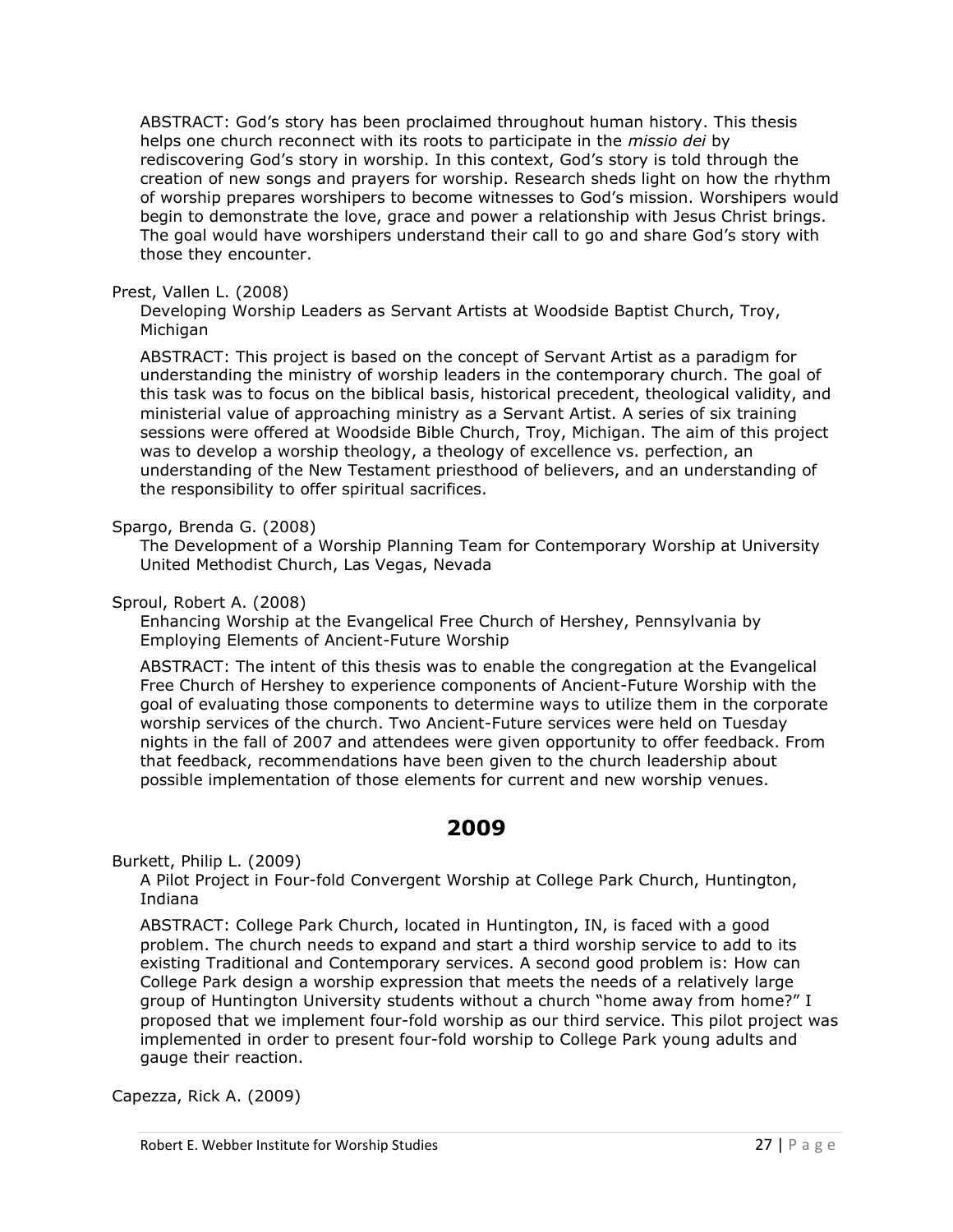ABSTRACT: God's story has been proclaimed throughout human history. This thesis helps one church reconnect with its roots to participate in the *missio dei* by rediscovering God's story in worship. In this context, God's story is told through the creation of new songs and prayers for worship. Research sheds light on how the rhythm of worship prepares worshipers to become witnesses to God's mission. Worshipers would begin to demonstrate the love, grace and power a relationship with Jesus Christ brings. The goal would have worshipers understand their call to go and share God's story with those they encounter.

## Prest, Vallen L. (2008)

Developing Worship Leaders as Servant Artists at Woodside Baptist Church, Troy, Michigan

ABSTRACT: This project is based on the concept of Servant Artist as a paradigm for understanding the ministry of worship leaders in the contemporary church. The goal of this task was to focus on the biblical basis, historical precedent, theological validity, and ministerial value of approaching ministry as a Servant Artist. A series of six training sessions were offered at Woodside Bible Church, Troy, Michigan. The aim of this project was to develop a worship theology, a theology of excellence vs. perfection, an understanding of the New Testament priesthood of believers, and an understanding of the responsibility to offer spiritual sacrifices.

## Spargo, Brenda G. (2008)

The Development of a Worship Planning Team for Contemporary Worship at University United Methodist Church, Las Vegas, Nevada

## Sproul, Robert A. (2008)

Enhancing Worship at the Evangelical Free Church of Hershey, Pennsylvania by Employing Elements of Ancient-Future Worship

ABSTRACT: The intent of this thesis was to enable the congregation at the Evangelical Free Church of Hershey to experience components of Ancient-Future Worship with the goal of evaluating those components to determine ways to utilize them in the corporate worship services of the church. Two Ancient-Future services were held on Tuesday nights in the fall of 2007 and attendees were given opportunity to offer feedback. From that feedback, recommendations have been given to the church leadership about possible implementation of those elements for current and new worship venues.

# **2009**

<span id="page-26-0"></span>Burkett, Philip L. (2009)

A Pilot Project in Four-fold Convergent Worship at College Park Church, Huntington, Indiana

ABSTRACT: College Park Church, located in Huntington, IN, is faced with a good problem. The church needs to expand and start a third worship service to add to its existing Traditional and Contemporary services. A second good problem is: How can College Park design a worship expression that meets the needs of a relatively large group of Huntington University students without a church "home away from home?" I proposed that we implement four-fold worship as our third service. This pilot project was implemented in order to present four-fold worship to College Park young adults and gauge their reaction.

Capezza, Rick A. (2009)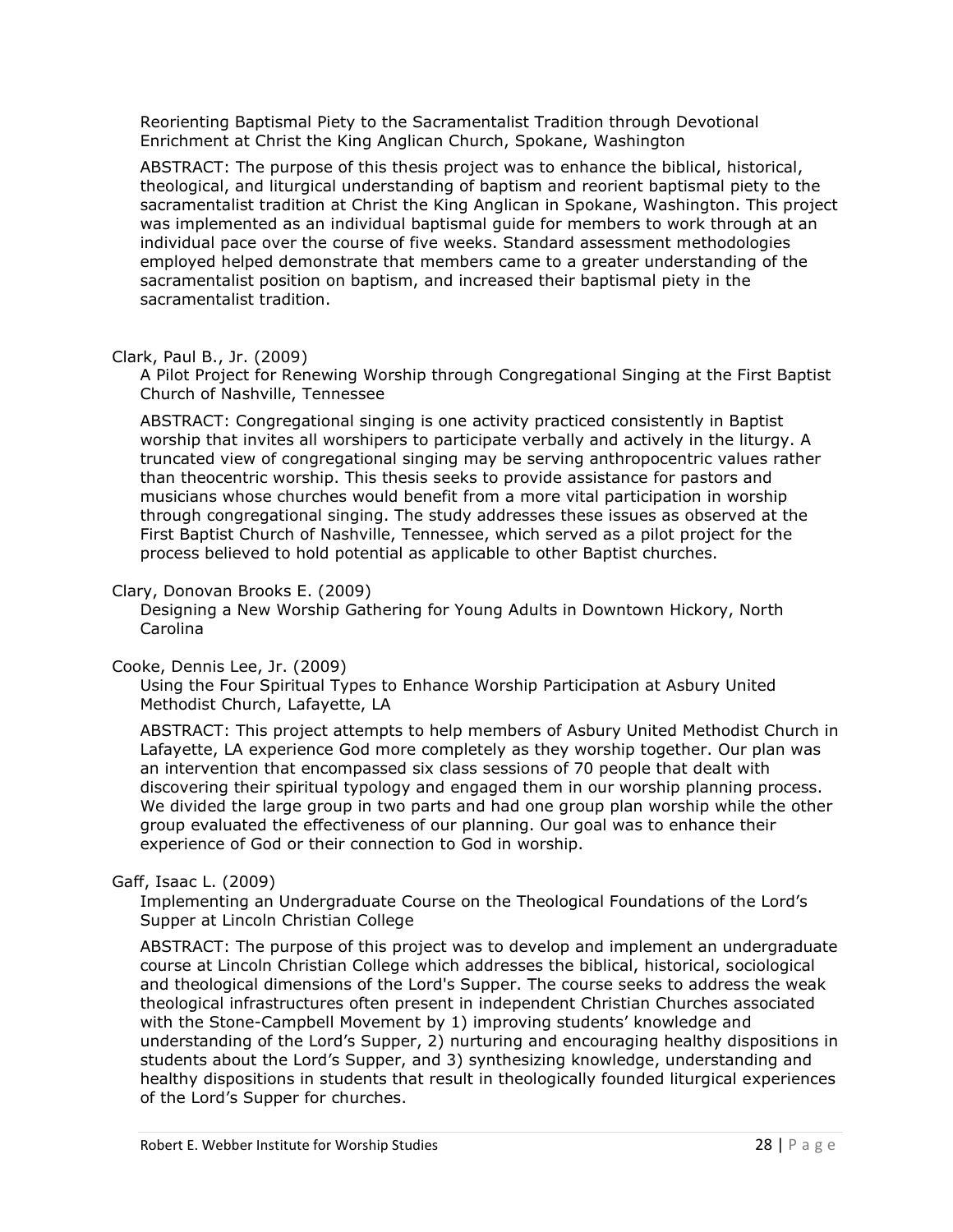Reorienting Baptismal Piety to the Sacramentalist Tradition through Devotional Enrichment at Christ the King Anglican Church, Spokane, Washington

ABSTRACT: The purpose of this thesis project was to enhance the biblical, historical, theological, and liturgical understanding of baptism and reorient baptismal piety to the sacramentalist tradition at Christ the King Anglican in Spokane, Washington. This project was implemented as an individual baptismal guide for members to work through at an individual pace over the course of five weeks. Standard assessment methodologies employed helped demonstrate that members came to a greater understanding of the sacramentalist position on baptism, and increased their baptismal piety in the sacramentalist tradition.

## Clark, Paul B., Jr. (2009)

A Pilot Project for Renewing Worship through Congregational Singing at the First Baptist Church of Nashville, Tennessee

ABSTRACT: Congregational singing is one activity practiced consistently in Baptist worship that invites all worshipers to participate verbally and actively in the liturgy. A truncated view of congregational singing may be serving anthropocentric values rather than theocentric worship. This thesis seeks to provide assistance for pastors and musicians whose churches would benefit from a more vital participation in worship through congregational singing. The study addresses these issues as observed at the First Baptist Church of Nashville, Tennessee, which served as a pilot project for the process believed to hold potential as applicable to other Baptist churches.

## Clary, Donovan Brooks E. (2009)

Designing a New Worship Gathering for Young Adults in Downtown Hickory, North Carolina

## Cooke, Dennis Lee, Jr. (2009)

Using the Four Spiritual Types to Enhance Worship Participation at Asbury United Methodist Church, Lafayette, LA

ABSTRACT: This project attempts to help members of Asbury United Methodist Church in Lafayette, LA experience God more completely as they worship together. Our plan was an intervention that encompassed six class sessions of 70 people that dealt with discovering their spiritual typology and engaged them in our worship planning process. We divided the large group in two parts and had one group plan worship while the other group evaluated the effectiveness of our planning. Our goal was to enhance their experience of God or their connection to God in worship.

## Gaff, Isaac L. (2009)

Implementing an Undergraduate Course on the Theological Foundations of the Lord's Supper at Lincoln Christian College

ABSTRACT: The purpose of this project was to develop and implement an undergraduate course at Lincoln Christian College which addresses the biblical, historical, sociological and theological dimensions of the Lord's Supper. The course seeks to address the weak theological infrastructures often present in independent Christian Churches associated with the Stone-Campbell Movement by 1) improving students' knowledge and understanding of the Lord's Supper, 2) nurturing and encouraging healthy dispositions in students about the Lord's Supper, and 3) synthesizing knowledge, understanding and healthy dispositions in students that result in theologically founded liturgical experiences of the Lord's Supper for churches.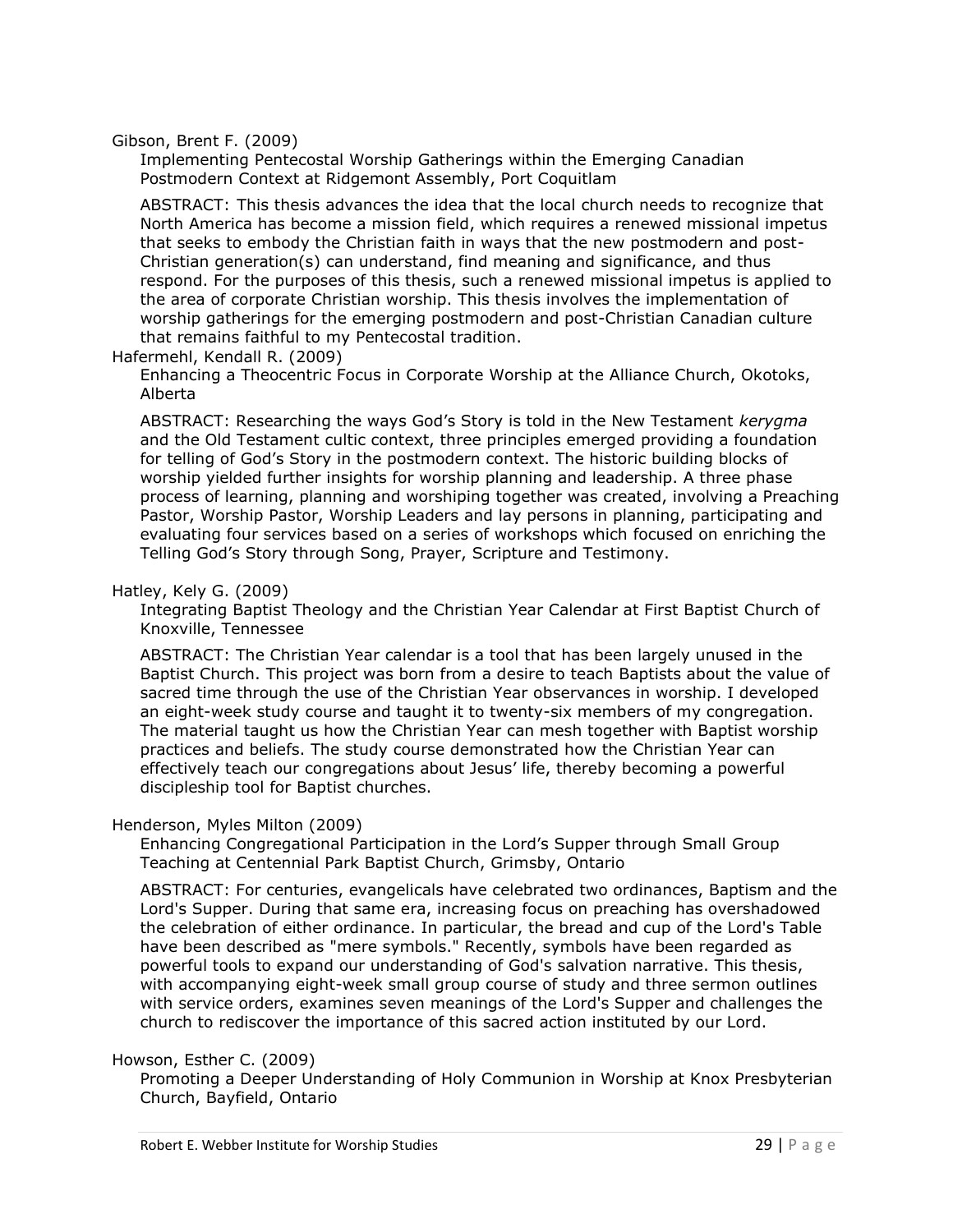Gibson, Brent F. (2009)

Implementing Pentecostal Worship Gatherings within the Emerging Canadian Postmodern Context at Ridgemont Assembly, Port Coquitlam

ABSTRACT: This thesis advances the idea that the local church needs to recognize that North America has become a mission field, which requires a renewed missional impetus that seeks to embody the Christian faith in ways that the new postmodern and post-Christian generation(s) can understand, find meaning and significance, and thus respond. For the purposes of this thesis, such a renewed missional impetus is applied to the area of corporate Christian worship. This thesis involves the implementation of worship gatherings for the emerging postmodern and post-Christian Canadian culture that remains faithful to my Pentecostal tradition.

Hafermehl, Kendall R. (2009)

Enhancing a Theocentric Focus in Corporate Worship at the Alliance Church, Okotoks, Alberta

ABSTRACT: Researching the ways God's Story is told in the New Testament *kerygma* and the Old Testament cultic context, three principles emerged providing a foundation for telling of God's Story in the postmodern context. The historic building blocks of worship yielded further insights for worship planning and leadership. A three phase process of learning, planning and worshiping together was created, involving a Preaching Pastor, Worship Pastor, Worship Leaders and lay persons in planning, participating and evaluating four services based on a series of workshops which focused on enriching the Telling God's Story through Song, Prayer, Scripture and Testimony.

## Hatley, Kely G. (2009)

Integrating Baptist Theology and the Christian Year Calendar at First Baptist Church of Knoxville, Tennessee

ABSTRACT: The Christian Year calendar is a tool that has been largely unused in the Baptist Church. This project was born from a desire to teach Baptists about the value of sacred time through the use of the Christian Year observances in worship. I developed an eight-week study course and taught it to twenty-six members of my congregation. The material taught us how the Christian Year can mesh together with Baptist worship practices and beliefs. The study course demonstrated how the Christian Year can effectively teach our congregations about Jesus' life, thereby becoming a powerful discipleship tool for Baptist churches.

## Henderson, Myles Milton (2009)

Enhancing Congregational Participation in the Lord's Supper through Small Group Teaching at Centennial Park Baptist Church, Grimsby, Ontario

ABSTRACT: For centuries, evangelicals have celebrated two ordinances, Baptism and the Lord's Supper. During that same era, increasing focus on preaching has overshadowed the celebration of either ordinance. In particular, the bread and cup of the Lord's Table have been described as "mere symbols." Recently, symbols have been regarded as powerful tools to expand our understanding of God's salvation narrative. This thesis, with accompanying eight-week small group course of study and three sermon outlines with service orders, examines seven meanings of the Lord's Supper and challenges the church to rediscover the importance of this sacred action instituted by our Lord.

## Howson, Esther C. (2009)

Promoting a Deeper Understanding of Holy Communion in Worship at Knox Presbyterian Church, Bayfield, Ontario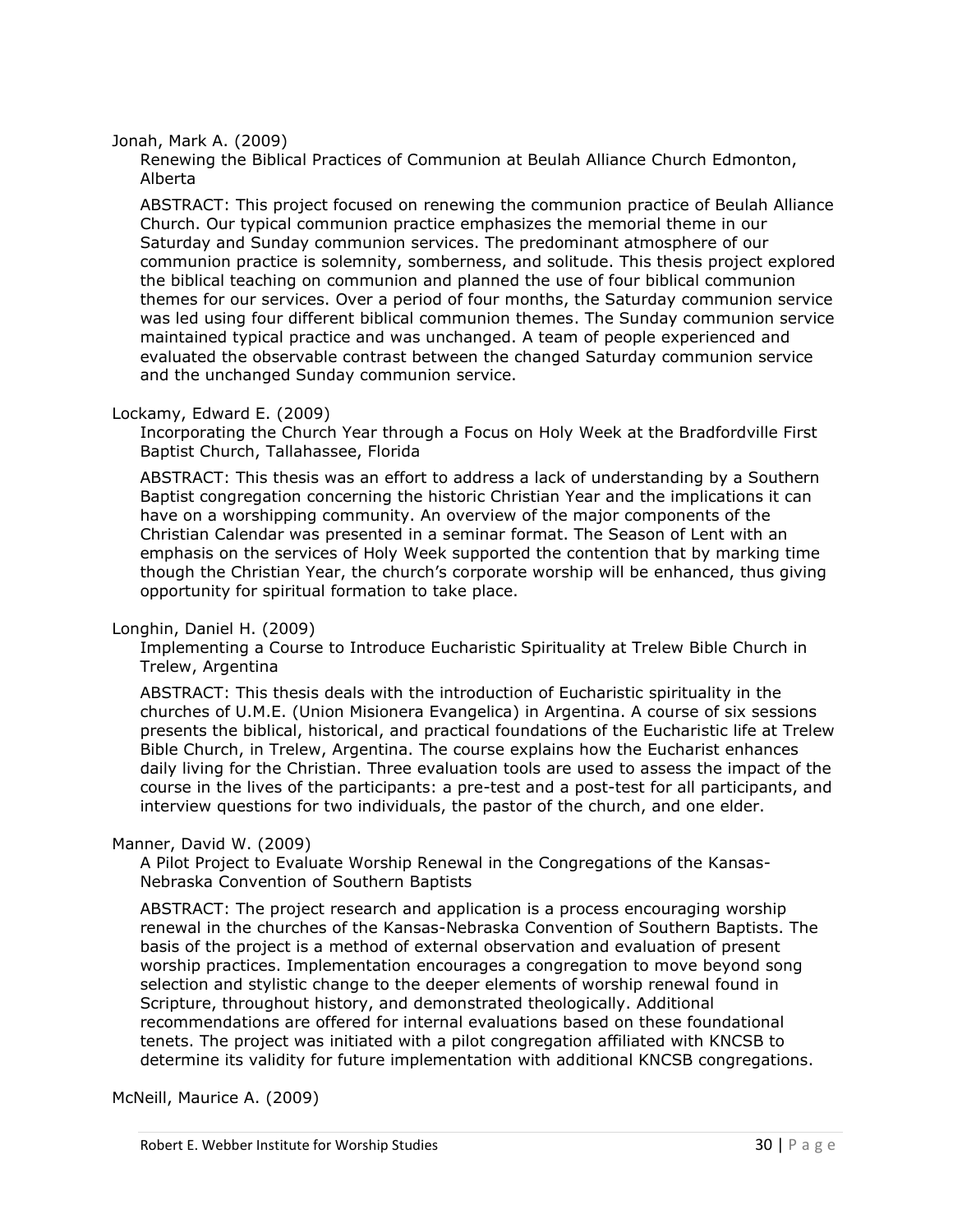Jonah, Mark A. (2009)

Renewing the Biblical Practices of Communion at Beulah Alliance Church Edmonton, Alberta

ABSTRACT: This project focused on renewing the communion practice of Beulah Alliance Church. Our typical communion practice emphasizes the memorial theme in our Saturday and Sunday communion services. The predominant atmosphere of our communion practice is solemnity, somberness, and solitude. This thesis project explored the biblical teaching on communion and planned the use of four biblical communion themes for our services. Over a period of four months, the Saturday communion service was led using four different biblical communion themes. The Sunday communion service maintained typical practice and was unchanged. A team of people experienced and evaluated the observable contrast between the changed Saturday communion service and the unchanged Sunday communion service.

## Lockamy, Edward E. (2009)

Incorporating the Church Year through a Focus on Holy Week at the Bradfordville First Baptist Church, Tallahassee, Florida

ABSTRACT: This thesis was an effort to address a lack of understanding by a Southern Baptist congregation concerning the historic Christian Year and the implications it can have on a worshipping community. An overview of the major components of the Christian Calendar was presented in a seminar format. The Season of Lent with an emphasis on the services of Holy Week supported the contention that by marking time though the Christian Year, the church's corporate worship will be enhanced, thus giving opportunity for spiritual formation to take place.

## Longhin, Daniel H. (2009)

Implementing a Course to Introduce Eucharistic Spirituality at Trelew Bible Church in Trelew, Argentina

ABSTRACT: This thesis deals with the introduction of Eucharistic spirituality in the churches of U.M.E. (Union Misionera Evangelica) in Argentina. A course of six sessions presents the biblical, historical, and practical foundations of the Eucharistic life at Trelew Bible Church, in Trelew, Argentina. The course explains how the Eucharist enhances daily living for the Christian. Three evaluation tools are used to assess the impact of the course in the lives of the participants: a pre-test and a post-test for all participants, and interview questions for two individuals, the pastor of the church, and one elder.

## Manner, David W. (2009)

A Pilot Project to Evaluate Worship Renewal in the Congregations of the Kansas-Nebraska Convention of Southern Baptists

ABSTRACT: The project research and application is a process encouraging worship renewal in the churches of the Kansas-Nebraska Convention of Southern Baptists. The basis of the project is a method of external observation and evaluation of present worship practices. Implementation encourages a congregation to move beyond song selection and stylistic change to the deeper elements of worship renewal found in Scripture, throughout history, and demonstrated theologically. Additional recommendations are offered for internal evaluations based on these foundational tenets. The project was initiated with a pilot congregation affiliated with KNCSB to determine its validity for future implementation with additional KNCSB congregations.

McNeill, Maurice A. (2009)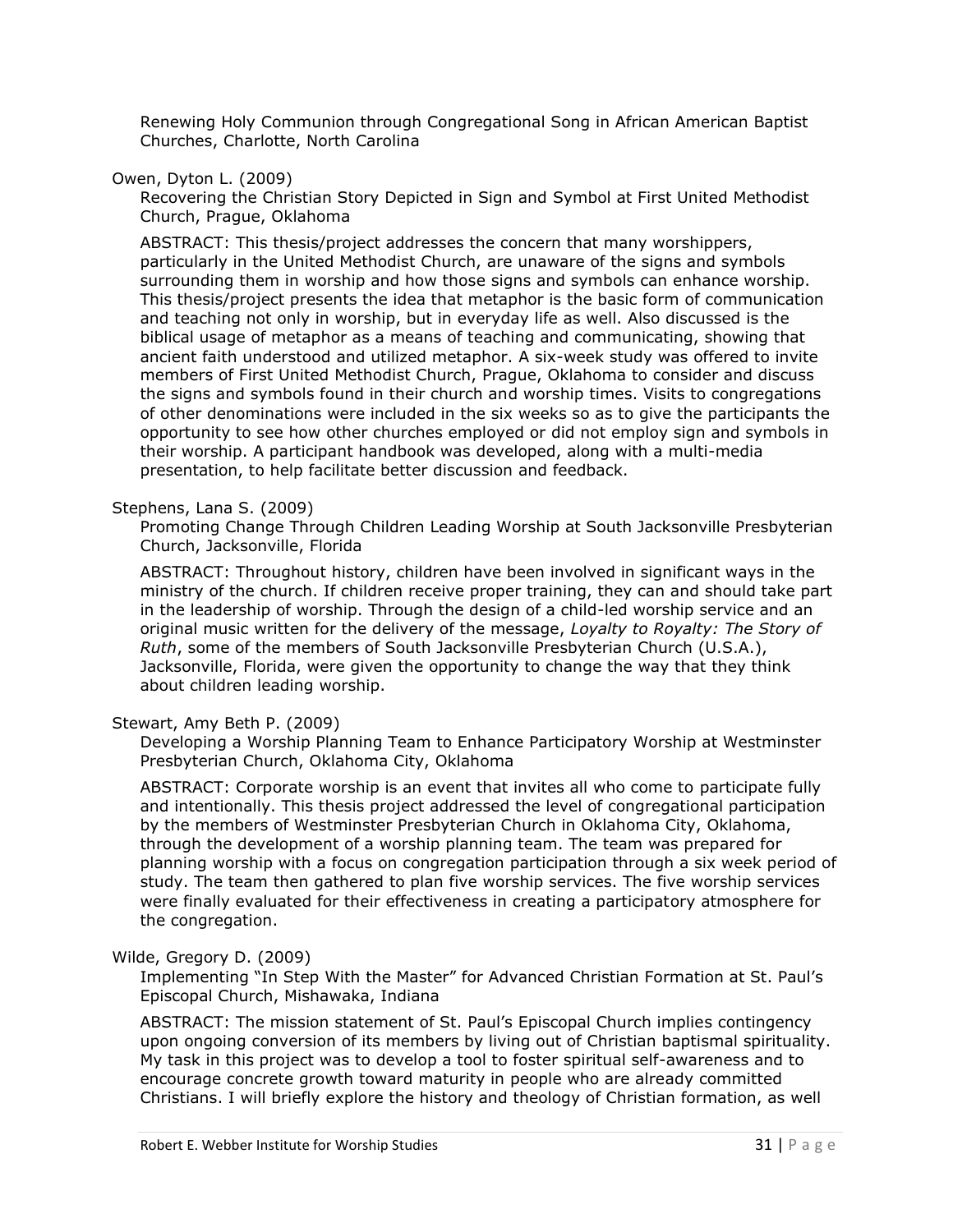Renewing Holy Communion through Congregational Song in African American Baptist Churches, Charlotte, North Carolina

Owen, Dyton L. (2009)

Recovering the Christian Story Depicted in Sign and Symbol at First United Methodist Church, Prague, Oklahoma

ABSTRACT: This thesis/project addresses the concern that many worshippers, particularly in the United Methodist Church, are unaware of the signs and symbols surrounding them in worship and how those signs and symbols can enhance worship. This thesis/project presents the idea that metaphor is the basic form of communication and teaching not only in worship, but in everyday life as well. Also discussed is the biblical usage of metaphor as a means of teaching and communicating, showing that ancient faith understood and utilized metaphor. A six-week study was offered to invite members of First United Methodist Church, Prague, Oklahoma to consider and discuss the signs and symbols found in their church and worship times. Visits to congregations of other denominations were included in the six weeks so as to give the participants the opportunity to see how other churches employed or did not employ sign and symbols in their worship. A participant handbook was developed, along with a multi-media presentation, to help facilitate better discussion and feedback.

#### Stephens, Lana S. (2009)

Promoting Change Through Children Leading Worship at South Jacksonville Presbyterian Church, Jacksonville, Florida

ABSTRACT: Throughout history, children have been involved in significant ways in the ministry of the church. If children receive proper training, they can and should take part in the leadership of worship. Through the design of a child-led worship service and an original music written for the delivery of the message, *Loyalty to Royalty: The Story of Ruth*, some of the members of South Jacksonville Presbyterian Church (U.S.A.), Jacksonville, Florida, were given the opportunity to change the way that they think about children leading worship.

## Stewart, Amy Beth P. (2009)

Developing a Worship Planning Team to Enhance Participatory Worship at Westminster Presbyterian Church, Oklahoma City, Oklahoma

ABSTRACT: Corporate worship is an event that invites all who come to participate fully and intentionally. This thesis project addressed the level of congregational participation by the members of Westminster Presbyterian Church in Oklahoma City, Oklahoma, through the development of a worship planning team. The team was prepared for planning worship with a focus on congregation participation through a six week period of study. The team then gathered to plan five worship services. The five worship services were finally evaluated for their effectiveness in creating a participatory atmosphere for the congregation.

## Wilde, Gregory D. (2009)

Implementing "In Step With the Master" for Advanced Christian Formation at St. Paul's Episcopal Church, Mishawaka, Indiana

ABSTRACT: The mission statement of St. Paul's Episcopal Church implies contingency upon ongoing conversion of its members by living out of Christian baptismal spirituality. My task in this project was to develop a tool to foster spiritual self-awareness and to encourage concrete growth toward maturity in people who are already committed Christians. I will briefly explore the history and theology of Christian formation, as well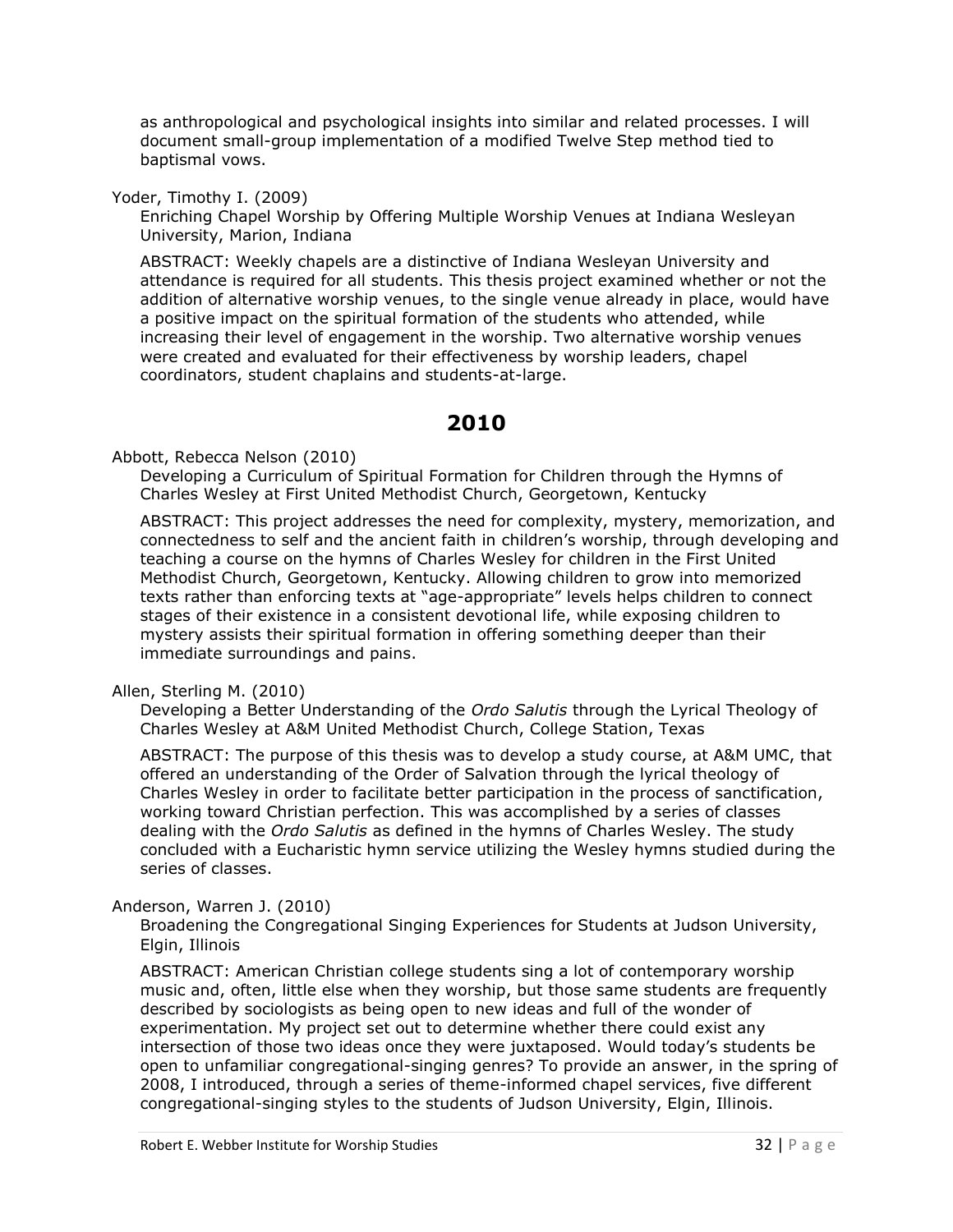as anthropological and psychological insights into similar and related processes. I will document small-group implementation of a modified Twelve Step method tied to baptismal vows.

Yoder, Timothy I. (2009)

Enriching Chapel Worship by Offering Multiple Worship Venues at Indiana Wesleyan University, Marion, Indiana

ABSTRACT: Weekly chapels are a distinctive of Indiana Wesleyan University and attendance is required for all students. This thesis project examined whether or not the addition of alternative worship venues, to the single venue already in place, would have a positive impact on the spiritual formation of the students who attended, while increasing their level of engagement in the worship. Two alternative worship venues were created and evaluated for their effectiveness by worship leaders, chapel coordinators, student chaplains and students-at-large.

# **2010**

<span id="page-31-0"></span>Abbott, Rebecca Nelson (2010)

Developing a Curriculum of Spiritual Formation for Children through the Hymns of Charles Wesley at First United Methodist Church, Georgetown, Kentucky

ABSTRACT: This project addresses the need for complexity, mystery, memorization, and connectedness to self and the ancient faith in children's worship, through developing and teaching a course on the hymns of Charles Wesley for children in the First United Methodist Church, Georgetown, Kentucky. Allowing children to grow into memorized texts rather than enforcing texts at "age-appropriate" levels helps children to connect stages of their existence in a consistent devotional life, while exposing children to mystery assists their spiritual formation in offering something deeper than their immediate surroundings and pains.

Allen, Sterling M. (2010)

Developing a Better Understanding of the *Ordo Salutis* through the Lyrical Theology of Charles Wesley at A&M United Methodist Church, College Station, Texas

ABSTRACT: The purpose of this thesis was to develop a study course, at A&M UMC, that offered an understanding of the Order of Salvation through the lyrical theology of Charles Wesley in order to facilitate better participation in the process of sanctification, working toward Christian perfection. This was accomplished by a series of classes dealing with the *Ordo Salutis* as defined in the hymns of Charles Wesley. The study concluded with a Eucharistic hymn service utilizing the Wesley hymns studied during the series of classes.

Anderson, Warren J. (2010)

Broadening the Congregational Singing Experiences for Students at Judson University, Elgin, Illinois

ABSTRACT: American Christian college students sing a lot of contemporary worship music and, often, little else when they worship, but those same students are frequently described by sociologists as being open to new ideas and full of the wonder of experimentation. My project set out to determine whether there could exist any intersection of those two ideas once they were juxtaposed. Would today's students be open to unfamiliar congregational-singing genres? To provide an answer, in the spring of 2008, I introduced, through a series of theme-informed chapel services, five different congregational-singing styles to the students of Judson University, Elgin, Illinois.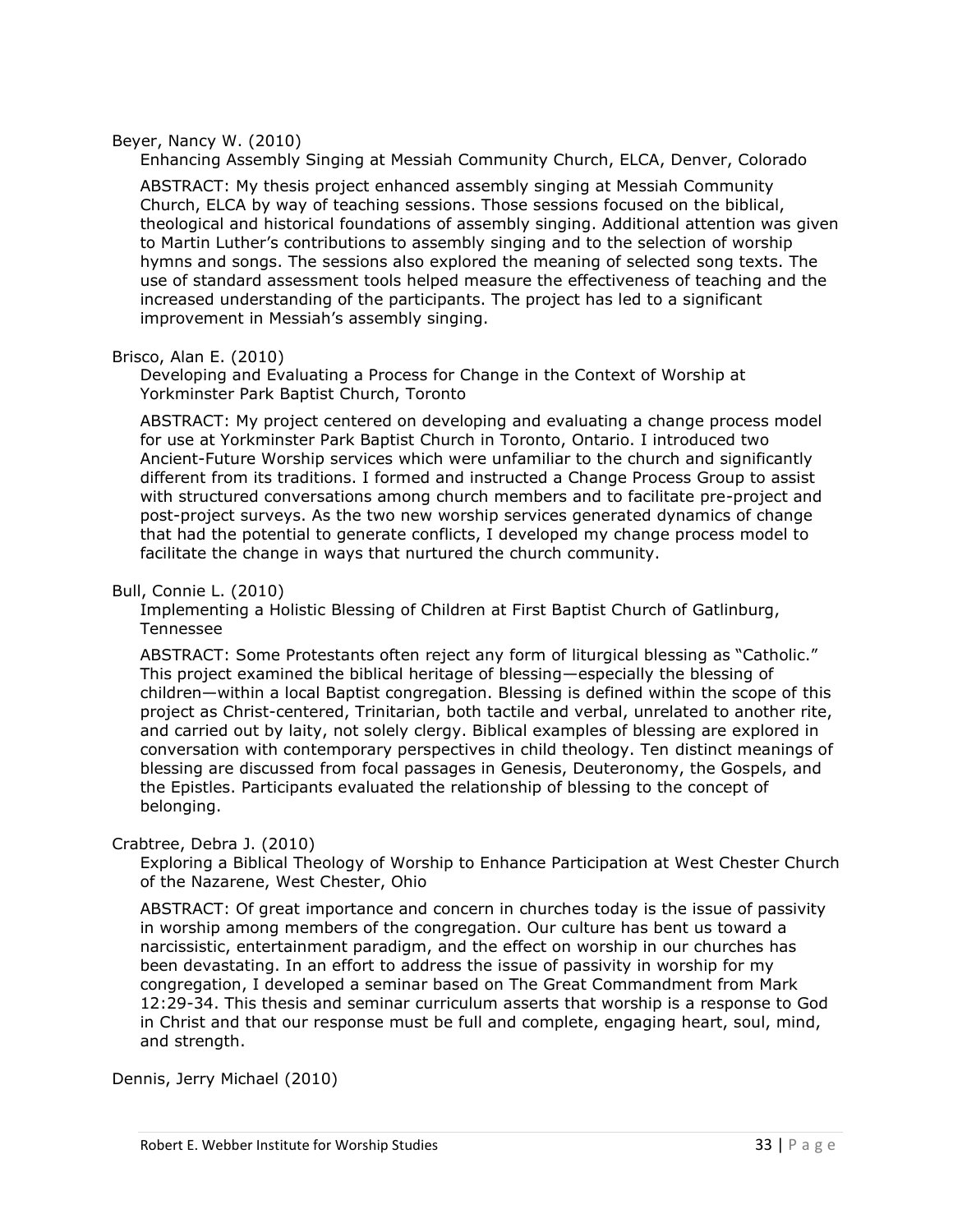#### Beyer, Nancy W. (2010)

Enhancing Assembly Singing at Messiah Community Church, ELCA, Denver, Colorado

ABSTRACT: My thesis project enhanced assembly singing at Messiah Community Church, ELCA by way of teaching sessions. Those sessions focused on the biblical, theological and historical foundations of assembly singing. Additional attention was given to Martin Luther's contributions to assembly singing and to the selection of worship hymns and songs. The sessions also explored the meaning of selected song texts. The use of standard assessment tools helped measure the effectiveness of teaching and the increased understanding of the participants. The project has led to a significant improvement in Messiah's assembly singing.

#### Brisco, Alan E. (2010)

Developing and Evaluating a Process for Change in the Context of Worship at Yorkminster Park Baptist Church, Toronto

ABSTRACT: My project centered on developing and evaluating a change process model for use at Yorkminster Park Baptist Church in Toronto, Ontario. I introduced two Ancient-Future Worship services which were unfamiliar to the church and significantly different from its traditions. I formed and instructed a Change Process Group to assist with structured conversations among church members and to facilitate pre-project and post-project surveys. As the two new worship services generated dynamics of change that had the potential to generate conflicts, I developed my change process model to facilitate the change in ways that nurtured the church community.

## Bull, Connie L. (2010)

Implementing a Holistic Blessing of Children at First Baptist Church of Gatlinburg, Tennessee

ABSTRACT: Some Protestants often reject any form of liturgical blessing as "Catholic." This project examined the biblical heritage of blessing—especially the blessing of children—within a local Baptist congregation. Blessing is defined within the scope of this project as Christ-centered, Trinitarian, both tactile and verbal, unrelated to another rite, and carried out by laity, not solely clergy. Biblical examples of blessing are explored in conversation with contemporary perspectives in child theology. Ten distinct meanings of blessing are discussed from focal passages in Genesis, Deuteronomy, the Gospels, and the Epistles. Participants evaluated the relationship of blessing to the concept of belonging.

#### Crabtree, Debra J. (2010)

Exploring a Biblical Theology of Worship to Enhance Participation at West Chester Church of the Nazarene, West Chester, Ohio

ABSTRACT: Of great importance and concern in churches today is the issue of passivity in worship among members of the congregation. Our culture has bent us toward a narcissistic, entertainment paradigm, and the effect on worship in our churches has been devastating. In an effort to address the issue of passivity in worship for my congregation, I developed a seminar based on The Great Commandment from Mark 12:29-34. This thesis and seminar curriculum asserts that worship is a response to God in Christ and that our response must be full and complete, engaging heart, soul, mind, and strength.

Dennis, Jerry Michael (2010)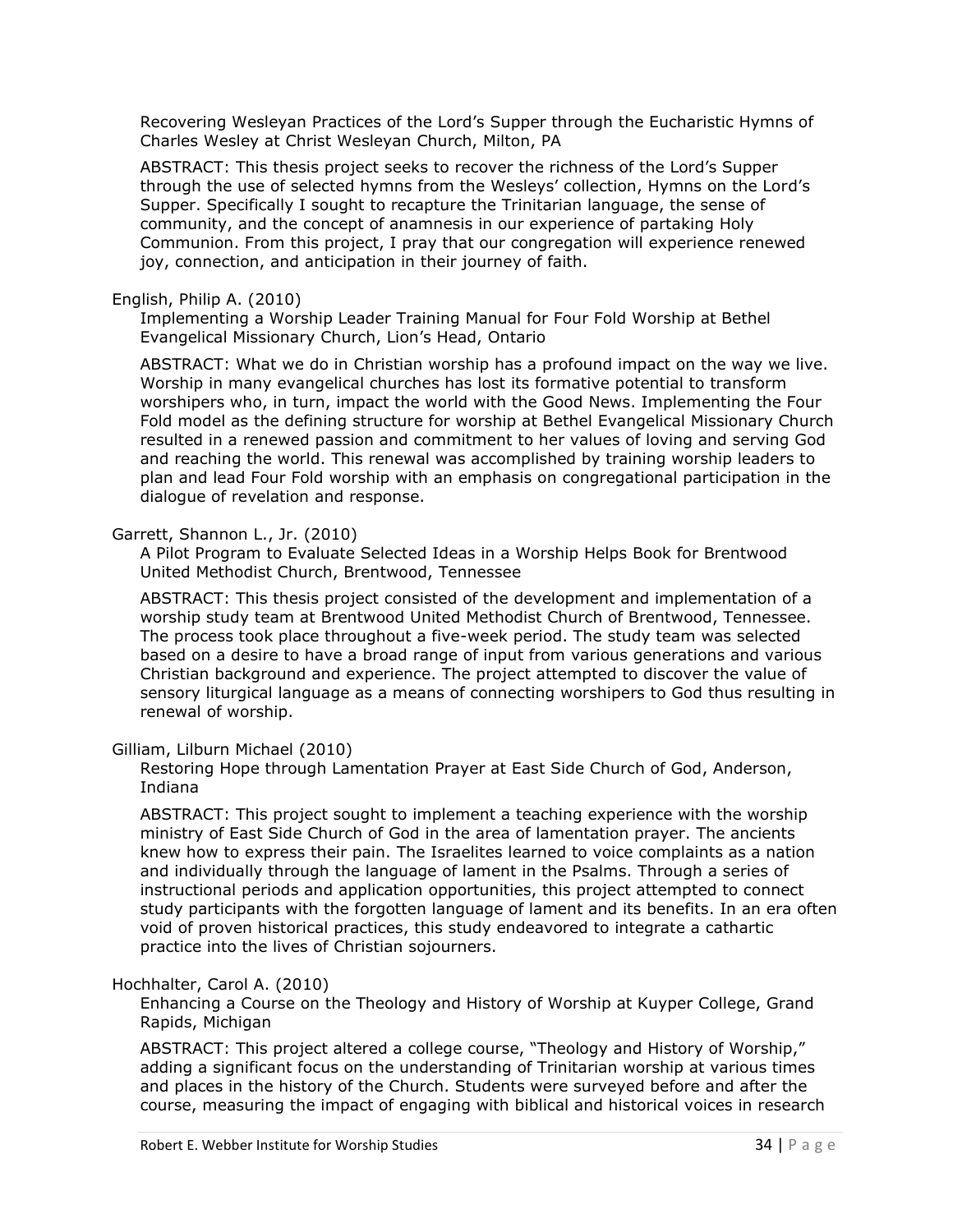Recovering Wesleyan Practices of the Lord's Supper through the Eucharistic Hymns of Charles Wesley at Christ Wesleyan Church, Milton, PA

ABSTRACT: This thesis project seeks to recover the richness of the Lord's Supper through the use of selected hymns from the Wesleys' collection, Hymns on the Lord's Supper. Specifically I sought to recapture the Trinitarian language, the sense of community, and the concept of anamnesis in our experience of partaking Holy Communion. From this project, I pray that our congregation will experience renewed joy, connection, and anticipation in their journey of faith.

## English, Philip A. (2010)

Implementing a Worship Leader Training Manual for Four Fold Worship at Bethel Evangelical Missionary Church, Lion's Head, Ontario

ABSTRACT: What we do in Christian worship has a profound impact on the way we live. Worship in many evangelical churches has lost its formative potential to transform worshipers who, in turn, impact the world with the Good News. Implementing the Four Fold model as the defining structure for worship at Bethel Evangelical Missionary Church resulted in a renewed passion and commitment to her values of loving and serving God and reaching the world. This renewal was accomplished by training worship leaders to plan and lead Four Fold worship with an emphasis on congregational participation in the dialogue of revelation and response.

## Garrett, Shannon L., Jr. (2010)

A Pilot Program to Evaluate Selected Ideas in a Worship Helps Book for Brentwood United Methodist Church, Brentwood, Tennessee

ABSTRACT: This thesis project consisted of the development and implementation of a worship study team at Brentwood United Methodist Church of Brentwood, Tennessee. The process took place throughout a five-week period. The study team was selected based on a desire to have a broad range of input from various generations and various Christian background and experience. The project attempted to discover the value of sensory liturgical language as a means of connecting worshipers to God thus resulting in renewal of worship.

## Gilliam, Lilburn Michael (2010)

Restoring Hope through Lamentation Prayer at East Side Church of God, Anderson, Indiana

ABSTRACT: This project sought to implement a teaching experience with the worship ministry of East Side Church of God in the area of lamentation prayer. The ancients knew how to express their pain. The Israelites learned to voice complaints as a nation and individually through the language of lament in the Psalms. Through a series of instructional periods and application opportunities, this project attempted to connect study participants with the forgotten language of lament and its benefits. In an era often void of proven historical practices, this study endeavored to integrate a cathartic practice into the lives of Christian sojourners.

## Hochhalter, Carol A. (2010)

Enhancing a Course on the Theology and History of Worship at Kuyper College, Grand Rapids, Michigan

ABSTRACT: This project altered a college course, "Theology and History of Worship," adding a significant focus on the understanding of Trinitarian worship at various times and places in the history of the Church. Students were surveyed before and after the course, measuring the impact of engaging with biblical and historical voices in research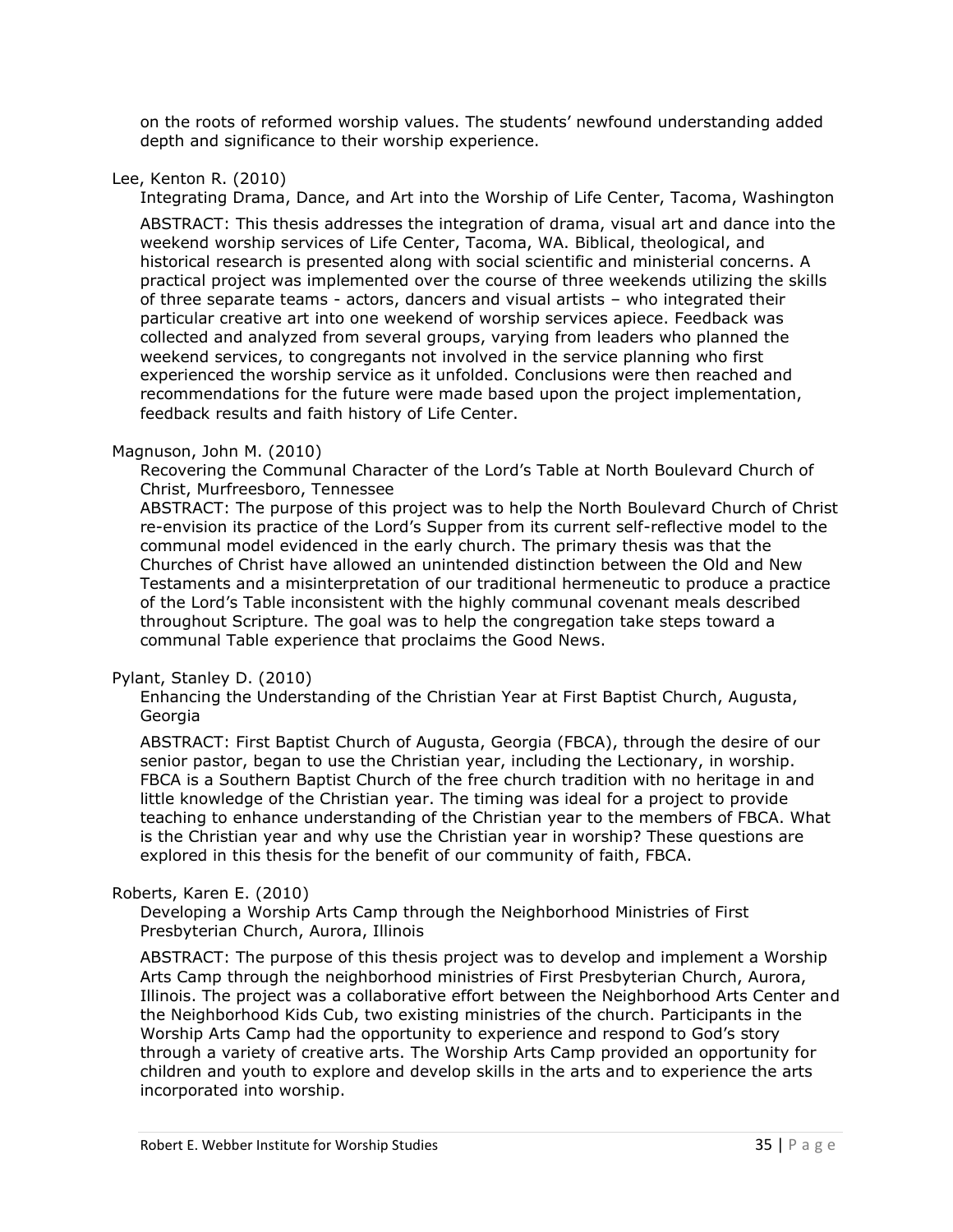on the roots of reformed worship values. The students' newfound understanding added depth and significance to their worship experience.

## Lee, Kenton R. (2010)

Integrating Drama, Dance, and Art into the Worship of Life Center, Tacoma, Washington

ABSTRACT: This thesis addresses the integration of drama, visual art and dance into the weekend worship services of Life Center, Tacoma, WA. Biblical, theological, and historical research is presented along with social scientific and ministerial concerns. A practical project was implemented over the course of three weekends utilizing the skills of three separate teams - actors, dancers and visual artists – who integrated their particular creative art into one weekend of worship services apiece. Feedback was collected and analyzed from several groups, varying from leaders who planned the weekend services, to congregants not involved in the service planning who first experienced the worship service as it unfolded. Conclusions were then reached and recommendations for the future were made based upon the project implementation, feedback results and faith history of Life Center.

## Magnuson, John M. (2010)

Recovering the Communal Character of the Lord's Table at North Boulevard Church of Christ, Murfreesboro, Tennessee

ABSTRACT: The purpose of this project was to help the North Boulevard Church of Christ re-envision its practice of the Lord's Supper from its current self-reflective model to the communal model evidenced in the early church. The primary thesis was that the Churches of Christ have allowed an unintended distinction between the Old and New Testaments and a misinterpretation of our traditional hermeneutic to produce a practice of the Lord's Table inconsistent with the highly communal covenant meals described throughout Scripture. The goal was to help the congregation take steps toward a communal Table experience that proclaims the Good News.

## Pylant, Stanley D. (2010)

Enhancing the Understanding of the Christian Year at First Baptist Church, Augusta, Georgia

ABSTRACT: First Baptist Church of Augusta, Georgia (FBCA), through the desire of our senior pastor, began to use the Christian year, including the Lectionary, in worship. FBCA is a Southern Baptist Church of the free church tradition with no heritage in and little knowledge of the Christian year. The timing was ideal for a project to provide teaching to enhance understanding of the Christian year to the members of FBCA. What is the Christian year and why use the Christian year in worship? These questions are explored in this thesis for the benefit of our community of faith, FBCA.

## Roberts, Karen E. (2010)

Developing a Worship Arts Camp through the Neighborhood Ministries of First Presbyterian Church, Aurora, Illinois

ABSTRACT: The purpose of this thesis project was to develop and implement a Worship Arts Camp through the neighborhood ministries of First Presbyterian Church, Aurora, Illinois. The project was a collaborative effort between the Neighborhood Arts Center and the Neighborhood Kids Cub, two existing ministries of the church. Participants in the Worship Arts Camp had the opportunity to experience and respond to God's story through a variety of creative arts. The Worship Arts Camp provided an opportunity for children and youth to explore and develop skills in the arts and to experience the arts incorporated into worship.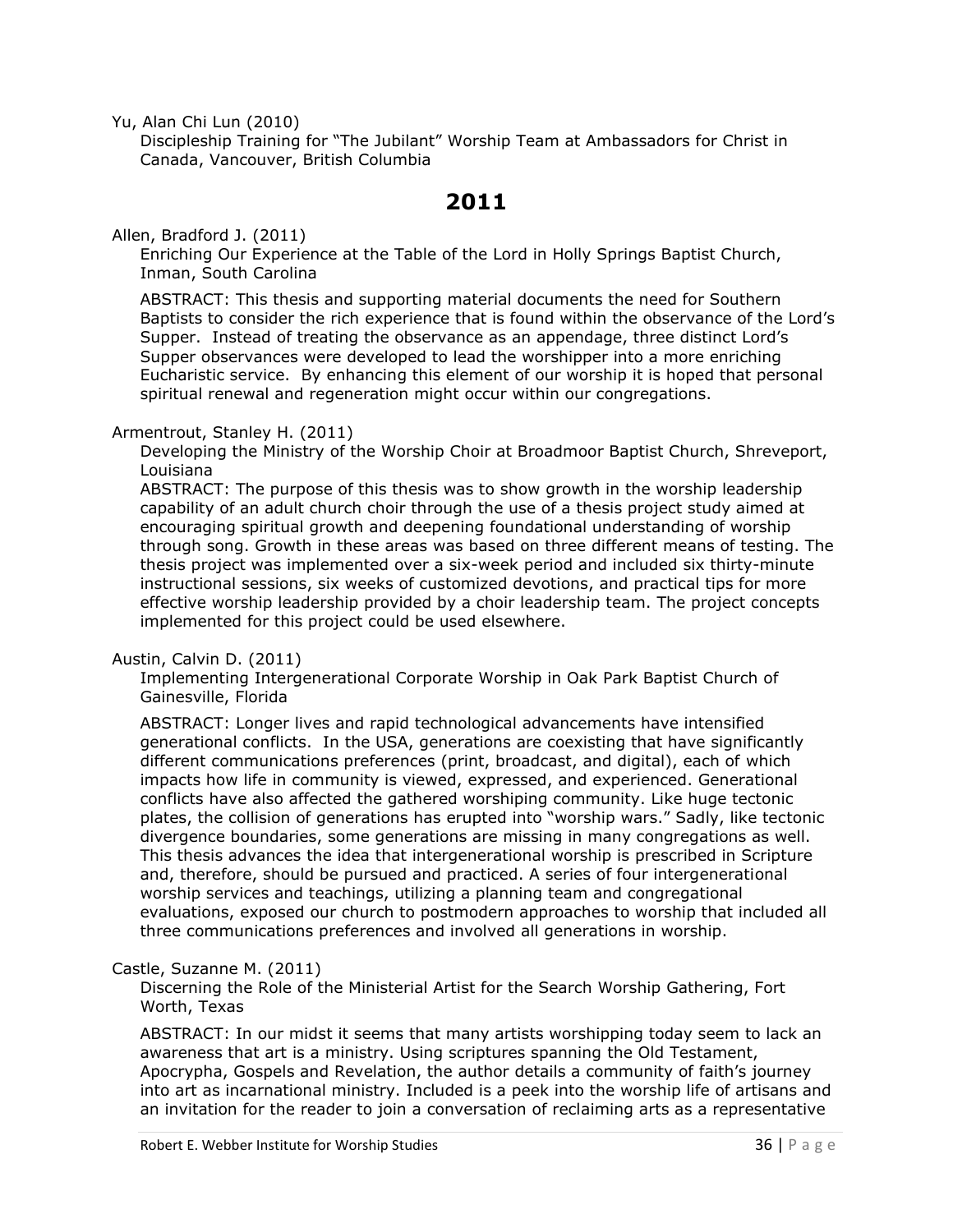Yu, Alan Chi Lun (2010)

Discipleship Training for "The Jubilant" Worship Team at Ambassadors for Christ in Canada, Vancouver, British Columbia

# **2011**

<span id="page-35-0"></span>Allen, Bradford J. (2011)

Enriching Our Experience at the Table of the Lord in Holly Springs Baptist Church, Inman, South Carolina

ABSTRACT: This thesis and supporting material documents the need for Southern Baptists to consider the rich experience that is found within the observance of the Lord's Supper. Instead of treating the observance as an appendage, three distinct Lord's Supper observances were developed to lead the worshipper into a more enriching Eucharistic service. By enhancing this element of our worship it is hoped that personal spiritual renewal and regeneration might occur within our congregations.

## Armentrout, Stanley H. (2011)

Developing the Ministry of the Worship Choir at Broadmoor Baptist Church, Shreveport, Louisiana

ABSTRACT: The purpose of this thesis was to show growth in the worship leadership capability of an adult church choir through the use of a thesis project study aimed at encouraging spiritual growth and deepening foundational understanding of worship through song. Growth in these areas was based on three different means of testing. The thesis project was implemented over a six-week period and included six thirty-minute instructional sessions, six weeks of customized devotions, and practical tips for more effective worship leadership provided by a choir leadership team. The project concepts implemented for this project could be used elsewhere.

## Austin, Calvin D. (2011)

Implementing Intergenerational Corporate Worship in Oak Park Baptist Church of Gainesville, Florida

ABSTRACT: Longer lives and rapid technological advancements have intensified generational conflicts. In the USA, generations are coexisting that have significantly different communications preferences (print, broadcast, and digital), each of which impacts how life in community is viewed, expressed, and experienced. Generational conflicts have also affected the gathered worshiping community. Like huge tectonic plates, the collision of generations has erupted into "worship wars." Sadly, like tectonic divergence boundaries, some generations are missing in many congregations as well. This thesis advances the idea that intergenerational worship is prescribed in Scripture and, therefore, should be pursued and practiced. A series of four intergenerational worship services and teachings, utilizing a planning team and congregational evaluations, exposed our church to postmodern approaches to worship that included all three communications preferences and involved all generations in worship.

## Castle, Suzanne M. (2011)

Discerning the Role of the Ministerial Artist for the Search Worship Gathering, Fort Worth, Texas

ABSTRACT: In our midst it seems that many artists worshipping today seem to lack an awareness that art is a ministry. Using scriptures spanning the Old Testament, Apocrypha, Gospels and Revelation, the author details a community of faith's journey into art as incarnational ministry. Included is a peek into the worship life of artisans and an invitation for the reader to join a conversation of reclaiming arts as a representative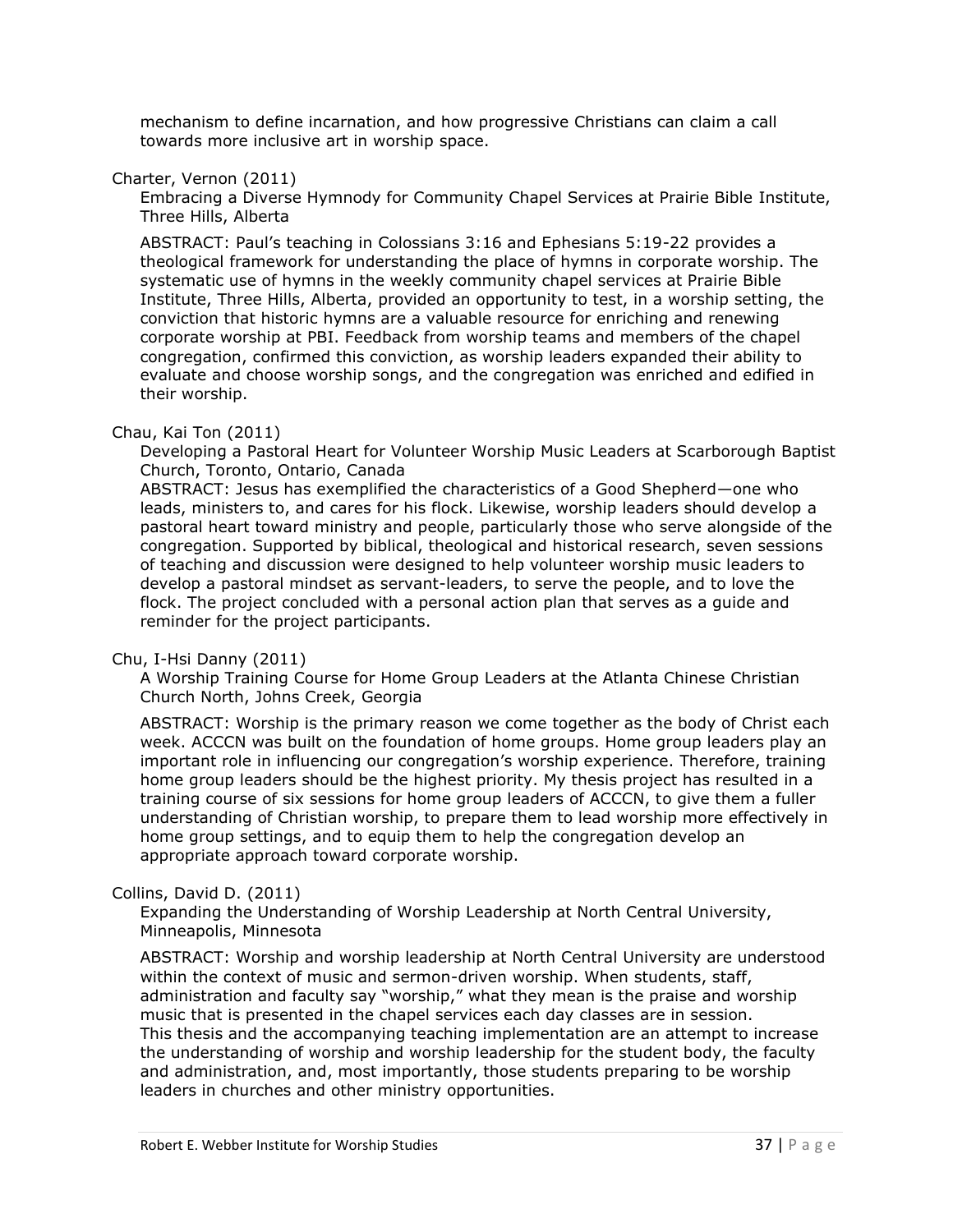mechanism to define incarnation, and how progressive Christians can claim a call towards more inclusive art in worship space.

#### Charter, Vernon (2011)

Embracing a Diverse Hymnody for Community Chapel Services at Prairie Bible Institute, Three Hills, Alberta

ABSTRACT: Paul's teaching in Colossians 3:16 and Ephesians 5:19-22 provides a theological framework for understanding the place of hymns in corporate worship. The systematic use of hymns in the weekly community chapel services at Prairie Bible Institute, Three Hills, Alberta, provided an opportunity to test, in a worship setting, the conviction that historic hymns are a valuable resource for enriching and renewing corporate worship at PBI. Feedback from worship teams and members of the chapel congregation, confirmed this conviction, as worship leaders expanded their ability to evaluate and choose worship songs, and the congregation was enriched and edified in their worship.

#### Chau, Kai Ton (2011)

Developing a Pastoral Heart for Volunteer Worship Music Leaders at Scarborough Baptist Church, Toronto, Ontario, Canada

ABSTRACT: Jesus has exemplified the characteristics of a Good Shepherd—one who leads, ministers to, and cares for his flock. Likewise, worship leaders should develop a pastoral heart toward ministry and people, particularly those who serve alongside of the congregation. Supported by biblical, theological and historical research, seven sessions of teaching and discussion were designed to help volunteer worship music leaders to develop a pastoral mindset as servant-leaders, to serve the people, and to love the flock. The project concluded with a personal action plan that serves as a guide and reminder for the project participants.

#### Chu, I-Hsi Danny (2011)

A Worship Training Course for Home Group Leaders at the Atlanta Chinese Christian Church North, Johns Creek, Georgia

ABSTRACT: Worship is the primary reason we come together as the body of Christ each week. ACCCN was built on the foundation of home groups. Home group leaders play an important role in influencing our congregation's worship experience. Therefore, training home group leaders should be the highest priority. My thesis project has resulted in a training course of six sessions for home group leaders of ACCCN, to give them a fuller understanding of Christian worship, to prepare them to lead worship more effectively in home group settings, and to equip them to help the congregation develop an appropriate approach toward corporate worship.

#### Collins, David D. (2011)

Expanding the Understanding of Worship Leadership at North Central University, Minneapolis, Minnesota

ABSTRACT: Worship and worship leadership at North Central University are understood within the context of music and sermon-driven worship. When students, staff, administration and faculty say "worship," what they mean is the praise and worship music that is presented in the chapel services each day classes are in session. This thesis and the accompanying teaching implementation are an attempt to increase the understanding of worship and worship leadership for the student body, the faculty and administration, and, most importantly, those students preparing to be worship leaders in churches and other ministry opportunities.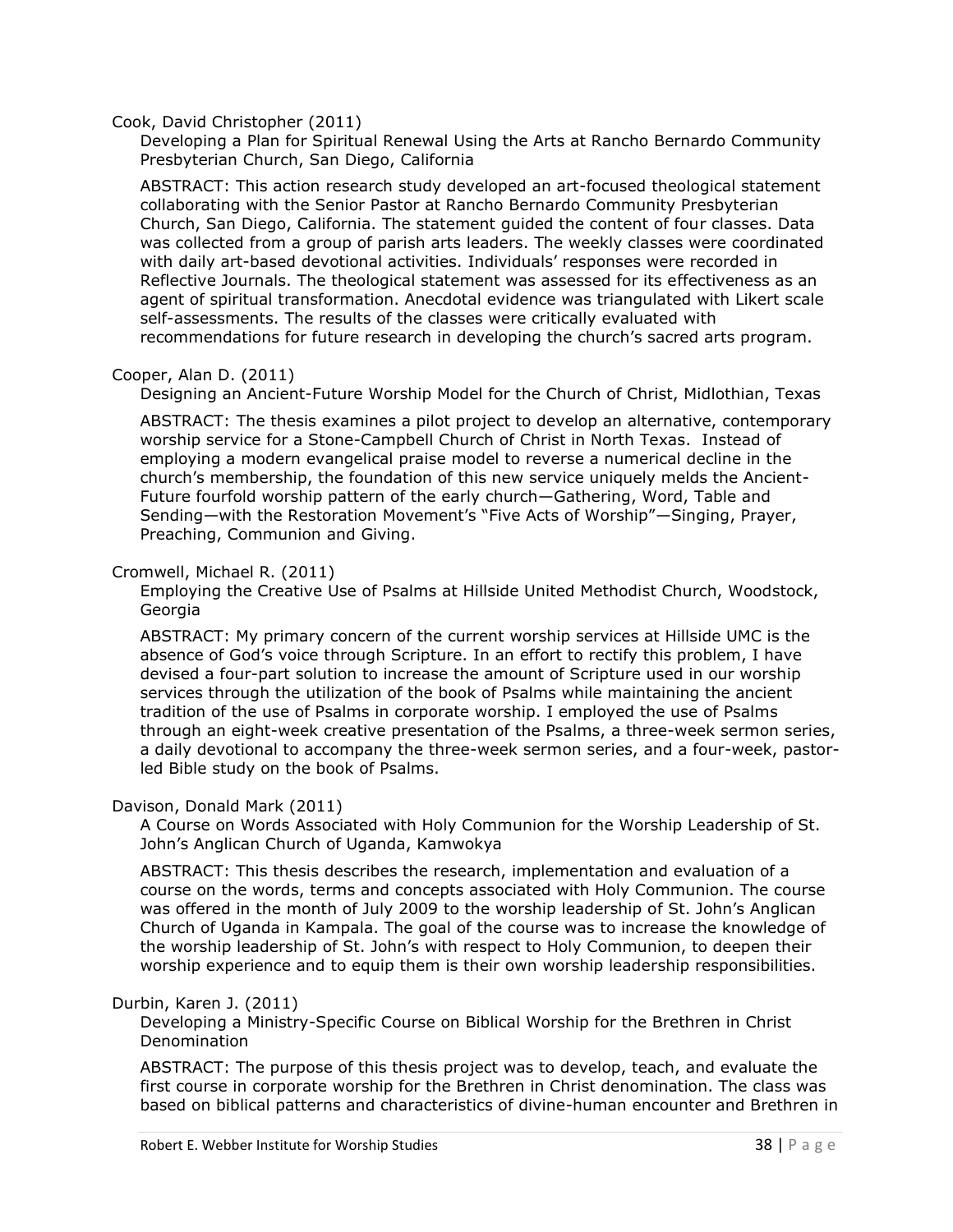#### Cook, David Christopher (2011)

Developing a Plan for Spiritual Renewal Using the Arts at Rancho Bernardo Community Presbyterian Church, San Diego, California

ABSTRACT: This action research study developed an art-focused theological statement collaborating with the Senior Pastor at Rancho Bernardo Community Presbyterian Church, San Diego, California. The statement guided the content of four classes. Data was collected from a group of parish arts leaders. The weekly classes were coordinated with daily art-based devotional activities. Individuals' responses were recorded in Reflective Journals. The theological statement was assessed for its effectiveness as an agent of spiritual transformation. Anecdotal evidence was triangulated with Likert scale self-assessments. The results of the classes were critically evaluated with recommendations for future research in developing the church's sacred arts program.

#### Cooper, Alan D. (2011)

Designing an Ancient-Future Worship Model for the Church of Christ, Midlothian, Texas

ABSTRACT: The thesis examines a pilot project to develop an alternative, contemporary worship service for a Stone-Campbell Church of Christ in North Texas. Instead of employing a modern evangelical praise model to reverse a numerical decline in the church's membership, the foundation of this new service uniquely melds the Ancient-Future fourfold worship pattern of the early church—Gathering, Word, Table and Sending—with the Restoration Movement's "Five Acts of Worship"—Singing, Prayer, Preaching, Communion and Giving.

#### Cromwell, Michael R. (2011)

Employing the Creative Use of Psalms at Hillside United Methodist Church, Woodstock, Georgia

ABSTRACT: My primary concern of the current worship services at Hillside UMC is the absence of God's voice through Scripture. In an effort to rectify this problem, I have devised a four-part solution to increase the amount of Scripture used in our worship services through the utilization of the book of Psalms while maintaining the ancient tradition of the use of Psalms in corporate worship. I employed the use of Psalms through an eight-week creative presentation of the Psalms, a three-week sermon series, a daily devotional to accompany the three-week sermon series, and a four-week, pastorled Bible study on the book of Psalms.

#### Davison, Donald Mark (2011)

A Course on Words Associated with Holy Communion for the Worship Leadership of St. John's Anglican Church of Uganda, Kamwokya

ABSTRACT: This thesis describes the research, implementation and evaluation of a course on the words, terms and concepts associated with Holy Communion. The course was offered in the month of July 2009 to the worship leadership of St. John's Anglican Church of Uganda in Kampala. The goal of the course was to increase the knowledge of the worship leadership of St. John's with respect to Holy Communion, to deepen their worship experience and to equip them is their own worship leadership responsibilities.

#### Durbin, Karen J. (2011)

Developing a Ministry-Specific Course on Biblical Worship for the Brethren in Christ Denomination

ABSTRACT: The purpose of this thesis project was to develop, teach, and evaluate the first course in corporate worship for the Brethren in Christ denomination. The class was based on biblical patterns and characteristics of divine-human encounter and Brethren in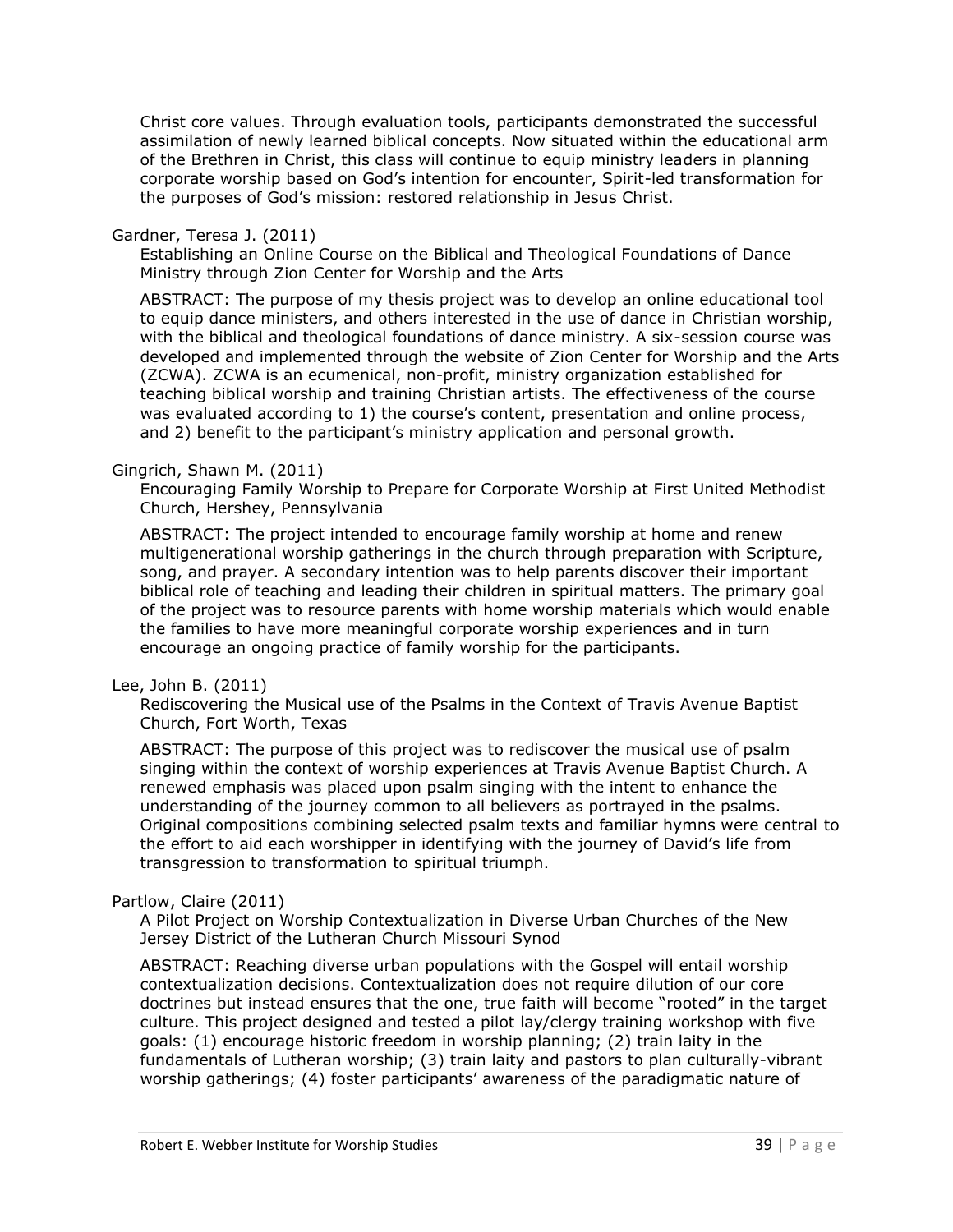Christ core values. Through evaluation tools, participants demonstrated the successful assimilation of newly learned biblical concepts. Now situated within the educational arm of the Brethren in Christ, this class will continue to equip ministry leaders in planning corporate worship based on God's intention for encounter, Spirit-led transformation for the purposes of God's mission: restored relationship in Jesus Christ.

#### Gardner, Teresa J. (2011)

Establishing an Online Course on the Biblical and Theological Foundations of Dance Ministry through Zion Center for Worship and the Arts

ABSTRACT: The purpose of my thesis project was to develop an online educational tool to equip dance ministers, and others interested in the use of dance in Christian worship, with the biblical and theological foundations of dance ministry. A six-session course was developed and implemented through the website of Zion Center for Worship and the Arts (ZCWA). ZCWA is an ecumenical, non-profit, ministry organization established for teaching biblical worship and training Christian artists. The effectiveness of the course was evaluated according to 1) the course's content, presentation and online process, and 2) benefit to the participant's ministry application and personal growth.

## Gingrich, Shawn M. (2011)

Encouraging Family Worship to Prepare for Corporate Worship at First United Methodist Church, Hershey, Pennsylvania

ABSTRACT: The project intended to encourage family worship at home and renew multigenerational worship gatherings in the church through preparation with Scripture, song, and prayer. A secondary intention was to help parents discover their important biblical role of teaching and leading their children in spiritual matters. The primary goal of the project was to resource parents with home worship materials which would enable the families to have more meaningful corporate worship experiences and in turn encourage an ongoing practice of family worship for the participants.

#### Lee, John B. (2011)

Rediscovering the Musical use of the Psalms in the Context of Travis Avenue Baptist Church, Fort Worth, Texas

ABSTRACT: The purpose of this project was to rediscover the musical use of psalm singing within the context of worship experiences at Travis Avenue Baptist Church. A renewed emphasis was placed upon psalm singing with the intent to enhance the understanding of the journey common to all believers as portrayed in the psalms. Original compositions combining selected psalm texts and familiar hymns were central to the effort to aid each worshipper in identifying with the journey of David's life from transgression to transformation to spiritual triumph.

#### Partlow, Claire (2011)

A Pilot Project on Worship Contextualization in Diverse Urban Churches of the New Jersey District of the Lutheran Church Missouri Synod

ABSTRACT: Reaching diverse urban populations with the Gospel will entail worship contextualization decisions. Contextualization does not require dilution of our core doctrines but instead ensures that the one, true faith will become "rooted" in the target culture. This project designed and tested a pilot lay/clergy training workshop with five goals: (1) encourage historic freedom in worship planning; (2) train laity in the fundamentals of Lutheran worship; (3) train laity and pastors to plan culturally-vibrant worship gatherings; (4) foster participants' awareness of the paradigmatic nature of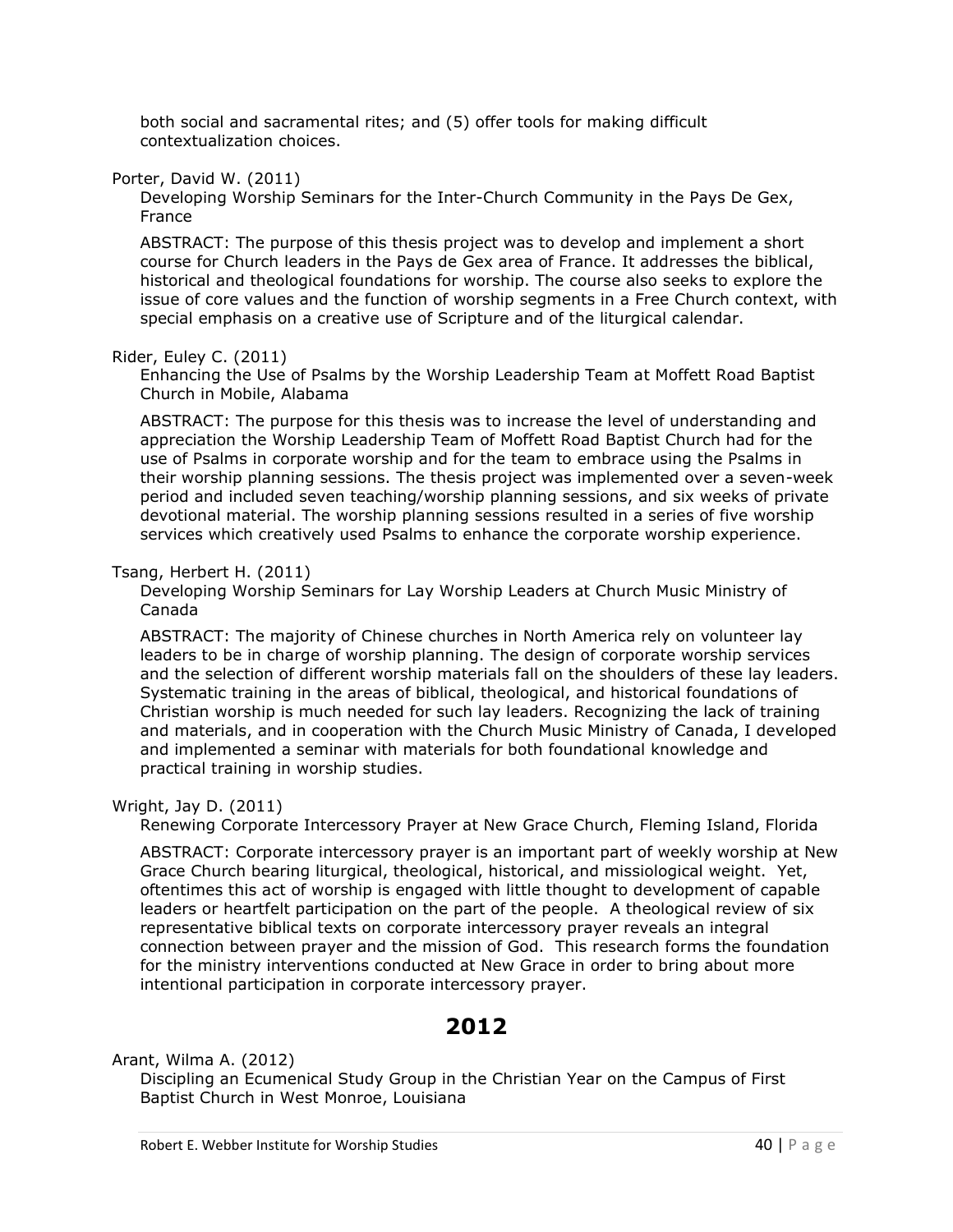both social and sacramental rites; and (5) offer tools for making difficult contextualization choices.

Porter, David W. (2011)

Developing Worship Seminars for the Inter-Church Community in the Pays De Gex, France

ABSTRACT: The purpose of this thesis project was to develop and implement a short course for Church leaders in the Pays de Gex area of France. It addresses the biblical, historical and theological foundations for worship. The course also seeks to explore the issue of core values and the function of worship segments in a Free Church context, with special emphasis on a creative use of Scripture and of the liturgical calendar.

## Rider, Euley C. (2011)

Enhancing the Use of Psalms by the Worship Leadership Team at Moffett Road Baptist Church in Mobile, Alabama

ABSTRACT: The purpose for this thesis was to increase the level of understanding and appreciation the Worship Leadership Team of Moffett Road Baptist Church had for the use of Psalms in corporate worship and for the team to embrace using the Psalms in their worship planning sessions. The thesis project was implemented over a seven-week period and included seven teaching/worship planning sessions, and six weeks of private devotional material. The worship planning sessions resulted in a series of five worship services which creatively used Psalms to enhance the corporate worship experience.

# Tsang, Herbert H. (2011)

Developing Worship Seminars for Lay Worship Leaders at Church Music Ministry of Canada

ABSTRACT: The majority of Chinese churches in North America rely on volunteer lay leaders to be in charge of worship planning. The design of corporate worship services and the selection of different worship materials fall on the shoulders of these lay leaders. Systematic training in the areas of biblical, theological, and historical foundations of Christian worship is much needed for such lay leaders. Recognizing the lack of training and materials, and in cooperation with the Church Music Ministry of Canada, I developed and implemented a seminar with materials for both foundational knowledge and practical training in worship studies.

Wright, Jay D. (2011)

Renewing Corporate Intercessory Prayer at New Grace Church, Fleming Island, Florida

ABSTRACT: Corporate intercessory prayer is an important part of weekly worship at New Grace Church bearing liturgical, theological, historical, and missiological weight. Yet, oftentimes this act of worship is engaged with little thought to development of capable leaders or heartfelt participation on the part of the people. A theological review of six representative biblical texts on corporate intercessory prayer reveals an integral connection between prayer and the mission of God. This research forms the foundation for the ministry interventions conducted at New Grace in order to bring about more intentional participation in corporate intercessory prayer.

# **2012**

Arant, Wilma A. (2012)

Discipling an Ecumenical Study Group in the Christian Year on the Campus of First Baptist Church in West Monroe, Louisiana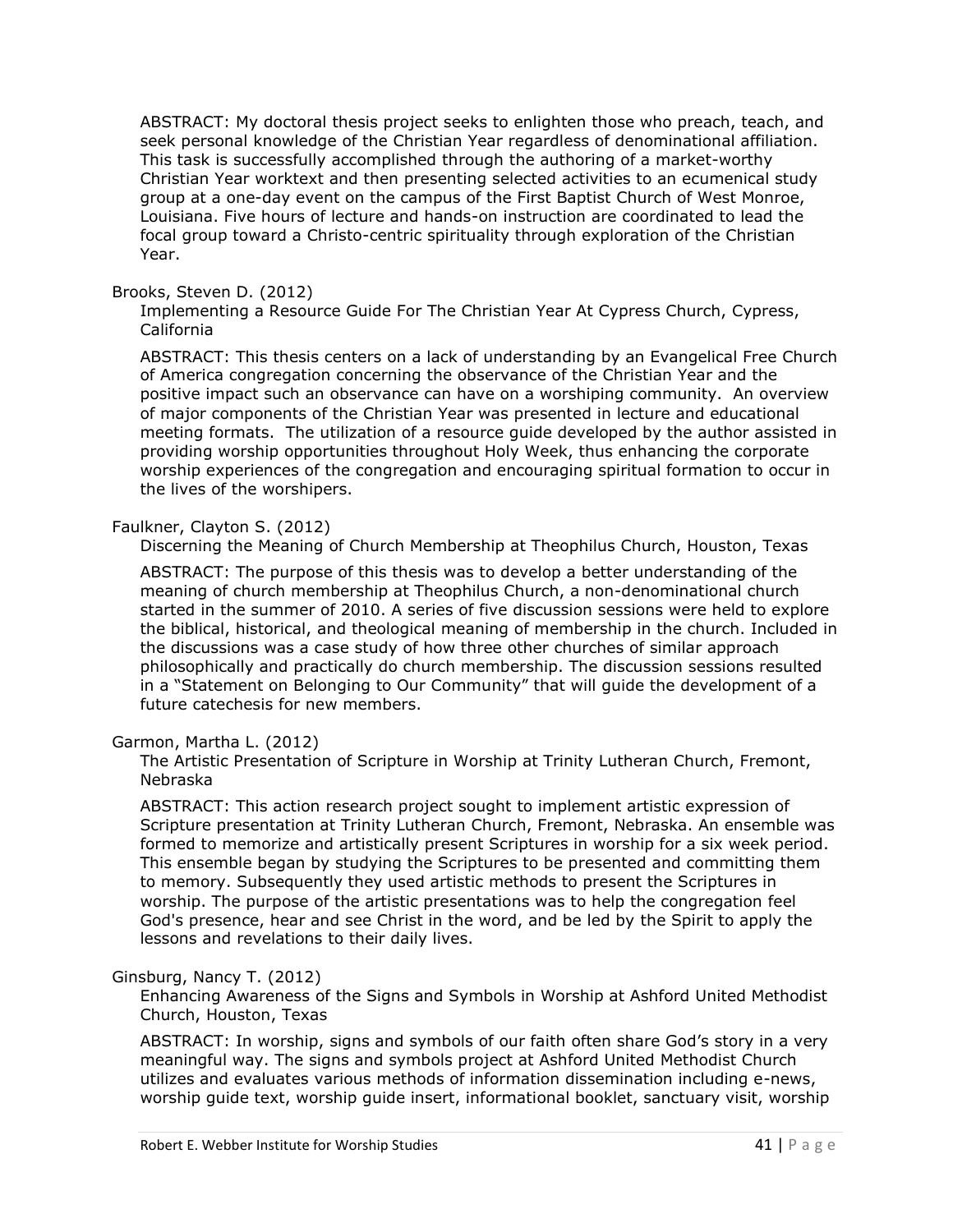ABSTRACT: My doctoral thesis project seeks to enlighten those who preach, teach, and seek personal knowledge of the Christian Year regardless of denominational affiliation. This task is successfully accomplished through the authoring of a market-worthy Christian Year worktext and then presenting selected activities to an ecumenical study group at a one-day event on the campus of the First Baptist Church of West Monroe, Louisiana. Five hours of lecture and hands-on instruction are coordinated to lead the focal group toward a Christo-centric spirituality through exploration of the Christian Year.

## Brooks, Steven D. (2012)

Implementing a Resource Guide For The Christian Year At Cypress Church, Cypress, California

ABSTRACT: This thesis centers on a lack of understanding by an Evangelical Free Church of America congregation concerning the observance of the Christian Year and the positive impact such an observance can have on a worshiping community. An overview of major components of the Christian Year was presented in lecture and educational meeting formats. The utilization of a resource guide developed by the author assisted in providing worship opportunities throughout Holy Week, thus enhancing the corporate worship experiences of the congregation and encouraging spiritual formation to occur in the lives of the worshipers.

## Faulkner, Clayton S. (2012)

Discerning the Meaning of Church Membership at Theophilus Church, Houston, Texas

ABSTRACT: The purpose of this thesis was to develop a better understanding of the meaning of church membership at Theophilus Church, a non-denominational church started in the summer of 2010. A series of five discussion sessions were held to explore the biblical, historical, and theological meaning of membership in the church. Included in the discussions was a case study of how three other churches of similar approach philosophically and practically do church membership. The discussion sessions resulted in a "Statement on Belonging to Our Community" that will guide the development of a future catechesis for new members.

#### Garmon, Martha L. (2012)

The Artistic Presentation of Scripture in Worship at Trinity Lutheran Church, Fremont, Nebraska

ABSTRACT: This action research project sought to implement artistic expression of Scripture presentation at Trinity Lutheran Church, Fremont, Nebraska. An ensemble was formed to memorize and artistically present Scriptures in worship for a six week period. This ensemble began by studying the Scriptures to be presented and committing them to memory. Subsequently they used artistic methods to present the Scriptures in worship. The purpose of the artistic presentations was to help the congregation feel God's presence, hear and see Christ in the word, and be led by the Spirit to apply the lessons and revelations to their daily lives.

#### Ginsburg, Nancy T. (2012)

Enhancing Awareness of the Signs and Symbols in Worship at Ashford United Methodist Church, Houston, Texas

ABSTRACT: In worship, signs and symbols of our faith often share God's story in a very meaningful way. The signs and symbols project at Ashford United Methodist Church utilizes and evaluates various methods of information dissemination including e-news, worship guide text, worship guide insert, informational booklet, sanctuary visit, worship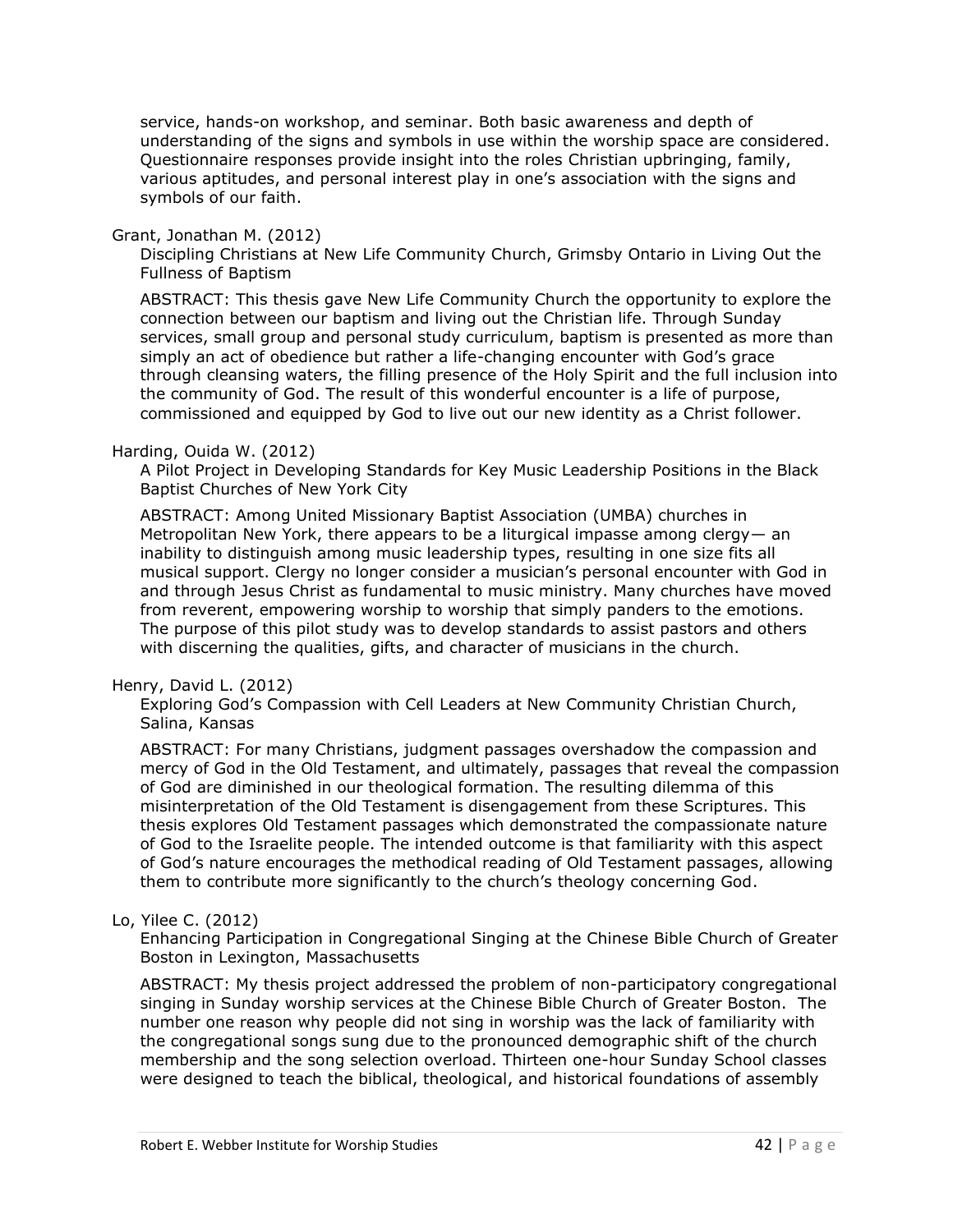service, hands-on workshop, and seminar. Both basic awareness and depth of understanding of the signs and symbols in use within the worship space are considered. Questionnaire responses provide insight into the roles Christian upbringing, family, various aptitudes, and personal interest play in one's association with the signs and symbols of our faith.

#### Grant, Jonathan M. (2012)

Discipling Christians at New Life Community Church, Grimsby Ontario in Living Out the Fullness of Baptism

ABSTRACT: This thesis gave New Life Community Church the opportunity to explore the connection between our baptism and living out the Christian life. Through Sunday services, small group and personal study curriculum, baptism is presented as more than simply an act of obedience but rather a life-changing encounter with God's grace through cleansing waters, the filling presence of the Holy Spirit and the full inclusion into the community of God. The result of this wonderful encounter is a life of purpose, commissioned and equipped by God to live out our new identity as a Christ follower.

## Harding, Ouida W. (2012)

A Pilot Project in Developing Standards for Key Music Leadership Positions in the Black Baptist Churches of New York City

ABSTRACT: Among United Missionary Baptist Association (UMBA) churches in Metropolitan New York, there appears to be a liturgical impasse among clergy— an inability to distinguish among music leadership types, resulting in one size fits all musical support. Clergy no longer consider a musician's personal encounter with God in and through Jesus Christ as fundamental to music ministry. Many churches have moved from reverent, empowering worship to worship that simply panders to the emotions. The purpose of this pilot study was to develop standards to assist pastors and others with discerning the qualities, gifts, and character of musicians in the church.

#### Henry, David L. (2012)

Exploring God's Compassion with Cell Leaders at New Community Christian Church, Salina, Kansas

ABSTRACT: For many Christians, judgment passages overshadow the compassion and mercy of God in the Old Testament, and ultimately, passages that reveal the compassion of God are diminished in our theological formation. The resulting dilemma of this misinterpretation of the Old Testament is disengagement from these Scriptures. This thesis explores Old Testament passages which demonstrated the compassionate nature of God to the Israelite people. The intended outcome is that familiarity with this aspect of God's nature encourages the methodical reading of Old Testament passages, allowing them to contribute more significantly to the church's theology concerning God.

# Lo, Yilee C. (2012)

Enhancing Participation in Congregational Singing at the Chinese Bible Church of Greater Boston in Lexington, Massachusetts

ABSTRACT: My thesis project addressed the problem of non-participatory congregational singing in Sunday worship services at the Chinese Bible Church of Greater Boston. The number one reason why people did not sing in worship was the lack of familiarity with the congregational songs sung due to the pronounced demographic shift of the church membership and the song selection overload. Thirteen one-hour Sunday School classes were designed to teach the biblical, theological, and historical foundations of assembly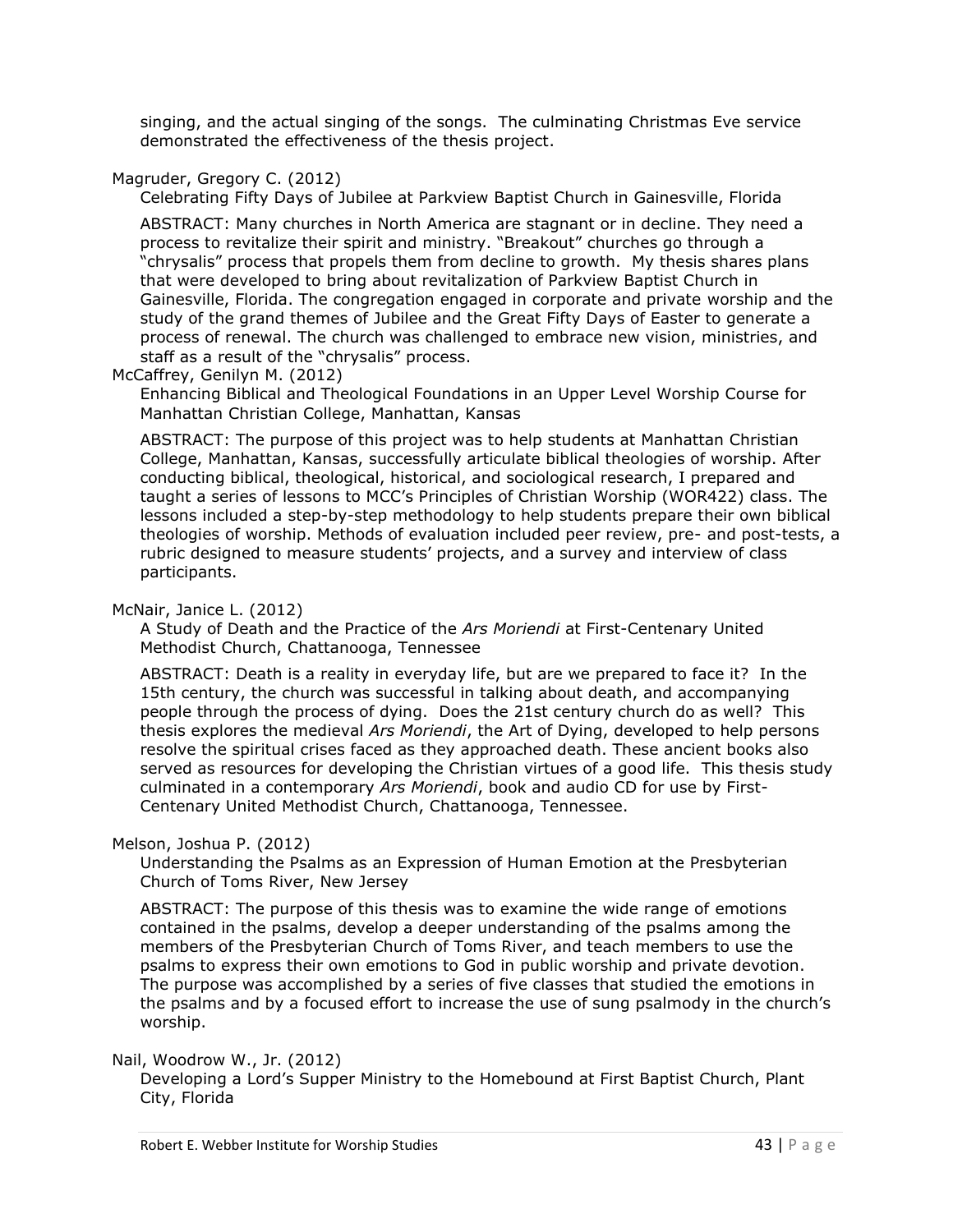singing, and the actual singing of the songs. The culminating Christmas Eve service demonstrated the effectiveness of the thesis project.

# Magruder, Gregory C. (2012)

Celebrating Fifty Days of Jubilee at Parkview Baptist Church in Gainesville, Florida

ABSTRACT: Many churches in North America are stagnant or in decline. They need a process to revitalize their spirit and ministry. "Breakout" churches go through a "chrysalis" process that propels them from decline to growth. My thesis shares plans that were developed to bring about revitalization of Parkview Baptist Church in Gainesville, Florida. The congregation engaged in corporate and private worship and the study of the grand themes of Jubilee and the Great Fifty Days of Easter to generate a process of renewal. The church was challenged to embrace new vision, ministries, and staff as a result of the "chrysalis" process.

McCaffrey, Genilyn M. (2012)

Enhancing Biblical and Theological Foundations in an Upper Level Worship Course for Manhattan Christian College, Manhattan, Kansas

ABSTRACT: The purpose of this project was to help students at Manhattan Christian College, Manhattan, Kansas, successfully articulate biblical theologies of worship. After conducting biblical, theological, historical, and sociological research, I prepared and taught a series of lessons to MCC's Principles of Christian Worship (WOR422) class. The lessons included a step-by-step methodology to help students prepare their own biblical theologies of worship. Methods of evaluation included peer review, pre- and post-tests, a rubric designed to measure students' projects, and a survey and interview of class participants.

## McNair, Janice L. (2012)

A Study of Death and the Practice of the *Ars Moriendi* at First-Centenary United Methodist Church, Chattanooga, Tennessee

ABSTRACT: Death is a reality in everyday life, but are we prepared to face it? In the 15th century, the church was successful in talking about death, and accompanying people through the process of dying. Does the 21st century church do as well? This thesis explores the medieval *Ars Moriendi*, the Art of Dying, developed to help persons resolve the spiritual crises faced as they approached death. These ancient books also served as resources for developing the Christian virtues of a good life. This thesis study culminated in a contemporary *Ars Moriendi*, book and audio CD for use by First-Centenary United Methodist Church, Chattanooga, Tennessee.

# Melson, Joshua P. (2012)

Understanding the Psalms as an Expression of Human Emotion at the Presbyterian Church of Toms River, New Jersey

ABSTRACT: The purpose of this thesis was to examine the wide range of emotions contained in the psalms, develop a deeper understanding of the psalms among the members of the Presbyterian Church of Toms River, and teach members to use the psalms to express their own emotions to God in public worship and private devotion. The purpose was accomplished by a series of five classes that studied the emotions in the psalms and by a focused effort to increase the use of sung psalmody in the church's worship.

#### Nail, Woodrow W., Jr. (2012)

Developing a Lord's Supper Ministry to the Homebound at First Baptist Church, Plant City, Florida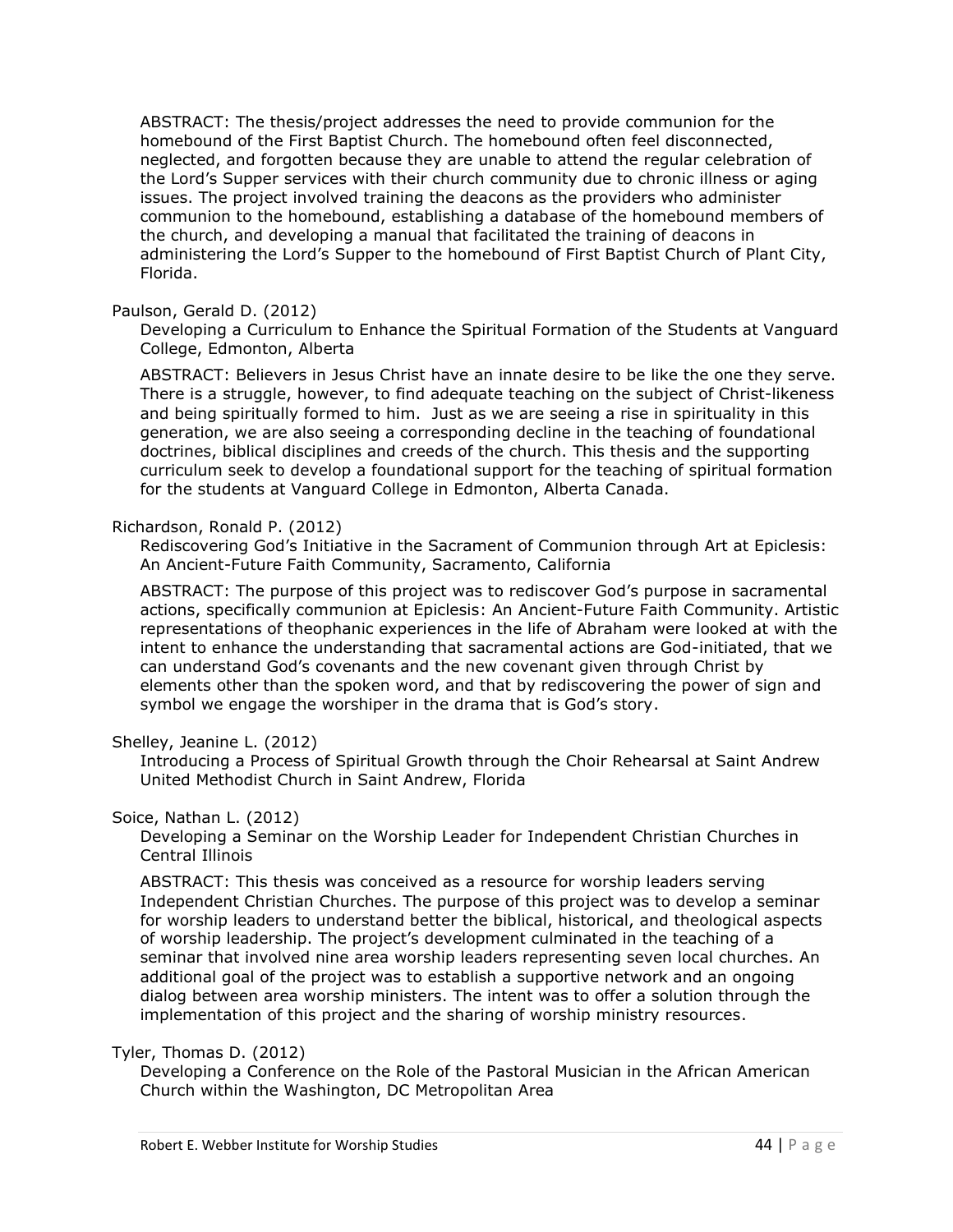ABSTRACT: The thesis/project addresses the need to provide communion for the homebound of the First Baptist Church. The homebound often feel disconnected, neglected, and forgotten because they are unable to attend the regular celebration of the Lord's Supper services with their church community due to chronic illness or aging issues. The project involved training the deacons as the providers who administer communion to the homebound, establishing a database of the homebound members of the church, and developing a manual that facilitated the training of deacons in administering the Lord's Supper to the homebound of First Baptist Church of Plant City, Florida.

#### Paulson, Gerald D. (2012)

Developing a Curriculum to Enhance the Spiritual Formation of the Students at Vanguard College, Edmonton, Alberta

ABSTRACT: Believers in Jesus Christ have an innate desire to be like the one they serve. There is a struggle, however, to find adequate teaching on the subject of Christ-likeness and being spiritually formed to him. Just as we are seeing a rise in spirituality in this generation, we are also seeing a corresponding decline in the teaching of foundational doctrines, biblical disciplines and creeds of the church. This thesis and the supporting curriculum seek to develop a foundational support for the teaching of spiritual formation for the students at Vanguard College in Edmonton, Alberta Canada.

#### Richardson, Ronald P. (2012)

Rediscovering God's Initiative in the Sacrament of Communion through Art at Epiclesis: An Ancient-Future Faith Community, Sacramento, California

ABSTRACT: The purpose of this project was to rediscover God's purpose in sacramental actions, specifically communion at Epiclesis: An Ancient-Future Faith Community. Artistic representations of theophanic experiences in the life of Abraham were looked at with the intent to enhance the understanding that sacramental actions are God-initiated, that we can understand God's covenants and the new covenant given through Christ by elements other than the spoken word, and that by rediscovering the power of sign and symbol we engage the worshiper in the drama that is God's story.

#### Shelley, Jeanine L. (2012)

Introducing a Process of Spiritual Growth through the Choir Rehearsal at Saint Andrew United Methodist Church in Saint Andrew, Florida

#### Soice, Nathan L. (2012)

Developing a Seminar on the Worship Leader for Independent Christian Churches in Central Illinois

ABSTRACT: This thesis was conceived as a resource for worship leaders serving Independent Christian Churches. The purpose of this project was to develop a seminar for worship leaders to understand better the biblical, historical, and theological aspects of worship leadership. The project's development culminated in the teaching of a seminar that involved nine area worship leaders representing seven local churches. An additional goal of the project was to establish a supportive network and an ongoing dialog between area worship ministers. The intent was to offer a solution through the implementation of this project and the sharing of worship ministry resources.

# Tyler, Thomas D. (2012)

Developing a Conference on the Role of the Pastoral Musician in the African American Church within the Washington, DC Metropolitan Area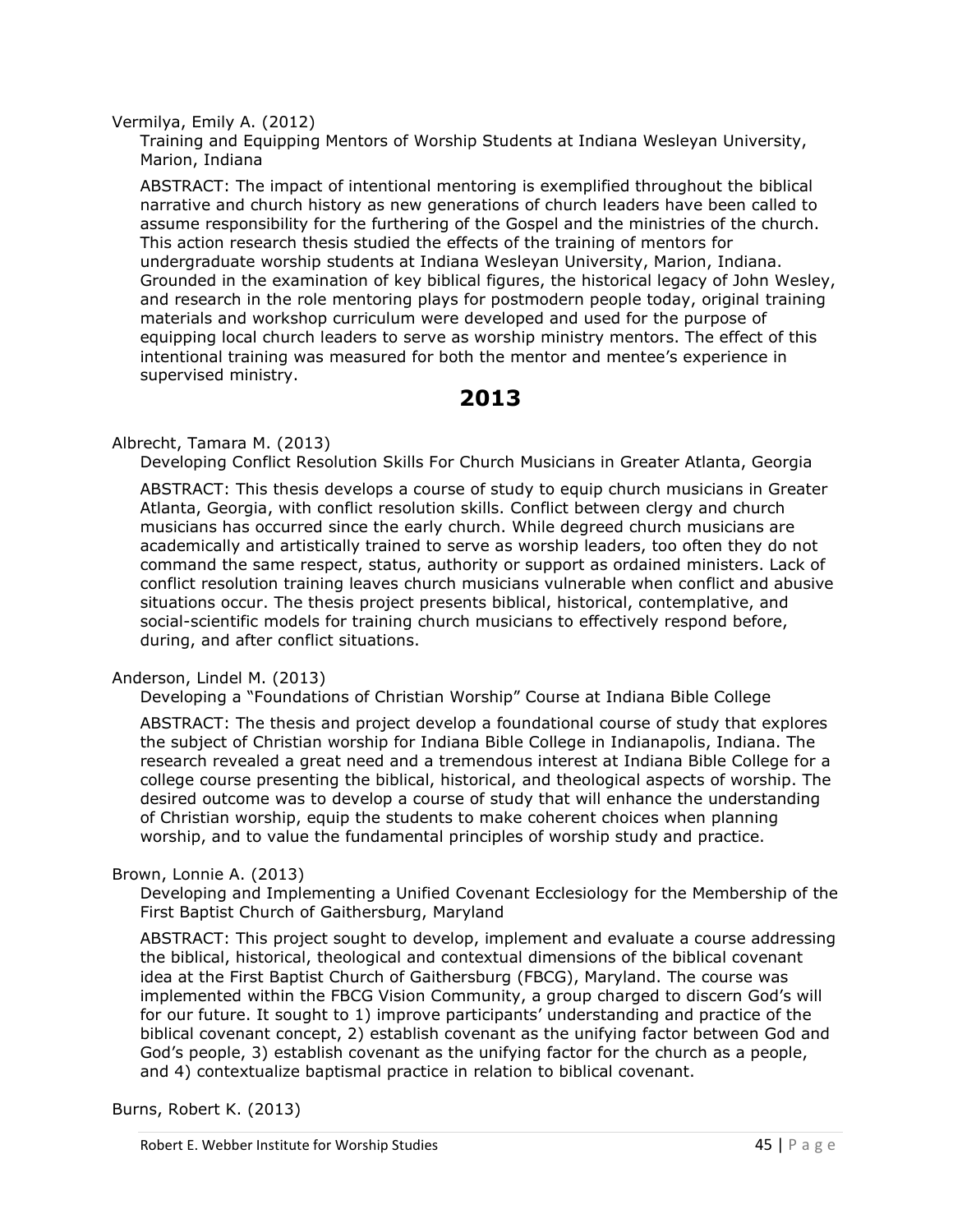Vermilya, Emily A. (2012)

Training and Equipping Mentors of Worship Students at Indiana Wesleyan University, Marion, Indiana

ABSTRACT: The impact of intentional mentoring is exemplified throughout the biblical narrative and church history as new generations of church leaders have been called to assume responsibility for the furthering of the Gospel and the ministries of the church. This action research thesis studied the effects of the training of mentors for undergraduate worship students at Indiana Wesleyan University, Marion, Indiana. Grounded in the examination of key biblical figures, the historical legacy of John Wesley, and research in the role mentoring plays for postmodern people today, original training materials and workshop curriculum were developed and used for the purpose of equipping local church leaders to serve as worship ministry mentors. The effect of this intentional training was measured for both the mentor and mentee's experience in supervised ministry.

# **2013**

#### Albrecht, Tamara M. (2013)

Developing Conflict Resolution Skills For Church Musicians in Greater Atlanta, Georgia

ABSTRACT: This thesis develops a course of study to equip church musicians in Greater Atlanta, Georgia, with conflict resolution skills. Conflict between clergy and church musicians has occurred since the early church. While degreed church musicians are academically and artistically trained to serve as worship leaders, too often they do not command the same respect, status, authority or support as ordained ministers. Lack of conflict resolution training leaves church musicians vulnerable when conflict and abusive situations occur. The thesis project presents biblical, historical, contemplative, and social-scientific models for training church musicians to effectively respond before, during, and after conflict situations.

#### Anderson, Lindel M. (2013)

Developing a "Foundations of Christian Worship" Course at Indiana Bible College

ABSTRACT: The thesis and project develop a foundational course of study that explores the subject of Christian worship for Indiana Bible College in Indianapolis, Indiana. The research revealed a great need and a tremendous interest at Indiana Bible College for a college course presenting the biblical, historical, and theological aspects of worship. The desired outcome was to develop a course of study that will enhance the understanding of Christian worship, equip the students to make coherent choices when planning worship, and to value the fundamental principles of worship study and practice.

#### Brown, Lonnie A. (2013)

Developing and Implementing a Unified Covenant Ecclesiology for the Membership of the First Baptist Church of Gaithersburg, Maryland

ABSTRACT: This project sought to develop, implement and evaluate a course addressing the biblical, historical, theological and contextual dimensions of the biblical covenant idea at the First Baptist Church of Gaithersburg (FBCG), Maryland. The course was implemented within the FBCG Vision Community, a group charged to discern God's will for our future. It sought to 1) improve participants' understanding and practice of the biblical covenant concept, 2) establish covenant as the unifying factor between God and God's people, 3) establish covenant as the unifying factor for the church as a people, and 4) contextualize baptismal practice in relation to biblical covenant.

Burns, Robert K. (2013)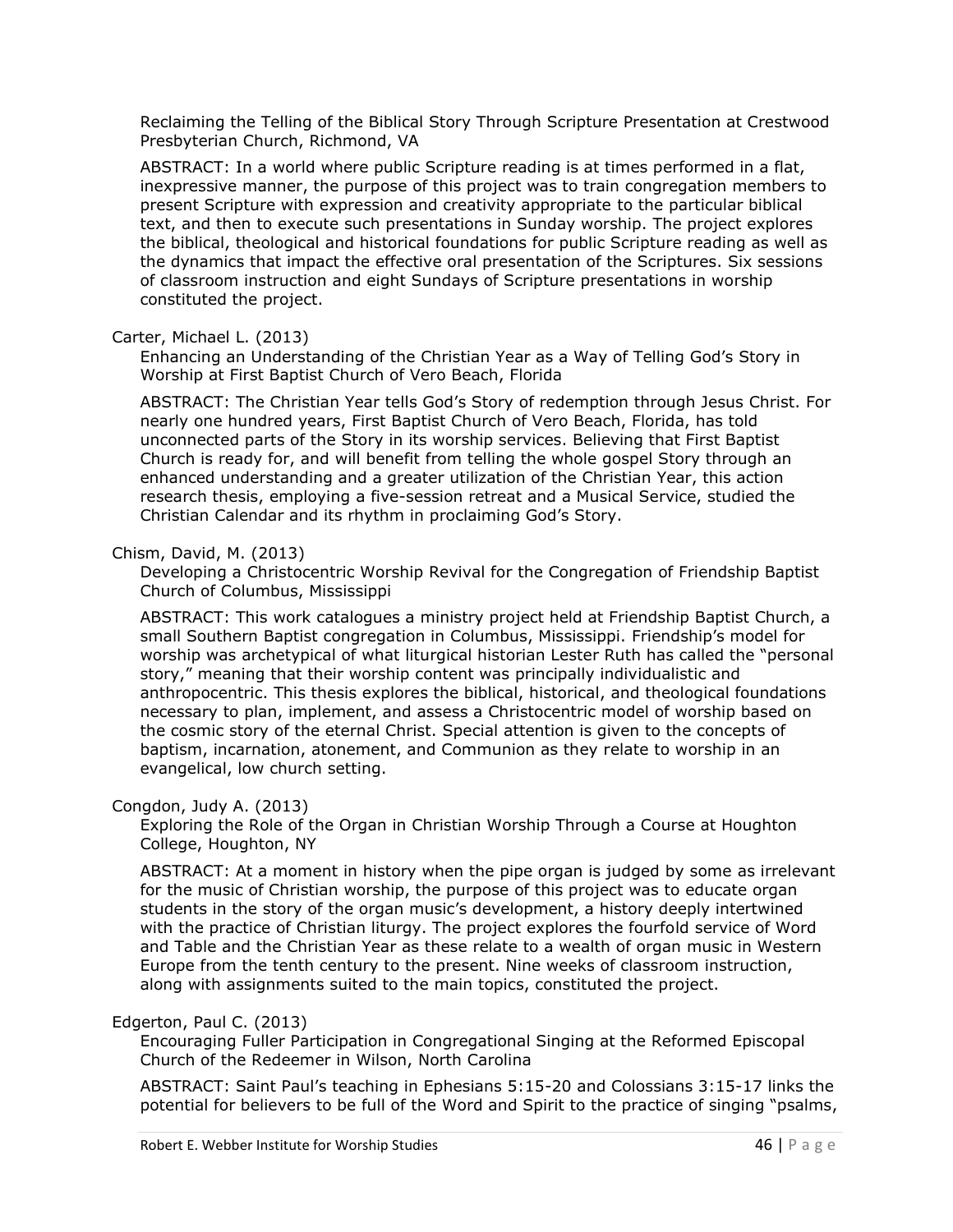Reclaiming the Telling of the Biblical Story Through Scripture Presentation at Crestwood Presbyterian Church, Richmond, VA

ABSTRACT: In a world where public Scripture reading is at times performed in a flat, inexpressive manner, the purpose of this project was to train congregation members to present Scripture with expression and creativity appropriate to the particular biblical text, and then to execute such presentations in Sunday worship. The project explores the biblical, theological and historical foundations for public Scripture reading as well as the dynamics that impact the effective oral presentation of the Scriptures. Six sessions of classroom instruction and eight Sundays of Scripture presentations in worship constituted the project.

## Carter, Michael L. (2013)

Enhancing an Understanding of the Christian Year as a Way of Telling God's Story in Worship at First Baptist Church of Vero Beach, Florida

ABSTRACT: The Christian Year tells God's Story of redemption through Jesus Christ. For nearly one hundred years, First Baptist Church of Vero Beach, Florida, has told unconnected parts of the Story in its worship services. Believing that First Baptist Church is ready for, and will benefit from telling the whole gospel Story through an enhanced understanding and a greater utilization of the Christian Year, this action research thesis, employing a five-session retreat and a Musical Service, studied the Christian Calendar and its rhythm in proclaiming God's Story.

#### Chism, David, M. (2013)

Developing a Christocentric Worship Revival for the Congregation of Friendship Baptist Church of Columbus, Mississippi

ABSTRACT: This work catalogues a ministry project held at Friendship Baptist Church, a small Southern Baptist congregation in Columbus, Mississippi. Friendship's model for worship was archetypical of what liturgical historian Lester Ruth has called the "personal story," meaning that their worship content was principally individualistic and anthropocentric. This thesis explores the biblical, historical, and theological foundations necessary to plan, implement, and assess a Christocentric model of worship based on the cosmic story of the eternal Christ. Special attention is given to the concepts of baptism, incarnation, atonement, and Communion as they relate to worship in an evangelical, low church setting.

#### Congdon, Judy A. (2013)

Exploring the Role of the Organ in Christian Worship Through a Course at Houghton College, Houghton, NY

ABSTRACT: At a moment in history when the pipe organ is judged by some as irrelevant for the music of Christian worship, the purpose of this project was to educate organ students in the story of the organ music's development, a history deeply intertwined with the practice of Christian liturgy. The project explores the fourfold service of Word and Table and the Christian Year as these relate to a wealth of organ music in Western Europe from the tenth century to the present. Nine weeks of classroom instruction, along with assignments suited to the main topics, constituted the project.

#### Edgerton, Paul C. (2013)

Encouraging Fuller Participation in Congregational Singing at the Reformed Episcopal Church of the Redeemer in Wilson, North Carolina

ABSTRACT: Saint Paul's teaching in Ephesians 5:15-20 and Colossians 3:15-17 links the potential for believers to be full of the Word and Spirit to the practice of singing "psalms,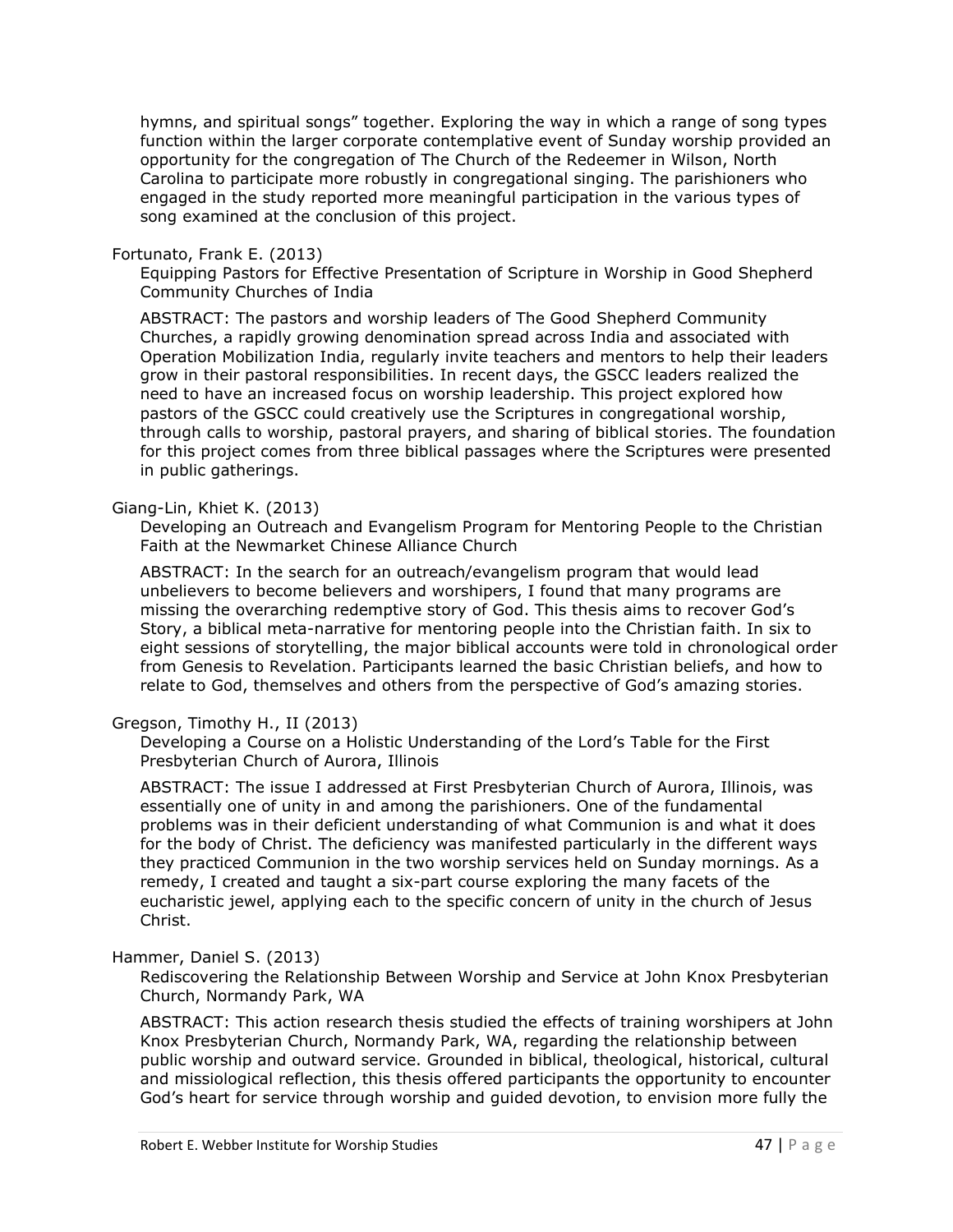hymns, and spiritual songs" together. Exploring the way in which a range of song types function within the larger corporate contemplative event of Sunday worship provided an opportunity for the congregation of The Church of the Redeemer in Wilson, North Carolina to participate more robustly in congregational singing. The parishioners who engaged in the study reported more meaningful participation in the various types of song examined at the conclusion of this project.

#### Fortunato, Frank E. (2013)

Equipping Pastors for Effective Presentation of Scripture in Worship in Good Shepherd Community Churches of India

ABSTRACT: The pastors and worship leaders of The Good Shepherd Community Churches, a rapidly growing denomination spread across India and associated with Operation Mobilization India, regularly invite teachers and mentors to help their leaders grow in their pastoral responsibilities. In recent days, the GSCC leaders realized the need to have an increased focus on worship leadership. This project explored how pastors of the GSCC could creatively use the Scriptures in congregational worship, through calls to worship, pastoral prayers, and sharing of biblical stories. The foundation for this project comes from three biblical passages where the Scriptures were presented in public gatherings.

#### Giang-Lin, Khiet K. (2013)

Developing an Outreach and Evangelism Program for Mentoring People to the Christian Faith at the Newmarket Chinese Alliance Church

ABSTRACT: In the search for an outreach/evangelism program that would lead unbelievers to become believers and worshipers, I found that many programs are missing the overarching redemptive story of God. This thesis aims to recover God's Story, a biblical meta-narrative for mentoring people into the Christian faith. In six to eight sessions of storytelling, the major biblical accounts were told in chronological order from Genesis to Revelation. Participants learned the basic Christian beliefs, and how to relate to God, themselves and others from the perspective of God's amazing stories.

#### Gregson, Timothy H., II (2013)

Developing a Course on a Holistic Understanding of the Lord's Table for the First Presbyterian Church of Aurora, Illinois

ABSTRACT: The issue I addressed at First Presbyterian Church of Aurora, Illinois, was essentially one of unity in and among the parishioners. One of the fundamental problems was in their deficient understanding of what Communion is and what it does for the body of Christ. The deficiency was manifested particularly in the different ways they practiced Communion in the two worship services held on Sunday mornings. As a remedy, I created and taught a six-part course exploring the many facets of the eucharistic jewel, applying each to the specific concern of unity in the church of Jesus Christ.

## Hammer, Daniel S. (2013)

Rediscovering the Relationship Between Worship and Service at John Knox Presbyterian Church, Normandy Park, WA

ABSTRACT: This action research thesis studied the effects of training worshipers at John Knox Presbyterian Church, Normandy Park, WA, regarding the relationship between public worship and outward service. Grounded in biblical, theological, historical, cultural and missiological reflection, this thesis offered participants the opportunity to encounter God's heart for service through worship and guided devotion, to envision more fully the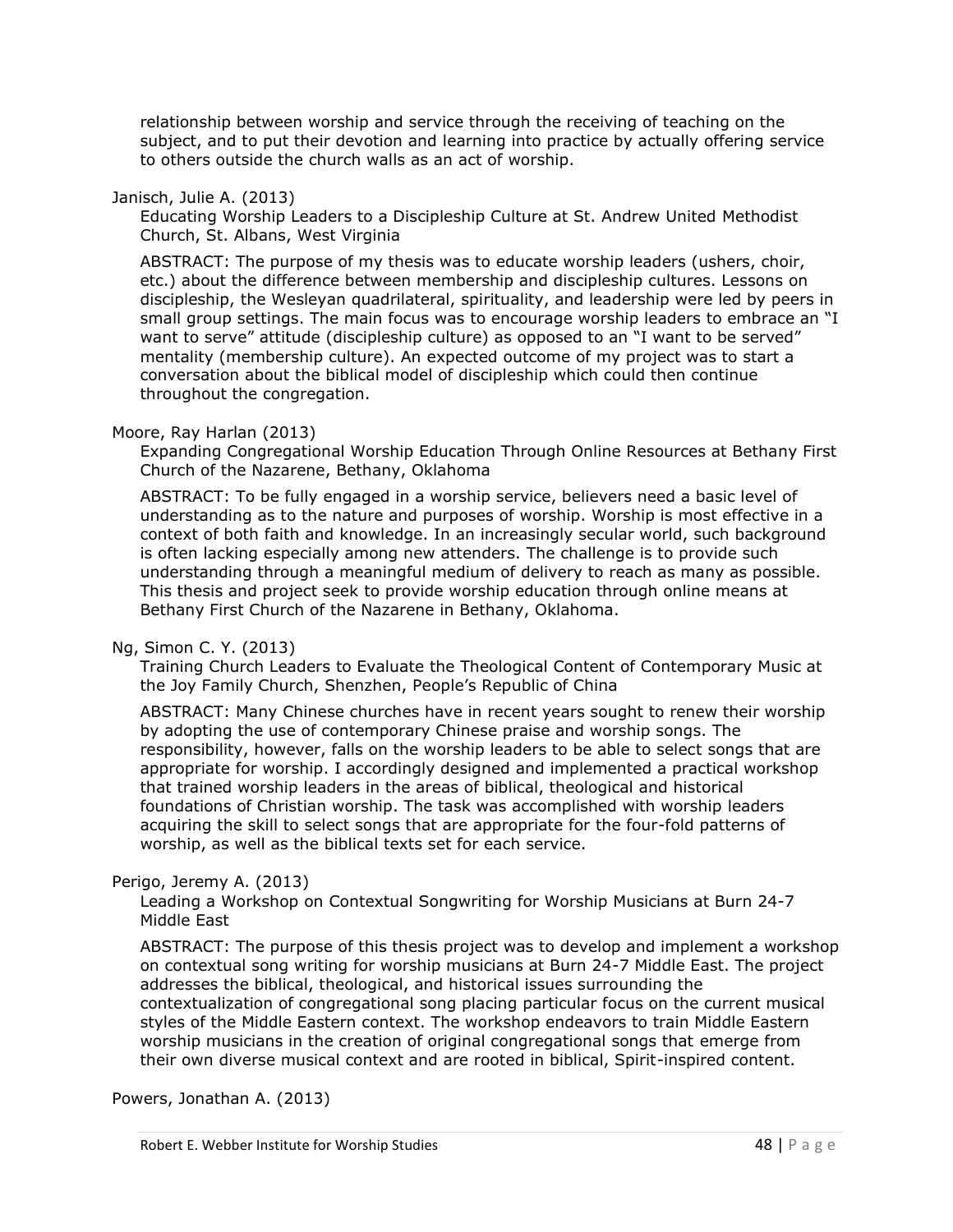relationship between worship and service through the receiving of teaching on the subject, and to put their devotion and learning into practice by actually offering service to others outside the church walls as an act of worship.

#### Janisch, Julie A. (2013)

Educating Worship Leaders to a Discipleship Culture at St. Andrew United Methodist Church, St. Albans, West Virginia

ABSTRACT: The purpose of my thesis was to educate worship leaders (ushers, choir, etc.) about the difference between membership and discipleship cultures. Lessons on discipleship, the Wesleyan quadrilateral, spirituality, and leadership were led by peers in small group settings. The main focus was to encourage worship leaders to embrace an "I want to serve" attitude (discipleship culture) as opposed to an "I want to be served" mentality (membership culture). An expected outcome of my project was to start a conversation about the biblical model of discipleship which could then continue throughout the congregation.

#### Moore, Ray Harlan (2013)

Expanding Congregational Worship Education Through Online Resources at Bethany First Church of the Nazarene, Bethany, Oklahoma

ABSTRACT: To be fully engaged in a worship service, believers need a basic level of understanding as to the nature and purposes of worship. Worship is most effective in a context of both faith and knowledge. In an increasingly secular world, such background is often lacking especially among new attenders. The challenge is to provide such understanding through a meaningful medium of delivery to reach as many as possible. This thesis and project seek to provide worship education through online means at Bethany First Church of the Nazarene in Bethany, Oklahoma.

#### Ng, Simon C. Y. (2013)

Training Church Leaders to Evaluate the Theological Content of Contemporary Music at the Joy Family Church, Shenzhen, People's Republic of China

ABSTRACT: Many Chinese churches have in recent years sought to renew their worship by adopting the use of contemporary Chinese praise and worship songs. The responsibility, however, falls on the worship leaders to be able to select songs that are appropriate for worship. I accordingly designed and implemented a practical workshop that trained worship leaders in the areas of biblical, theological and historical foundations of Christian worship. The task was accomplished with worship leaders acquiring the skill to select songs that are appropriate for the four-fold patterns of worship, as well as the biblical texts set for each service.

#### Perigo, Jeremy A. (2013)

Leading a Workshop on Contextual Songwriting for Worship Musicians at Burn 24-7 Middle East

ABSTRACT: The purpose of this thesis project was to develop and implement a workshop on contextual song writing for worship musicians at Burn 24-7 Middle East. The project addresses the biblical, theological, and historical issues surrounding the contextualization of congregational song placing particular focus on the current musical styles of the Middle Eastern context. The workshop endeavors to train Middle Eastern worship musicians in the creation of original congregational songs that emerge from their own diverse musical context and are rooted in biblical, Spirit-inspired content.

Powers, Jonathan A. (2013)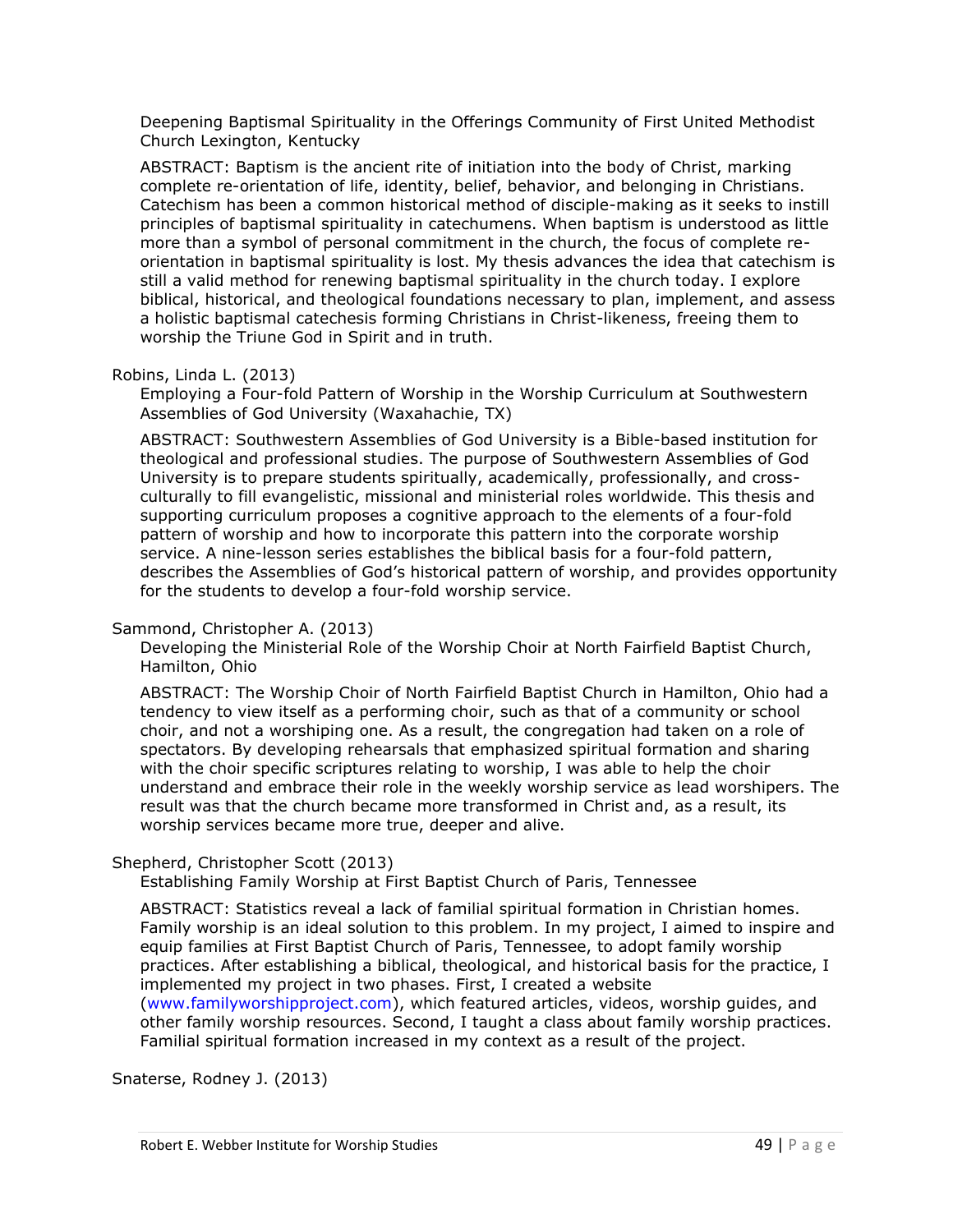Deepening Baptismal Spirituality in the Offerings Community of First United Methodist Church Lexington, Kentucky

ABSTRACT: Baptism is the ancient rite of initiation into the body of Christ, marking complete re-orientation of life, identity, belief, behavior, and belonging in Christians. Catechism has been a common historical method of disciple-making as it seeks to instill principles of baptismal spirituality in catechumens. When baptism is understood as little more than a symbol of personal commitment in the church, the focus of complete reorientation in baptismal spirituality is lost. My thesis advances the idea that catechism is still a valid method for renewing baptismal spirituality in the church today. I explore biblical, historical, and theological foundations necessary to plan, implement, and assess a holistic baptismal catechesis forming Christians in Christ-likeness, freeing them to worship the Triune God in Spirit and in truth.

Robins, Linda L. (2013)

Employing a Four-fold Pattern of Worship in the Worship Curriculum at Southwestern Assemblies of God University (Waxahachie, TX)

ABSTRACT: Southwestern Assemblies of God University is a Bible-based institution for theological and professional studies. The purpose of Southwestern Assemblies of God University is to prepare students spiritually, academically, professionally, and crossculturally to fill evangelistic, missional and ministerial roles worldwide. This thesis and supporting curriculum proposes a cognitive approach to the elements of a four-fold pattern of worship and how to incorporate this pattern into the corporate worship service. A nine-lesson series establishes the biblical basis for a four-fold pattern, describes the Assemblies of God's historical pattern of worship, and provides opportunity for the students to develop a four-fold worship service.

# Sammond, Christopher A. (2013)

Developing the Ministerial Role of the Worship Choir at North Fairfield Baptist Church, Hamilton, Ohio

ABSTRACT: The Worship Choir of North Fairfield Baptist Church in Hamilton, Ohio had a tendency to view itself as a performing choir, such as that of a community or school choir, and not a worshiping one. As a result, the congregation had taken on a role of spectators. By developing rehearsals that emphasized spiritual formation and sharing with the choir specific scriptures relating to worship, I was able to help the choir understand and embrace their role in the weekly worship service as lead worshipers. The result was that the church became more transformed in Christ and, as a result, its worship services became more true, deeper and alive.

# Shepherd, Christopher Scott (2013)

Establishing Family Worship at First Baptist Church of Paris, Tennessee

ABSTRACT: Statistics reveal a lack of familial spiritual formation in Christian homes. Family worship is an ideal solution to this problem. In my project, I aimed to inspire and equip families at First Baptist Church of Paris, Tennessee, to adopt family worship practices. After establishing a biblical, theological, and historical basis for the practice, I implemented my project in two phases. First, I created a website [\(www.familyworshipproject.com\)](http://www.familyworshipproject.com/), which featured articles, videos, worship guides, and other family worship resources. Second, I taught a class about family worship practices. Familial spiritual formation increased in my context as a result of the project.

Snaterse, Rodney J. (2013)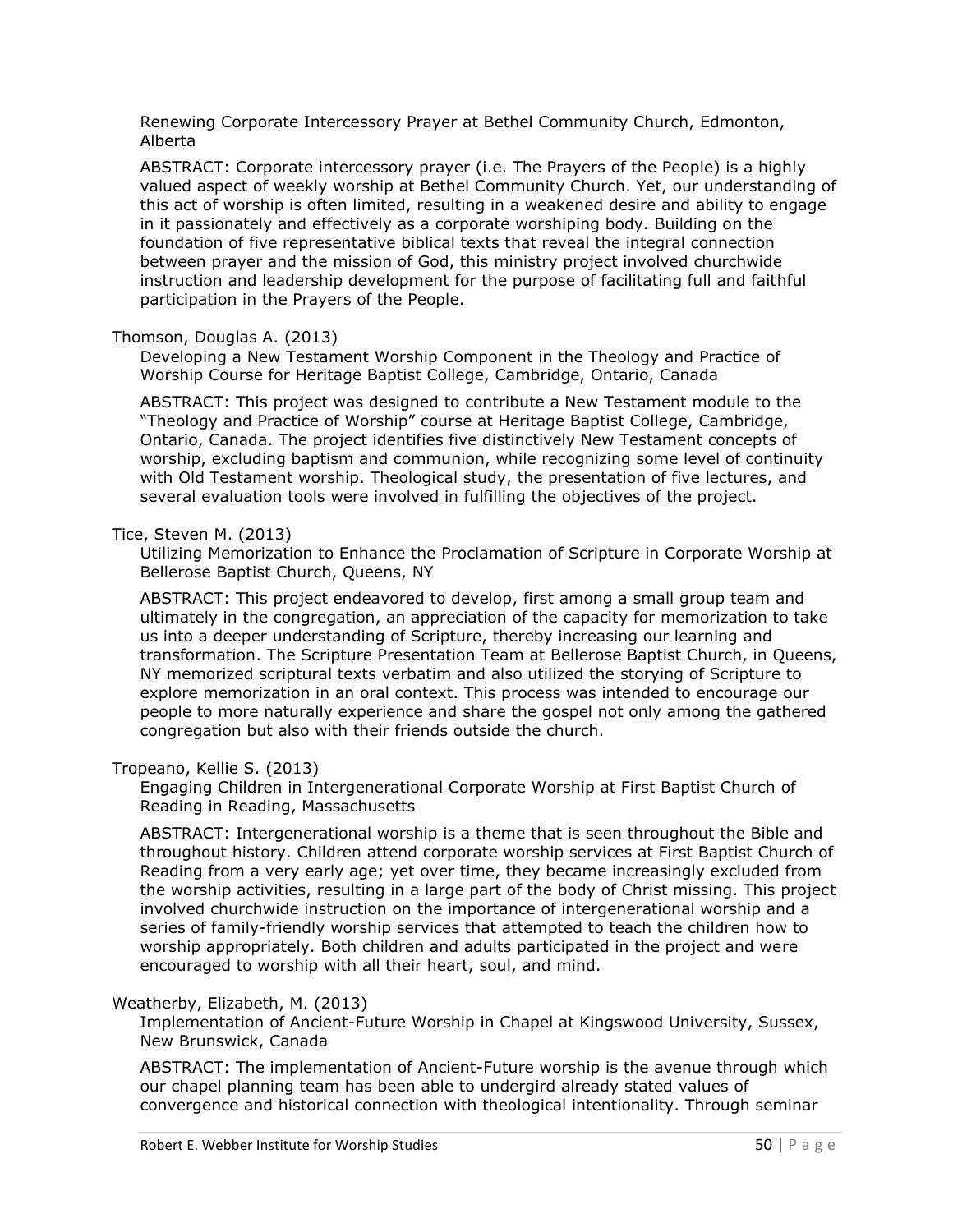Renewing Corporate Intercessory Prayer at Bethel Community Church, Edmonton, Alberta

ABSTRACT: Corporate intercessory prayer (i.e. The Prayers of the People) is a highly valued aspect of weekly worship at Bethel Community Church. Yet, our understanding of this act of worship is often limited, resulting in a weakened desire and ability to engage in it passionately and effectively as a corporate worshiping body. Building on the foundation of five representative biblical texts that reveal the integral connection between prayer and the mission of God, this ministry project involved churchwide instruction and leadership development for the purpose of facilitating full and faithful participation in the Prayers of the People.

## Thomson, Douglas A. (2013)

Developing a New Testament Worship Component in the Theology and Practice of Worship Course for Heritage Baptist College, Cambridge, Ontario, Canada

ABSTRACT: This project was designed to contribute a New Testament module to the "Theology and Practice of Worship" course at Heritage Baptist College, Cambridge, Ontario, Canada. The project identifies five distinctively New Testament concepts of worship, excluding baptism and communion, while recognizing some level of continuity with Old Testament worship. Theological study, the presentation of five lectures, and several evaluation tools were involved in fulfilling the objectives of the project.

#### Tice, Steven M. (2013)

Utilizing Memorization to Enhance the Proclamation of Scripture in Corporate Worship at Bellerose Baptist Church, Queens, NY

ABSTRACT: This project endeavored to develop, first among a small group team and ultimately in the congregation, an appreciation of the capacity for memorization to take us into a deeper understanding of Scripture, thereby increasing our learning and transformation. The Scripture Presentation Team at Bellerose Baptist Church, in Queens, NY memorized scriptural texts verbatim and also utilized the storying of Scripture to explore memorization in an oral context. This process was intended to encourage our people to more naturally experience and share the gospel not only among the gathered congregation but also with their friends outside the church.

#### Tropeano, Kellie S. (2013)

Engaging Children in Intergenerational Corporate Worship at First Baptist Church of Reading in Reading, Massachusetts

ABSTRACT: Intergenerational worship is a theme that is seen throughout the Bible and throughout history. Children attend corporate worship services at First Baptist Church of Reading from a very early age; yet over time, they became increasingly excluded from the worship activities, resulting in a large part of the body of Christ missing. This project involved churchwide instruction on the importance of intergenerational worship and a series of family-friendly worship services that attempted to teach the children how to worship appropriately. Both children and adults participated in the project and were encouraged to worship with all their heart, soul, and mind.

#### Weatherby, Elizabeth, M. (2013)

Implementation of Ancient-Future Worship in Chapel at Kingswood University, Sussex, New Brunswick, Canada

ABSTRACT: The implementation of Ancient-Future worship is the avenue through which our chapel planning team has been able to undergird already stated values of convergence and historical connection with theological intentionality. Through seminar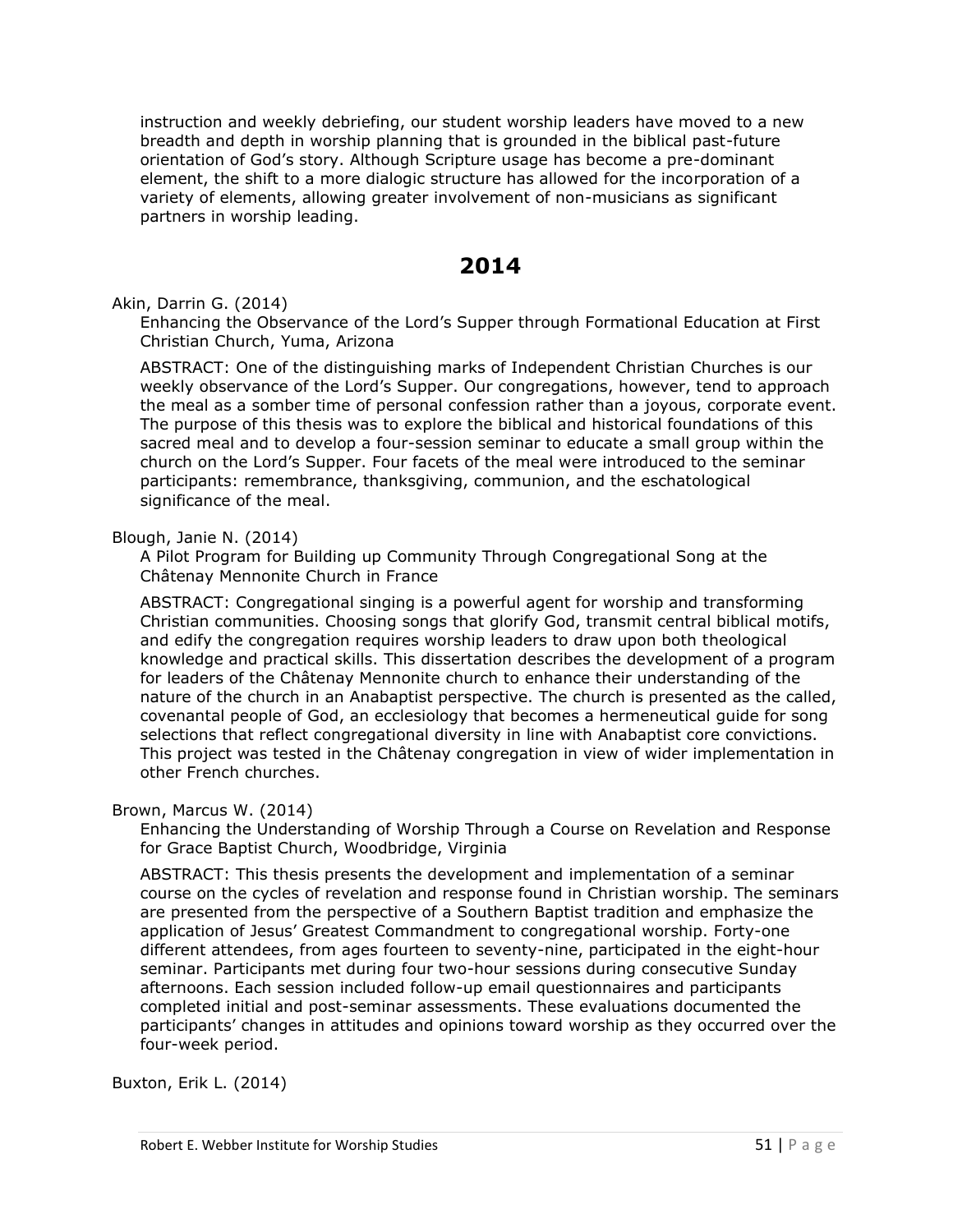instruction and weekly debriefing, our student worship leaders have moved to a new breadth and depth in worship planning that is grounded in the biblical past-future orientation of God's story. Although Scripture usage has become a pre-dominant element, the shift to a more dialogic structure has allowed for the incorporation of a variety of elements, allowing greater involvement of non-musicians as significant partners in worship leading.

# **2014**

Akin, Darrin G. (2014)

Enhancing the Observance of the Lord's Supper through Formational Education at First Christian Church, Yuma, Arizona

ABSTRACT: One of the distinguishing marks of Independent Christian Churches is our weekly observance of the Lord's Supper. Our congregations, however, tend to approach the meal as a somber time of personal confession rather than a joyous, corporate event. The purpose of this thesis was to explore the biblical and historical foundations of this sacred meal and to develop a four-session seminar to educate a small group within the church on the Lord's Supper. Four facets of the meal were introduced to the seminar participants: remembrance, thanksgiving, communion, and the eschatological significance of the meal.

#### Blough, Janie N. (2014)

A Pilot Program for Building up Community Through Congregational Song at the Châtenay Mennonite Church in France

ABSTRACT: Congregational singing is a powerful agent for worship and transforming Christian communities. Choosing songs that glorify God, transmit central biblical motifs, and edify the congregation requires worship leaders to draw upon both theological knowledge and practical skills. This dissertation describes the development of a program for leaders of the Châtenay Mennonite church to enhance their understanding of the nature of the church in an Anabaptist perspective. The church is presented as the called, covenantal people of God, an ecclesiology that becomes a hermeneutical guide for song selections that reflect congregational diversity in line with Anabaptist core convictions. This project was tested in the Châtenay congregation in view of wider implementation in other French churches.

#### Brown, Marcus W. (2014)

Enhancing the Understanding of Worship Through a Course on Revelation and Response for Grace Baptist Church, Woodbridge, Virginia

ABSTRACT: This thesis presents the development and implementation of a seminar course on the cycles of revelation and response found in Christian worship. The seminars are presented from the perspective of a Southern Baptist tradition and emphasize the application of Jesus' Greatest Commandment to congregational worship. Forty-one different attendees, from ages fourteen to seventy-nine, participated in the eight-hour seminar. Participants met during four two-hour sessions during consecutive Sunday afternoons. Each session included follow-up email questionnaires and participants completed initial and post-seminar assessments. These evaluations documented the participants' changes in attitudes and opinions toward worship as they occurred over the four-week period.

Buxton, Erik L. (2014)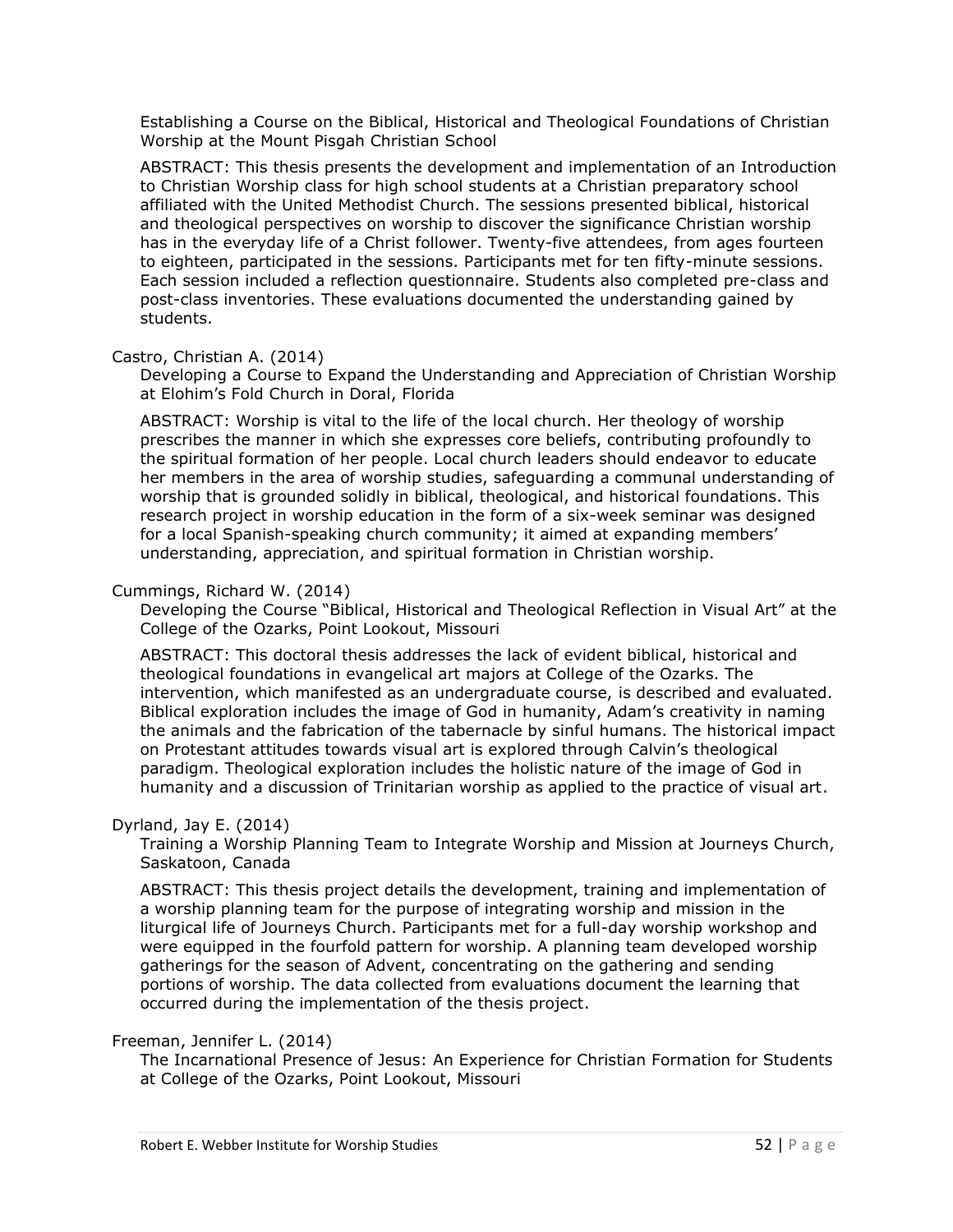Establishing a Course on the Biblical, Historical and Theological Foundations of Christian Worship at the Mount Pisgah Christian School

ABSTRACT: This thesis presents the development and implementation of an Introduction to Christian Worship class for high school students at a Christian preparatory school affiliated with the United Methodist Church. The sessions presented biblical, historical and theological perspectives on worship to discover the significance Christian worship has in the everyday life of a Christ follower. Twenty-five attendees, from ages fourteen to eighteen, participated in the sessions. Participants met for ten fifty-minute sessions. Each session included a reflection questionnaire. Students also completed pre-class and post-class inventories. These evaluations documented the understanding gained by students.

#### Castro, Christian A. (2014)

Developing a Course to Expand the Understanding and Appreciation of Christian Worship at Elohim's Fold Church in Doral, Florida

ABSTRACT: Worship is vital to the life of the local church. Her theology of worship prescribes the manner in which she expresses core beliefs, contributing profoundly to the spiritual formation of her people. Local church leaders should endeavor to educate her members in the area of worship studies, safeguarding a communal understanding of worship that is grounded solidly in biblical, theological, and historical foundations. This research project in worship education in the form of a six-week seminar was designed for a local Spanish-speaking church community; it aimed at expanding members' understanding, appreciation, and spiritual formation in Christian worship.

## Cummings, Richard W. (2014)

Developing the Course "Biblical, Historical and Theological Reflection in Visual Art" at the College of the Ozarks, Point Lookout, Missouri

ABSTRACT: This doctoral thesis addresses the lack of evident biblical, historical and theological foundations in evangelical art majors at College of the Ozarks. The intervention, which manifested as an undergraduate course, is described and evaluated. Biblical exploration includes the image of God in humanity, Adam's creativity in naming the animals and the fabrication of the tabernacle by sinful humans. The historical impact on Protestant attitudes towards visual art is explored through Calvin's theological paradigm. Theological exploration includes the holistic nature of the image of God in humanity and a discussion of Trinitarian worship as applied to the practice of visual art.

#### Dyrland, Jay E. (2014)

Training a Worship Planning Team to Integrate Worship and Mission at Journeys Church, Saskatoon, Canada

ABSTRACT: This thesis project details the development, training and implementation of a worship planning team for the purpose of integrating worship and mission in the liturgical life of Journeys Church. Participants met for a full-day worship workshop and were equipped in the fourfold pattern for worship. A planning team developed worship gatherings for the season of Advent, concentrating on the gathering and sending portions of worship. The data collected from evaluations document the learning that occurred during the implementation of the thesis project.

#### Freeman, Jennifer L. (2014)

The Incarnational Presence of Jesus: An Experience for Christian Formation for Students at College of the Ozarks, Point Lookout, Missouri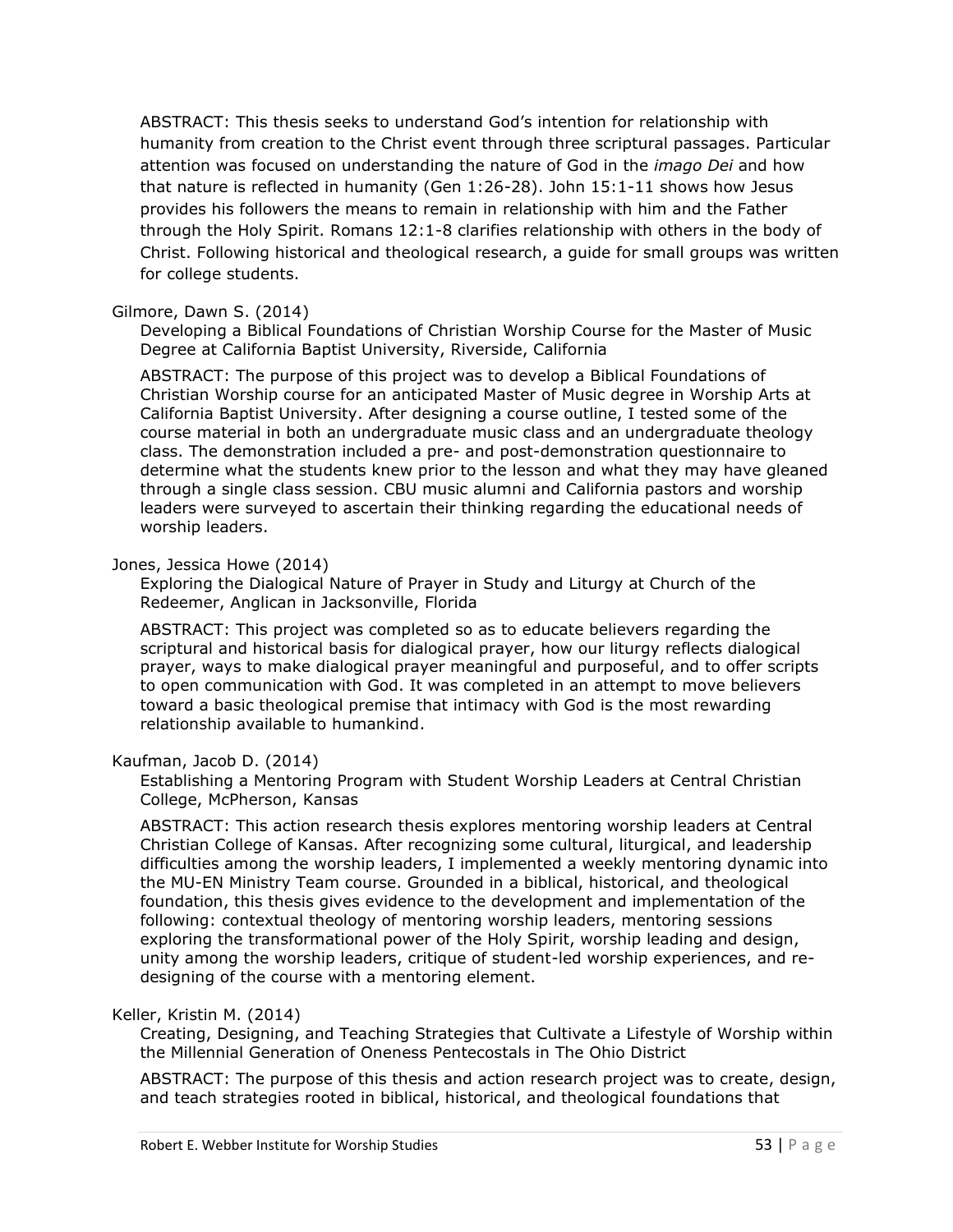ABSTRACT: This thesis seeks to understand God's intention for relationship with humanity from creation to the Christ event through three scriptural passages. Particular attention was focused on understanding the nature of God in the *imago Dei* and how that nature is reflected in humanity (Gen 1:26-28). John 15:1-11 shows how Jesus provides his followers the means to remain in relationship with him and the Father through the Holy Spirit. Romans 12:1-8 clarifies relationship with others in the body of Christ. Following historical and theological research, a guide for small groups was written for college students.

## Gilmore, Dawn S. (2014)

Developing a Biblical Foundations of Christian Worship Course for the Master of Music Degree at California Baptist University, Riverside, California

ABSTRACT: The purpose of this project was to develop a Biblical Foundations of Christian Worship course for an anticipated Master of Music degree in Worship Arts at California Baptist University. After designing a course outline, I tested some of the course material in both an undergraduate music class and an undergraduate theology class. The demonstration included a pre- and post-demonstration questionnaire to determine what the students knew prior to the lesson and what they may have gleaned through a single class session. CBU music alumni and California pastors and worship leaders were surveyed to ascertain their thinking regarding the educational needs of worship leaders.

## Jones, Jessica Howe (2014)

Exploring the Dialogical Nature of Prayer in Study and Liturgy at Church of the Redeemer, Anglican in Jacksonville, Florida

ABSTRACT: This project was completed so as to educate believers regarding the scriptural and historical basis for dialogical prayer, how our liturgy reflects dialogical prayer, ways to make dialogical prayer meaningful and purposeful, and to offer scripts to open communication with God. It was completed in an attempt to move believers toward a basic theological premise that intimacy with God is the most rewarding relationship available to humankind.

# Kaufman, Jacob D. (2014)

Establishing a Mentoring Program with Student Worship Leaders at Central Christian College, McPherson, Kansas

ABSTRACT: This action research thesis explores mentoring worship leaders at Central Christian College of Kansas. After recognizing some cultural, liturgical, and leadership difficulties among the worship leaders, I implemented a weekly mentoring dynamic into the MU-EN Ministry Team course. Grounded in a biblical, historical, and theological foundation, this thesis gives evidence to the development and implementation of the following: contextual theology of mentoring worship leaders, mentoring sessions exploring the transformational power of the Holy Spirit, worship leading and design, unity among the worship leaders, critique of student-led worship experiences, and redesigning of the course with a mentoring element.

#### Keller, Kristin M. (2014)

Creating, Designing, and Teaching Strategies that Cultivate a Lifestyle of Worship within the Millennial Generation of Oneness Pentecostals in The Ohio District

ABSTRACT: The purpose of this thesis and action research project was to create, design, and teach strategies rooted in biblical, historical, and theological foundations that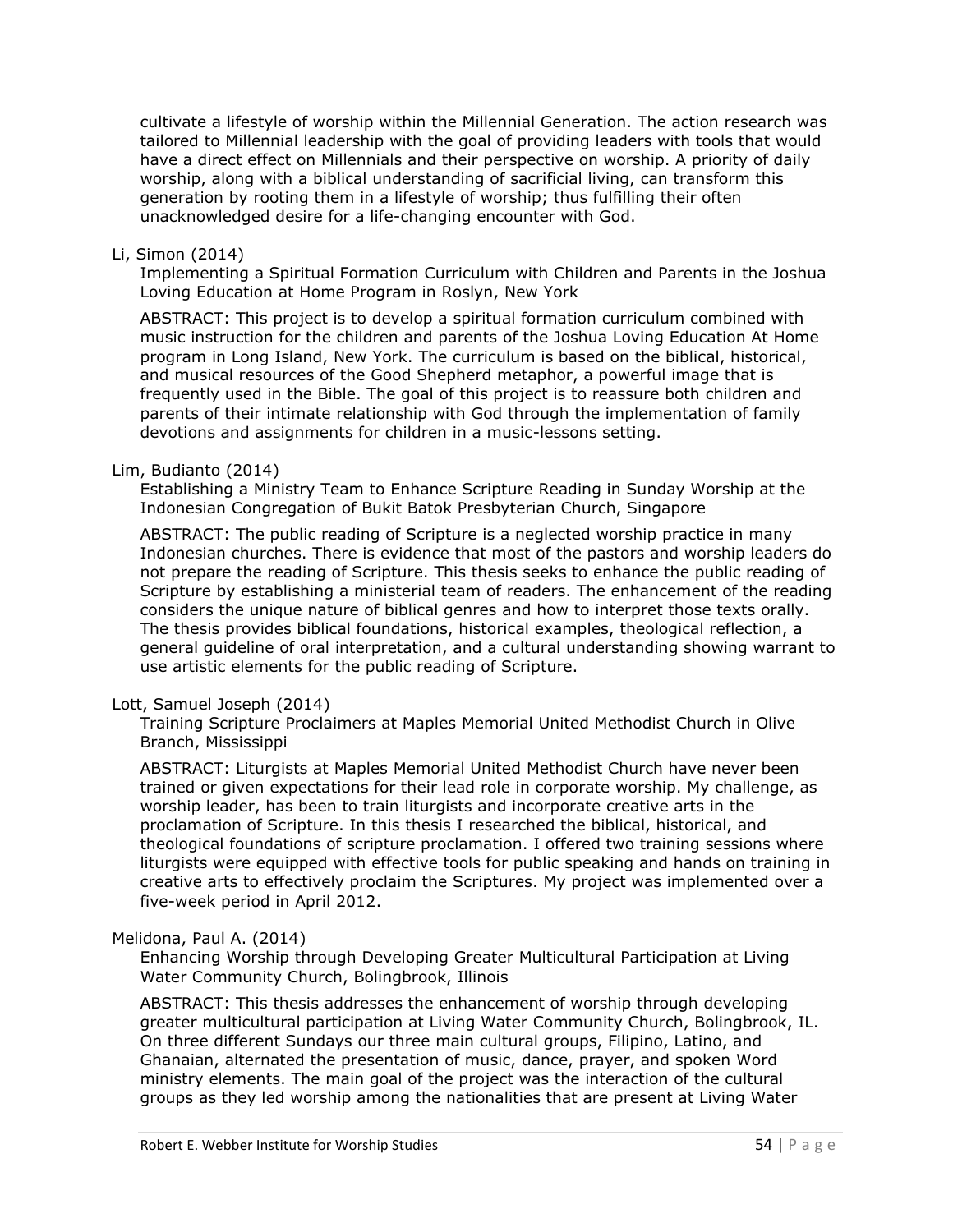cultivate a lifestyle of worship within the Millennial Generation. The action research was tailored to Millennial leadership with the goal of providing leaders with tools that would have a direct effect on Millennials and their perspective on worship. A priority of daily worship, along with a biblical understanding of sacrificial living, can transform this generation by rooting them in a lifestyle of worship; thus fulfilling their often unacknowledged desire for a life-changing encounter with God.

#### Li, Simon (2014)

Implementing a Spiritual Formation Curriculum with Children and Parents in the Joshua Loving Education at Home Program in Roslyn, New York

ABSTRACT: This project is to develop a spiritual formation curriculum combined with music instruction for the children and parents of the Joshua Loving Education At Home program in Long Island, New York. The curriculum is based on the biblical, historical, and musical resources of the Good Shepherd metaphor, a powerful image that is frequently used in the Bible. The goal of this project is to reassure both children and parents of their intimate relationship with God through the implementation of family devotions and assignments for children in a music-lessons setting.

#### Lim, Budianto (2014)

Establishing a Ministry Team to Enhance Scripture Reading in Sunday Worship at the Indonesian Congregation of Bukit Batok Presbyterian Church, Singapore

ABSTRACT: The public reading of Scripture is a neglected worship practice in many Indonesian churches. There is evidence that most of the pastors and worship leaders do not prepare the reading of Scripture. This thesis seeks to enhance the public reading of Scripture by establishing a ministerial team of readers. The enhancement of the reading considers the unique nature of biblical genres and how to interpret those texts orally. The thesis provides biblical foundations, historical examples, theological reflection, a general guideline of oral interpretation, and a cultural understanding showing warrant to use artistic elements for the public reading of Scripture.

#### Lott, Samuel Joseph (2014)

Training Scripture Proclaimers at Maples Memorial United Methodist Church in Olive Branch, Mississippi

ABSTRACT: Liturgists at Maples Memorial United Methodist Church have never been trained or given expectations for their lead role in corporate worship. My challenge, as worship leader, has been to train liturgists and incorporate creative arts in the proclamation of Scripture. In this thesis I researched the biblical, historical, and theological foundations of scripture proclamation. I offered two training sessions where liturgists were equipped with effective tools for public speaking and hands on training in creative arts to effectively proclaim the Scriptures. My project was implemented over a five-week period in April 2012.

#### Melidona, Paul A. (2014)

Enhancing Worship through Developing Greater Multicultural Participation at Living Water Community Church, Bolingbrook, Illinois

ABSTRACT: This thesis addresses the enhancement of worship through developing greater multicultural participation at Living Water Community Church, Bolingbrook, IL. On three different Sundays our three main cultural groups, Filipino, Latino, and Ghanaian, alternated the presentation of music, dance, prayer, and spoken Word ministry elements. The main goal of the project was the interaction of the cultural groups as they led worship among the nationalities that are present at Living Water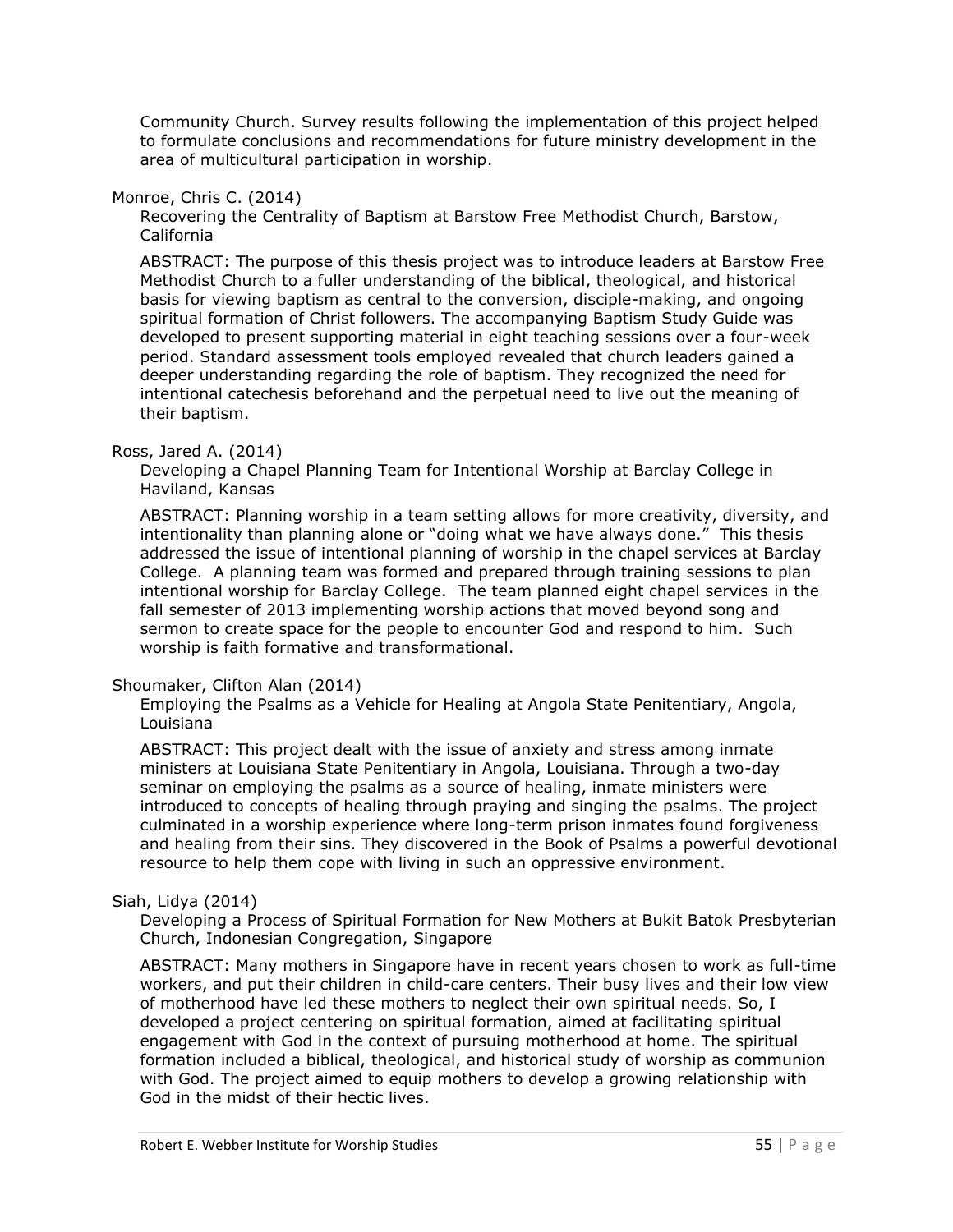Community Church. Survey results following the implementation of this project helped to formulate conclusions and recommendations for future ministry development in the area of multicultural participation in worship.

#### Monroe, Chris C. (2014)

Recovering the Centrality of Baptism at Barstow Free Methodist Church, Barstow, California

ABSTRACT: The purpose of this thesis project was to introduce leaders at Barstow Free Methodist Church to a fuller understanding of the biblical, theological, and historical basis for viewing baptism as central to the conversion, disciple-making, and ongoing spiritual formation of Christ followers. The accompanying Baptism Study Guide was developed to present supporting material in eight teaching sessions over a four-week period. Standard assessment tools employed revealed that church leaders gained a deeper understanding regarding the role of baptism. They recognized the need for intentional catechesis beforehand and the perpetual need to live out the meaning of their baptism.

## Ross, Jared A. (2014)

Developing a Chapel Planning Team for Intentional Worship at Barclay College in Haviland, Kansas

ABSTRACT: Planning worship in a team setting allows for more creativity, diversity, and intentionality than planning alone or "doing what we have always done." This thesis addressed the issue of intentional planning of worship in the chapel services at Barclay College. A planning team was formed and prepared through training sessions to plan intentional worship for Barclay College. The team planned eight chapel services in the fall semester of 2013 implementing worship actions that moved beyond song and sermon to create space for the people to encounter God and respond to him. Such worship is faith formative and transformational.

#### Shoumaker, Clifton Alan (2014)

Employing the Psalms as a Vehicle for Healing at Angola State Penitentiary, Angola, Louisiana

ABSTRACT: This project dealt with the issue of anxiety and stress among inmate ministers at Louisiana State Penitentiary in Angola, Louisiana. Through a two-day seminar on employing the psalms as a source of healing, inmate ministers were introduced to concepts of healing through praying and singing the psalms. The project culminated in a worship experience where long-term prison inmates found forgiveness and healing from their sins. They discovered in the Book of Psalms a powerful devotional resource to help them cope with living in such an oppressive environment.

# Siah, Lidya (2014)

Developing a Process of Spiritual Formation for New Mothers at Bukit Batok Presbyterian Church, Indonesian Congregation, Singapore

ABSTRACT: Many mothers in Singapore have in recent years chosen to work as full-time workers, and put their children in child-care centers. Their busy lives and their low view of motherhood have led these mothers to neglect their own spiritual needs. So, I developed a project centering on spiritual formation, aimed at facilitating spiritual engagement with God in the context of pursuing motherhood at home. The spiritual formation included a biblical, theological, and historical study of worship as communion with God. The project aimed to equip mothers to develop a growing relationship with God in the midst of their hectic lives.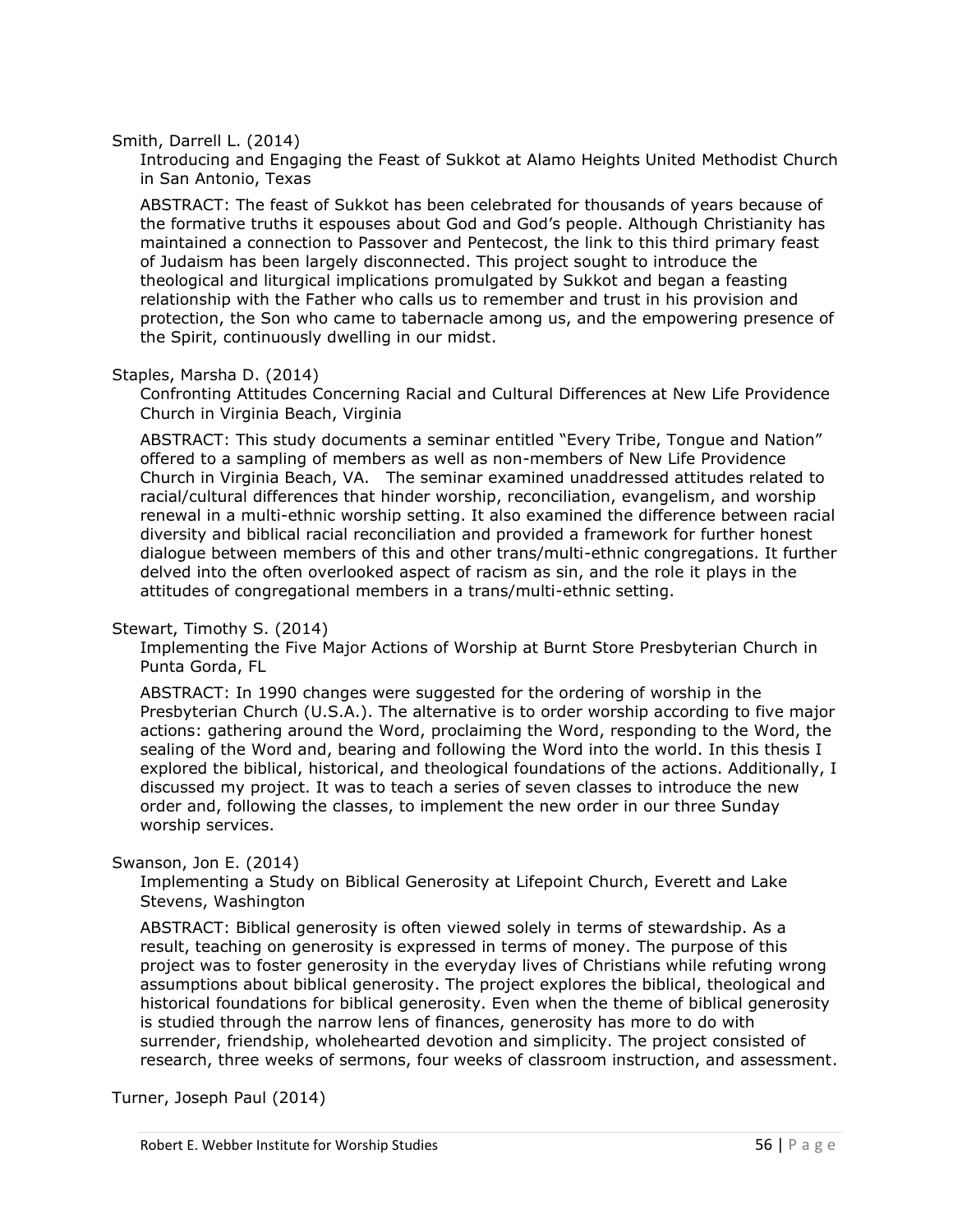Smith, Darrell L. (2014)

Introducing and Engaging the Feast of Sukkot at Alamo Heights United Methodist Church in San Antonio, Texas

ABSTRACT: The feast of Sukkot has been celebrated for thousands of years because of the formative truths it espouses about God and God's people. Although Christianity has maintained a connection to Passover and Pentecost, the link to this third primary feast of Judaism has been largely disconnected. This project sought to introduce the theological and liturgical implications promulgated by Sukkot and began a feasting relationship with the Father who calls us to remember and trust in his provision and protection, the Son who came to tabernacle among us, and the empowering presence of the Spirit, continuously dwelling in our midst.

Staples, Marsha D. (2014)

Confronting Attitudes Concerning Racial and Cultural Differences at New Life Providence Church in Virginia Beach, Virginia

ABSTRACT: This study documents a seminar entitled "Every Tribe, Tongue and Nation" offered to a sampling of members as well as non-members of New Life Providence Church in Virginia Beach, VA. The seminar examined unaddressed attitudes related to racial/cultural differences that hinder worship, reconciliation, evangelism, and worship renewal in a multi-ethnic worship setting. It also examined the difference between racial diversity and biblical racial reconciliation and provided a framework for further honest dialogue between members of this and other trans/multi-ethnic congregations. It further delved into the often overlooked aspect of racism as sin, and the role it plays in the attitudes of congregational members in a trans/multi-ethnic setting.

#### Stewart, Timothy S. (2014)

Implementing the Five Major Actions of Worship at Burnt Store Presbyterian Church in Punta Gorda, FL

ABSTRACT: In 1990 changes were suggested for the ordering of worship in the Presbyterian Church (U.S.A.). The alternative is to order worship according to five major actions: gathering around the Word, proclaiming the Word, responding to the Word, the sealing of the Word and, bearing and following the Word into the world. In this thesis I explored the biblical, historical, and theological foundations of the actions. Additionally, I discussed my project. It was to teach a series of seven classes to introduce the new order and, following the classes, to implement the new order in our three Sunday worship services.

#### Swanson, Jon E. (2014)

Implementing a Study on Biblical Generosity at Lifepoint Church, Everett and Lake Stevens, Washington

ABSTRACT: Biblical generosity is often viewed solely in terms of stewardship. As a result, teaching on generosity is expressed in terms of money. The purpose of this project was to foster generosity in the everyday lives of Christians while refuting wrong assumptions about biblical generosity. The project explores the biblical, theological and historical foundations for biblical generosity. Even when the theme of biblical generosity is studied through the narrow lens of finances, generosity has more to do with surrender, friendship, wholehearted devotion and simplicity. The project consisted of research, three weeks of sermons, four weeks of classroom instruction, and assessment.

Turner, Joseph Paul (2014)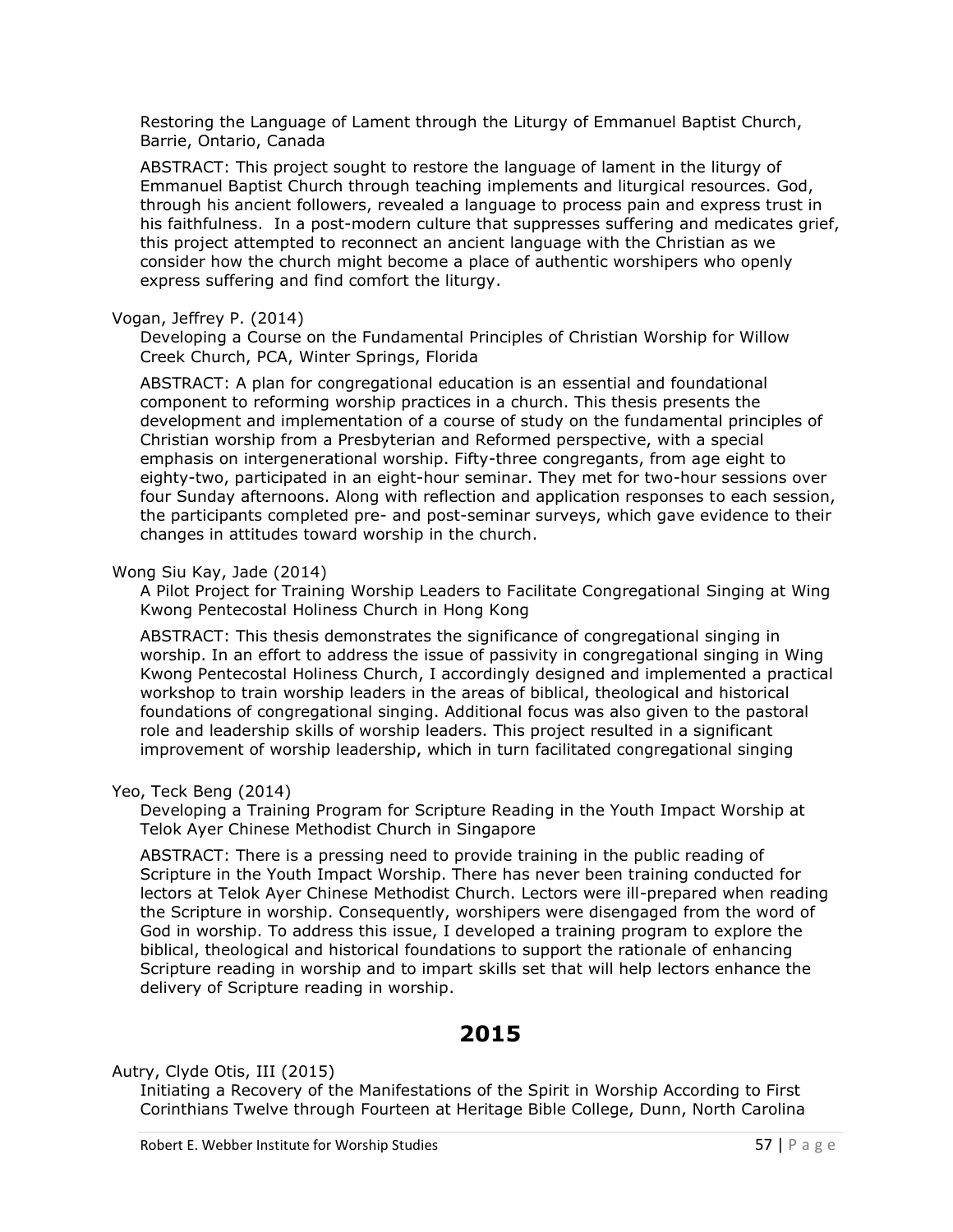Restoring the Language of Lament through the Liturgy of Emmanuel Baptist Church, Barrie, Ontario, Canada

ABSTRACT: This project sought to restore the language of lament in the liturgy of Emmanuel Baptist Church through teaching implements and liturgical resources. God, through his ancient followers, revealed a language to process pain and express trust in his faithfulness. In a post-modern culture that suppresses suffering and medicates grief, this project attempted to reconnect an ancient language with the Christian as we consider how the church might become a place of authentic worshipers who openly express suffering and find comfort the liturgy.

#### Vogan, Jeffrey P. (2014)

Developing a Course on the Fundamental Principles of Christian Worship for Willow Creek Church, PCA, Winter Springs, Florida

ABSTRACT: A plan for congregational education is an essential and foundational component to reforming worship practices in a church. This thesis presents the development and implementation of a course of study on the fundamental principles of Christian worship from a Presbyterian and Reformed perspective, with a special emphasis on intergenerational worship. Fifty-three congregants, from age eight to eighty-two, participated in an eight-hour seminar. They met for two-hour sessions over four Sunday afternoons. Along with reflection and application responses to each session, the participants completed pre- and post-seminar surveys, which gave evidence to their changes in attitudes toward worship in the church.

## Wong Siu Kay, Jade (2014)

A Pilot Project for Training Worship Leaders to Facilitate Congregational Singing at Wing Kwong Pentecostal Holiness Church in Hong Kong

ABSTRACT: This thesis demonstrates the significance of congregational singing in worship. In an effort to address the issue of passivity in congregational singing in Wing Kwong Pentecostal Holiness Church, I accordingly designed and implemented a practical workshop to train worship leaders in the areas of biblical, theological and historical foundations of congregational singing. Additional focus was also given to the pastoral role and leadership skills of worship leaders. This project resulted in a significant improvement of worship leadership, which in turn facilitated congregational singing

# Yeo, Teck Beng (2014)

Developing a Training Program for Scripture Reading in the Youth Impact Worship at Telok Ayer Chinese Methodist Church in Singapore

ABSTRACT: There is a pressing need to provide training in the public reading of Scripture in the Youth Impact Worship. There has never been training conducted for lectors at Telok Ayer Chinese Methodist Church. Lectors were ill-prepared when reading the Scripture in worship. Consequently, worshipers were disengaged from the word of God in worship. To address this issue, I developed a training program to explore the biblical, theological and historical foundations to support the rationale of enhancing Scripture reading in worship and to impart skills set that will help lectors enhance the delivery of Scripture reading in worship.

# **2015**

Autry, Clyde Otis, III (2015)

Initiating a Recovery of the Manifestations of the Spirit in Worship According to First Corinthians Twelve through Fourteen at Heritage Bible College, Dunn, North Carolina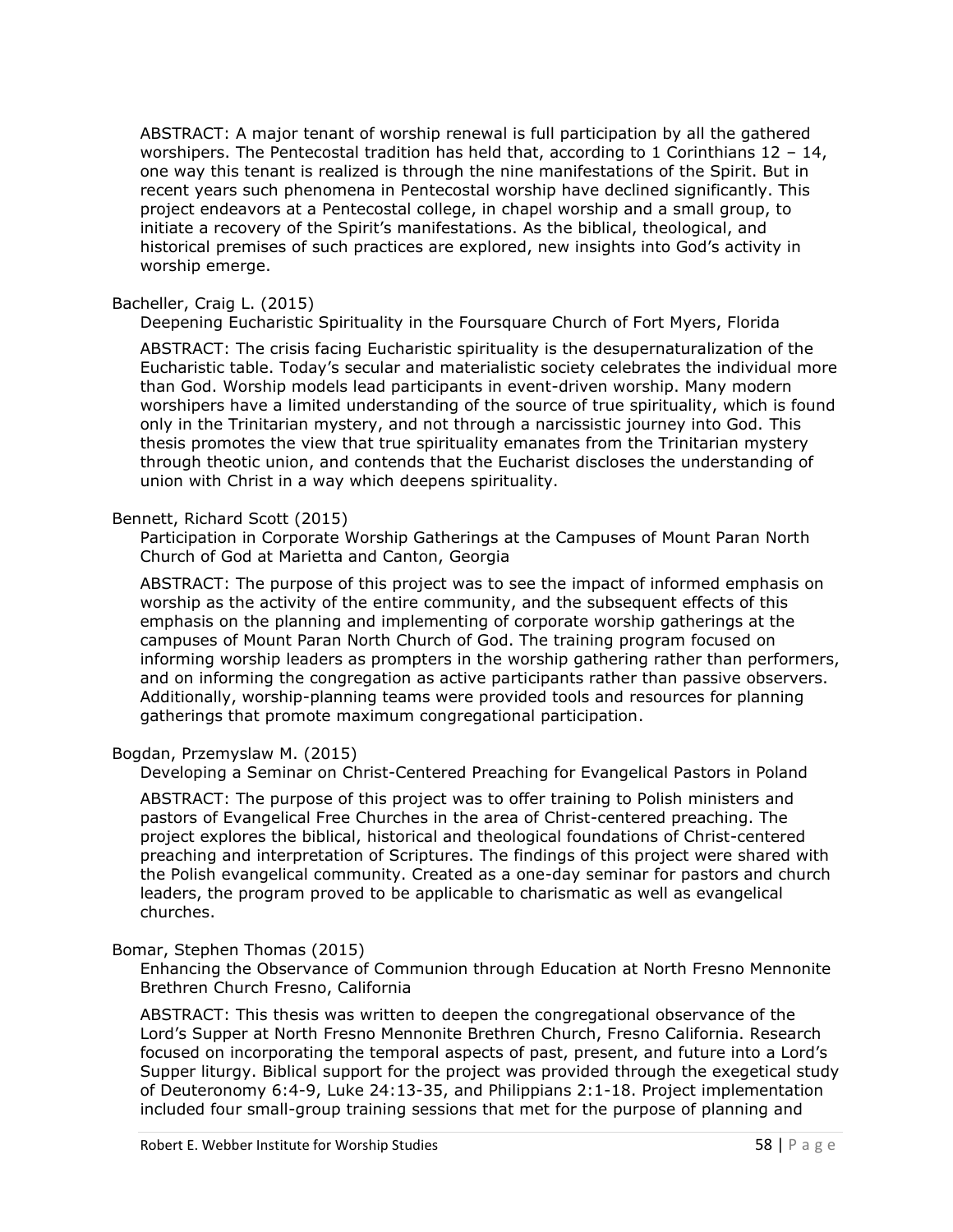ABSTRACT: A major tenant of worship renewal is full participation by all the gathered worshipers. The Pentecostal tradition has held that, according to 1 Corinthians  $12 - 14$ , one way this tenant is realized is through the nine manifestations of the Spirit. But in recent years such phenomena in Pentecostal worship have declined significantly. This project endeavors at a Pentecostal college, in chapel worship and a small group, to initiate a recovery of the Spirit's manifestations. As the biblical, theological, and historical premises of such practices are explored, new insights into God's activity in worship emerge.

#### Bacheller, Craig L. (2015)

Deepening Eucharistic Spirituality in the Foursquare Church of Fort Myers, Florida

ABSTRACT: The crisis facing Eucharistic spirituality is the desupernaturalization of the Eucharistic table. Today's secular and materialistic society celebrates the individual more than God. Worship models lead participants in event-driven worship. Many modern worshipers have a limited understanding of the source of true spirituality, which is found only in the Trinitarian mystery, and not through a narcissistic journey into God. This thesis promotes the view that true spirituality emanates from the Trinitarian mystery through theotic union, and contends that the Eucharist discloses the understanding of union with Christ in a way which deepens spirituality.

#### Bennett, Richard Scott (2015)

Participation in Corporate Worship Gatherings at the Campuses of Mount Paran North Church of God at Marietta and Canton, Georgia

ABSTRACT: The purpose of this project was to see the impact of informed emphasis on worship as the activity of the entire community, and the subsequent effects of this emphasis on the planning and implementing of corporate worship gatherings at the campuses of Mount Paran North Church of God. The training program focused on informing worship leaders as prompters in the worship gathering rather than performers, and on informing the congregation as active participants rather than passive observers. Additionally, worship-planning teams were provided tools and resources for planning gatherings that promote maximum congregational participation.

#### Bogdan, Przemyslaw M. (2015)

Developing a Seminar on Christ-Centered Preaching for Evangelical Pastors in Poland

ABSTRACT: The purpose of this project was to offer training to Polish ministers and pastors of Evangelical Free Churches in the area of Christ-centered preaching. The project explores the biblical, historical and theological foundations of Christ-centered preaching and interpretation of Scriptures. The findings of this project were shared with the Polish evangelical community. Created as a one-day seminar for pastors and church leaders, the program proved to be applicable to charismatic as well as evangelical churches.

#### Bomar, Stephen Thomas (2015)

Enhancing the Observance of Communion through Education at North Fresno Mennonite Brethren Church Fresno, California

ABSTRACT: This thesis was written to deepen the congregational observance of the Lord's Supper at North Fresno Mennonite Brethren Church, Fresno California. Research focused on incorporating the temporal aspects of past, present, and future into a Lord's Supper liturgy. Biblical support for the project was provided through the exegetical study of Deuteronomy 6:4-9, Luke 24:13-35, and Philippians 2:1-18. Project implementation included four small-group training sessions that met for the purpose of planning and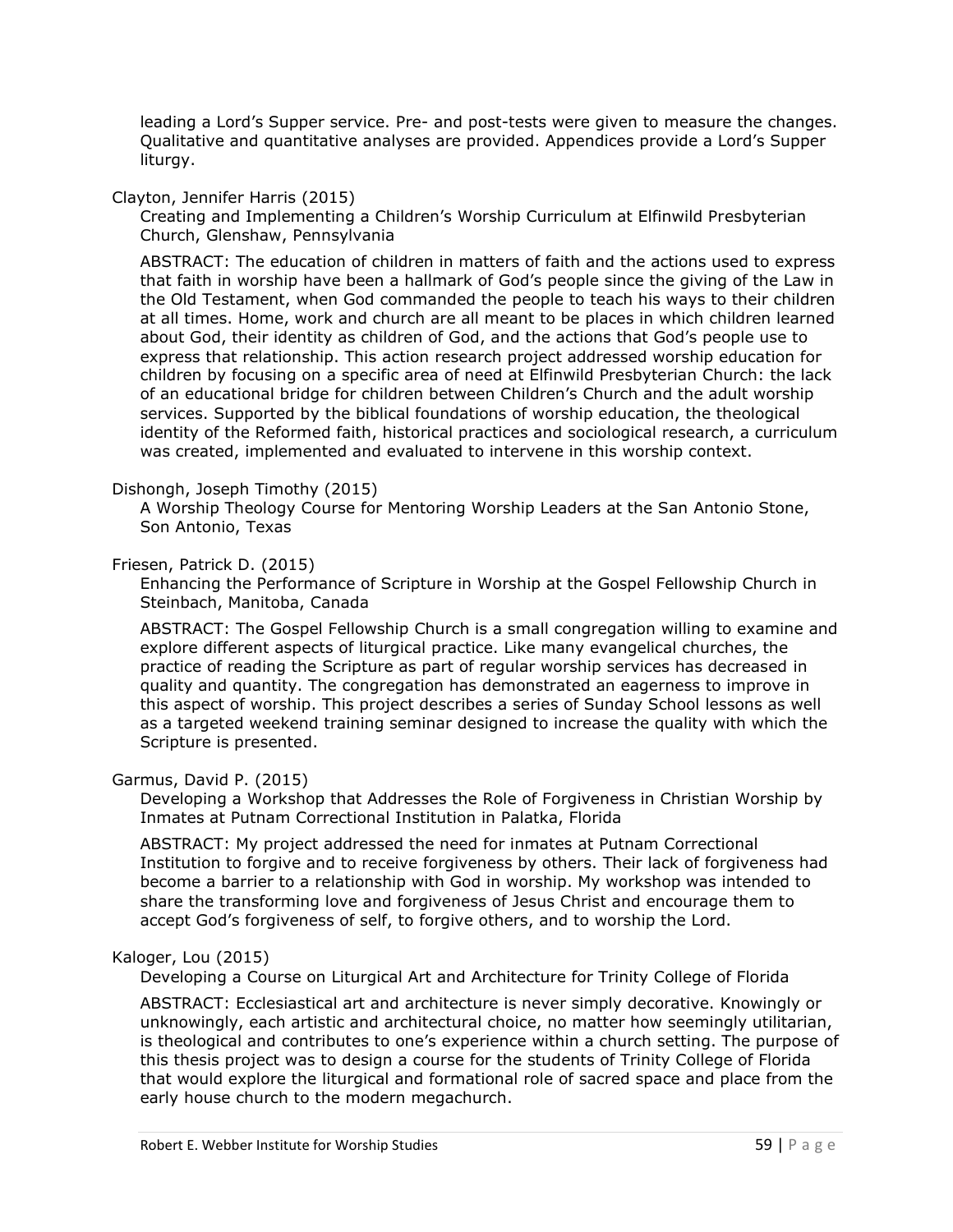leading a Lord's Supper service. Pre- and post-tests were given to measure the changes. Qualitative and quantitative analyses are provided. Appendices provide a Lord's Supper liturgy.

#### Clayton, Jennifer Harris (2015)

Creating and Implementing a Children's Worship Curriculum at Elfinwild Presbyterian Church, Glenshaw, Pennsylvania

ABSTRACT: The education of children in matters of faith and the actions used to express that faith in worship have been a hallmark of God's people since the giving of the Law in the Old Testament, when God commanded the people to teach his ways to their children at all times. Home, work and church are all meant to be places in which children learned about God, their identity as children of God, and the actions that God's people use to express that relationship. This action research project addressed worship education for children by focusing on a specific area of need at Elfinwild Presbyterian Church: the lack of an educational bridge for children between Children's Church and the adult worship services. Supported by the biblical foundations of worship education, the theological identity of the Reformed faith, historical practices and sociological research, a curriculum was created, implemented and evaluated to intervene in this worship context.

#### Dishongh, Joseph Timothy (2015)

A Worship Theology Course for Mentoring Worship Leaders at the San Antonio Stone, Son Antonio, Texas

# Friesen, Patrick D. (2015)

Enhancing the Performance of Scripture in Worship at the Gospel Fellowship Church in Steinbach, Manitoba, Canada

ABSTRACT: The Gospel Fellowship Church is a small congregation willing to examine and explore different aspects of liturgical practice. Like many evangelical churches, the practice of reading the Scripture as part of regular worship services has decreased in quality and quantity. The congregation has demonstrated an eagerness to improve in this aspect of worship. This project describes a series of Sunday School lessons as well as a targeted weekend training seminar designed to increase the quality with which the Scripture is presented.

#### Garmus, David P. (2015)

Developing a Workshop that Addresses the Role of Forgiveness in Christian Worship by Inmates at Putnam Correctional Institution in Palatka, Florida

ABSTRACT: My project addressed the need for inmates at Putnam Correctional Institution to forgive and to receive forgiveness by others. Their lack of forgiveness had become a barrier to a relationship with God in worship. My workshop was intended to share the transforming love and forgiveness of Jesus Christ and encourage them to accept God's forgiveness of self, to forgive others, and to worship the Lord.

#### Kaloger, Lou (2015)

Developing a Course on Liturgical Art and Architecture for Trinity College of Florida

ABSTRACT: Ecclesiastical art and architecture is never simply decorative. Knowingly or unknowingly, each artistic and architectural choice, no matter how seemingly utilitarian, is theological and contributes to one's experience within a church setting. The purpose of this thesis project was to design a course for the students of Trinity College of Florida that would explore the liturgical and formational role of sacred space and place from the early house church to the modern megachurch.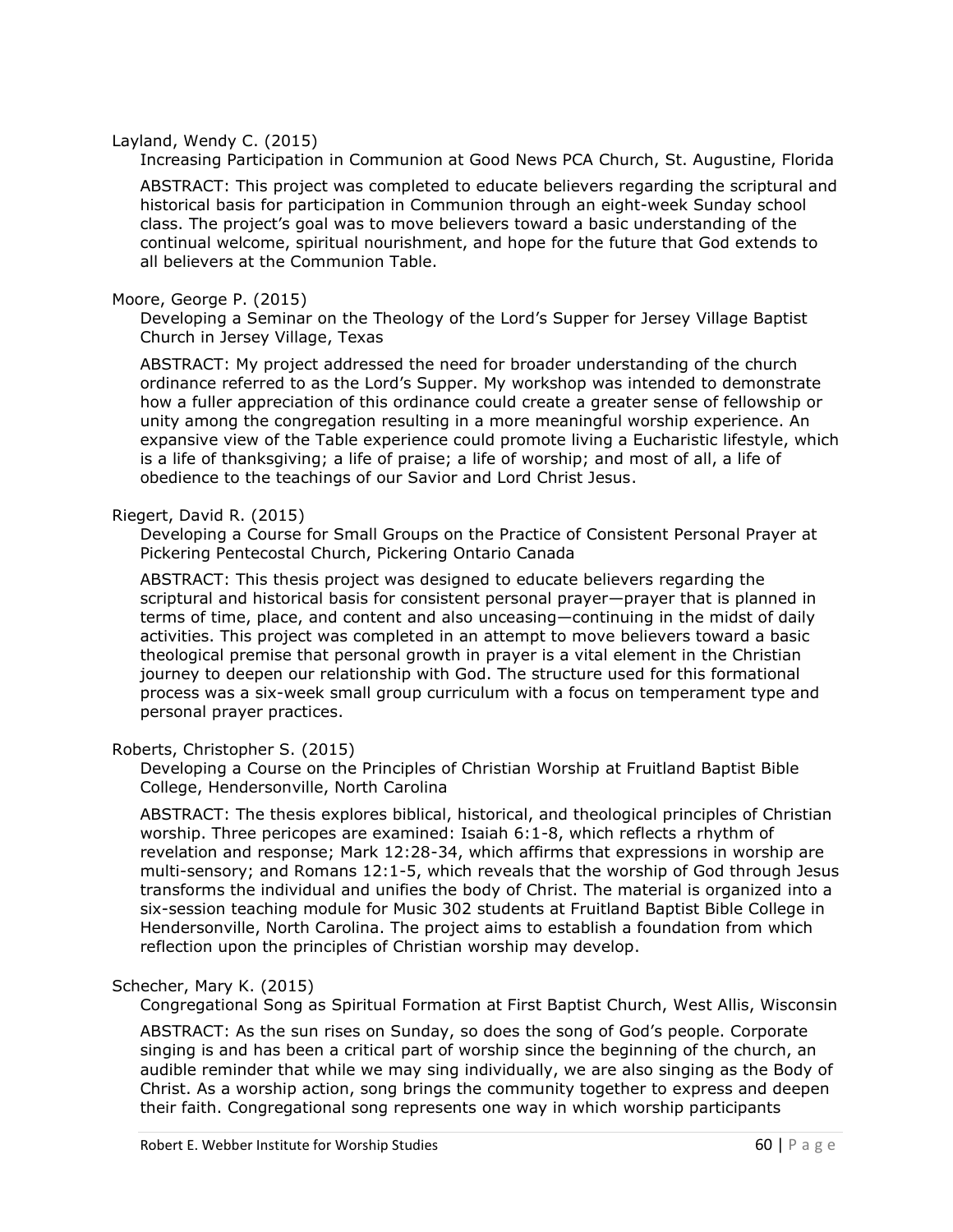#### Layland, Wendy C. (2015)

Increasing Participation in Communion at Good News PCA Church, St. Augustine, Florida

ABSTRACT: This project was completed to educate believers regarding the scriptural and historical basis for participation in Communion through an eight-week Sunday school class. The project's goal was to move believers toward a basic understanding of the continual welcome, spiritual nourishment, and hope for the future that God extends to all believers at the Communion Table.

#### Moore, George P. (2015)

Developing a Seminar on the Theology of the Lord's Supper for Jersey Village Baptist Church in Jersey Village, Texas

ABSTRACT: My project addressed the need for broader understanding of the church ordinance referred to as the Lord's Supper. My workshop was intended to demonstrate how a fuller appreciation of this ordinance could create a greater sense of fellowship or unity among the congregation resulting in a more meaningful worship experience. An expansive view of the Table experience could promote living a Eucharistic lifestyle, which is a life of thanksgiving; a life of praise; a life of worship; and most of all, a life of obedience to the teachings of our Savior and Lord Christ Jesus.

## Riegert, David R. (2015)

Developing a Course for Small Groups on the Practice of Consistent Personal Prayer at Pickering Pentecostal Church, Pickering Ontario Canada

ABSTRACT: This thesis project was designed to educate believers regarding the scriptural and historical basis for consistent personal prayer—prayer that is planned in terms of time, place, and content and also unceasing—continuing in the midst of daily activities. This project was completed in an attempt to move believers toward a basic theological premise that personal growth in prayer is a vital element in the Christian journey to deepen our relationship with God. The structure used for this formational process was a six-week small group curriculum with a focus on temperament type and personal prayer practices.

#### Roberts, Christopher S. (2015)

Developing a Course on the Principles of Christian Worship at Fruitland Baptist Bible College, Hendersonville, North Carolina

ABSTRACT: The thesis explores biblical, historical, and theological principles of Christian worship. Three pericopes are examined: Isaiah 6:1-8, which reflects a rhythm of revelation and response; Mark 12:28-34, which affirms that expressions in worship are multi-sensory; and Romans 12:1-5, which reveals that the worship of God through Jesus transforms the individual and unifies the body of Christ. The material is organized into a six-session teaching module for Music 302 students at Fruitland Baptist Bible College in Hendersonville, North Carolina. The project aims to establish a foundation from which reflection upon the principles of Christian worship may develop.

#### Schecher, Mary K. (2015)

Congregational Song as Spiritual Formation at First Baptist Church, West Allis, Wisconsin

ABSTRACT: As the sun rises on Sunday, so does the song of God's people. Corporate singing is and has been a critical part of worship since the beginning of the church, an audible reminder that while we may sing individually, we are also singing as the Body of Christ. As a worship action, song brings the community together to express and deepen their faith. Congregational song represents one way in which worship participants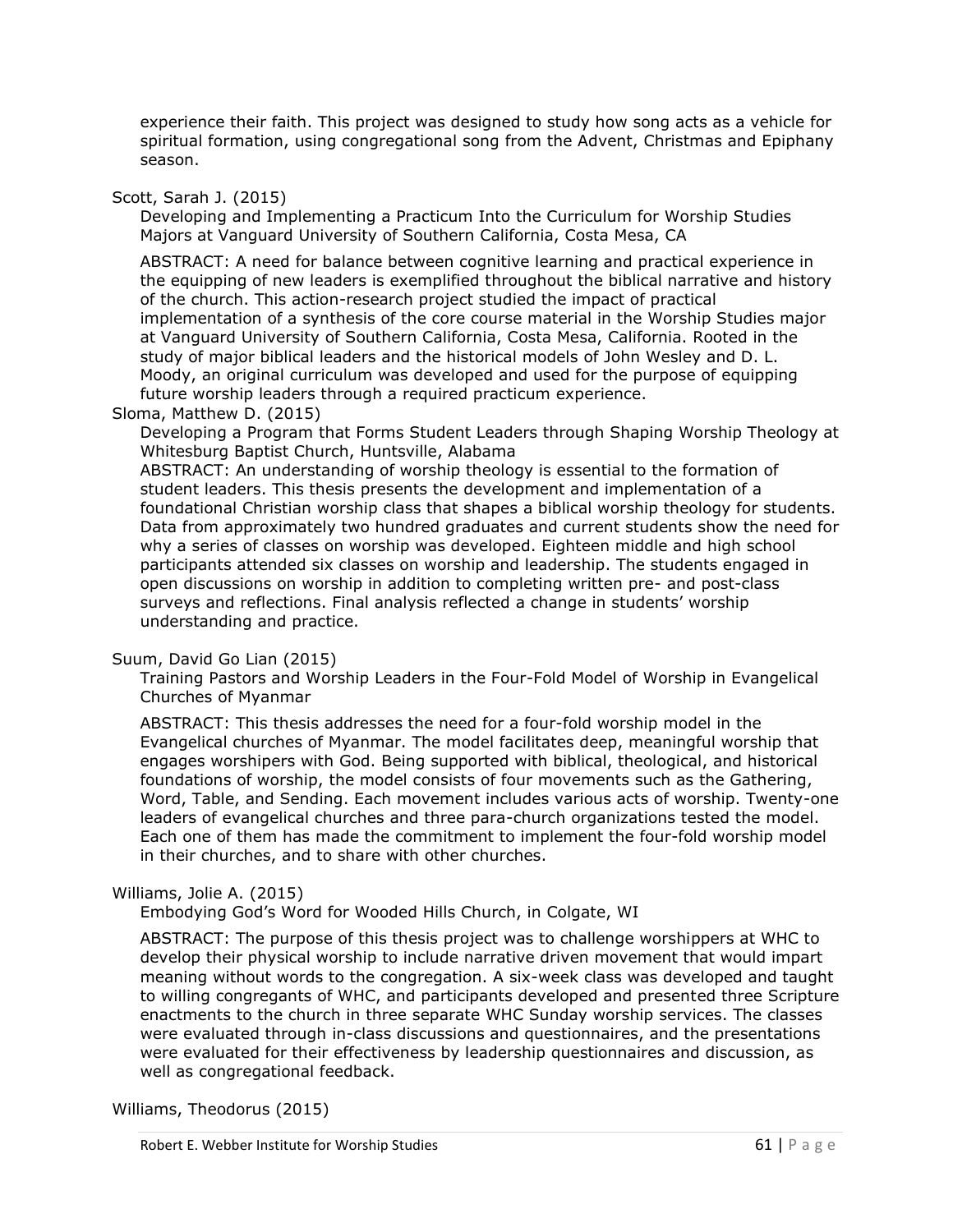experience their faith. This project was designed to study how song acts as a vehicle for spiritual formation, using congregational song from the Advent, Christmas and Epiphany season.

## Scott, Sarah J. (2015)

Developing and Implementing a Practicum Into the Curriculum for Worship Studies Majors at Vanguard University of Southern California, Costa Mesa, CA

ABSTRACT: A need for balance between cognitive learning and practical experience in the equipping of new leaders is exemplified throughout the biblical narrative and history of the church. This action-research project studied the impact of practical implementation of a synthesis of the core course material in the Worship Studies major at Vanguard University of Southern California, Costa Mesa, California. Rooted in the study of major biblical leaders and the historical models of John Wesley and D. L. Moody, an original curriculum was developed and used for the purpose of equipping future worship leaders through a required practicum experience.

#### Sloma, Matthew D. (2015)

Developing a Program that Forms Student Leaders through Shaping Worship Theology at Whitesburg Baptist Church, Huntsville, Alabama

ABSTRACT: An understanding of worship theology is essential to the formation of student leaders. This thesis presents the development and implementation of a foundational Christian worship class that shapes a biblical worship theology for students. Data from approximately two hundred graduates and current students show the need for why a series of classes on worship was developed. Eighteen middle and high school participants attended six classes on worship and leadership. The students engaged in open discussions on worship in addition to completing written pre- and post-class surveys and reflections. Final analysis reflected a change in students' worship understanding and practice.

#### Suum, David Go Lian (2015)

Training Pastors and Worship Leaders in the Four-Fold Model of Worship in Evangelical Churches of Myanmar

ABSTRACT: This thesis addresses the need for a four-fold worship model in the Evangelical churches of Myanmar. The model facilitates deep, meaningful worship that engages worshipers with God. Being supported with biblical, theological, and historical foundations of worship, the model consists of four movements such as the Gathering, Word, Table, and Sending. Each movement includes various acts of worship. Twenty-one leaders of evangelical churches and three para-church organizations tested the model. Each one of them has made the commitment to implement the four-fold worship model in their churches, and to share with other churches.

#### Williams, Jolie A. (2015)

Embodying God's Word for Wooded Hills Church, in Colgate, WI

ABSTRACT: The purpose of this thesis project was to challenge worshippers at WHC to develop their physical worship to include narrative driven movement that would impart meaning without words to the congregation. A six-week class was developed and taught to willing congregants of WHC, and participants developed and presented three Scripture enactments to the church in three separate WHC Sunday worship services. The classes were evaluated through in-class discussions and questionnaires, and the presentations were evaluated for their effectiveness by leadership questionnaires and discussion, as well as congregational feedback.

Williams, Theodorus (2015)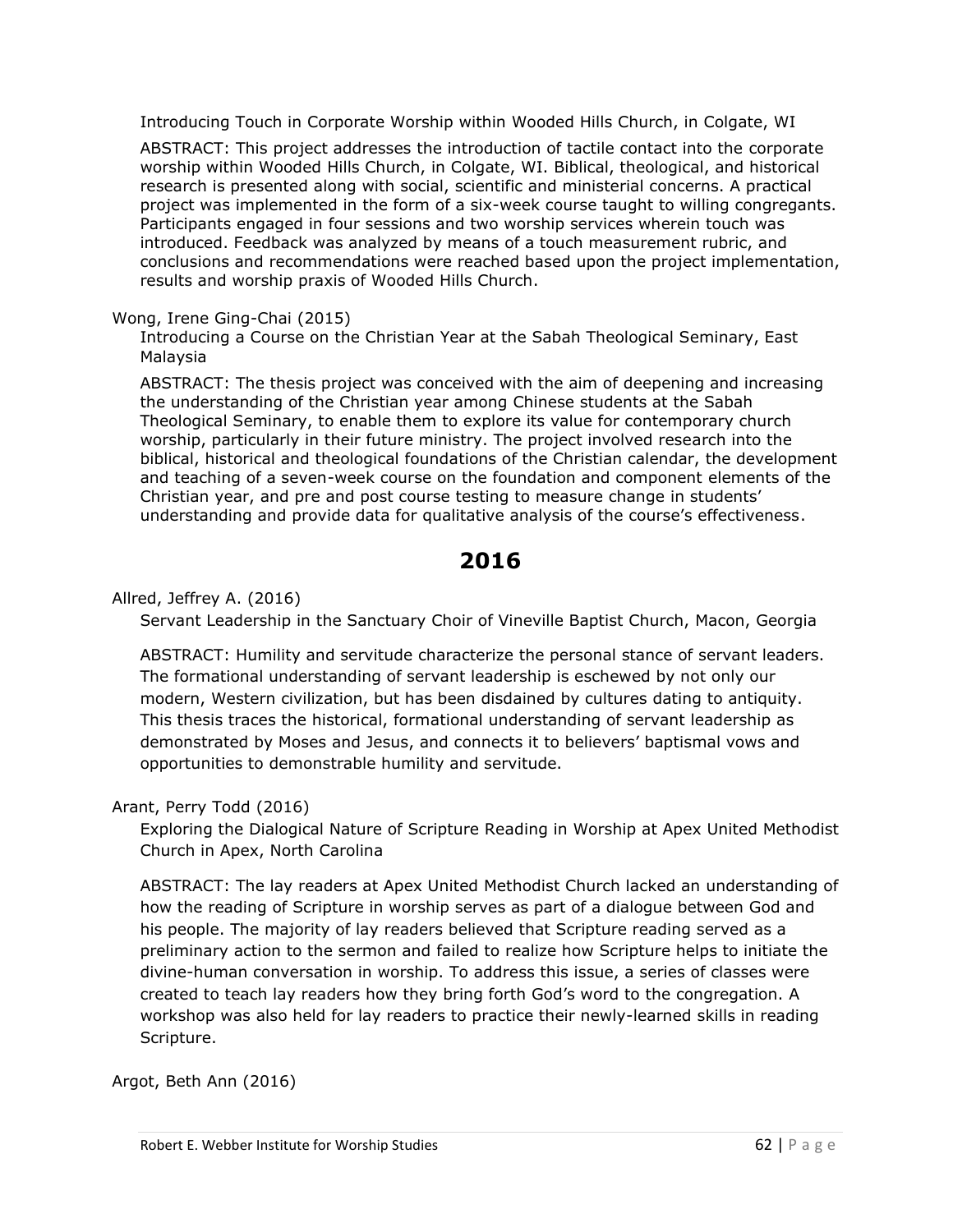Introducing Touch in Corporate Worship within Wooded Hills Church, in Colgate, WI

ABSTRACT: This project addresses the introduction of tactile contact into the corporate worship within Wooded Hills Church, in Colgate, WI. Biblical, theological, and historical research is presented along with social, scientific and ministerial concerns. A practical project was implemented in the form of a six-week course taught to willing congregants. Participants engaged in four sessions and two worship services wherein touch was introduced. Feedback was analyzed by means of a touch measurement rubric, and conclusions and recommendations were reached based upon the project implementation, results and worship praxis of Wooded Hills Church.

## Wong, Irene Ging-Chai (2015)

Introducing a Course on the Christian Year at the Sabah Theological Seminary, East Malaysia

ABSTRACT: The thesis project was conceived with the aim of deepening and increasing the understanding of the Christian year among Chinese students at the Sabah Theological Seminary, to enable them to explore its value for contemporary church worship, particularly in their future ministry. The project involved research into the biblical, historical and theological foundations of the Christian calendar, the development and teaching of a seven-week course on the foundation and component elements of the Christian year, and pre and post course testing to measure change in students' understanding and provide data for qualitative analysis of the course's effectiveness.

# **2016**

Allred, Jeffrey A. (2016)

Servant Leadership in the Sanctuary Choir of Vineville Baptist Church, Macon, Georgia

ABSTRACT: Humility and servitude characterize the personal stance of servant leaders. The formational understanding of servant leadership is eschewed by not only our modern, Western civilization, but has been disdained by cultures dating to antiquity. This thesis traces the historical, formational understanding of servant leadership as demonstrated by Moses and Jesus, and connects it to believers' baptismal vows and opportunities to demonstrable humility and servitude.

# Arant, Perry Todd (2016)

Exploring the Dialogical Nature of Scripture Reading in Worship at Apex United Methodist Church in Apex, North Carolina

ABSTRACT: The lay readers at Apex United Methodist Church lacked an understanding of how the reading of Scripture in worship serves as part of a dialogue between God and his people. The majority of lay readers believed that Scripture reading served as a preliminary action to the sermon and failed to realize how Scripture helps to initiate the divine-human conversation in worship. To address this issue, a series of classes were created to teach lay readers how they bring forth God's word to the congregation. A workshop was also held for lay readers to practice their newly-learned skills in reading Scripture.

Argot, Beth Ann (2016)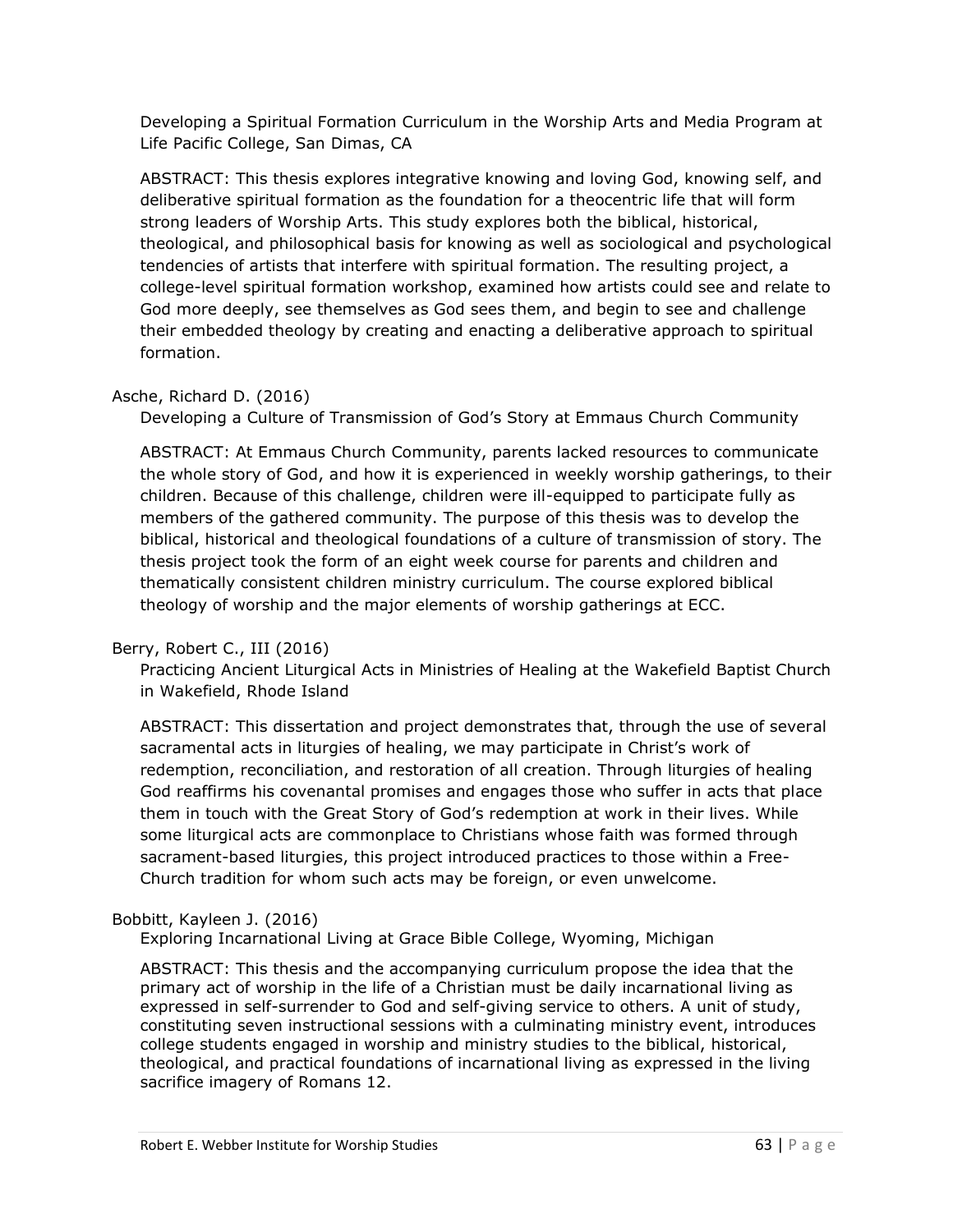Developing a Spiritual Formation Curriculum in the Worship Arts and Media Program at Life Pacific College, San Dimas, CA

ABSTRACT: This thesis explores integrative knowing and loving God, knowing self, and deliberative spiritual formation as the foundation for a theocentric life that will form strong leaders of Worship Arts. This study explores both the biblical, historical, theological, and philosophical basis for knowing as well as sociological and psychological tendencies of artists that interfere with spiritual formation. The resulting project, a college-level spiritual formation workshop, examined how artists could see and relate to God more deeply, see themselves as God sees them, and begin to see and challenge their embedded theology by creating and enacting a deliberative approach to spiritual formation.

# Asche, Richard D. (2016)

Developing a Culture of Transmission of God's Story at Emmaus Church Community

ABSTRACT: At Emmaus Church Community, parents lacked resources to communicate the whole story of God, and how it is experienced in weekly worship gatherings, to their children. Because of this challenge, children were ill-equipped to participate fully as members of the gathered community. The purpose of this thesis was to develop the biblical, historical and theological foundations of a culture of transmission of story. The thesis project took the form of an eight week course for parents and children and thematically consistent children ministry curriculum. The course explored biblical theology of worship and the major elements of worship gatherings at ECC.

# Berry, Robert C., III (2016)

Practicing Ancient Liturgical Acts in Ministries of Healing at the Wakefield Baptist Church in Wakefield, Rhode Island

ABSTRACT: This dissertation and project demonstrates that, through the use of several sacramental acts in liturgies of healing, we may participate in Christ's work of redemption, reconciliation, and restoration of all creation. Through liturgies of healing God reaffirms his covenantal promises and engages those who suffer in acts that place them in touch with the Great Story of God's redemption at work in their lives. While some liturgical acts are commonplace to Christians whose faith was formed through sacrament-based liturgies, this project introduced practices to those within a Free-Church tradition for whom such acts may be foreign, or even unwelcome.

# Bobbitt, Kayleen J. (2016)

Exploring Incarnational Living at Grace Bible College, Wyoming, Michigan

ABSTRACT: This thesis and the accompanying curriculum propose the idea that the primary act of worship in the life of a Christian must be daily incarnational living as expressed in self-surrender to God and self-giving service to others. A unit of study, constituting seven instructional sessions with a culminating ministry event, introduces college students engaged in worship and ministry studies to the biblical, historical, theological, and practical foundations of incarnational living as expressed in the living sacrifice imagery of Romans 12.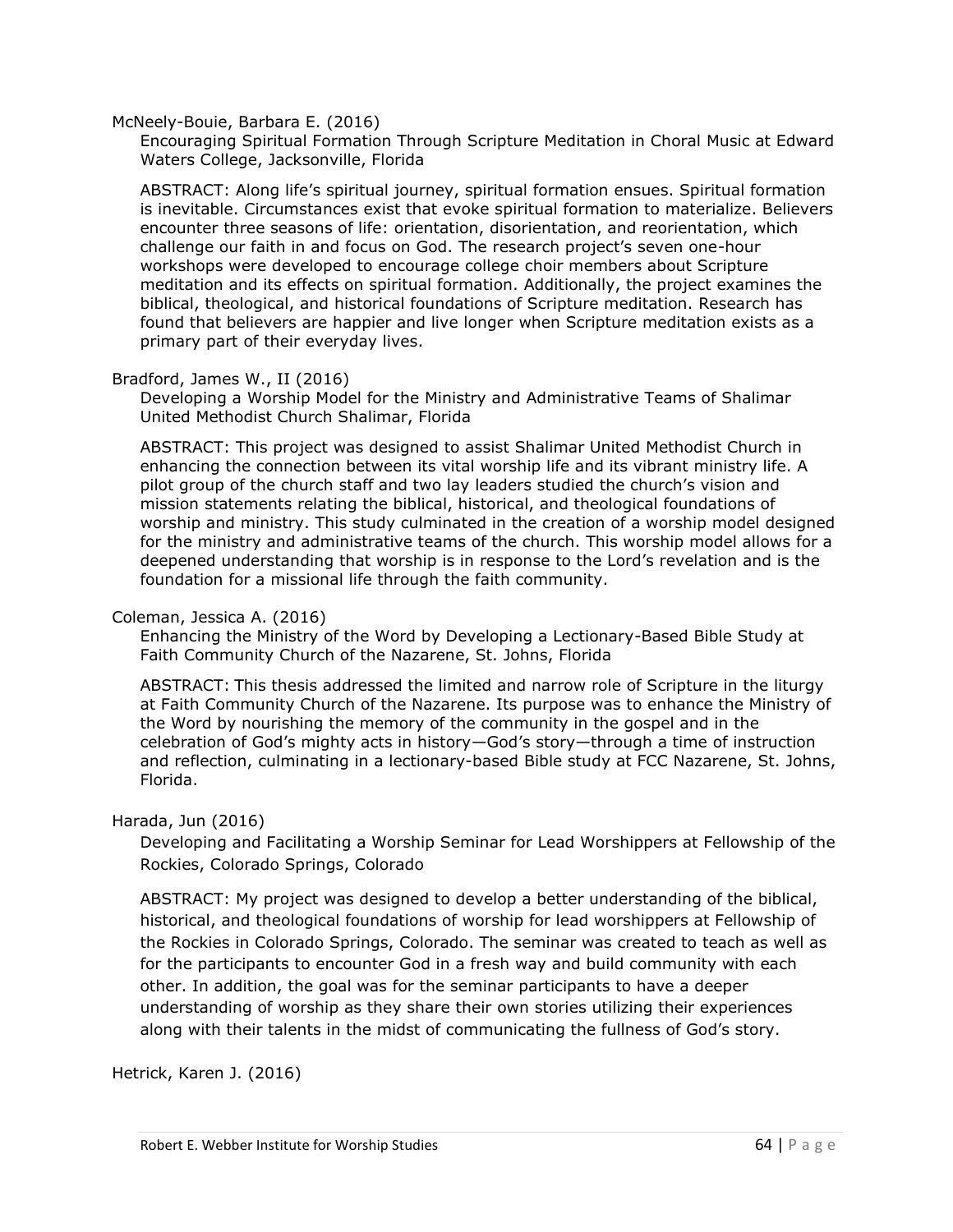#### McNeely-Bouie, Barbara E. (2016)

Encouraging Spiritual Formation Through Scripture Meditation in Choral Music at Edward Waters College, Jacksonville, Florida

ABSTRACT: Along life's spiritual journey, spiritual formation ensues. Spiritual formation is inevitable. Circumstances exist that evoke spiritual formation to materialize. Believers encounter three seasons of life: orientation, disorientation, and reorientation, which challenge our faith in and focus on God. The research project's seven one-hour workshops were developed to encourage college choir members about Scripture meditation and its effects on spiritual formation. Additionally, the project examines the biblical, theological, and historical foundations of Scripture meditation. Research has found that believers are happier and live longer when Scripture meditation exists as a primary part of their everyday lives.

#### Bradford, James W., II (2016)

Developing a Worship Model for the Ministry and Administrative Teams of Shalimar United Methodist Church Shalimar, Florida

ABSTRACT: This project was designed to assist Shalimar United Methodist Church in enhancing the connection between its vital worship life and its vibrant ministry life. A pilot group of the church staff and two lay leaders studied the church's vision and mission statements relating the biblical, historical, and theological foundations of worship and ministry. This study culminated in the creation of a worship model designed for the ministry and administrative teams of the church. This worship model allows for a deepened understanding that worship is in response to the Lord's revelation and is the foundation for a missional life through the faith community.

#### Coleman, Jessica A. (2016)

Enhancing the Ministry of the Word by Developing a Lectionary-Based Bible Study at Faith Community Church of the Nazarene, St. Johns, Florida

ABSTRACT: This thesis addressed the limited and narrow role of Scripture in the liturgy at Faith Community Church of the Nazarene. Its purpose was to enhance the Ministry of the Word by nourishing the memory of the community in the gospel and in the celebration of God's mighty acts in history—God's story—through a time of instruction and reflection, culminating in a lectionary-based Bible study at FCC Nazarene, St. Johns, Florida.

#### Harada, Jun (2016)

Developing and Facilitating a Worship Seminar for Lead Worshippers at Fellowship of the Rockies, Colorado Springs, Colorado

ABSTRACT: My project was designed to develop a better understanding of the biblical, historical, and theological foundations of worship for lead worshippers at Fellowship of the Rockies in Colorado Springs, Colorado. The seminar was created to teach as well as for the participants to encounter God in a fresh way and build community with each other. In addition, the goal was for the seminar participants to have a deeper understanding of worship as they share their own stories utilizing their experiences along with their talents in the midst of communicating the fullness of God's story.

Hetrick, Karen J. (2016)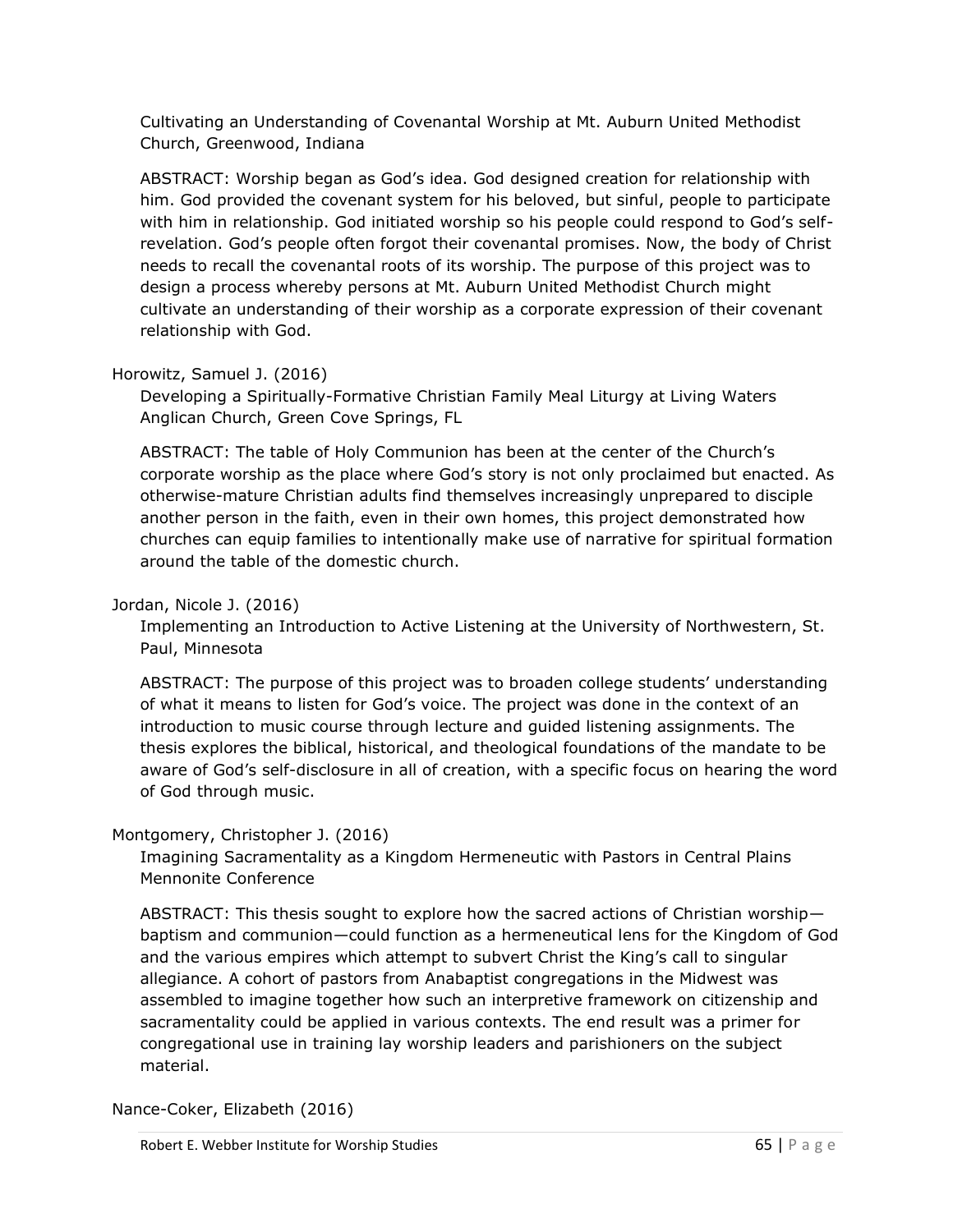Cultivating an Understanding of Covenantal Worship at Mt. Auburn United Methodist Church, Greenwood, Indiana

ABSTRACT: Worship began as God's idea. God designed creation for relationship with him. God provided the covenant system for his beloved, but sinful, people to participate with him in relationship. God initiated worship so his people could respond to God's selfrevelation. God's people often forgot their covenantal promises. Now, the body of Christ needs to recall the covenantal roots of its worship. The purpose of this project was to design a process whereby persons at Mt. Auburn United Methodist Church might cultivate an understanding of their worship as a corporate expression of their covenant relationship with God.

# Horowitz, Samuel J. (2016)

Developing a Spiritually-Formative Christian Family Meal Liturgy at Living Waters Anglican Church, Green Cove Springs, FL

ABSTRACT: The table of Holy Communion has been at the center of the Church's corporate worship as the place where God's story is not only proclaimed but enacted. As otherwise-mature Christian adults find themselves increasingly unprepared to disciple another person in the faith, even in their own homes, this project demonstrated how churches can equip families to intentionally make use of narrative for spiritual formation around the table of the domestic church.

# Jordan, Nicole J. (2016)

Implementing an Introduction to Active Listening at the University of Northwestern, St. Paul, Minnesota

ABSTRACT: The purpose of this project was to broaden college students' understanding of what it means to listen for God's voice. The project was done in the context of an introduction to music course through lecture and guided listening assignments. The thesis explores the biblical, historical, and theological foundations of the mandate to be aware of God's self-disclosure in all of creation, with a specific focus on hearing the word of God through music.

# Montgomery, Christopher J. (2016)

Imagining Sacramentality as a Kingdom Hermeneutic with Pastors in Central Plains Mennonite Conference

ABSTRACT: This thesis sought to explore how the sacred actions of Christian worship baptism and communion—could function as a hermeneutical lens for the Kingdom of God and the various empires which attempt to subvert Christ the King's call to singular allegiance. A cohort of pastors from Anabaptist congregations in the Midwest was assembled to imagine together how such an interpretive framework on citizenship and sacramentality could be applied in various contexts. The end result was a primer for congregational use in training lay worship leaders and parishioners on the subject material.

Nance-Coker, Elizabeth (2016)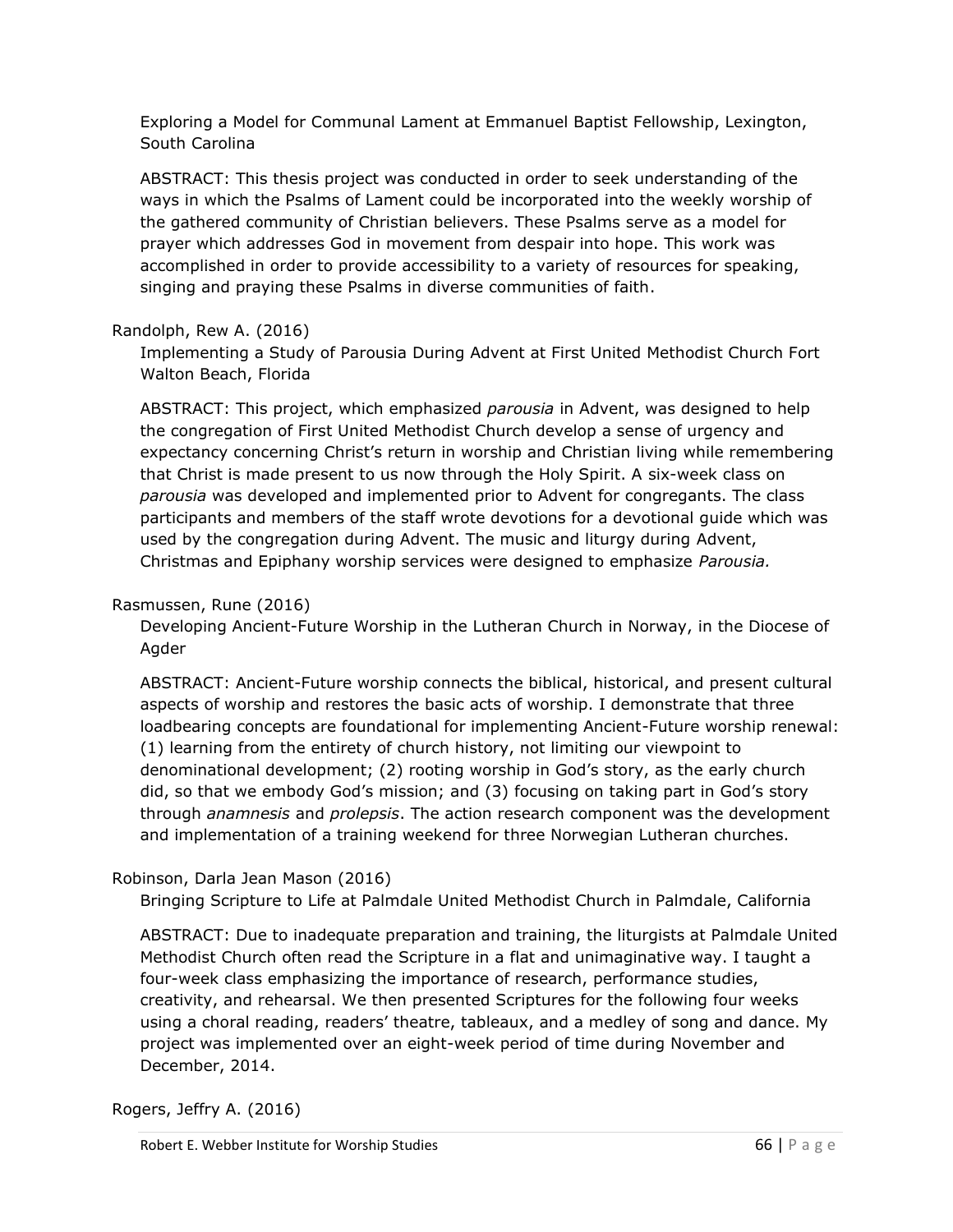Exploring a Model for Communal Lament at Emmanuel Baptist Fellowship, Lexington, South Carolina

ABSTRACT: This thesis project was conducted in order to seek understanding of the ways in which the Psalms of Lament could be incorporated into the weekly worship of the gathered community of Christian believers. These Psalms serve as a model for prayer which addresses God in movement from despair into hope. This work was accomplished in order to provide accessibility to a variety of resources for speaking, singing and praying these Psalms in diverse communities of faith.

# Randolph, Rew A. (2016)

Implementing a Study of Parousia During Advent at First United Methodist Church Fort Walton Beach, Florida

ABSTRACT: This project, which emphasized *parousia* in Advent, was designed to help the congregation of First United Methodist Church develop a sense of urgency and expectancy concerning Christ's return in worship and Christian living while remembering that Christ is made present to us now through the Holy Spirit. A six-week class on *parousia* was developed and implemented prior to Advent for congregants. The class participants and members of the staff wrote devotions for a devotional guide which was used by the congregation during Advent. The music and liturgy during Advent, Christmas and Epiphany worship services were designed to emphasize *Parousia.*

# Rasmussen, Rune (2016)

Developing Ancient-Future Worship in the Lutheran Church in Norway, in the Diocese of Agder

ABSTRACT: Ancient-Future worship connects the biblical, historical, and present cultural aspects of worship and restores the basic acts of worship. I demonstrate that three loadbearing concepts are foundational for implementing Ancient-Future worship renewal: (1) learning from the entirety of church history, not limiting our viewpoint to denominational development; (2) rooting worship in God's story, as the early church did, so that we embody God's mission; and (3) focusing on taking part in God's story through *anamnesis* and *prolepsis*. The action research component was the development and implementation of a training weekend for three Norwegian Lutheran churches.

# Robinson, Darla Jean Mason (2016)

Bringing Scripture to Life at Palmdale United Methodist Church in Palmdale, California

ABSTRACT: Due to inadequate preparation and training, the liturgists at Palmdale United Methodist Church often read the Scripture in a flat and unimaginative way. I taught a four-week class emphasizing the importance of research, performance studies, creativity, and rehearsal. We then presented Scriptures for the following four weeks using a choral reading, readers' theatre, tableaux, and a medley of song and dance. My project was implemented over an eight-week period of time during November and December, 2014.

Rogers, Jeffry A. (2016)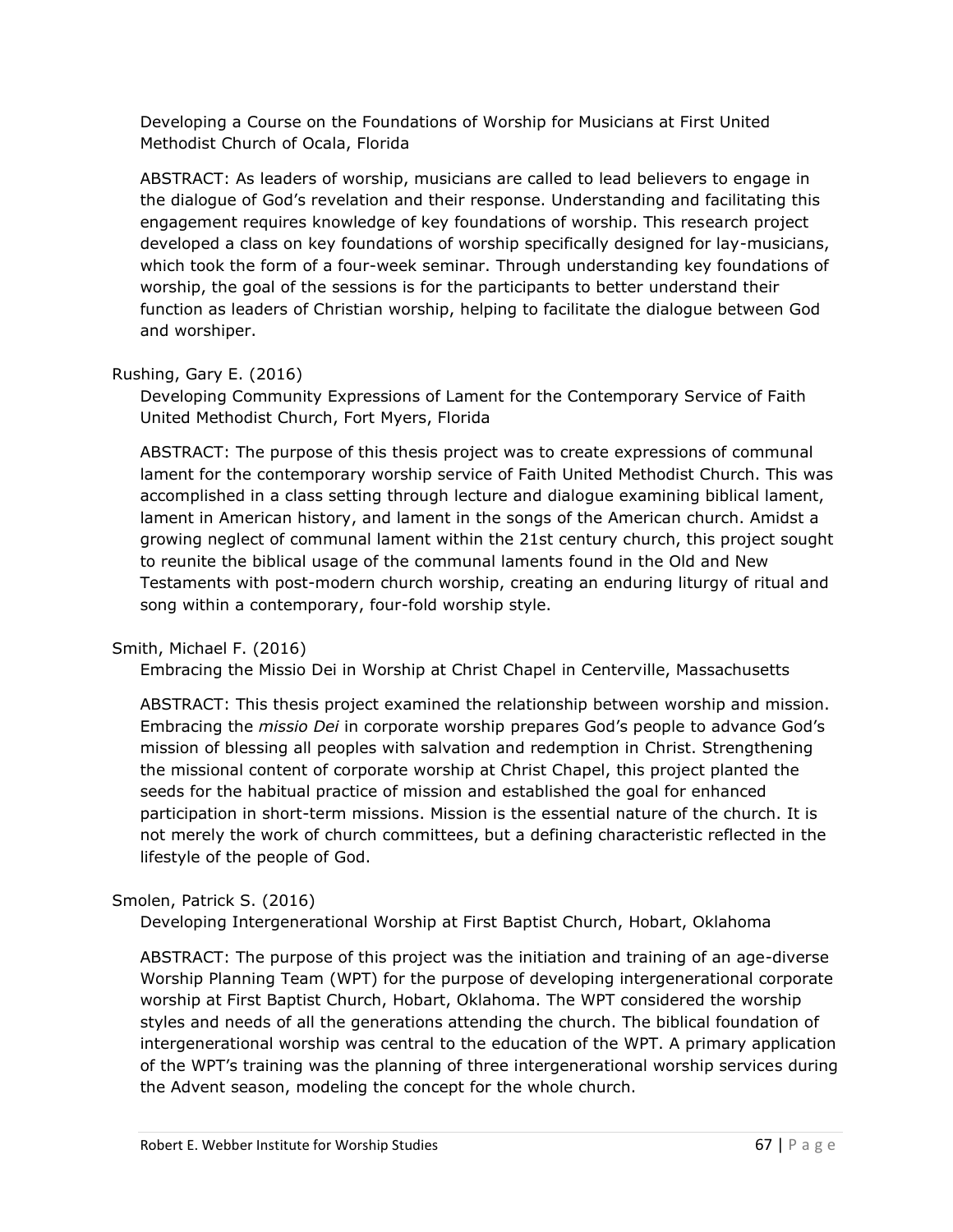Developing a Course on the Foundations of Worship for Musicians at First United Methodist Church of Ocala, Florida

ABSTRACT: As leaders of worship, musicians are called to lead believers to engage in the dialogue of God's revelation and their response. Understanding and facilitating this engagement requires knowledge of key foundations of worship. This research project developed a class on key foundations of worship specifically designed for lay-musicians, which took the form of a four-week seminar. Through understanding key foundations of worship, the goal of the sessions is for the participants to better understand their function as leaders of Christian worship, helping to facilitate the dialogue between God and worshiper.

# Rushing, Gary E. (2016)

Developing Community Expressions of Lament for the Contemporary Service of Faith United Methodist Church, Fort Myers, Florida

ABSTRACT: The purpose of this thesis project was to create expressions of communal lament for the contemporary worship service of Faith United Methodist Church. This was accomplished in a class setting through lecture and dialogue examining biblical lament, lament in American history, and lament in the songs of the American church. Amidst a growing neglect of communal lament within the 21st century church, this project sought to reunite the biblical usage of the communal laments found in the Old and New Testaments with post-modern church worship, creating an enduring liturgy of ritual and song within a contemporary, four-fold worship style.

# Smith, Michael F. (2016)

Embracing the Missio Dei in Worship at Christ Chapel in Centerville, Massachusetts

ABSTRACT: This thesis project examined the relationship between worship and mission. Embracing the *missio Dei* in corporate worship prepares God's people to advance God's mission of blessing all peoples with salvation and redemption in Christ. Strengthening the missional content of corporate worship at Christ Chapel, this project planted the seeds for the habitual practice of mission and established the goal for enhanced participation in short-term missions. Mission is the essential nature of the church. It is not merely the work of church committees, but a defining characteristic reflected in the lifestyle of the people of God.

# Smolen, Patrick S. (2016)

Developing Intergenerational Worship at First Baptist Church, Hobart, Oklahoma

ABSTRACT: The purpose of this project was the initiation and training of an age-diverse Worship Planning Team (WPT) for the purpose of developing intergenerational corporate worship at First Baptist Church, Hobart, Oklahoma. The WPT considered the worship styles and needs of all the generations attending the church. The biblical foundation of intergenerational worship was central to the education of the WPT. A primary application of the WPT's training was the planning of three intergenerational worship services during the Advent season, modeling the concept for the whole church.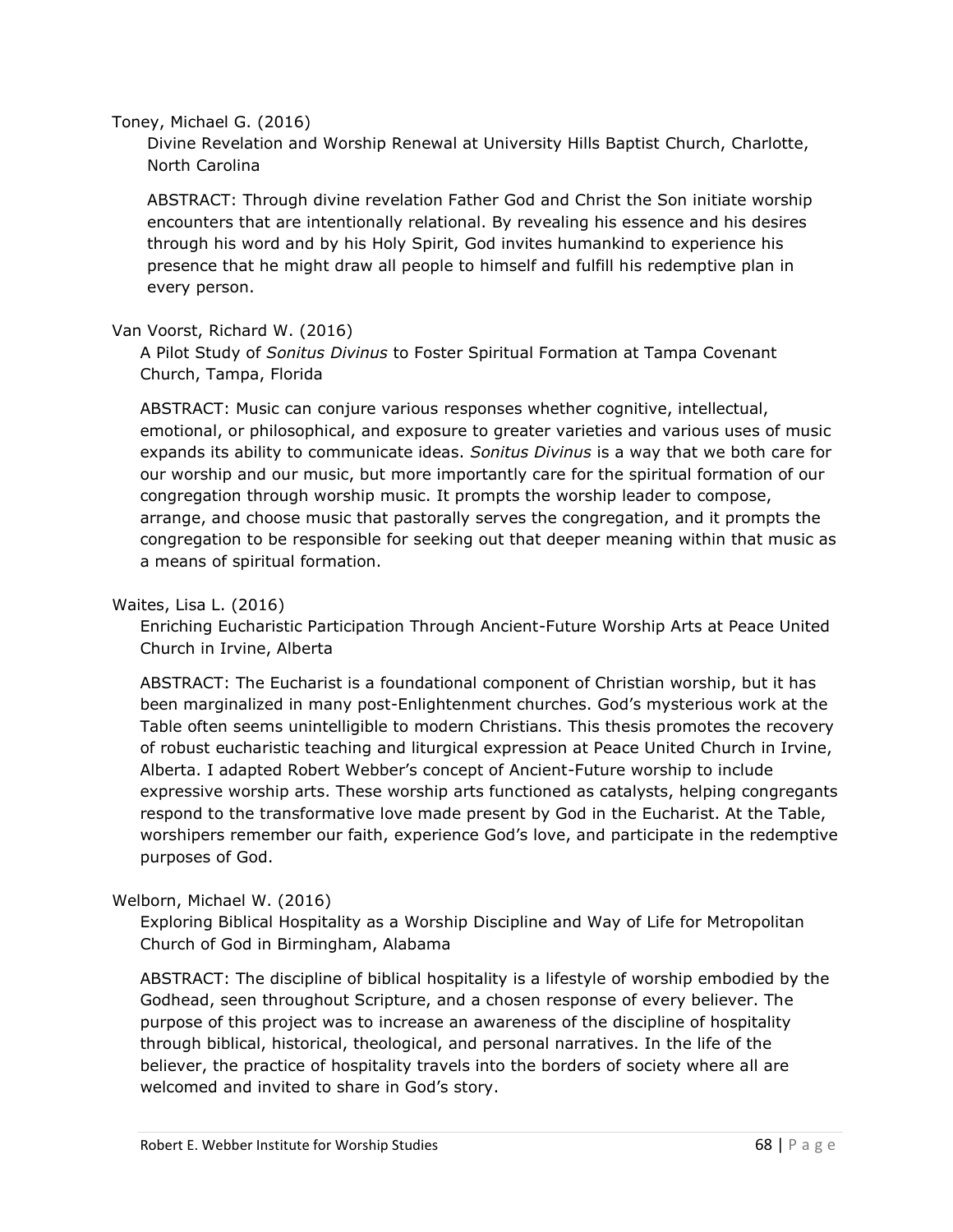#### Toney, Michael G. (2016)

Divine Revelation and Worship Renewal at University Hills Baptist Church, Charlotte, North Carolina

ABSTRACT: Through divine revelation Father God and Christ the Son initiate worship encounters that are intentionally relational. By revealing his essence and his desires through his word and by his Holy Spirit, God invites humankind to experience his presence that he might draw all people to himself and fulfill his redemptive plan in every person.

# Van Voorst, Richard W. (2016)

A Pilot Study of *Sonitus Divinus* to Foster Spiritual Formation at Tampa Covenant Church, Tampa, Florida

ABSTRACT: Music can conjure various responses whether cognitive, intellectual, emotional, or philosophical, and exposure to greater varieties and various uses of music expands its ability to communicate ideas. *Sonitus Divinus* is a way that we both care for our worship and our music, but more importantly care for the spiritual formation of our congregation through worship music. It prompts the worship leader to compose, arrange, and choose music that pastorally serves the congregation, and it prompts the congregation to be responsible for seeking out that deeper meaning within that music as a means of spiritual formation.

## Waites, Lisa L. (2016)

Enriching Eucharistic Participation Through Ancient-Future Worship Arts at Peace United Church in Irvine, Alberta

ABSTRACT: The Eucharist is a foundational component of Christian worship, but it has been marginalized in many post-Enlightenment churches. God's mysterious work at the Table often seems unintelligible to modern Christians. This thesis promotes the recovery of robust eucharistic teaching and liturgical expression at Peace United Church in Irvine, Alberta. I adapted Robert Webber's concept of Ancient-Future worship to include expressive worship arts. These worship arts functioned as catalysts, helping congregants respond to the transformative love made present by God in the Eucharist. At the Table, worshipers remember our faith, experience God's love, and participate in the redemptive purposes of God.

# Welborn, Michael W. (2016)

Exploring Biblical Hospitality as a Worship Discipline and Way of Life for Metropolitan Church of God in Birmingham, Alabama

ABSTRACT: The discipline of biblical hospitality is a lifestyle of worship embodied by the Godhead, seen throughout Scripture, and a chosen response of every believer. The purpose of this project was to increase an awareness of the discipline of hospitality through biblical, historical, theological, and personal narratives. In the life of the believer, the practice of hospitality travels into the borders of society where all are welcomed and invited to share in God's story.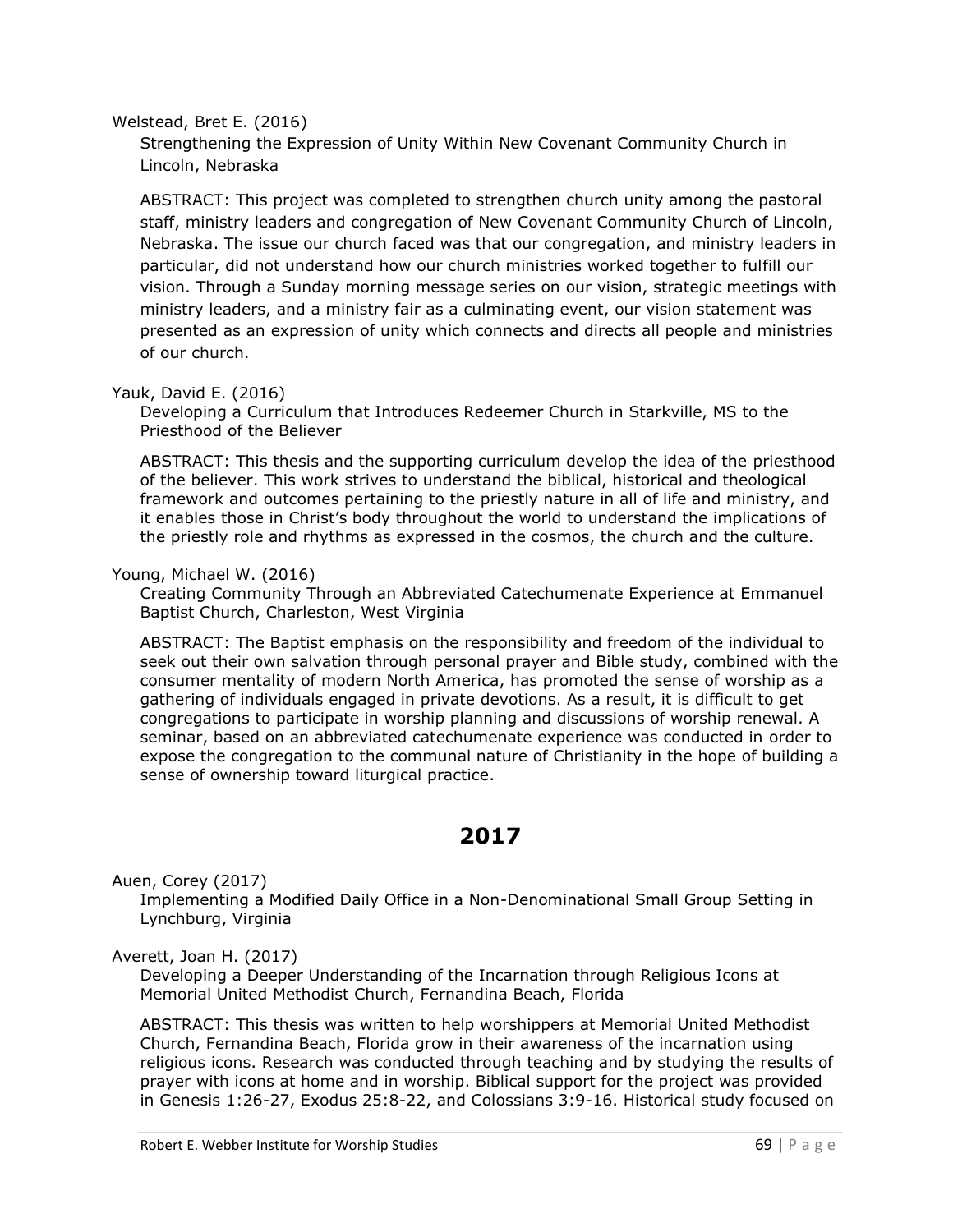#### Welstead, Bret E. (2016)

Strengthening the Expression of Unity Within New Covenant Community Church in Lincoln, Nebraska

ABSTRACT: This project was completed to strengthen church unity among the pastoral staff, ministry leaders and congregation of New Covenant Community Church of Lincoln, Nebraska. The issue our church faced was that our congregation, and ministry leaders in particular, did not understand how our church ministries worked together to fulfill our vision. Through a Sunday morning message series on our vision, strategic meetings with ministry leaders, and a ministry fair as a culminating event, our vision statement was presented as an expression of unity which connects and directs all people and ministries of our church.

## Yauk, David E. (2016)

Developing a Curriculum that Introduces Redeemer Church in Starkville, MS to the Priesthood of the Believer

ABSTRACT: This thesis and the supporting curriculum develop the idea of the priesthood of the believer. This work strives to understand the biblical, historical and theological framework and outcomes pertaining to the priestly nature in all of life and ministry, and it enables those in Christ's body throughout the world to understand the implications of the priestly role and rhythms as expressed in the cosmos, the church and the culture.

## Young, Michael W. (2016)

Creating Community Through an Abbreviated Catechumenate Experience at Emmanuel Baptist Church, Charleston, West Virginia

ABSTRACT: The Baptist emphasis on the responsibility and freedom of the individual to seek out their own salvation through personal prayer and Bible study, combined with the consumer mentality of modern North America, has promoted the sense of worship as a gathering of individuals engaged in private devotions. As a result, it is difficult to get congregations to participate in worship planning and discussions of worship renewal. A seminar, based on an abbreviated catechumenate experience was conducted in order to expose the congregation to the communal nature of Christianity in the hope of building a sense of ownership toward liturgical practice.

# **2017**

Auen, Corey (2017)

Implementing a Modified Daily Office in a Non-Denominational Small Group Setting in Lynchburg, Virginia

#### Averett, Joan H. (2017)

Developing a Deeper Understanding of the Incarnation through Religious Icons at Memorial United Methodist Church, Fernandina Beach, Florida

ABSTRACT: This thesis was written to help worshippers at Memorial United Methodist Church, Fernandina Beach, Florida grow in their awareness of the incarnation using religious icons. Research was conducted through teaching and by studying the results of prayer with icons at home and in worship. Biblical support for the project was provided in Genesis 1:26-27, Exodus 25:8-22, and Colossians 3:9-16. Historical study focused on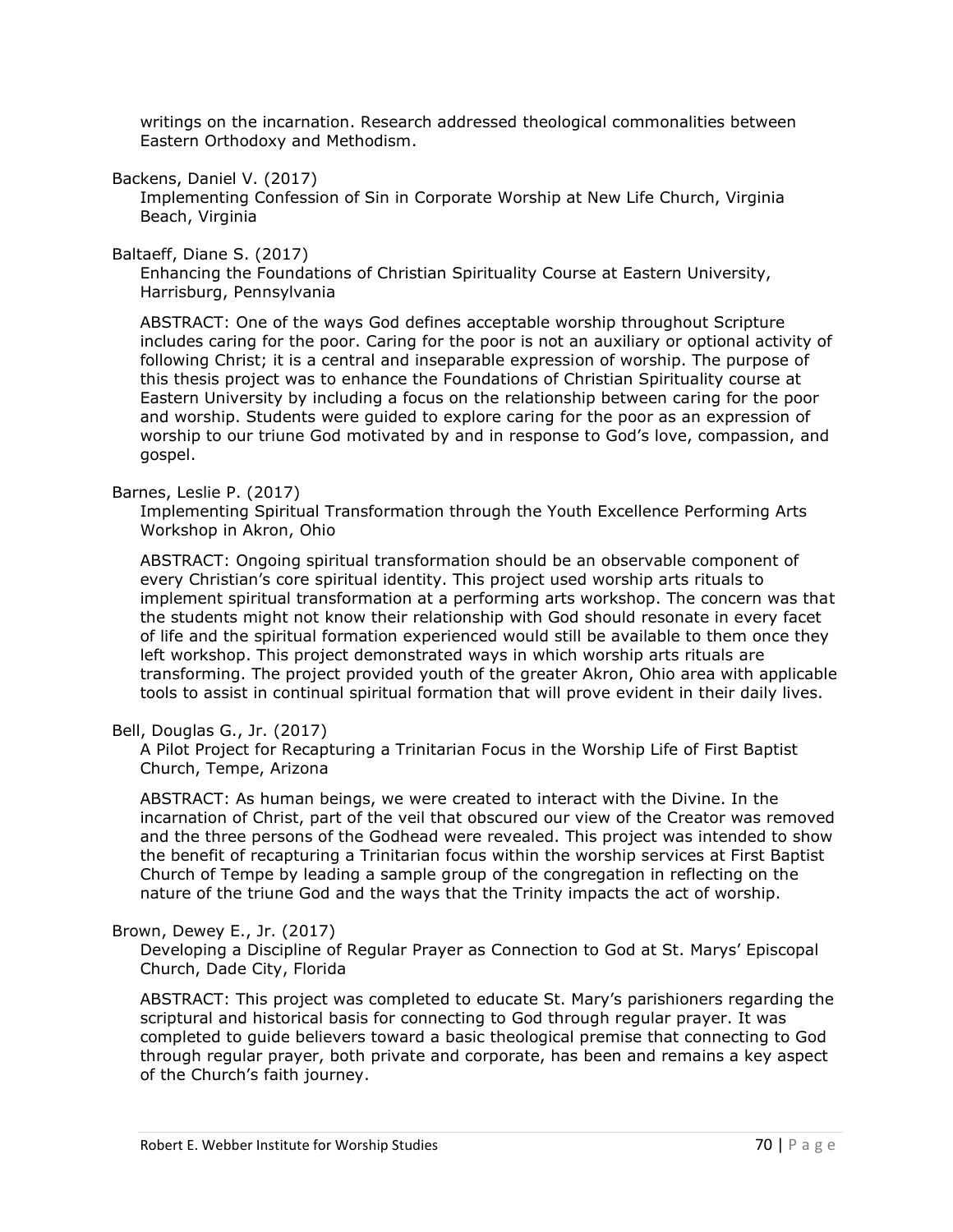writings on the incarnation. Research addressed theological commonalities between Eastern Orthodoxy and Methodism.

Backens, Daniel V. (2017)

Implementing Confession of Sin in Corporate Worship at New Life Church, Virginia Beach, Virginia

Baltaeff, Diane S. (2017)

Enhancing the Foundations of Christian Spirituality Course at Eastern University, Harrisburg, Pennsylvania

ABSTRACT: One of the ways God defines acceptable worship throughout Scripture includes caring for the poor. Caring for the poor is not an auxiliary or optional activity of following Christ; it is a central and inseparable expression of worship. The purpose of this thesis project was to enhance the Foundations of Christian Spirituality course at Eastern University by including a focus on the relationship between caring for the poor and worship. Students were guided to explore caring for the poor as an expression of worship to our triune God motivated by and in response to God's love, compassion, and gospel.

#### Barnes, Leslie P. (2017)

Implementing Spiritual Transformation through the Youth Excellence Performing Arts Workshop in Akron, Ohio

ABSTRACT: Ongoing spiritual transformation should be an observable component of every Christian's core spiritual identity. This project used worship arts rituals to implement spiritual transformation at a performing arts workshop. The concern was that the students might not know their relationship with God should resonate in every facet of life and the spiritual formation experienced would still be available to them once they left workshop. This project demonstrated ways in which worship arts rituals are transforming. The project provided youth of the greater Akron, Ohio area with applicable tools to assist in continual spiritual formation that will prove evident in their daily lives.

#### Bell, Douglas G., Jr. (2017)

A Pilot Project for Recapturing a Trinitarian Focus in the Worship Life of First Baptist Church, Tempe, Arizona

ABSTRACT: As human beings, we were created to interact with the Divine. In the incarnation of Christ, part of the veil that obscured our view of the Creator was removed and the three persons of the Godhead were revealed. This project was intended to show the benefit of recapturing a Trinitarian focus within the worship services at First Baptist Church of Tempe by leading a sample group of the congregation in reflecting on the nature of the triune God and the ways that the Trinity impacts the act of worship.

#### Brown, Dewey E., Jr. (2017)

Developing a Discipline of Regular Prayer as Connection to God at St. Marys' Episcopal Church, Dade City, Florida

ABSTRACT: This project was completed to educate St. Mary's parishioners regarding the scriptural and historical basis for connecting to God through regular prayer. It was completed to guide believers toward a basic theological premise that connecting to God through regular prayer, both private and corporate, has been and remains a key aspect of the Church's faith journey.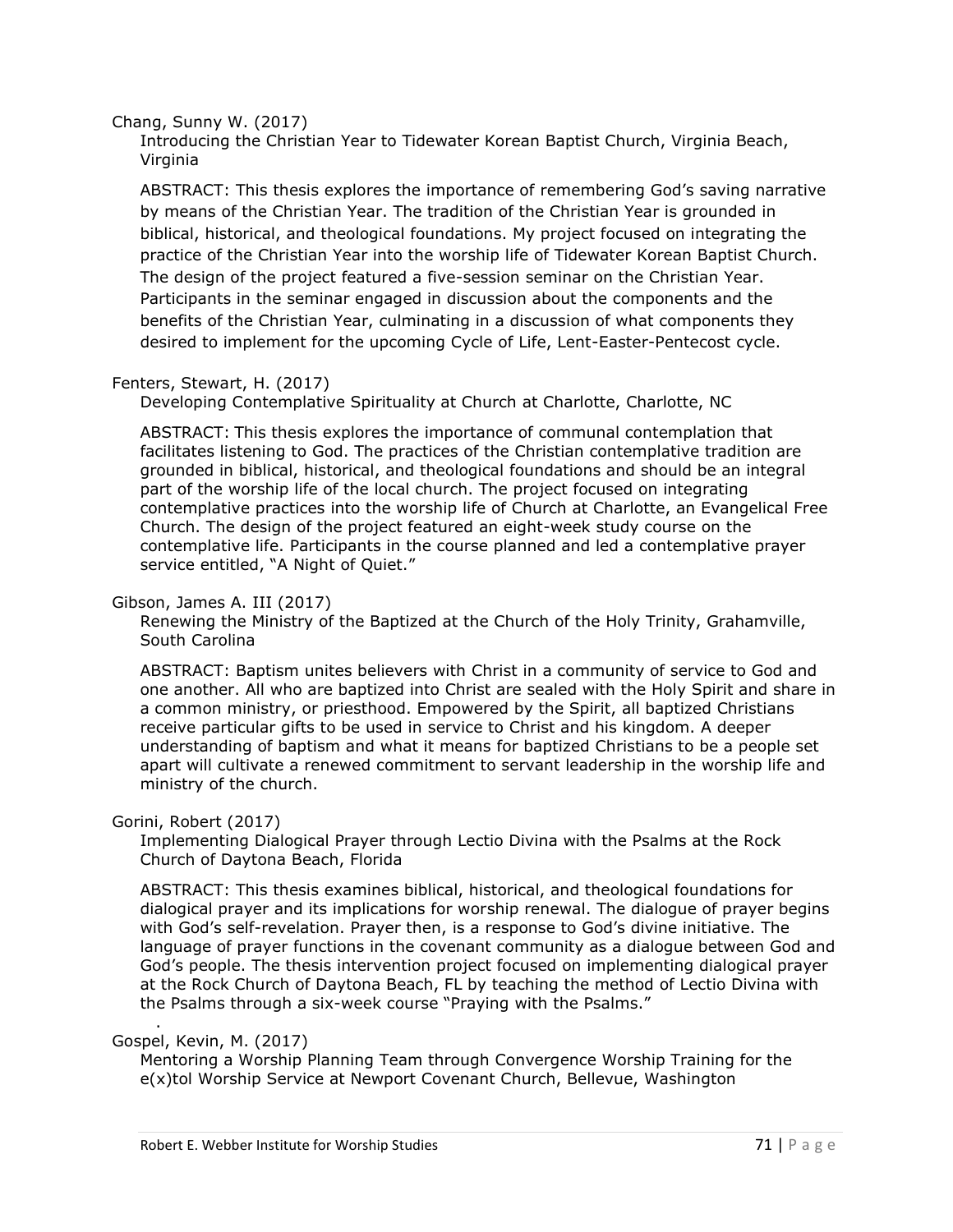Chang, Sunny W. (2017)

Introducing the Christian Year to Tidewater Korean Baptist Church, Virginia Beach, Virginia

ABSTRACT: This thesis explores the importance of remembering God's saving narrative by means of the Christian Year. The tradition of the Christian Year is grounded in biblical, historical, and theological foundations. My project focused on integrating the practice of the Christian Year into the worship life of Tidewater Korean Baptist Church. The design of the project featured a five-session seminar on the Christian Year. Participants in the seminar engaged in discussion about the components and the benefits of the Christian Year, culminating in a discussion of what components they desired to implement for the upcoming Cycle of Life, Lent-Easter-Pentecost cycle.

## Fenters, Stewart, H. (2017)

Developing Contemplative Spirituality at Church at Charlotte, Charlotte, NC

ABSTRACT: This thesis explores the importance of communal contemplation that facilitates listening to God. The practices of the Christian contemplative tradition are grounded in biblical, historical, and theological foundations and should be an integral part of the worship life of the local church. The project focused on integrating contemplative practices into the worship life of Church at Charlotte, an Evangelical Free Church. The design of the project featured an eight-week study course on the contemplative life. Participants in the course planned and led a contemplative prayer service entitled, "A Night of Quiet."

#### Gibson, James A. III (2017)

Renewing the Ministry of the Baptized at the Church of the Holy Trinity, Grahamville, South Carolina

ABSTRACT: Baptism unites believers with Christ in a community of service to God and one another. All who are baptized into Christ are sealed with the Holy Spirit and share in a common ministry, or priesthood. Empowered by the Spirit, all baptized Christians receive particular gifts to be used in service to Christ and his kingdom. A deeper understanding of baptism and what it means for baptized Christians to be a people set apart will cultivate a renewed commitment to servant leadership in the worship life and ministry of the church.

#### Gorini, Robert (2017)

Implementing Dialogical Prayer through Lectio Divina with the Psalms at the Rock Church of Daytona Beach, Florida

ABSTRACT: This thesis examines biblical, historical, and theological foundations for dialogical prayer and its implications for worship renewal. The dialogue of prayer begins with God's self-revelation. Prayer then, is a response to God's divine initiative. The language of prayer functions in the covenant community as a dialogue between God and God's people. The thesis intervention project focused on implementing dialogical prayer at the Rock Church of Daytona Beach, FL by teaching the method of Lectio Divina with the Psalms through a six-week course "Praying with the Psalms."

#### Gospel, Kevin, M. (2017)

.

Mentoring a Worship Planning Team through Convergence Worship Training for the e(x)tol Worship Service at Newport Covenant Church, Bellevue, Washington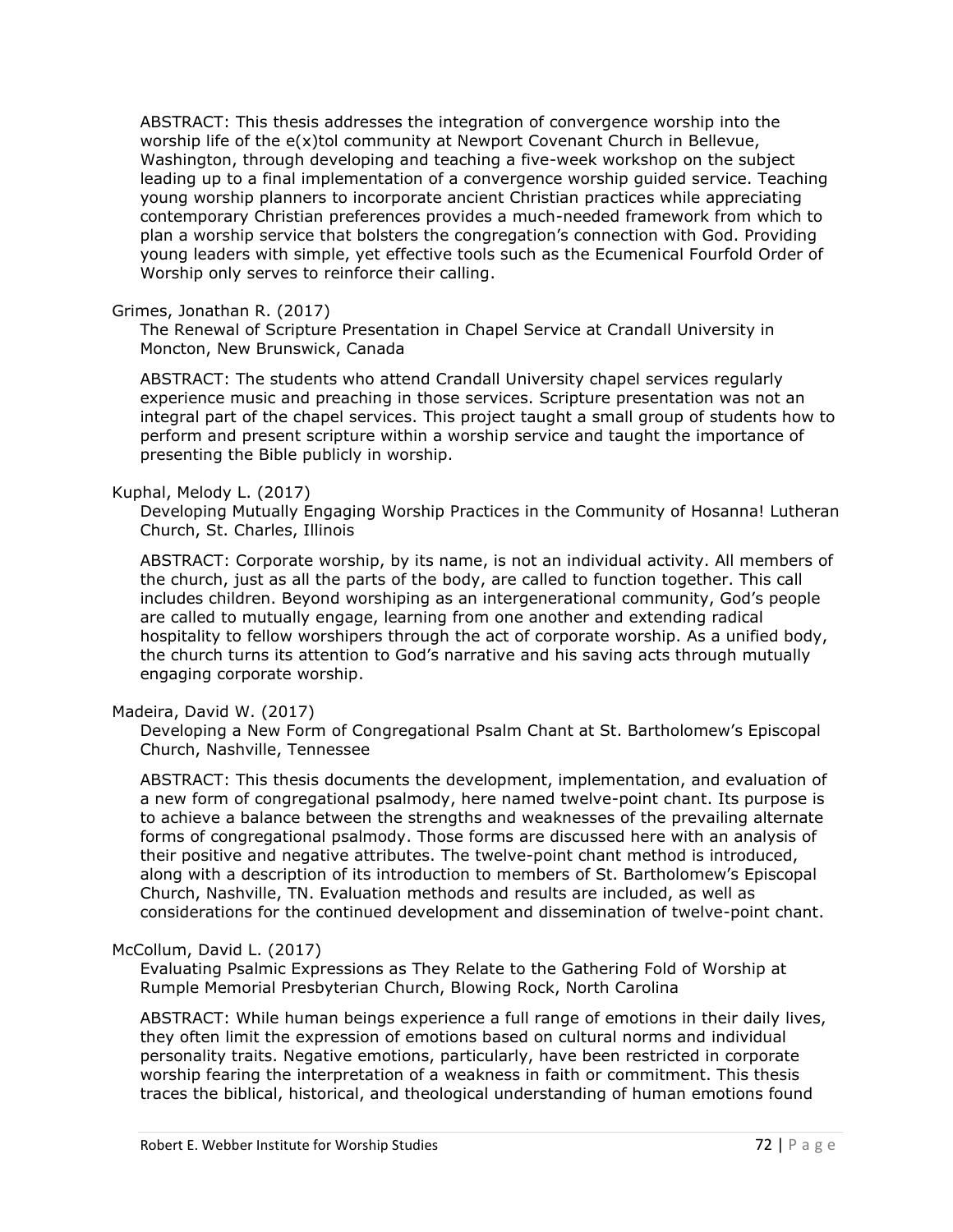ABSTRACT: This thesis addresses the integration of convergence worship into the worship life of the e(x)tol community at Newport Covenant Church in Bellevue, Washington, through developing and teaching a five-week workshop on the subject leading up to a final implementation of a convergence worship guided service. Teaching young worship planners to incorporate ancient Christian practices while appreciating contemporary Christian preferences provides a much-needed framework from which to plan a worship service that bolsters the congregation's connection with God. Providing young leaders with simple, yet effective tools such as the Ecumenical Fourfold Order of Worship only serves to reinforce their calling.

#### Grimes, Jonathan R. (2017)

The Renewal of Scripture Presentation in Chapel Service at Crandall University in Moncton, New Brunswick, Canada

ABSTRACT: The students who attend Crandall University chapel services regularly experience music and preaching in those services. Scripture presentation was not an integral part of the chapel services. This project taught a small group of students how to perform and present scripture within a worship service and taught the importance of presenting the Bible publicly in worship.

#### Kuphal, Melody L. (2017)

Developing Mutually Engaging Worship Practices in the Community of Hosanna! Lutheran Church, St. Charles, Illinois

ABSTRACT: Corporate worship, by its name, is not an individual activity. All members of the church, just as all the parts of the body, are called to function together. This call includes children. Beyond worshiping as an intergenerational community, God's people are called to mutually engage, learning from one another and extending radical hospitality to fellow worshipers through the act of corporate worship. As a unified body, the church turns its attention to God's narrative and his saving acts through mutually engaging corporate worship.

#### Madeira, David W. (2017)

Developing a New Form of Congregational Psalm Chant at St. Bartholomew's Episcopal Church, Nashville, Tennessee

ABSTRACT: This thesis documents the development, implementation, and evaluation of a new form of congregational psalmody, here named twelve-point chant. Its purpose is to achieve a balance between the strengths and weaknesses of the prevailing alternate forms of congregational psalmody. Those forms are discussed here with an analysis of their positive and negative attributes. The twelve-point chant method is introduced, along with a description of its introduction to members of St. Bartholomew's Episcopal Church, Nashville, TN. Evaluation methods and results are included, as well as considerations for the continued development and dissemination of twelve-point chant.

#### McCollum, David L. (2017)

Evaluating Psalmic Expressions as They Relate to the Gathering Fold of Worship at Rumple Memorial Presbyterian Church, Blowing Rock, North Carolina

ABSTRACT: While human beings experience a full range of emotions in their daily lives, they often limit the expression of emotions based on cultural norms and individual personality traits. Negative emotions, particularly, have been restricted in corporate worship fearing the interpretation of a weakness in faith or commitment. This thesis traces the biblical, historical, and theological understanding of human emotions found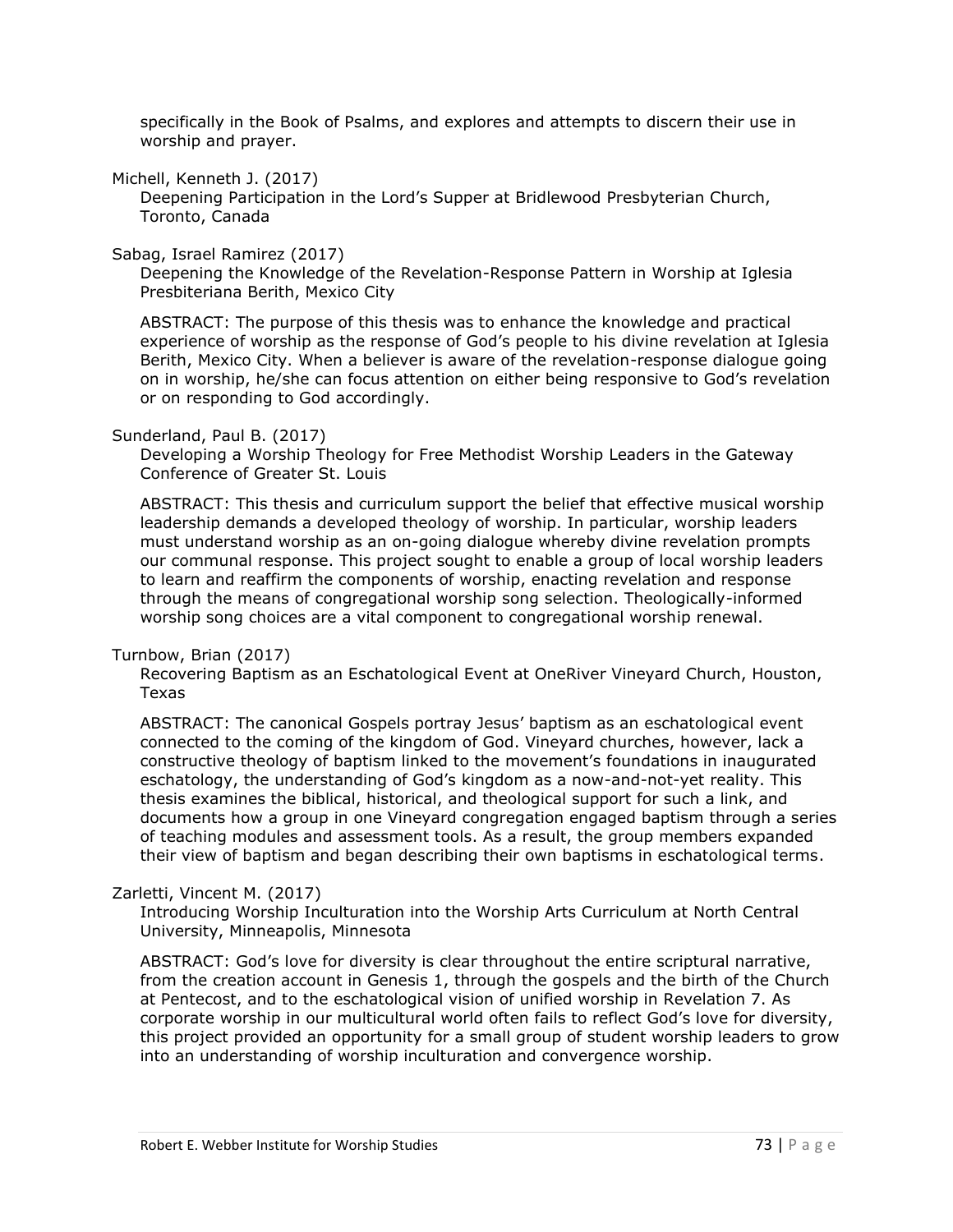specifically in the Book of Psalms, and explores and attempts to discern their use in worship and prayer.

Michell, Kenneth J. (2017)

Deepening Participation in the Lord's Supper at Bridlewood Presbyterian Church, Toronto, Canada

Sabag, Israel Ramirez (2017)

Deepening the Knowledge of the Revelation-Response Pattern in Worship at Iglesia Presbiteriana Berith, Mexico City

ABSTRACT: The purpose of this thesis was to enhance the knowledge and practical experience of worship as the response of God's people to his divine revelation at Iglesia Berith, Mexico City. When a believer is aware of the revelation-response dialogue going on in worship, he/she can focus attention on either being responsive to God's revelation or on responding to God accordingly.

#### Sunderland, Paul B. (2017)

Developing a Worship Theology for Free Methodist Worship Leaders in the Gateway Conference of Greater St. Louis

ABSTRACT: This thesis and curriculum support the belief that effective musical worship leadership demands a developed theology of worship. In particular, worship leaders must understand worship as an on-going dialogue whereby divine revelation prompts our communal response. This project sought to enable a group of local worship leaders to learn and reaffirm the components of worship, enacting revelation and response through the means of congregational worship song selection. Theologically-informed worship song choices are a vital component to congregational worship renewal.

#### Turnbow, Brian (2017)

Recovering Baptism as an Eschatological Event at OneRiver Vineyard Church, Houston, Texas

ABSTRACT: The canonical Gospels portray Jesus' baptism as an eschatological event connected to the coming of the kingdom of God. Vineyard churches, however, lack a constructive theology of baptism linked to the movement's foundations in inaugurated eschatology, the understanding of God's kingdom as a now-and-not-yet reality. This thesis examines the biblical, historical, and theological support for such a link, and documents how a group in one Vineyard congregation engaged baptism through a series of teaching modules and assessment tools. As a result, the group members expanded their view of baptism and began describing their own baptisms in eschatological terms.

#### Zarletti, Vincent M. (2017)

Introducing Worship Inculturation into the Worship Arts Curriculum at North Central University, Minneapolis, Minnesota

ABSTRACT: God's love for diversity is clear throughout the entire scriptural narrative, from the creation account in Genesis 1, through the gospels and the birth of the Church at Pentecost, and to the eschatological vision of unified worship in Revelation 7. As corporate worship in our multicultural world often fails to reflect God's love for diversity, this project provided an opportunity for a small group of student worship leaders to grow into an understanding of worship inculturation and convergence worship.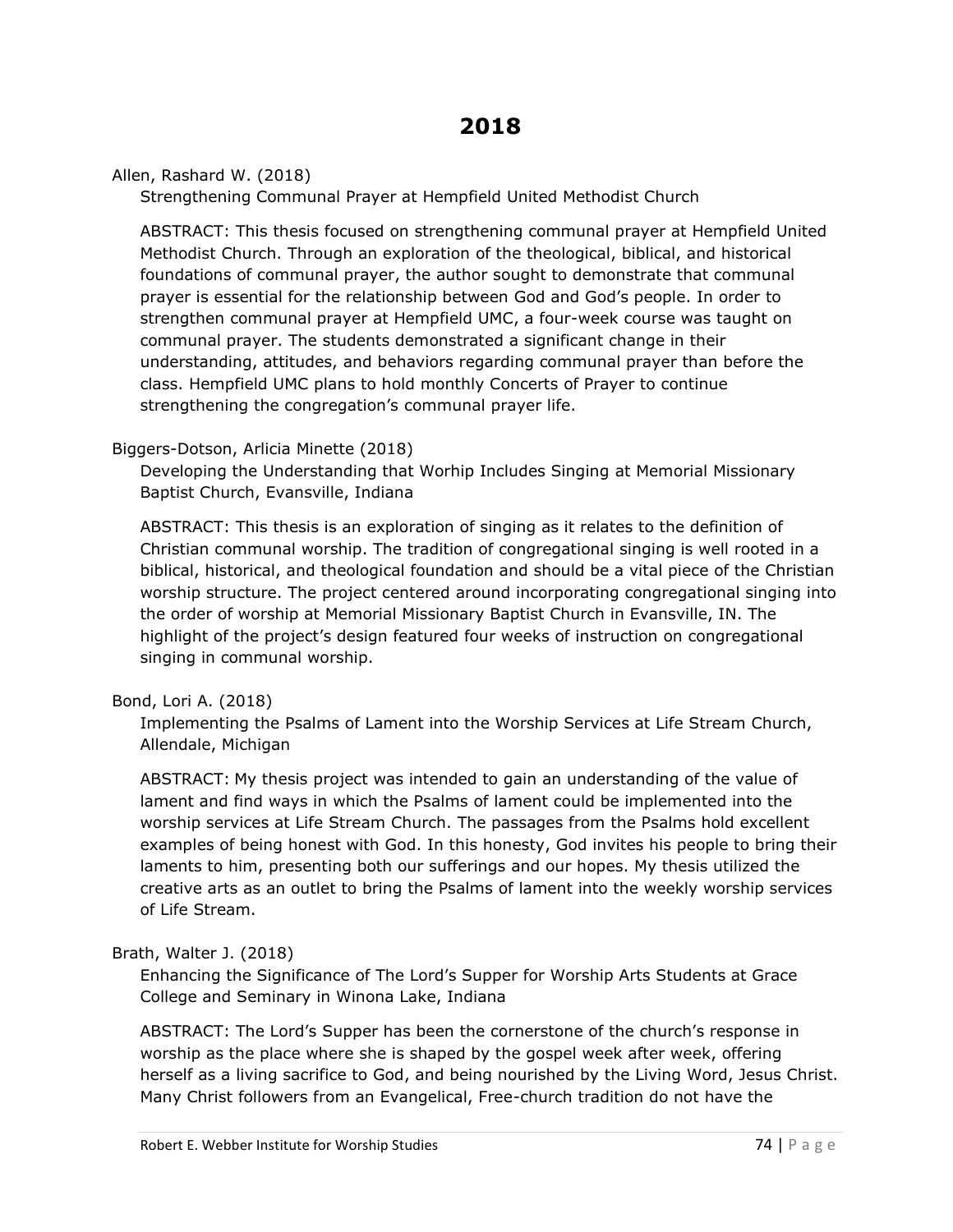Allen, Rashard W. (2018)

Strengthening Communal Prayer at Hempfield United Methodist Church

ABSTRACT: This thesis focused on strengthening communal prayer at Hempfield United Methodist Church. Through an exploration of the theological, biblical, and historical foundations of communal prayer, the author sought to demonstrate that communal prayer is essential for the relationship between God and God's people. In order to strengthen communal prayer at Hempfield UMC, a four-week course was taught on communal prayer. The students demonstrated a significant change in their understanding, attitudes, and behaviors regarding communal prayer than before the class. Hempfield UMC plans to hold monthly Concerts of Prayer to continue strengthening the congregation's communal prayer life.

#### Biggers-Dotson, Arlicia Minette (2018)

Developing the Understanding that Worhip Includes Singing at Memorial Missionary Baptist Church, Evansville, Indiana

ABSTRACT: This thesis is an exploration of singing as it relates to the definition of Christian communal worship. The tradition of congregational singing is well rooted in a biblical, historical, and theological foundation and should be a vital piece of the Christian worship structure. The project centered around incorporating congregational singing into the order of worship at Memorial Missionary Baptist Church in Evansville, IN. The highlight of the project's design featured four weeks of instruction on congregational singing in communal worship.

#### Bond, Lori A. (2018)

Implementing the Psalms of Lament into the Worship Services at Life Stream Church, Allendale, Michigan

ABSTRACT: My thesis project was intended to gain an understanding of the value of lament and find ways in which the Psalms of lament could be implemented into the worship services at Life Stream Church. The passages from the Psalms hold excellent examples of being honest with God. In this honesty, God invites his people to bring their laments to him, presenting both our sufferings and our hopes. My thesis utilized the creative arts as an outlet to bring the Psalms of lament into the weekly worship services of Life Stream.

#### Brath, Walter J. (2018)

Enhancing the Significance of The Lord's Supper for Worship Arts Students at Grace College and Seminary in Winona Lake, Indiana

ABSTRACT: The Lord's Supper has been the cornerstone of the church's response in worship as the place where she is shaped by the gospel week after week, offering herself as a living sacrifice to God, and being nourished by the Living Word, Jesus Christ. Many Christ followers from an Evangelical, Free-church tradition do not have the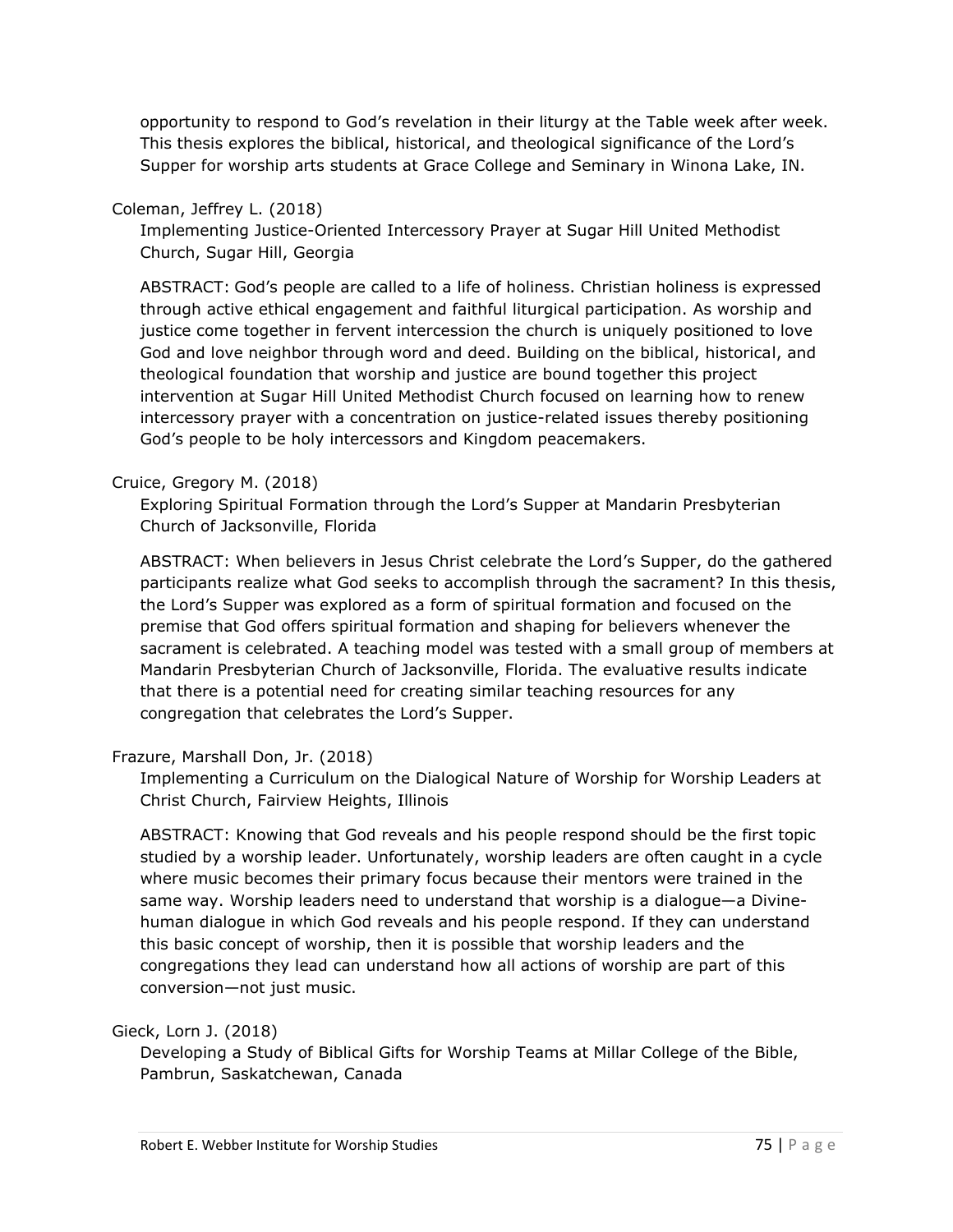opportunity to respond to God's revelation in their liturgy at the Table week after week. This thesis explores the biblical, historical, and theological significance of the Lord's Supper for worship arts students at Grace College and Seminary in Winona Lake, IN.

### Coleman, Jeffrey L. (2018)

Implementing Justice-Oriented Intercessory Prayer at Sugar Hill United Methodist Church, Sugar Hill, Georgia

ABSTRACT: God's people are called to a life of holiness. Christian holiness is expressed through active ethical engagement and faithful liturgical participation. As worship and justice come together in fervent intercession the church is uniquely positioned to love God and love neighbor through word and deed. Building on the biblical, historical, and theological foundation that worship and justice are bound together this project intervention at Sugar Hill United Methodist Church focused on learning how to renew intercessory prayer with a concentration on justice-related issues thereby positioning God's people to be holy intercessors and Kingdom peacemakers.

### Cruice, Gregory M. (2018)

Exploring Spiritual Formation through the Lord's Supper at Mandarin Presbyterian Church of Jacksonville, Florida

ABSTRACT: When believers in Jesus Christ celebrate the Lord's Supper, do the gathered participants realize what God seeks to accomplish through the sacrament? In this thesis, the Lord's Supper was explored as a form of spiritual formation and focused on the premise that God offers spiritual formation and shaping for believers whenever the sacrament is celebrated. A teaching model was tested with a small group of members at Mandarin Presbyterian Church of Jacksonville, Florida. The evaluative results indicate that there is a potential need for creating similar teaching resources for any congregation that celebrates the Lord's Supper.

#### Frazure, Marshall Don, Jr. (2018)

Implementing a Curriculum on the Dialogical Nature of Worship for Worship Leaders at Christ Church, Fairview Heights, Illinois

ABSTRACT: Knowing that God reveals and his people respond should be the first topic studied by a worship leader. Unfortunately, worship leaders are often caught in a cycle where music becomes their primary focus because their mentors were trained in the same way. Worship leaders need to understand that worship is a dialogue—a Divinehuman dialogue in which God reveals and his people respond. If they can understand this basic concept of worship, then it is possible that worship leaders and the congregations they lead can understand how all actions of worship are part of this conversion—not just music.

Gieck, Lorn J. (2018)

Developing a Study of Biblical Gifts for Worship Teams at Millar College of the Bible, Pambrun, Saskatchewan, Canada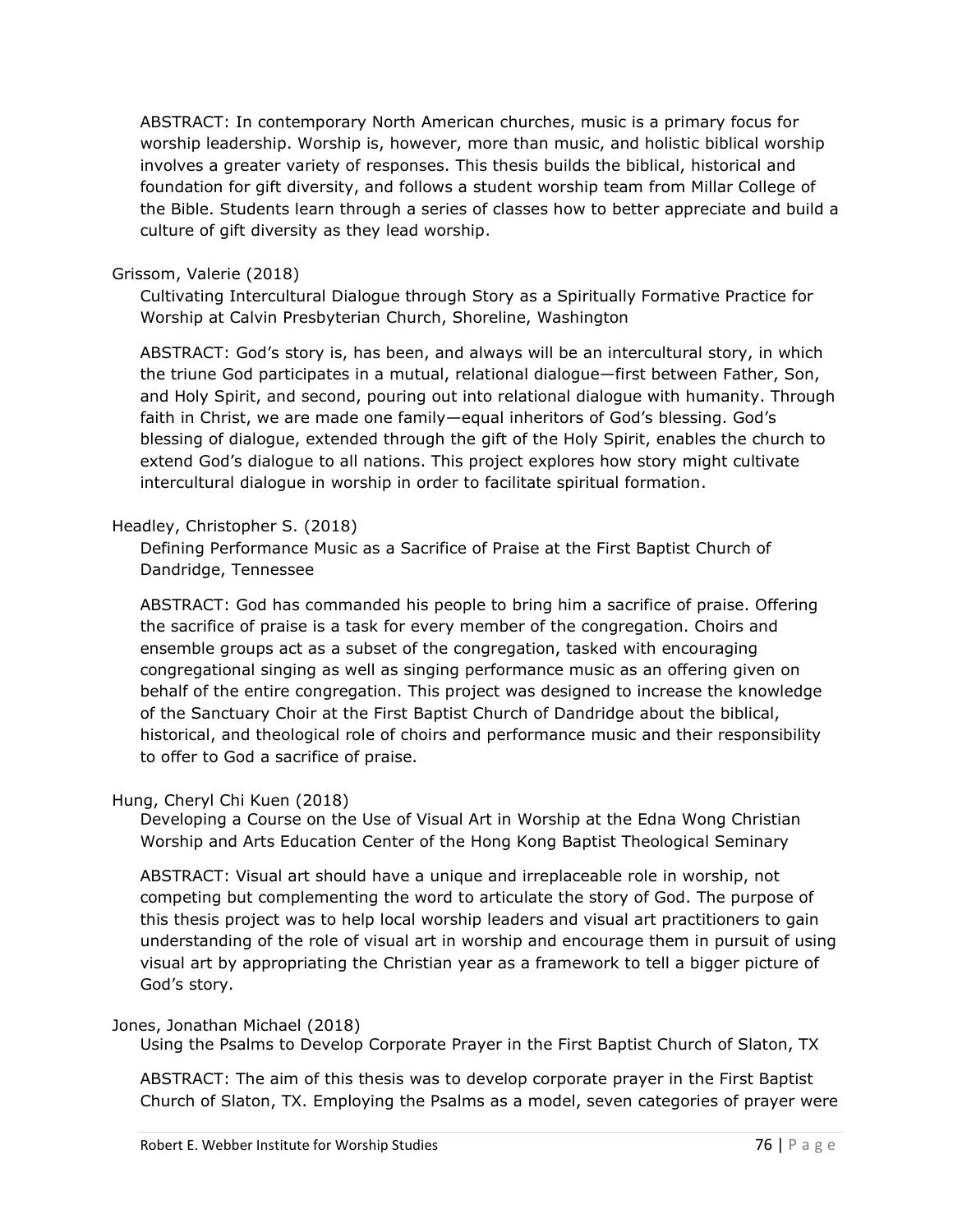ABSTRACT: In contemporary North American churches, music is a primary focus for worship leadership. Worship is, however, more than music, and holistic biblical worship involves a greater variety of responses. This thesis builds the biblical, historical and foundation for gift diversity, and follows a student worship team from Millar College of the Bible. Students learn through a series of classes how to better appreciate and build a culture of gift diversity as they lead worship.

#### Grissom, Valerie (2018)

Cultivating Intercultural Dialogue through Story as a Spiritually Formative Practice for Worship at Calvin Presbyterian Church, Shoreline, Washington

ABSTRACT: God's story is, has been, and always will be an intercultural story, in which the triune God participates in a mutual, relational dialogue—first between Father, Son, and Holy Spirit, and second, pouring out into relational dialogue with humanity. Through faith in Christ, we are made one family—equal inheritors of God's blessing. God's blessing of dialogue, extended through the gift of the Holy Spirit, enables the church to extend God's dialogue to all nations. This project explores how story might cultivate intercultural dialogue in worship in order to facilitate spiritual formation.

### Headley, Christopher S. (2018)

Defining Performance Music as a Sacrifice of Praise at the First Baptist Church of Dandridge, Tennessee

ABSTRACT: God has commanded his people to bring him a sacrifice of praise. Offering the sacrifice of praise is a task for every member of the congregation. Choirs and ensemble groups act as a subset of the congregation, tasked with encouraging congregational singing as well as singing performance music as an offering given on behalf of the entire congregation. This project was designed to increase the knowledge of the Sanctuary Choir at the First Baptist Church of Dandridge about the biblical, historical, and theological role of choirs and performance music and their responsibility to offer to God a sacrifice of praise.

## Hung, Cheryl Chi Kuen (2018)

Developing a Course on the Use of Visual Art in Worship at the Edna Wong Christian Worship and Arts Education Center of the Hong Kong Baptist Theological Seminary

ABSTRACT: Visual art should have a unique and irreplaceable role in worship, not competing but complementing the word to articulate the story of God. The purpose of this thesis project was to help local worship leaders and visual art practitioners to gain understanding of the role of visual art in worship and encourage them in pursuit of using visual art by appropriating the Christian year as a framework to tell a bigger picture of God's story.

#### Jones, Jonathan Michael (2018)

Using the Psalms to Develop Corporate Prayer in the First Baptist Church of Slaton, TX

ABSTRACT: The aim of this thesis was to develop corporate prayer in the First Baptist Church of Slaton, TX. Employing the Psalms as a model, seven categories of prayer were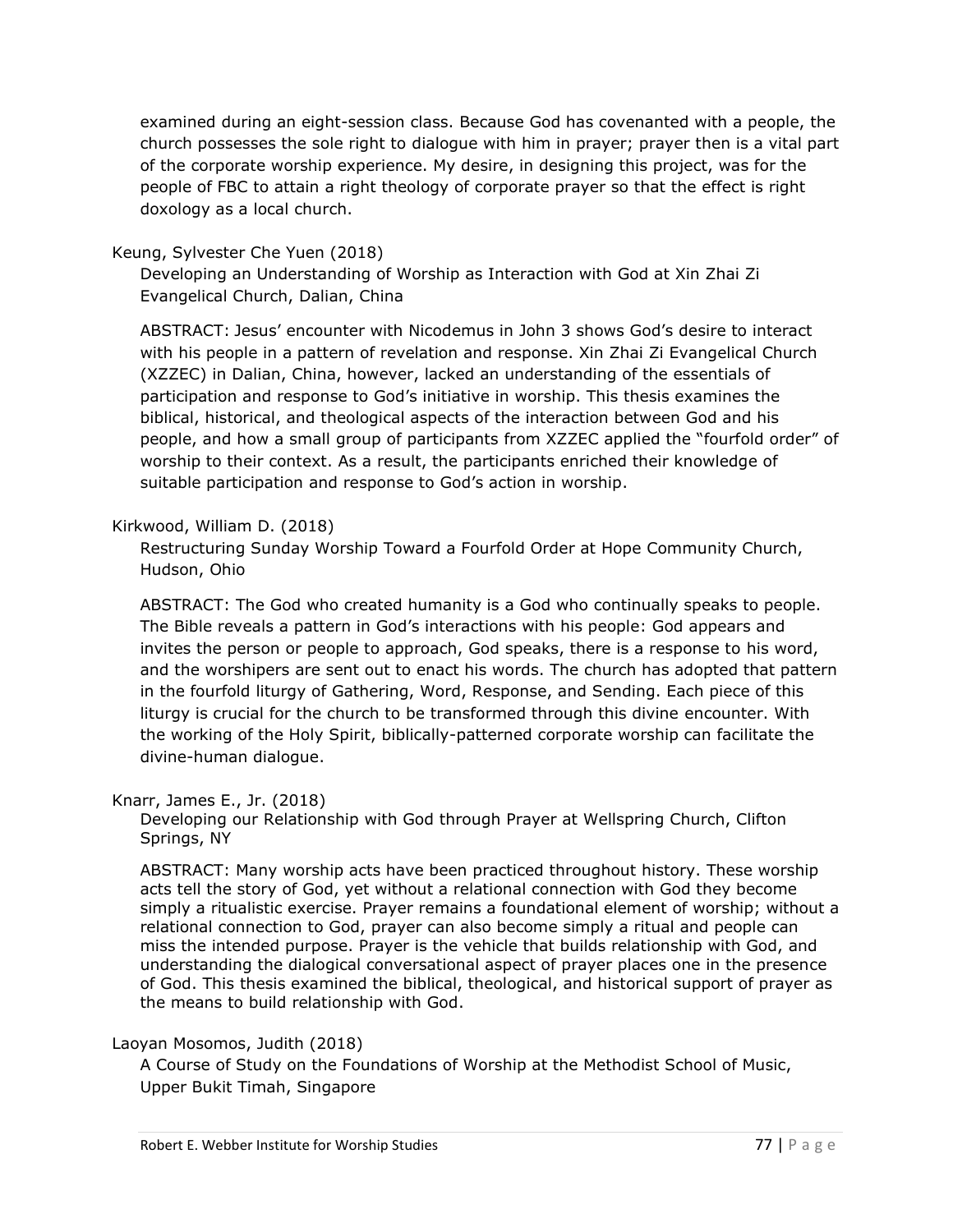examined during an eight-session class. Because God has covenanted with a people, the church possesses the sole right to dialogue with him in prayer; prayer then is a vital part of the corporate worship experience. My desire, in designing this project, was for the people of FBC to attain a right theology of corporate prayer so that the effect is right doxology as a local church.

### Keung, Sylvester Che Yuen (2018)

Developing an Understanding of Worship as Interaction with God at Xin Zhai Zi Evangelical Church, Dalian, China

ABSTRACT: Jesus' encounter with Nicodemus in John 3 shows God's desire to interact with his people in a pattern of revelation and response. Xin Zhai Zi Evangelical Church (XZZEC) in Dalian, China, however, lacked an understanding of the essentials of participation and response to God's initiative in worship. This thesis examines the biblical, historical, and theological aspects of the interaction between God and his people, and how a small group of participants from XZZEC applied the "fourfold order" of worship to their context. As a result, the participants enriched their knowledge of suitable participation and response to God's action in worship.

#### Kirkwood, William D. (2018)

Restructuring Sunday Worship Toward a Fourfold Order at Hope Community Church, Hudson, Ohio

ABSTRACT: The God who created humanity is a God who continually speaks to people. The Bible reveals a pattern in God's interactions with his people: God appears and invites the person or people to approach, God speaks, there is a response to his word, and the worshipers are sent out to enact his words. The church has adopted that pattern in the fourfold liturgy of Gathering, Word, Response, and Sending. Each piece of this liturgy is crucial for the church to be transformed through this divine encounter. With the working of the Holy Spirit, biblically-patterned corporate worship can facilitate the divine-human dialogue.

#### Knarr, James E., Jr. (2018)

Developing our Relationship with God through Prayer at Wellspring Church, Clifton Springs, NY

ABSTRACT: Many worship acts have been practiced throughout history. These worship acts tell the story of God, yet without a relational connection with God they become simply a ritualistic exercise. Prayer remains a foundational element of worship; without a relational connection to God, prayer can also become simply a ritual and people can miss the intended purpose. Prayer is the vehicle that builds relationship with God, and understanding the dialogical conversational aspect of prayer places one in the presence of God. This thesis examined the biblical, theological, and historical support of prayer as the means to build relationship with God.

#### Laoyan Mosomos, Judith (2018)

A Course of Study on the Foundations of Worship at the Methodist School of Music, Upper Bukit Timah, Singapore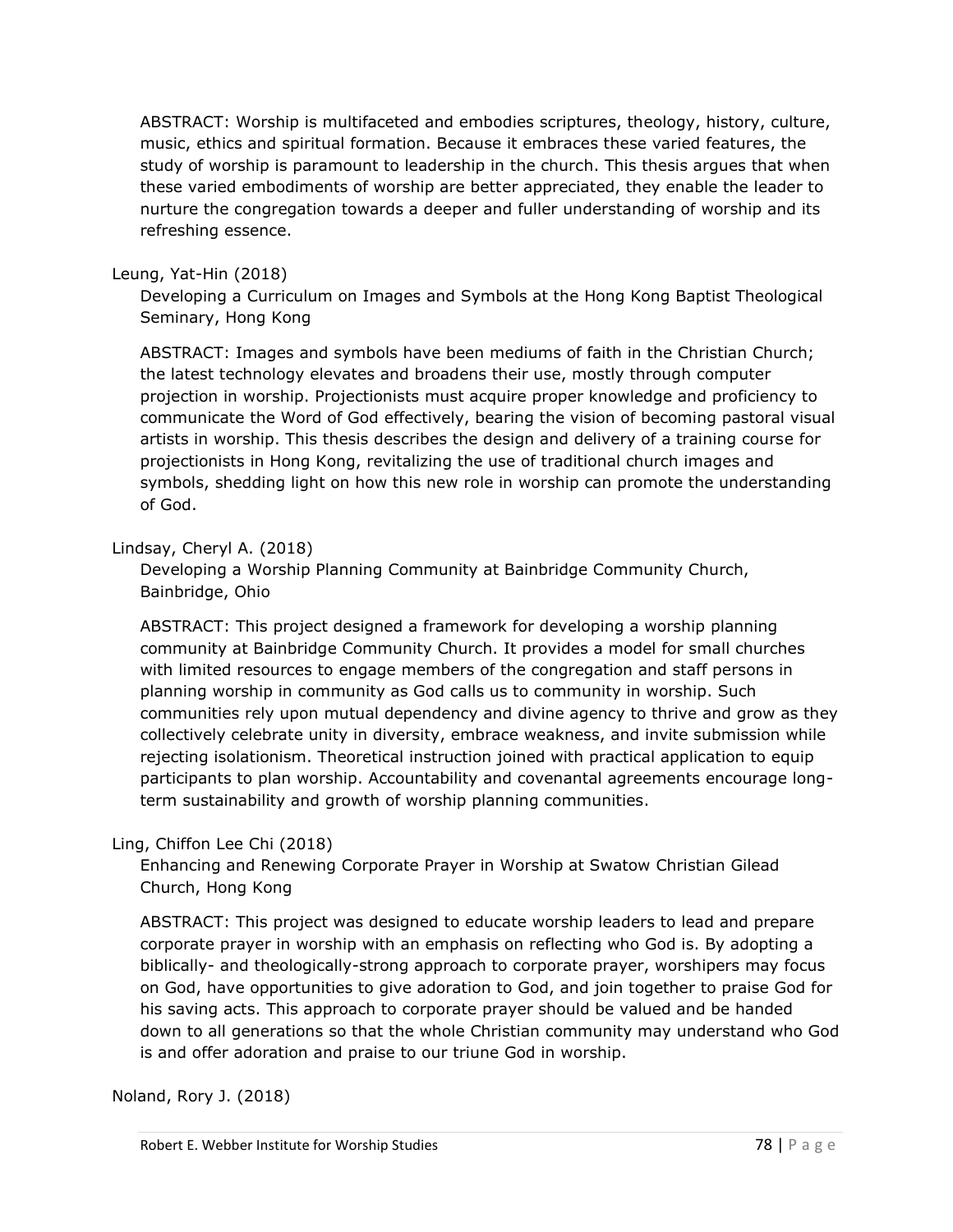ABSTRACT: Worship is multifaceted and embodies scriptures, theology, history, culture, music, ethics and spiritual formation. Because it embraces these varied features, the study of worship is paramount to leadership in the church. This thesis argues that when these varied embodiments of worship are better appreciated, they enable the leader to nurture the congregation towards a deeper and fuller understanding of worship and its refreshing essence.

#### Leung, Yat-Hin (2018)

Developing a Curriculum on Images and Symbols at the Hong Kong Baptist Theological Seminary, Hong Kong

ABSTRACT: Images and symbols have been mediums of faith in the Christian Church; the latest technology elevates and broadens their use, mostly through computer projection in worship. Projectionists must acquire proper knowledge and proficiency to communicate the Word of God effectively, bearing the vision of becoming pastoral visual artists in worship. This thesis describes the design and delivery of a training course for projectionists in Hong Kong, revitalizing the use of traditional church images and symbols, shedding light on how this new role in worship can promote the understanding of God.

### Lindsay, Cheryl A. (2018)

Developing a Worship Planning Community at Bainbridge Community Church, Bainbridge, Ohio

ABSTRACT: This project designed a framework for developing a worship planning community at Bainbridge Community Church. It provides a model for small churches with limited resources to engage members of the congregation and staff persons in planning worship in community as God calls us to community in worship. Such communities rely upon mutual dependency and divine agency to thrive and grow as they collectively celebrate unity in diversity, embrace weakness, and invite submission while rejecting isolationism. Theoretical instruction joined with practical application to equip participants to plan worship. Accountability and covenantal agreements encourage longterm sustainability and growth of worship planning communities.

## Ling, Chiffon Lee Chi (2018)

Enhancing and Renewing Corporate Prayer in Worship at Swatow Christian Gilead Church, Hong Kong

ABSTRACT: This project was designed to educate worship leaders to lead and prepare corporate prayer in worship with an emphasis on reflecting who God is. By adopting a biblically- and theologically-strong approach to corporate prayer, worshipers may focus on God, have opportunities to give adoration to God, and join together to praise God for his saving acts. This approach to corporate prayer should be valued and be handed down to all generations so that the whole Christian community may understand who God is and offer adoration and praise to our triune God in worship.

Noland, Rory J. (2018)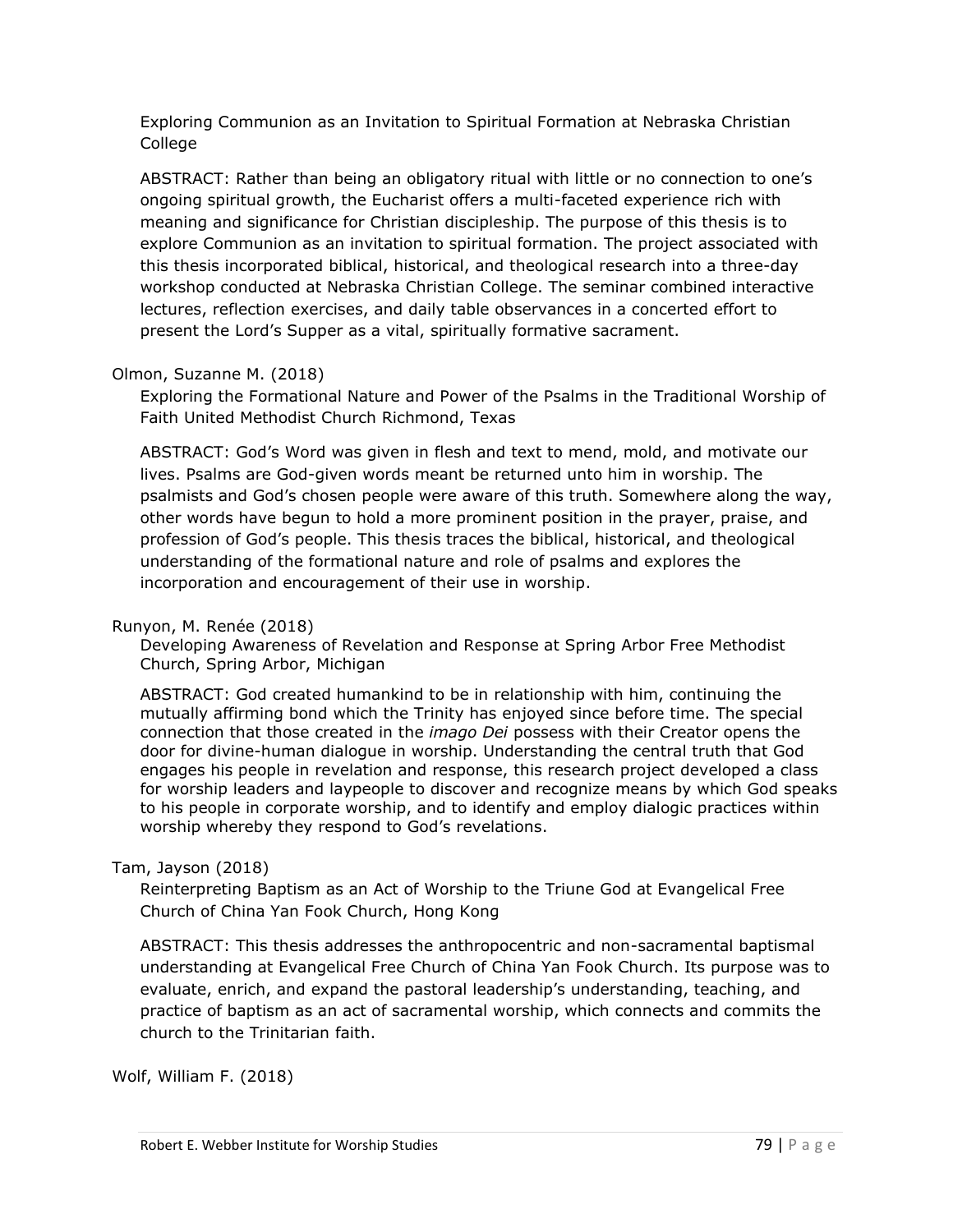Exploring Communion as an Invitation to Spiritual Formation at Nebraska Christian College

ABSTRACT: Rather than being an obligatory ritual with little or no connection to one's ongoing spiritual growth, the Eucharist offers a multi-faceted experience rich with meaning and significance for Christian discipleship. The purpose of this thesis is to explore Communion as an invitation to spiritual formation. The project associated with this thesis incorporated biblical, historical, and theological research into a three-day workshop conducted at Nebraska Christian College. The seminar combined interactive lectures, reflection exercises, and daily table observances in a concerted effort to present the Lord's Supper as a vital, spiritually formative sacrament.

#### Olmon, Suzanne M. (2018)

Exploring the Formational Nature and Power of the Psalms in the Traditional Worship of Faith United Methodist Church Richmond, Texas

ABSTRACT: God's Word was given in flesh and text to mend, mold, and motivate our lives. Psalms are God-given words meant be returned unto him in worship. The psalmists and God's chosen people were aware of this truth. Somewhere along the way, other words have begun to hold a more prominent position in the prayer, praise, and profession of God's people. This thesis traces the biblical, historical, and theological understanding of the formational nature and role of psalms and explores the incorporation and encouragement of their use in worship.

#### Runyon, M. Renée (2018)

Developing Awareness of Revelation and Response at Spring Arbor Free Methodist Church, Spring Arbor, Michigan

ABSTRACT: God created humankind to be in relationship with him, continuing the mutually affirming bond which the Trinity has enjoyed since before time. The special connection that those created in the *imago Dei* possess with their Creator opens the door for divine-human dialogue in worship. Understanding the central truth that God engages his people in revelation and response, this research project developed a class for worship leaders and laypeople to discover and recognize means by which God speaks to his people in corporate worship, and to identify and employ dialogic practices within worship whereby they respond to God's revelations.

## Tam, Jayson (2018)

Reinterpreting Baptism as an Act of Worship to the Triune God at Evangelical Free Church of China Yan Fook Church, Hong Kong

ABSTRACT: This thesis addresses the anthropocentric and non-sacramental baptismal understanding at Evangelical Free Church of China Yan Fook Church. Its purpose was to evaluate, enrich, and expand the pastoral leadership's understanding, teaching, and practice of baptism as an act of sacramental worship, which connects and commits the church to the Trinitarian faith.

Wolf, William F. (2018)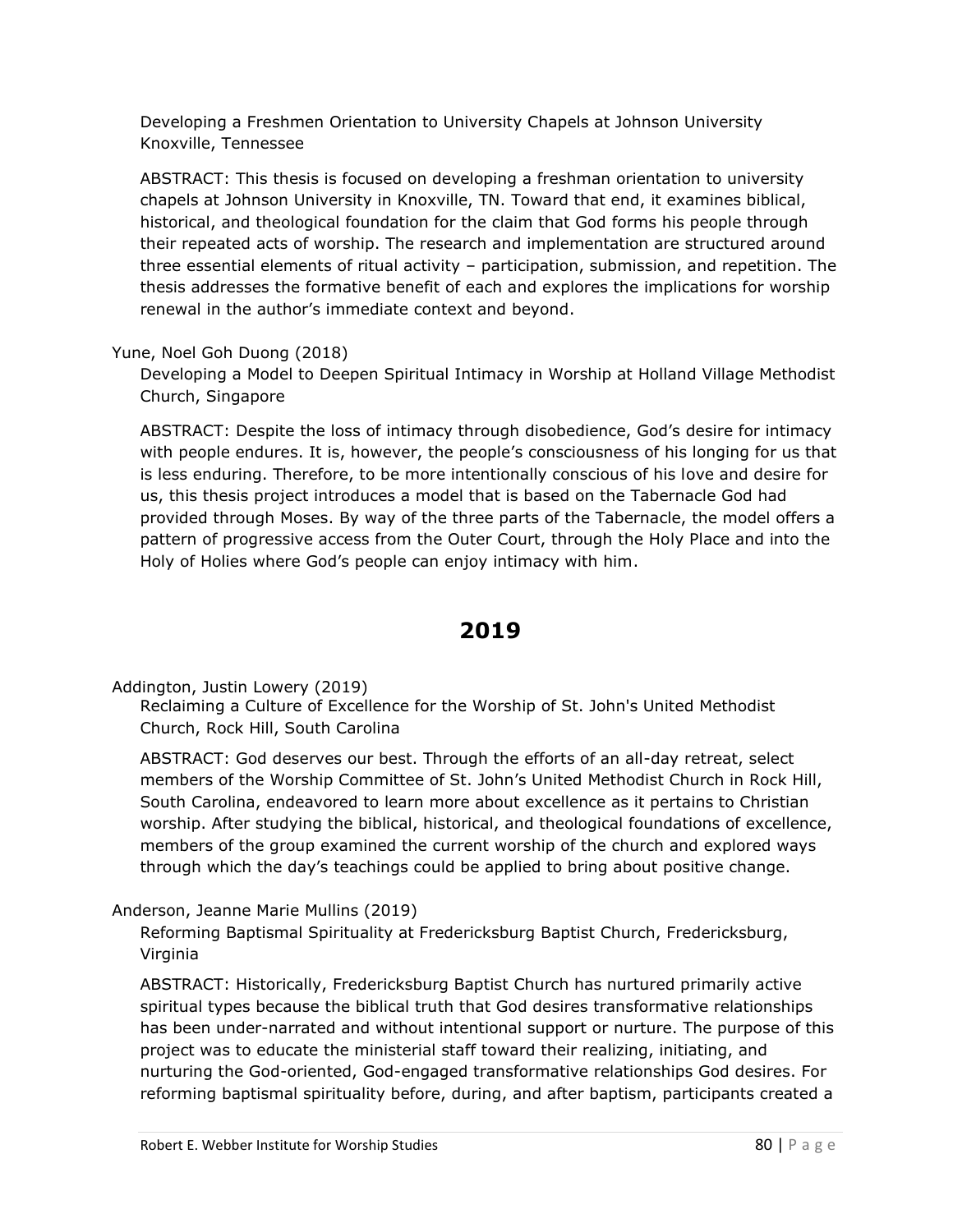Developing a Freshmen Orientation to University Chapels at Johnson University Knoxville, Tennessee

ABSTRACT: This thesis is focused on developing a freshman orientation to university chapels at Johnson University in Knoxville, TN. Toward that end, it examines biblical, historical, and theological foundation for the claim that God forms his people through their repeated acts of worship. The research and implementation are structured around three essential elements of ritual activity – participation, submission, and repetition. The thesis addresses the formative benefit of each and explores the implications for worship renewal in the author's immediate context and beyond.

#### Yune, Noel Goh Duong (2018)

Developing a Model to Deepen Spiritual Intimacy in Worship at Holland Village Methodist Church, Singapore

ABSTRACT: Despite the loss of intimacy through disobedience, God's desire for intimacy with people endures. It is, however, the people's consciousness of his longing for us that is less enduring. Therefore, to be more intentionally conscious of his love and desire for us, this thesis project introduces a model that is based on the Tabernacle God had provided through Moses. By way of the three parts of the Tabernacle, the model offers a pattern of progressive access from the Outer Court, through the Holy Place and into the Holy of Holies where God's people can enjoy intimacy with him.

# **2019**

Addington, Justin Lowery (2019)

Reclaiming a Culture of Excellence for the Worship of St. John's United Methodist Church, Rock Hill, South Carolina

ABSTRACT: God deserves our best. Through the efforts of an all-day retreat, select members of the Worship Committee of St. John's United Methodist Church in Rock Hill, South Carolina, endeavored to learn more about excellence as it pertains to Christian worship. After studying the biblical, historical, and theological foundations of excellence, members of the group examined the current worship of the church and explored ways through which the day's teachings could be applied to bring about positive change.

## Anderson, Jeanne Marie Mullins (2019)

Reforming Baptismal Spirituality at Fredericksburg Baptist Church, Fredericksburg, Virginia

ABSTRACT: Historically, Fredericksburg Baptist Church has nurtured primarily active spiritual types because the biblical truth that God desires transformative relationships has been under-narrated and without intentional support or nurture. The purpose of this project was to educate the ministerial staff toward their realizing, initiating, and nurturing the God-oriented, God-engaged transformative relationships God desires. For reforming baptismal spirituality before, during, and after baptism, participants created a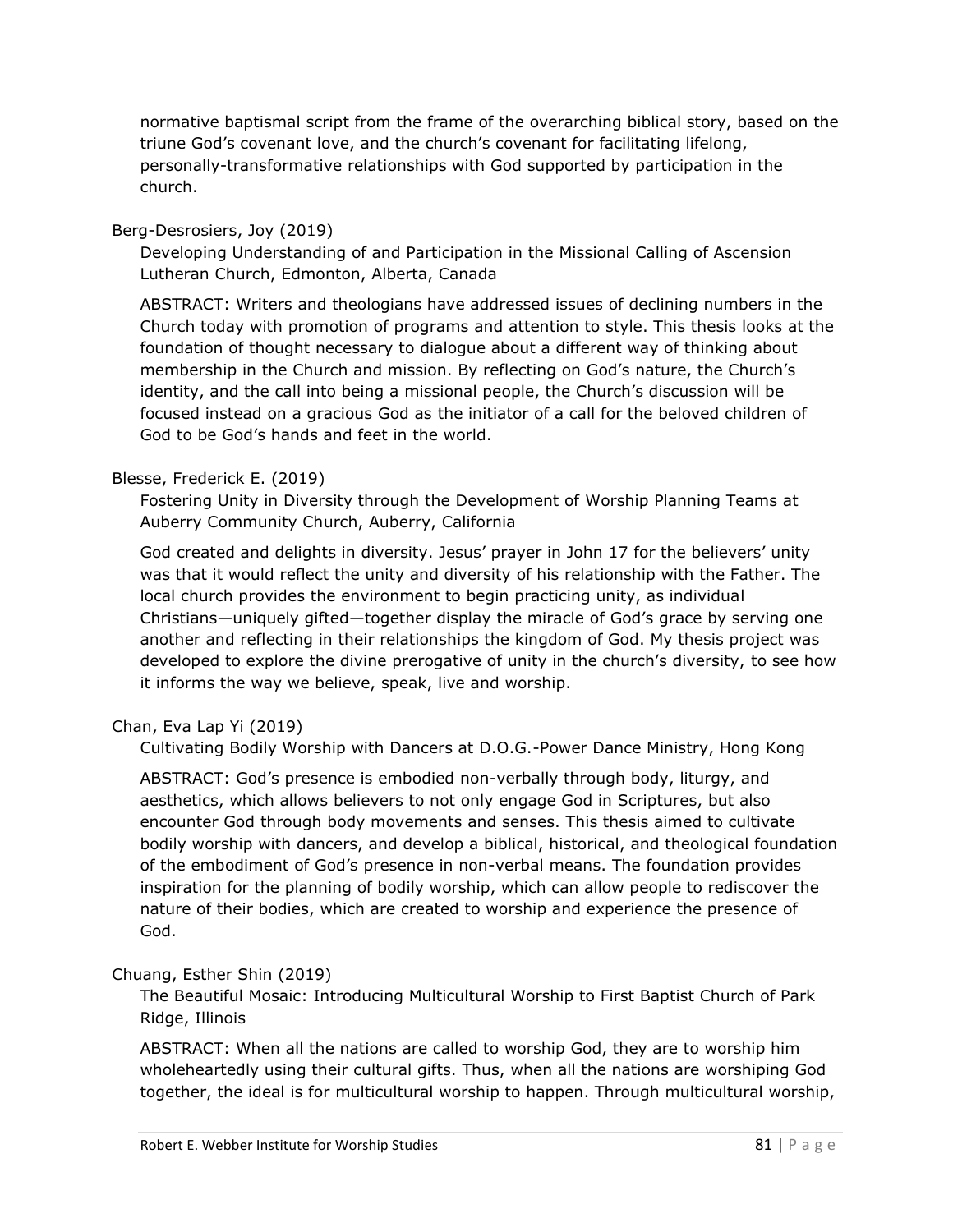normative baptismal script from the frame of the overarching biblical story, based on the triune God's covenant love, and the church's covenant for facilitating lifelong, personally-transformative relationships with God supported by participation in the church.

### Berg-Desrosiers, Joy (2019)

Developing Understanding of and Participation in the Missional Calling of Ascension Lutheran Church, Edmonton, Alberta, Canada

ABSTRACT: Writers and theologians have addressed issues of declining numbers in the Church today with promotion of programs and attention to style. This thesis looks at the foundation of thought necessary to dialogue about a different way of thinking about membership in the Church and mission. By reflecting on God's nature, the Church's identity, and the call into being a missional people, the Church's discussion will be focused instead on a gracious God as the initiator of a call for the beloved children of God to be God's hands and feet in the world.

### Blesse, Frederick E. (2019)

Fostering Unity in Diversity through the Development of Worship Planning Teams at Auberry Community Church, Auberry, California

God created and delights in diversity. Jesus' prayer in John 17 for the believers' unity was that it would reflect the unity and diversity of his relationship with the Father. The local church provides the environment to begin practicing unity, as individual Christians—uniquely gifted—together display the miracle of God's grace by serving one another and reflecting in their relationships the kingdom of God. My thesis project was developed to explore the divine prerogative of unity in the church's diversity, to see how it informs the way we believe, speak, live and worship.

## Chan, Eva Lap Yi (2019)

Cultivating Bodily Worship with Dancers at D.O.G.-Power Dance Ministry, Hong Kong

ABSTRACT: God's presence is embodied non-verbally through body, liturgy, and aesthetics, which allows believers to not only engage God in Scriptures, but also encounter God through body movements and senses. This thesis aimed to cultivate bodily worship with dancers, and develop a biblical, historical, and theological foundation of the embodiment of God's presence in non-verbal means. The foundation provides inspiration for the planning of bodily worship, which can allow people to rediscover the nature of their bodies, which are created to worship and experience the presence of God.

#### Chuang, Esther Shin (2019)

The Beautiful Mosaic: Introducing Multicultural Worship to First Baptist Church of Park Ridge, Illinois

ABSTRACT: When all the nations are called to worship God, they are to worship him wholeheartedly using their cultural gifts. Thus, when all the nations are worshiping God together, the ideal is for multicultural worship to happen. Through multicultural worship,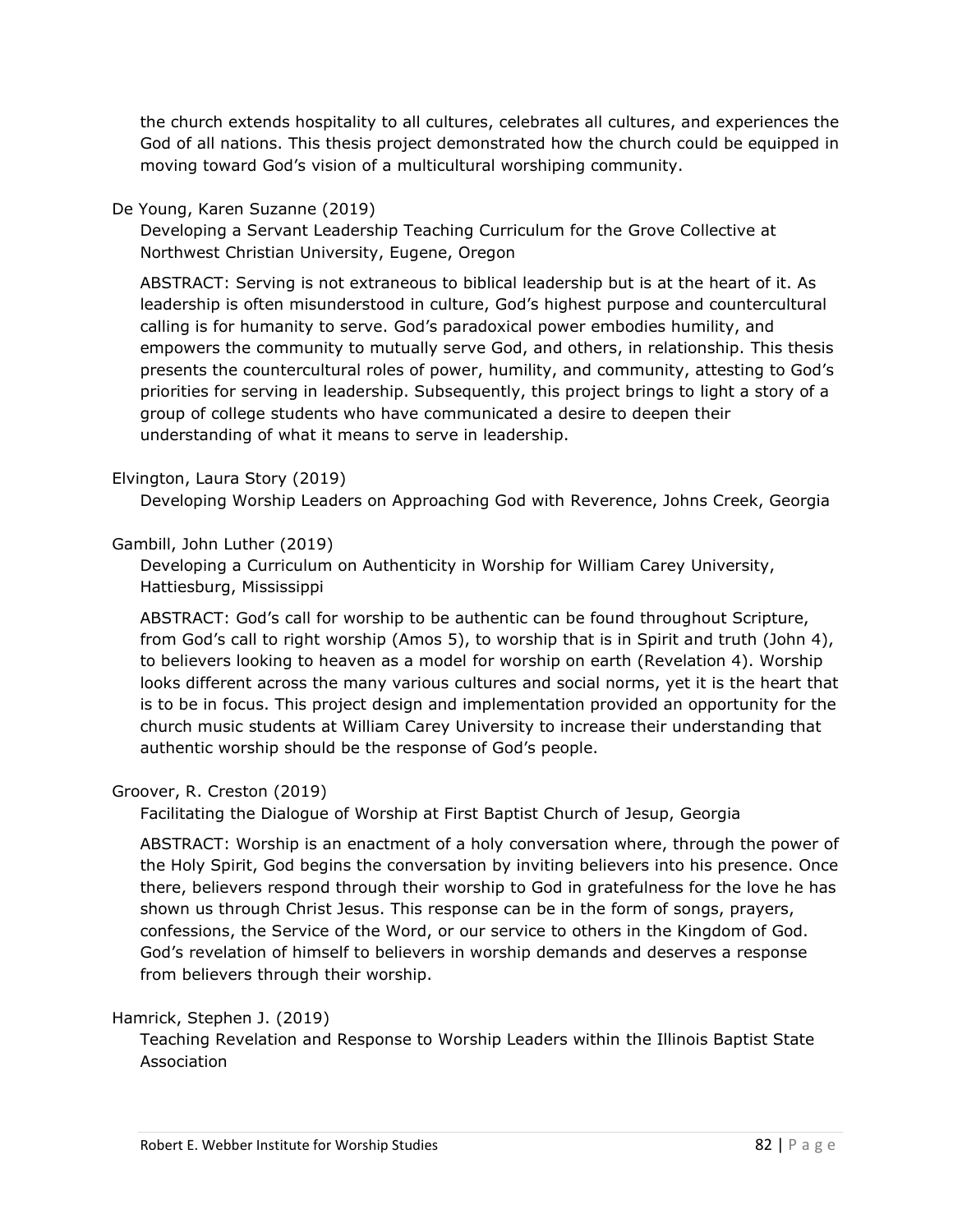the church extends hospitality to all cultures, celebrates all cultures, and experiences the God of all nations. This thesis project demonstrated how the church could be equipped in moving toward God's vision of a multicultural worshiping community.

### De Young, Karen Suzanne (2019)

Developing a Servant Leadership Teaching Curriculum for the Grove Collective at Northwest Christian University, Eugene, Oregon

ABSTRACT: Serving is not extraneous to biblical leadership but is at the heart of it. As leadership is often misunderstood in culture, God's highest purpose and countercultural calling is for humanity to serve. God's paradoxical power embodies humility, and empowers the community to mutually serve God, and others, in relationship. This thesis presents the countercultural roles of power, humility, and community, attesting to God's priorities for serving in leadership. Subsequently, this project brings to light a story of a group of college students who have communicated a desire to deepen their understanding of what it means to serve in leadership.

### Elvington, Laura Story (2019)

Developing Worship Leaders on Approaching God with Reverence, Johns Creek, Georgia

### Gambill, John Luther (2019)

Developing a Curriculum on Authenticity in Worship for William Carey University, Hattiesburg, Mississippi

ABSTRACT: God's call for worship to be authentic can be found throughout Scripture, from God's call to right worship (Amos 5), to worship that is in Spirit and truth (John 4), to believers looking to heaven as a model for worship on earth (Revelation 4). Worship looks different across the many various cultures and social norms, yet it is the heart that is to be in focus. This project design and implementation provided an opportunity for the church music students at William Carey University to increase their understanding that authentic worship should be the response of God's people.

## Groover, R. Creston (2019)

Facilitating the Dialogue of Worship at First Baptist Church of Jesup, Georgia

ABSTRACT: Worship is an enactment of a holy conversation where, through the power of the Holy Spirit, God begins the conversation by inviting believers into his presence. Once there, believers respond through their worship to God in gratefulness for the love he has shown us through Christ Jesus. This response can be in the form of songs, prayers, confessions, the Service of the Word, or our service to others in the Kingdom of God. God's revelation of himself to believers in worship demands and deserves a response from believers through their worship.

#### Hamrick, Stephen J. (2019)

Teaching Revelation and Response to Worship Leaders within the Illinois Baptist State Association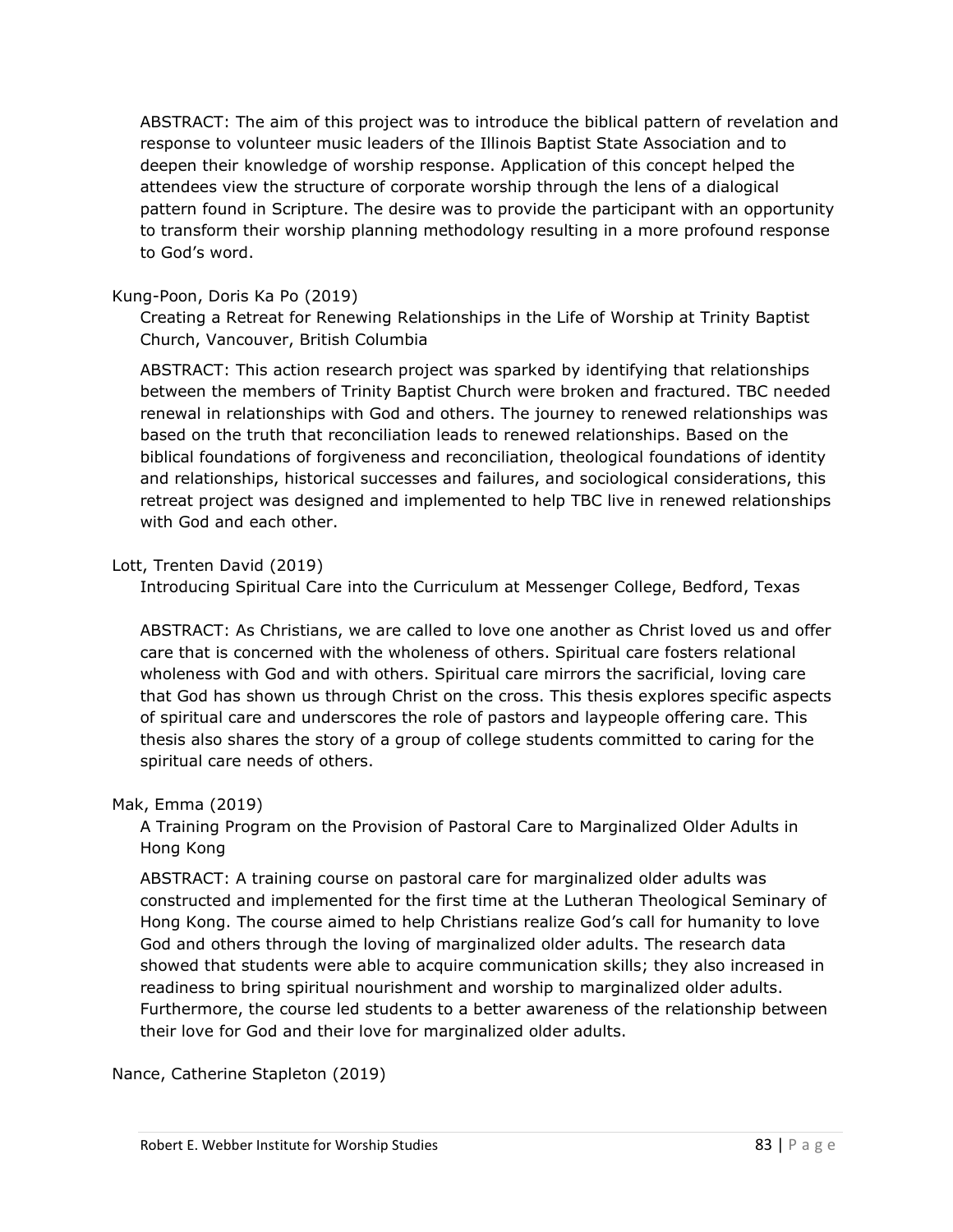ABSTRACT: The aim of this project was to introduce the biblical pattern of revelation and response to volunteer music leaders of the Illinois Baptist State Association and to deepen their knowledge of worship response. Application of this concept helped the attendees view the structure of corporate worship through the lens of a dialogical pattern found in Scripture. The desire was to provide the participant with an opportunity to transform their worship planning methodology resulting in a more profound response to God's word.

#### Kung-Poon, Doris Ka Po (2019)

Creating a Retreat for Renewing Relationships in the Life of Worship at Trinity Baptist Church, Vancouver, British Columbia

ABSTRACT: This action research project was sparked by identifying that relationships between the members of Trinity Baptist Church were broken and fractured. TBC needed renewal in relationships with God and others. The journey to renewed relationships was based on the truth that reconciliation leads to renewed relationships. Based on the biblical foundations of forgiveness and reconciliation, theological foundations of identity and relationships, historical successes and failures, and sociological considerations, this retreat project was designed and implemented to help TBC live in renewed relationships with God and each other.

#### Lott, Trenten David (2019)

Introducing Spiritual Care into the Curriculum at Messenger College, Bedford, Texas

ABSTRACT: As Christians, we are called to love one another as Christ loved us and offer care that is concerned with the wholeness of others. Spiritual care fosters relational wholeness with God and with others. Spiritual care mirrors the sacrificial, loving care that God has shown us through Christ on the cross. This thesis explores specific aspects of spiritual care and underscores the role of pastors and laypeople offering care. This thesis also shares the story of a group of college students committed to caring for the spiritual care needs of others.

#### Mak, Emma (2019)

A Training Program on the Provision of Pastoral Care to Marginalized Older Adults in Hong Kong

ABSTRACT: A training course on pastoral care for marginalized older adults was constructed and implemented for the first time at the Lutheran Theological Seminary of Hong Kong. The course aimed to help Christians realize God's call for humanity to love God and others through the loving of marginalized older adults. The research data showed that students were able to acquire communication skills; they also increased in readiness to bring spiritual nourishment and worship to marginalized older adults. Furthermore, the course led students to a better awareness of the relationship between their love for God and their love for marginalized older adults.

Nance, Catherine Stapleton (2019)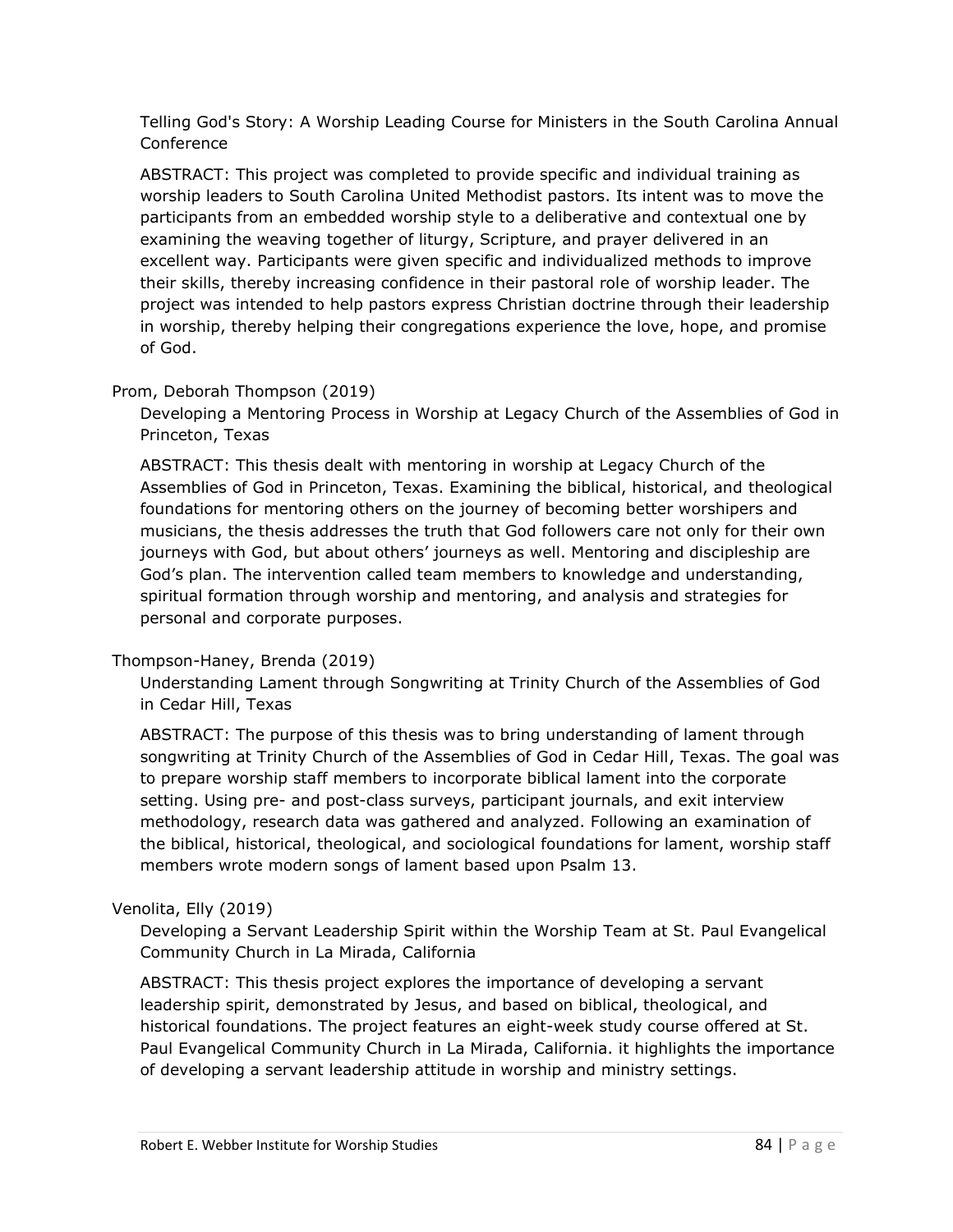Telling God's Story: A Worship Leading Course for Ministers in the South Carolina Annual Conference

ABSTRACT: This project was completed to provide specific and individual training as worship leaders to South Carolina United Methodist pastors. Its intent was to move the participants from an embedded worship style to a deliberative and contextual one by examining the weaving together of liturgy, Scripture, and prayer delivered in an excellent way. Participants were given specific and individualized methods to improve their skills, thereby increasing confidence in their pastoral role of worship leader. The project was intended to help pastors express Christian doctrine through their leadership in worship, thereby helping their congregations experience the love, hope, and promise of God.

## Prom, Deborah Thompson (2019)

Developing a Mentoring Process in Worship at Legacy Church of the Assemblies of God in Princeton, Texas

ABSTRACT: This thesis dealt with mentoring in worship at Legacy Church of the Assemblies of God in Princeton, Texas. Examining the biblical, historical, and theological foundations for mentoring others on the journey of becoming better worshipers and musicians, the thesis addresses the truth that God followers care not only for their own journeys with God, but about others' journeys as well. Mentoring and discipleship are God's plan. The intervention called team members to knowledge and understanding, spiritual formation through worship and mentoring, and analysis and strategies for personal and corporate purposes.

## Thompson-Haney, Brenda (2019)

Understanding Lament through Songwriting at Trinity Church of the Assemblies of God in Cedar Hill, Texas

ABSTRACT: The purpose of this thesis was to bring understanding of lament through songwriting at Trinity Church of the Assemblies of God in Cedar Hill, Texas. The goal was to prepare worship staff members to incorporate biblical lament into the corporate setting. Using pre- and post-class surveys, participant journals, and exit interview methodology, research data was gathered and analyzed. Following an examination of the biblical, historical, theological, and sociological foundations for lament, worship staff members wrote modern songs of lament based upon Psalm 13.

#### Venolita, Elly (2019)

Developing a Servant Leadership Spirit within the Worship Team at St. Paul Evangelical Community Church in La Mirada, California

ABSTRACT: This thesis project explores the importance of developing a servant leadership spirit, demonstrated by Jesus, and based on biblical, theological, and historical foundations. The project features an eight-week study course offered at St. Paul Evangelical Community Church in La Mirada, California. it highlights the importance of developing a servant leadership attitude in worship and ministry settings.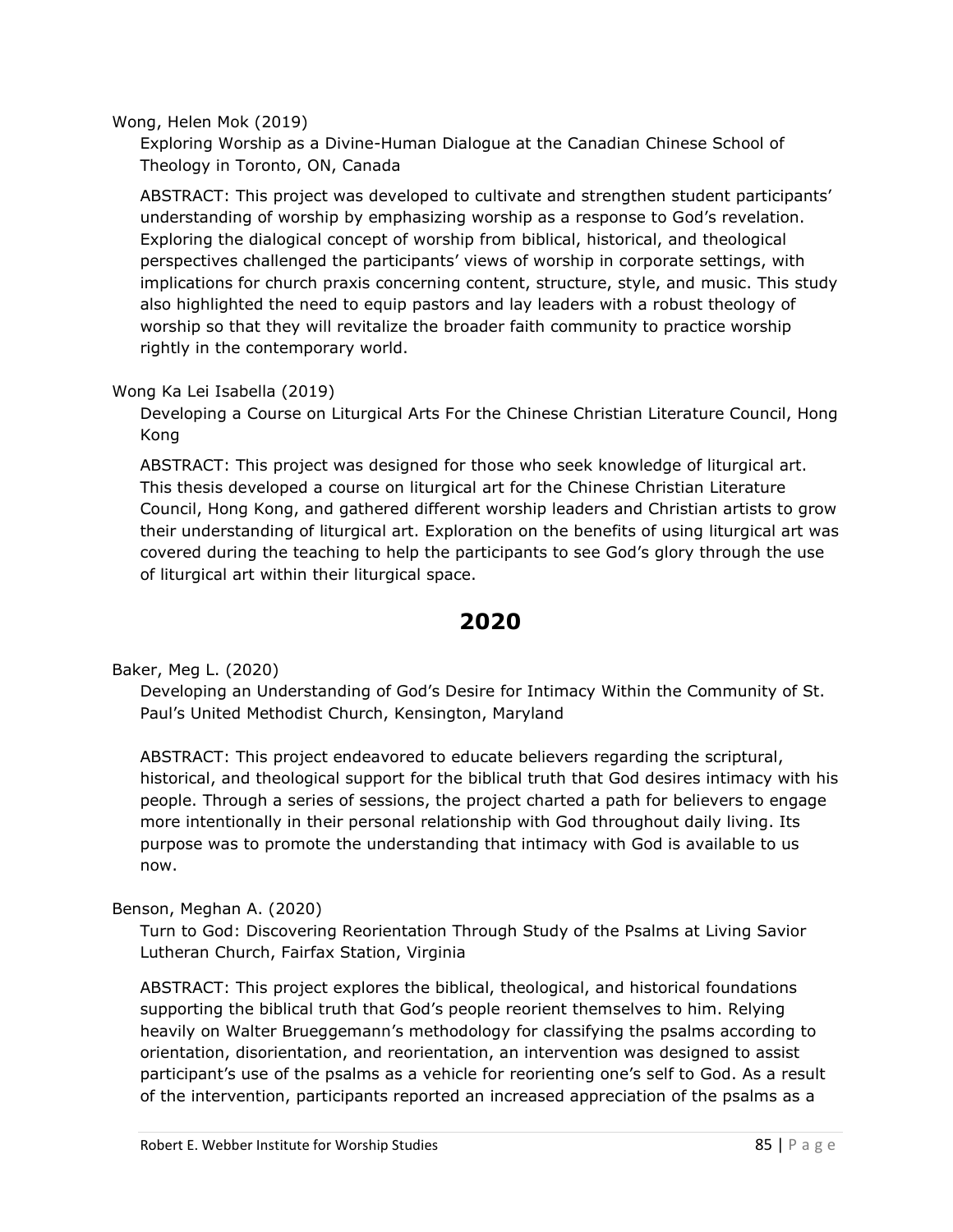#### Wong, Helen Mok (2019)

Exploring Worship as a Divine-Human Dialogue at the Canadian Chinese School of Theology in Toronto, ON, Canada

ABSTRACT: This project was developed to cultivate and strengthen student participants' understanding of worship by emphasizing worship as a response to God's revelation. Exploring the dialogical concept of worship from biblical, historical, and theological perspectives challenged the participants' views of worship in corporate settings, with implications for church praxis concerning content, structure, style, and music. This study also highlighted the need to equip pastors and lay leaders with a robust theology of worship so that they will revitalize the broader faith community to practice worship rightly in the contemporary world.

#### Wong Ka Lei Isabella (2019)

Developing a Course on Liturgical Arts For the Chinese Christian Literature Council, Hong Kong

ABSTRACT: This project was designed for those who seek knowledge of liturgical art. This thesis developed a course on liturgical art for the Chinese Christian Literature Council, Hong Kong, and gathered different worship leaders and Christian artists to grow their understanding of liturgical art. Exploration on the benefits of using liturgical art was covered during the teaching to help the participants to see God's glory through the use of liturgical art within their liturgical space.

# **2020**

Baker, Meg L. (2020)

Developing an Understanding of God's Desire for Intimacy Within the Community of St. Paul's United Methodist Church, Kensington, Maryland

ABSTRACT: This project endeavored to educate believers regarding the scriptural, historical, and theological support for the biblical truth that God desires intimacy with his people. Through a series of sessions, the project charted a path for believers to engage more intentionally in their personal relationship with God throughout daily living. Its purpose was to promote the understanding that intimacy with God is available to us now.

#### Benson, Meghan A. (2020)

Turn to God: Discovering Reorientation Through Study of the Psalms at Living Savior Lutheran Church, Fairfax Station, Virginia

ABSTRACT: This project explores the biblical, theological, and historical foundations supporting the biblical truth that God's people reorient themselves to him. Relying heavily on Walter Brueggemann's methodology for classifying the psalms according to orientation, disorientation, and reorientation, an intervention was designed to assist participant's use of the psalms as a vehicle for reorienting one's self to God. As a result of the intervention, participants reported an increased appreciation of the psalms as a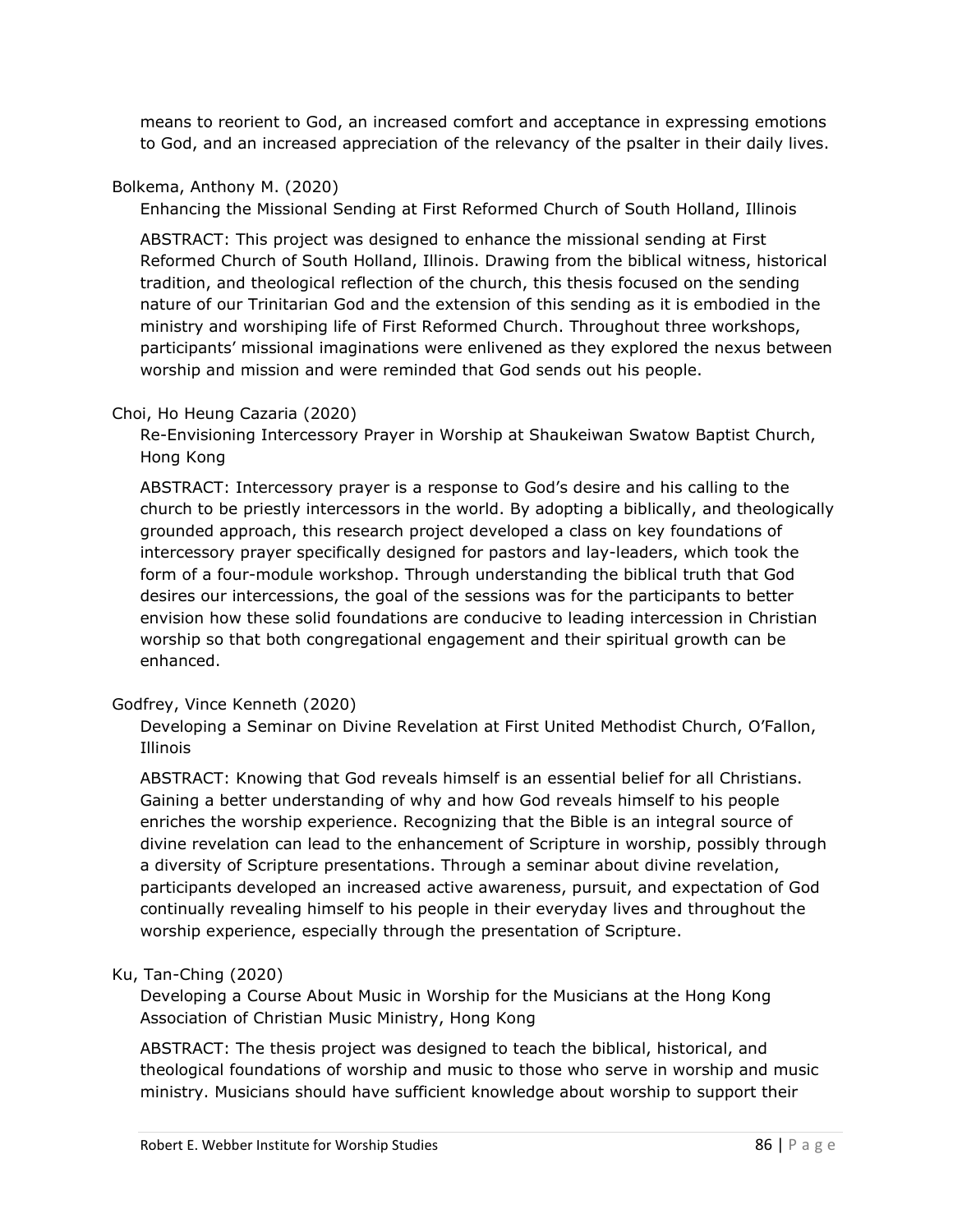means to reorient to God, an increased comfort and acceptance in expressing emotions to God, and an increased appreciation of the relevancy of the psalter in their daily lives.

#### Bolkema, Anthony M. (2020)

Enhancing the Missional Sending at First Reformed Church of South Holland, Illinois

ABSTRACT: This project was designed to enhance the missional sending at First Reformed Church of South Holland, Illinois. Drawing from the biblical witness, historical tradition, and theological reflection of the church, this thesis focused on the sending nature of our Trinitarian God and the extension of this sending as it is embodied in the ministry and worshiping life of First Reformed Church. Throughout three workshops, participants' missional imaginations were enlivened as they explored the nexus between worship and mission and were reminded that God sends out his people.

### Choi, Ho Heung Cazaria (2020)

Re-Envisioning Intercessory Prayer in Worship at Shaukeiwan Swatow Baptist Church, Hong Kong

ABSTRACT: Intercessory prayer is a response to God's desire and his calling to the church to be priestly intercessors in the world. By adopting a biblically, and theologically grounded approach, this research project developed a class on key foundations of intercessory prayer specifically designed for pastors and lay-leaders, which took the form of a four-module workshop. Through understanding the biblical truth that God desires our intercessions, the goal of the sessions was for the participants to better envision how these solid foundations are conducive to leading intercession in Christian worship so that both congregational engagement and their spiritual growth can be enhanced.

#### Godfrey, Vince Kenneth (2020)

Developing a Seminar on Divine Revelation at First United Methodist Church, O'Fallon, Illinois

ABSTRACT: Knowing that God reveals himself is an essential belief for all Christians. Gaining a better understanding of why and how God reveals himself to his people enriches the worship experience. Recognizing that the Bible is an integral source of divine revelation can lead to the enhancement of Scripture in worship, possibly through a diversity of Scripture presentations. Through a seminar about divine revelation, participants developed an increased active awareness, pursuit, and expectation of God continually revealing himself to his people in their everyday lives and throughout the worship experience, especially through the presentation of Scripture.

## Ku, Tan-Ching (2020)

Developing a Course About Music in Worship for the Musicians at the Hong Kong Association of Christian Music Ministry, Hong Kong

ABSTRACT: The thesis project was designed to teach the biblical, historical, and theological foundations of worship and music to those who serve in worship and music ministry. Musicians should have sufficient knowledge about worship to support their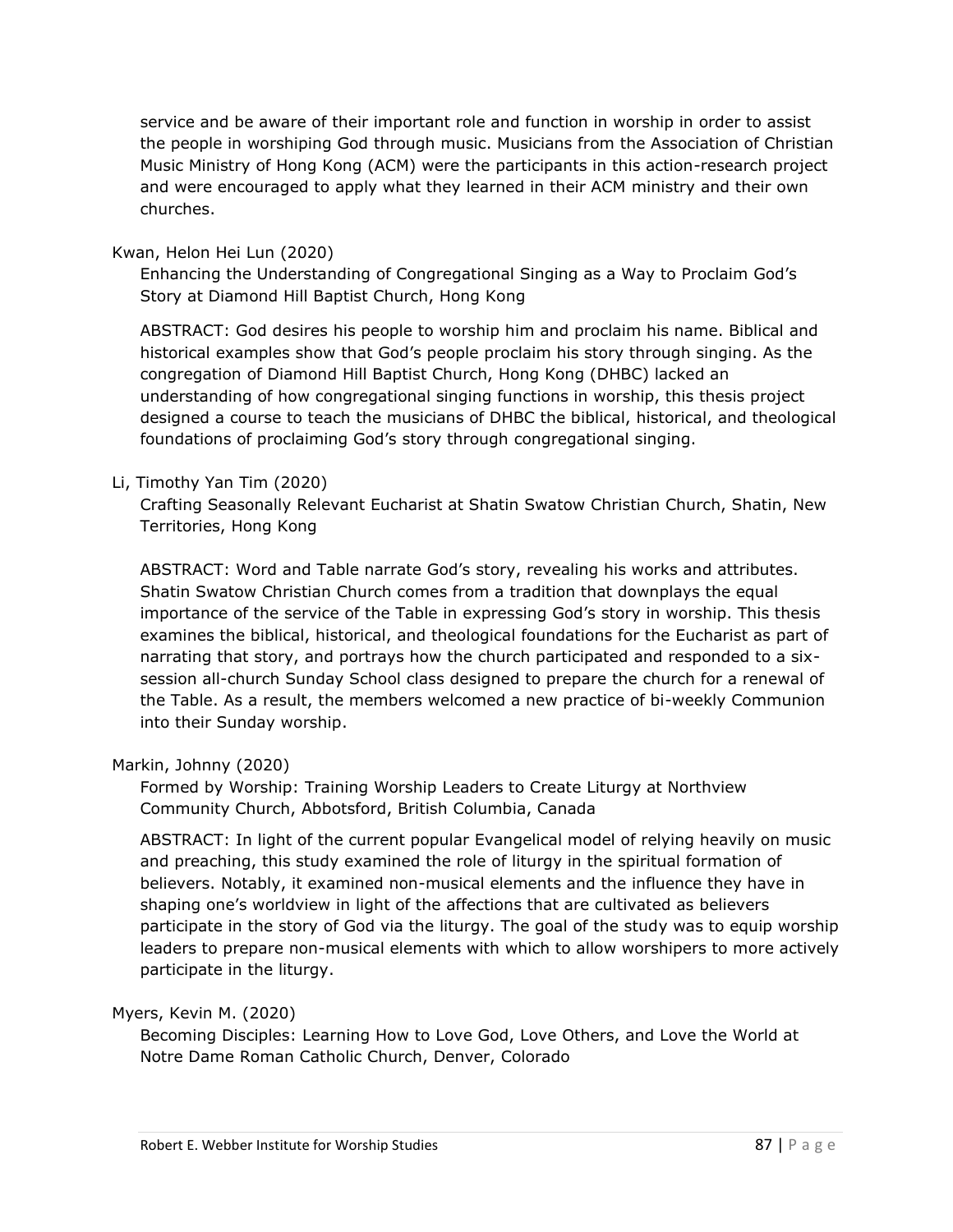service and be aware of their important role and function in worship in order to assist the people in worshiping God through music. Musicians from the Association of Christian Music Ministry of Hong Kong (ACM) were the participants in this action-research project and were encouraged to apply what they learned in their ACM ministry and their own churches.

#### Kwan, Helon Hei Lun (2020)

Enhancing the Understanding of Congregational Singing as a Way to Proclaim God's Story at Diamond Hill Baptist Church, Hong Kong

ABSTRACT: God desires his people to worship him and proclaim his name. Biblical and historical examples show that God's people proclaim his story through singing. As the congregation of Diamond Hill Baptist Church, Hong Kong (DHBC) lacked an understanding of how congregational singing functions in worship, this thesis project designed a course to teach the musicians of DHBC the biblical, historical, and theological foundations of proclaiming God's story through congregational singing.

### Li, Timothy Yan Tim (2020)

Crafting Seasonally Relevant Eucharist at Shatin Swatow Christian Church, Shatin, New Territories, Hong Kong

ABSTRACT: Word and Table narrate God's story, revealing his works and attributes. Shatin Swatow Christian Church comes from a tradition that downplays the equal importance of the service of the Table in expressing God's story in worship. This thesis examines the biblical, historical, and theological foundations for the Eucharist as part of narrating that story, and portrays how the church participated and responded to a sixsession all-church Sunday School class designed to prepare the church for a renewal of the Table. As a result, the members welcomed a new practice of bi-weekly Communion into their Sunday worship.

#### Markin, Johnny (2020)

Formed by Worship: Training Worship Leaders to Create Liturgy at Northview Community Church, Abbotsford, British Columbia, Canada

ABSTRACT: In light of the current popular Evangelical model of relying heavily on music and preaching, this study examined the role of liturgy in the spiritual formation of believers. Notably, it examined non-musical elements and the influence they have in shaping one's worldview in light of the affections that are cultivated as believers participate in the story of God via the liturgy. The goal of the study was to equip worship leaders to prepare non-musical elements with which to allow worshipers to more actively participate in the liturgy.

#### Myers, Kevin M. (2020)

Becoming Disciples: Learning How to Love God, Love Others, and Love the World at Notre Dame Roman Catholic Church, Denver, Colorado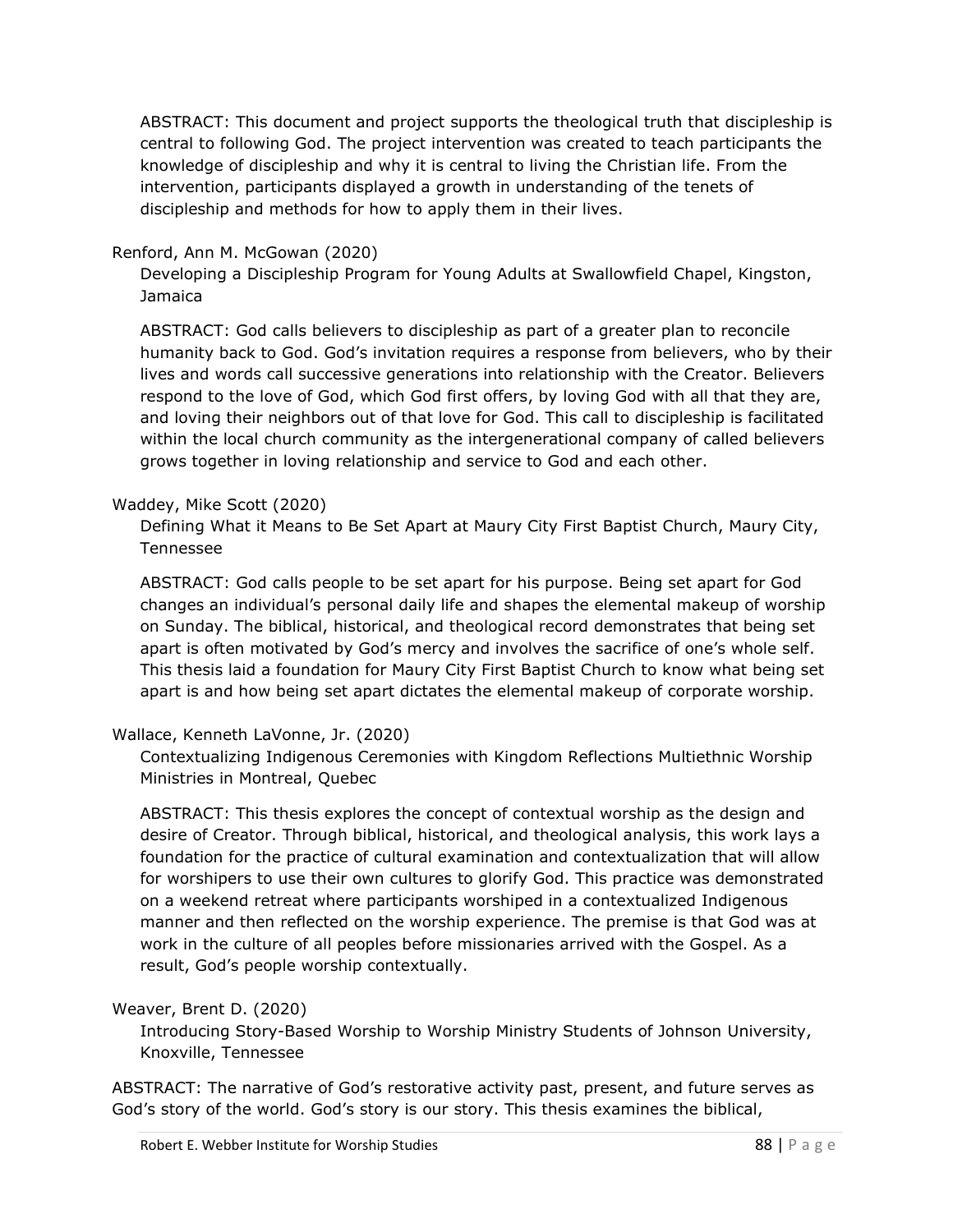ABSTRACT: This document and project supports the theological truth that discipleship is central to following God. The project intervention was created to teach participants the knowledge of discipleship and why it is central to living the Christian life. From the intervention, participants displayed a growth in understanding of the tenets of discipleship and methods for how to apply them in their lives.

#### Renford, Ann M. McGowan (2020)

Developing a Discipleship Program for Young Adults at Swallowfield Chapel, Kingston, Jamaica

ABSTRACT: God calls believers to discipleship as part of a greater plan to reconcile humanity back to God. God's invitation requires a response from believers, who by their lives and words call successive generations into relationship with the Creator. Believers respond to the love of God, which God first offers, by loving God with all that they are, and loving their neighbors out of that love for God. This call to discipleship is facilitated within the local church community as the intergenerational company of called believers grows together in loving relationship and service to God and each other.

#### Waddey, Mike Scott (2020)

Defining What it Means to Be Set Apart at Maury City First Baptist Church, Maury City, Tennessee

ABSTRACT: God calls people to be set apart for his purpose. Being set apart for God changes an individual's personal daily life and shapes the elemental makeup of worship on Sunday. The biblical, historical, and theological record demonstrates that being set apart is often motivated by God's mercy and involves the sacrifice of one's whole self. This thesis laid a foundation for Maury City First Baptist Church to know what being set apart is and how being set apart dictates the elemental makeup of corporate worship.

#### Wallace, Kenneth LaVonne, Jr. (2020)

Contextualizing Indigenous Ceremonies with Kingdom Reflections Multiethnic Worship Ministries in Montreal, Quebec

ABSTRACT: This thesis explores the concept of contextual worship as the design and desire of Creator. Through biblical, historical, and theological analysis, this work lays a foundation for the practice of cultural examination and contextualization that will allow for worshipers to use their own cultures to glorify God. This practice was demonstrated on a weekend retreat where participants worshiped in a contextualized Indigenous manner and then reflected on the worship experience. The premise is that God was at work in the culture of all peoples before missionaries arrived with the Gospel. As a result, God's people worship contextually.

#### Weaver, Brent D. (2020)

Introducing Story-Based Worship to Worship Ministry Students of Johnson University, Knoxville, Tennessee

ABSTRACT: The narrative of God's restorative activity past, present, and future serves as God's story of the world. God's story is our story. This thesis examines the biblical,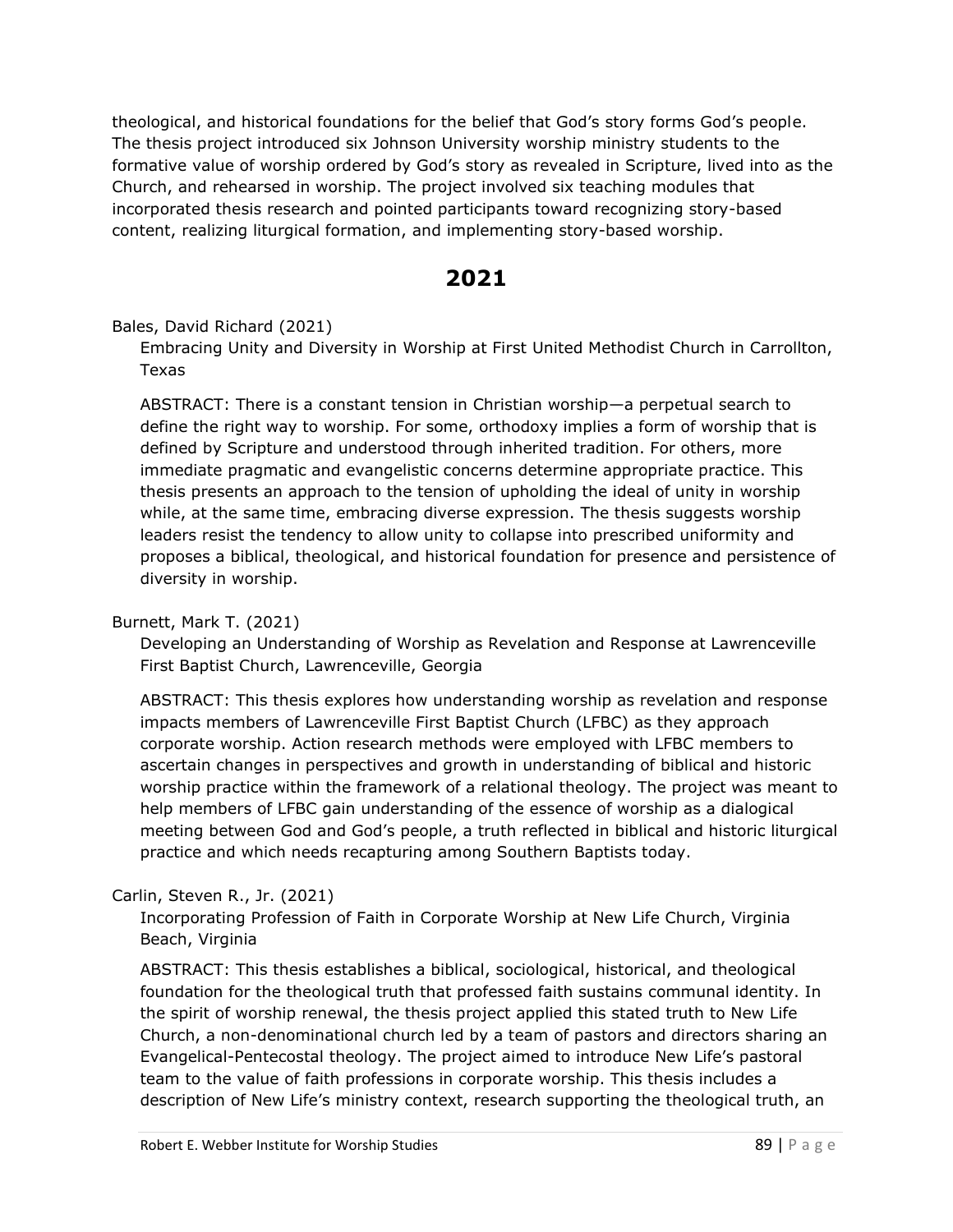theological, and historical foundations for the belief that God's story forms God's people. The thesis project introduced six Johnson University worship ministry students to the formative value of worship ordered by God's story as revealed in Scripture, lived into as the Church, and rehearsed in worship. The project involved six teaching modules that incorporated thesis research and pointed participants toward recognizing story-based content, realizing liturgical formation, and implementing story-based worship.

## **2021**

#### Bales, David Richard (2021)

Embracing Unity and Diversity in Worship at First United Methodist Church in Carrollton, Texas

ABSTRACT: There is a constant tension in Christian worship—a perpetual search to define the right way to worship. For some, orthodoxy implies a form of worship that is defined by Scripture and understood through inherited tradition. For others, more immediate pragmatic and evangelistic concerns determine appropriate practice. This thesis presents an approach to the tension of upholding the ideal of unity in worship while, at the same time, embracing diverse expression. The thesis suggests worship leaders resist the tendency to allow unity to collapse into prescribed uniformity and proposes a biblical, theological, and historical foundation for presence and persistence of diversity in worship.

#### Burnett, Mark T. (2021)

Developing an Understanding of Worship as Revelation and Response at Lawrenceville First Baptist Church, Lawrenceville, Georgia

ABSTRACT: This thesis explores how understanding worship as revelation and response impacts members of Lawrenceville First Baptist Church (LFBC) as they approach corporate worship. Action research methods were employed with LFBC members to ascertain changes in perspectives and growth in understanding of biblical and historic worship practice within the framework of a relational theology. The project was meant to help members of LFBC gain understanding of the essence of worship as a dialogical meeting between God and God's people, a truth reflected in biblical and historic liturgical practice and which needs recapturing among Southern Baptists today.

## Carlin, Steven R., Jr. (2021)

Incorporating Profession of Faith in Corporate Worship at New Life Church, Virginia Beach, Virginia

ABSTRACT: This thesis establishes a biblical, sociological, historical, and theological foundation for the theological truth that professed faith sustains communal identity. In the spirit of worship renewal, the thesis project applied this stated truth to New Life Church, a non-denominational church led by a team of pastors and directors sharing an Evangelical-Pentecostal theology. The project aimed to introduce New Life's pastoral team to the value of faith professions in corporate worship. This thesis includes a description of New Life's ministry context, research supporting the theological truth, an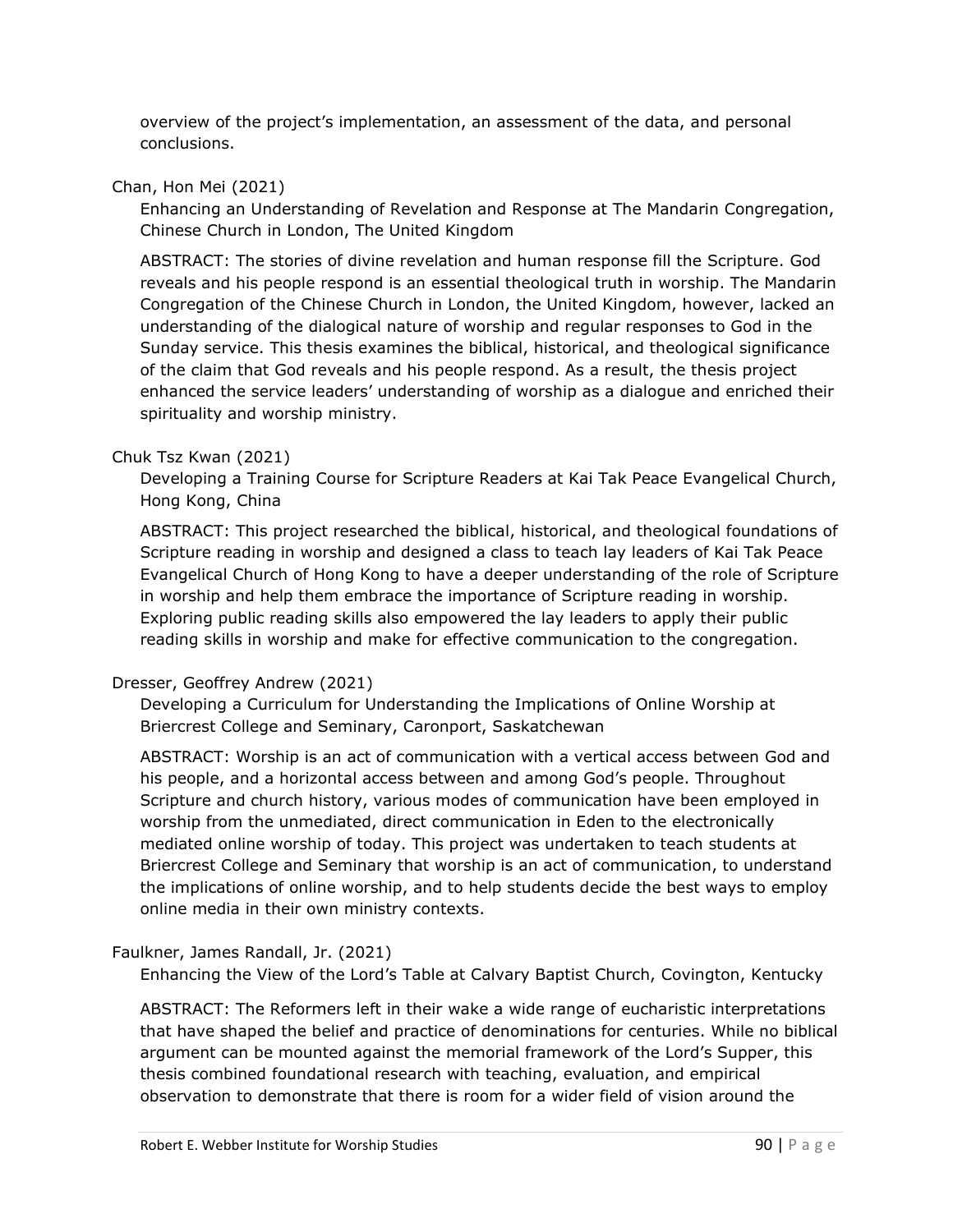overview of the project's implementation, an assessment of the data, and personal conclusions.

#### Chan, Hon Mei (2021)

Enhancing an Understanding of Revelation and Response at The Mandarin Congregation, Chinese Church in London, The United Kingdom

ABSTRACT: The stories of divine revelation and human response fill the Scripture. God reveals and his people respond is an essential theological truth in worship. The Mandarin Congregation of the Chinese Church in London, the United Kingdom, however, lacked an understanding of the dialogical nature of worship and regular responses to God in the Sunday service. This thesis examines the biblical, historical, and theological significance of the claim that God reveals and his people respond. As a result, the thesis project enhanced the service leaders' understanding of worship as a dialogue and enriched their spirituality and worship ministry.

## Chuk Tsz Kwan (2021)

Developing a Training Course for Scripture Readers at Kai Tak Peace Evangelical Church, Hong Kong, China

ABSTRACT: This project researched the biblical, historical, and theological foundations of Scripture reading in worship and designed a class to teach lay leaders of Kai Tak Peace Evangelical Church of Hong Kong to have a deeper understanding of the role of Scripture in worship and help them embrace the importance of Scripture reading in worship. Exploring public reading skills also empowered the lay leaders to apply their public reading skills in worship and make for effective communication to the congregation.

## Dresser, Geoffrey Andrew (2021)

Developing a Curriculum for Understanding the Implications of Online Worship at Briercrest College and Seminary, Caronport, Saskatchewan

ABSTRACT: Worship is an act of communication with a vertical access between God and his people, and a horizontal access between and among God's people. Throughout Scripture and church history, various modes of communication have been employed in worship from the unmediated, direct communication in Eden to the electronically mediated online worship of today. This project was undertaken to teach students at Briercrest College and Seminary that worship is an act of communication, to understand the implications of online worship, and to help students decide the best ways to employ online media in their own ministry contexts.

#### Faulkner, James Randall, Jr. (2021)

Enhancing the View of the Lord's Table at Calvary Baptist Church, Covington, Kentucky

ABSTRACT: The Reformers left in their wake a wide range of eucharistic interpretations that have shaped the belief and practice of denominations for centuries. While no biblical argument can be mounted against the memorial framework of the Lord's Supper, this thesis combined foundational research with teaching, evaluation, and empirical observation to demonstrate that there is room for a wider field of vision around the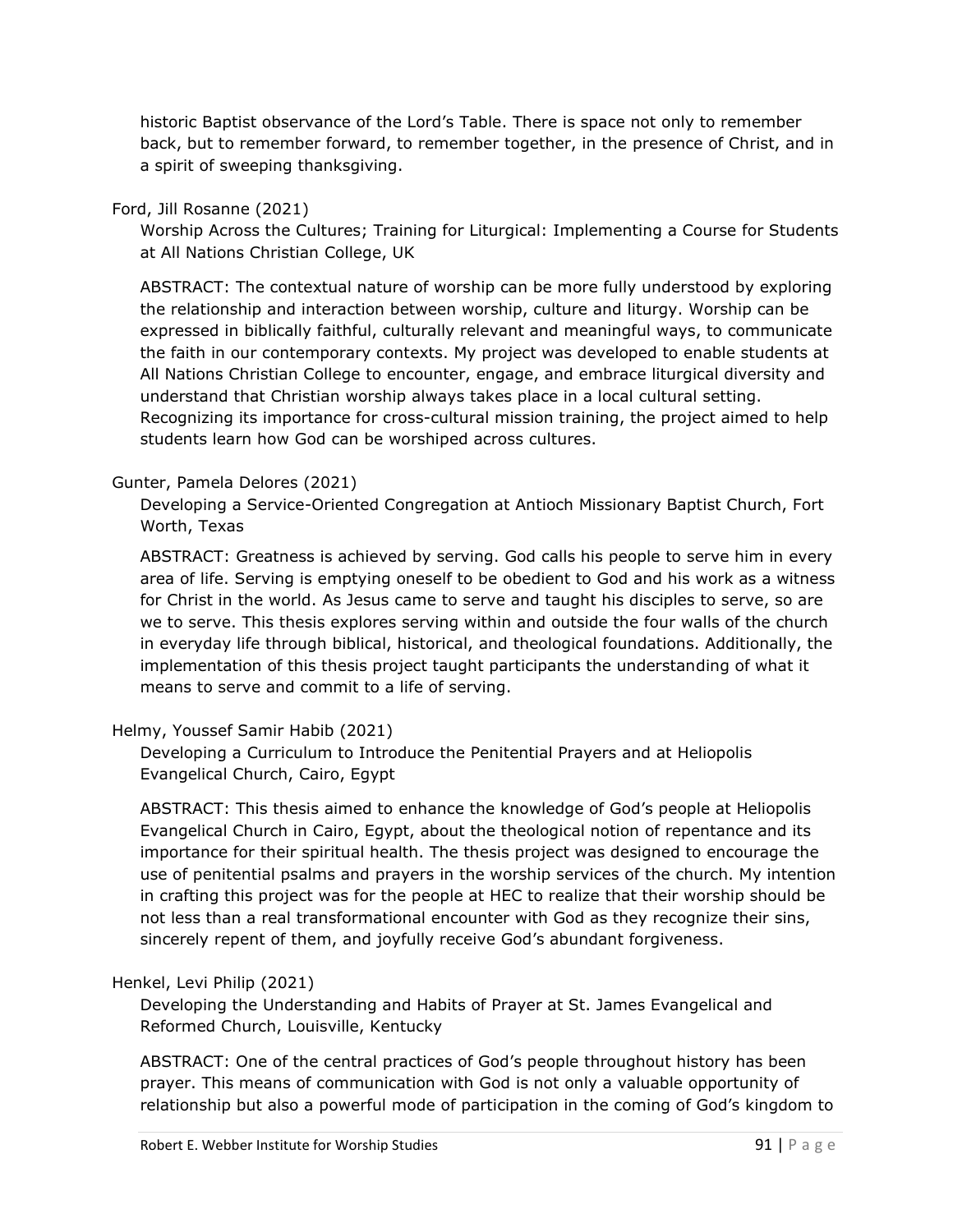historic Baptist observance of the Lord's Table. There is space not only to remember back, but to remember forward, to remember together, in the presence of Christ, and in a spirit of sweeping thanksgiving.

#### Ford, Jill Rosanne (2021)

Worship Across the Cultures; Training for Liturgical: Implementing a Course for Students at All Nations Christian College, UK

ABSTRACT: The contextual nature of worship can be more fully understood by exploring the relationship and interaction between worship, culture and liturgy. Worship can be expressed in biblically faithful, culturally relevant and meaningful ways, to communicate the faith in our contemporary contexts. My project was developed to enable students at All Nations Christian College to encounter, engage, and embrace liturgical diversity and understand that Christian worship always takes place in a local cultural setting. Recognizing its importance for cross-cultural mission training, the project aimed to help students learn how God can be worshiped across cultures.

### Gunter, Pamela Delores (2021)

Developing a Service-Oriented Congregation at Antioch Missionary Baptist Church, Fort Worth, Texas

ABSTRACT: Greatness is achieved by serving. God calls his people to serve him in every area of life. Serving is emptying oneself to be obedient to God and his work as a witness for Christ in the world. As Jesus came to serve and taught his disciples to serve, so are we to serve. This thesis explores serving within and outside the four walls of the church in everyday life through biblical, historical, and theological foundations. Additionally, the implementation of this thesis project taught participants the understanding of what it means to serve and commit to a life of serving.

## Helmy, Youssef Samir Habib (2021)

Developing a Curriculum to Introduce the Penitential Prayers and at Heliopolis Evangelical Church, Cairo, Egypt

ABSTRACT: This thesis aimed to enhance the knowledge of God's people at Heliopolis Evangelical Church in Cairo, Egypt, about the theological notion of repentance and its importance for their spiritual health. The thesis project was designed to encourage the use of penitential psalms and prayers in the worship services of the church. My intention in crafting this project was for the people at HEC to realize that their worship should be not less than a real transformational encounter with God as they recognize their sins, sincerely repent of them, and joyfully receive God's abundant forgiveness.

#### Henkel, Levi Philip (2021)

Developing the Understanding and Habits of Prayer at St. James Evangelical and Reformed Church, Louisville, Kentucky

ABSTRACT: One of the central practices of God's people throughout history has been prayer. This means of communication with God is not only a valuable opportunity of relationship but also a powerful mode of participation in the coming of God's kingdom to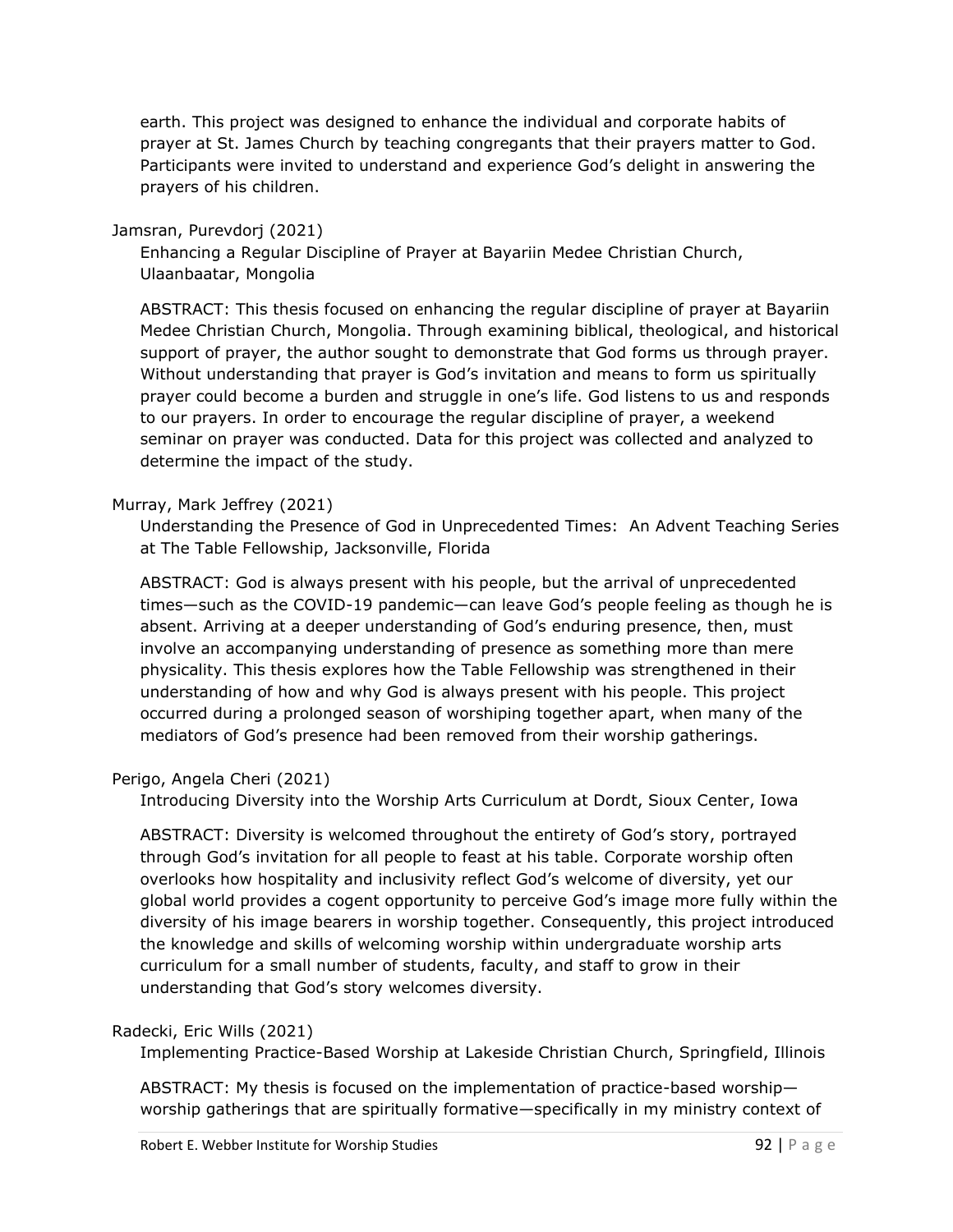earth. This project was designed to enhance the individual and corporate habits of prayer at St. James Church by teaching congregants that their prayers matter to God. Participants were invited to understand and experience God's delight in answering the prayers of his children.

#### Jamsran, Purevdorj (2021)

Enhancing a Regular Discipline of Prayer at Bayariin Medee Christian Church, Ulaanbaatar, Mongolia

ABSTRACT: This thesis focused on enhancing the regular discipline of prayer at Bayariin Medee Christian Church, Mongolia. Through examining biblical, theological, and historical support of prayer, the author sought to demonstrate that God forms us through prayer. Without understanding that prayer is God's invitation and means to form us spiritually prayer could become a burden and struggle in one's life. God listens to us and responds to our prayers. In order to encourage the regular discipline of prayer, a weekend seminar on prayer was conducted. Data for this project was collected and analyzed to determine the impact of the study.

### Murray, Mark Jeffrey (2021)

Understanding the Presence of God in Unprecedented Times: An Advent Teaching Series at The Table Fellowship, Jacksonville, Florida

ABSTRACT: God is always present with his people, but the arrival of unprecedented times—such as the COVID-19 pandemic—can leave God's people feeling as though he is absent. Arriving at a deeper understanding of God's enduring presence, then, must involve an accompanying understanding of presence as something more than mere physicality. This thesis explores how the Table Fellowship was strengthened in their understanding of how and why God is always present with his people. This project occurred during a prolonged season of worshiping together apart, when many of the mediators of God's presence had been removed from their worship gatherings.

## Perigo, Angela Cheri (2021)

Introducing Diversity into the Worship Arts Curriculum at Dordt, Sioux Center, Iowa

ABSTRACT: Diversity is welcomed throughout the entirety of God's story, portrayed through God's invitation for all people to feast at his table. Corporate worship often overlooks how hospitality and inclusivity reflect God's welcome of diversity, yet our global world provides a cogent opportunity to perceive God's image more fully within the diversity of his image bearers in worship together. Consequently, this project introduced the knowledge and skills of welcoming worship within undergraduate worship arts curriculum for a small number of students, faculty, and staff to grow in their understanding that God's story welcomes diversity.

#### Radecki, Eric Wills (2021)

Implementing Practice-Based Worship at Lakeside Christian Church, Springfield, Illinois

ABSTRACT: My thesis is focused on the implementation of practice-based worship worship gatherings that are spiritually formative—specifically in my ministry context of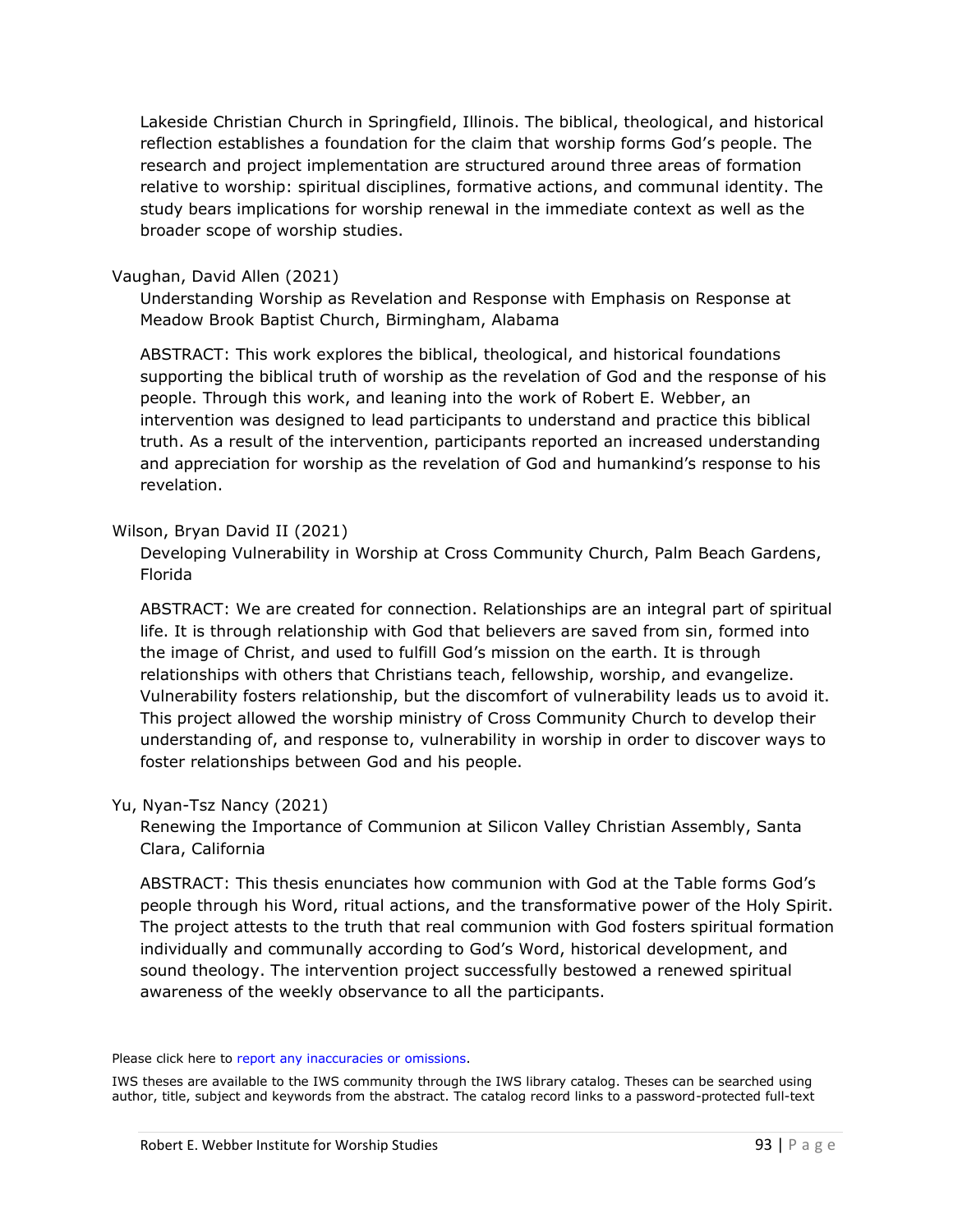Lakeside Christian Church in Springfield, Illinois. The biblical, theological, and historical reflection establishes a foundation for the claim that worship forms God's people. The research and project implementation are structured around three areas of formation relative to worship: spiritual disciplines, formative actions, and communal identity. The study bears implications for worship renewal in the immediate context as well as the broader scope of worship studies.

#### Vaughan, David Allen (2021)

Understanding Worship as Revelation and Response with Emphasis on Response at Meadow Brook Baptist Church, Birmingham, Alabama

ABSTRACT: This work explores the biblical, theological, and historical foundations supporting the biblical truth of worship as the revelation of God and the response of his people. Through this work, and leaning into the work of Robert E. Webber, an intervention was designed to lead participants to understand and practice this biblical truth. As a result of the intervention, participants reported an increased understanding and appreciation for worship as the revelation of God and humankind's response to his revelation.

#### Wilson, Bryan David II (2021)

Developing Vulnerability in Worship at Cross Community Church, Palm Beach Gardens, Florida

ABSTRACT: We are created for connection. Relationships are an integral part of spiritual life. It is through relationship with God that believers are saved from sin, formed into the image of Christ, and used to fulfill God's mission on the earth. It is through relationships with others that Christians teach, fellowship, worship, and evangelize. Vulnerability fosters relationship, but the discomfort of vulnerability leads us to avoid it. This project allowed the worship ministry of Cross Community Church to develop their understanding of, and response to, vulnerability in worship in order to discover ways to foster relationships between God and his people.

#### Yu, Nyan-Tsz Nancy (2021)

Renewing the Importance of Communion at Silicon Valley Christian Assembly, Santa Clara, California

ABSTRACT: This thesis enunciates how communion with God at the Table forms God's people through his Word, ritual actions, and the transformative power of the Holy Spirit. The project attests to the truth that real communion with God fosters spiritual formation individually and communally according to God's Word, historical development, and sound theology. The intervention project successfully bestowed a renewed spiritual awareness of the weekly observance to all the participants.

#### Please click here to report [any inaccuracies or omissions.](mailto:alumni@iws.edu)

IWS theses are available to the IWS community through the IWS library catalog. Theses can be searched using author, title, subject and keywords from the abstract. The catalog record links to a password-protected full-text